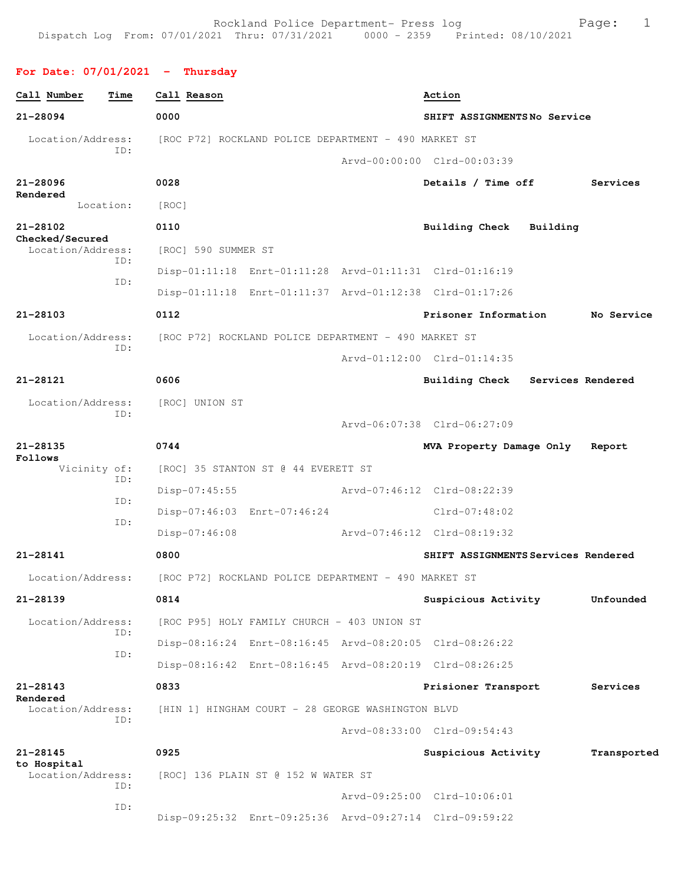## **For Date: 07/01/2021 - Thursday**

| Call Number                      | Time      | Call Reason                                                            |                                                      | Action                                                  |                   |             |
|----------------------------------|-----------|------------------------------------------------------------------------|------------------------------------------------------|---------------------------------------------------------|-------------------|-------------|
| 21-28094                         |           | 0000                                                                   |                                                      | SHIFT ASSIGNMENTSNo Service                             |                   |             |
| Location/Address:                | ID:       |                                                                        | [ROC P72] ROCKLAND POLICE DEPARTMENT - 490 MARKET ST |                                                         |                   |             |
|                                  |           |                                                                        |                                                      | Arvd-00:00:00 Clrd-00:03:39                             |                   |             |
| 21-28096                         |           | 0028                                                                   |                                                      | Details / Time off                                      |                   | Services    |
| Rendered                         | Location: | [ROC]                                                                  |                                                      |                                                         |                   |             |
| 21-28102<br>Checked/Secured      |           | 0110                                                                   |                                                      | <b>Building Check</b>                                   | Building          |             |
| Location/Address:                | ID:       | [ROC] 590 SUMMER ST                                                    |                                                      |                                                         |                   |             |
|                                  | ID:       |                                                                        |                                                      | Disp-01:11:18 Enrt-01:11:28 Arvd-01:11:31 Clrd-01:16:19 |                   |             |
|                                  |           |                                                                        |                                                      | Disp-01:11:18 Enrt-01:11:37 Arvd-01:12:38 Clrd-01:17:26 |                   |             |
| 21-28103                         |           | 0112                                                                   |                                                      | Prisoner Information                                    |                   | No Service  |
| Location/Address:                | ID:       |                                                                        | [ROC P72] ROCKLAND POLICE DEPARTMENT - 490 MARKET ST |                                                         |                   |             |
|                                  |           |                                                                        |                                                      | Arvd-01:12:00 Clrd-01:14:35                             |                   |             |
| 21-28121                         |           | 0606                                                                   |                                                      | <b>Building Check</b>                                   | Services Rendered |             |
| Location/Address:                | ID:       | [ROC] UNION ST                                                         |                                                      |                                                         |                   |             |
|                                  |           |                                                                        |                                                      | Arvd-06:07:38 Clrd-06:27:09                             |                   |             |
| $21 - 28135$<br>Follows          |           | 0744                                                                   |                                                      | MVA Property Damage Only                                |                   | Report      |
| Vicinity of:                     | ID:       |                                                                        | [ROC] 35 STANTON ST @ 44 EVERETT ST                  |                                                         |                   |             |
|                                  | ID:       | $Disp-07:45:55$                                                        |                                                      | Arvd-07:46:12 Clrd-08:22:39                             |                   |             |
|                                  | ID:       |                                                                        | Disp-07:46:03 Enrt-07:46:24                          | Clrd-07:48:02                                           |                   |             |
|                                  |           | $Disp-07:46:08$                                                        |                                                      | Arvd-07:46:12 Clrd-08:19:32                             |                   |             |
| 21-28141                         |           | 0800                                                                   |                                                      | SHIFT ASSIGNMENTS Services Rendered                     |                   |             |
|                                  |           | Location/Address: [ROC P72] ROCKLAND POLICE DEPARTMENT - 490 MARKET ST |                                                      |                                                         |                   |             |
| 21-28139                         |           | 0814                                                                   |                                                      | Suspicious Activity                                     |                   | Unfounded   |
| Location/Address:                | ID:       |                                                                        | [ROC P95] HOLY FAMILY CHURCH - 403 UNION ST          |                                                         |                   |             |
|                                  | ID:       |                                                                        |                                                      | Disp-08:16:24 Enrt-08:16:45 Arvd-08:20:05 Clrd-08:26:22 |                   |             |
|                                  |           |                                                                        |                                                      | Disp-08:16:42 Enrt-08:16:45 Arvd-08:20:19 Clrd-08:26:25 |                   |             |
| 21-28143<br>Rendered             |           | 0833                                                                   |                                                      | Prisioner Transport                                     |                   | Services    |
| Location/Address:                | ID:       |                                                                        | [HIN 1] HINGHAM COURT - 28 GEORGE WASHINGTON BLVD    |                                                         |                   |             |
|                                  |           |                                                                        |                                                      | Arvd-08:33:00 Clrd-09:54:43                             |                   |             |
| 21-28145                         |           | 0925                                                                   |                                                      | Suspicious Activity                                     |                   | Transported |
| to Hospital<br>Location/Address: | ID:       |                                                                        | [ROC] 136 PLAIN ST @ 152 W WATER ST                  |                                                         |                   |             |
|                                  | ID:       |                                                                        |                                                      | Arvd-09:25:00 Clrd-10:06:01                             |                   |             |
|                                  |           |                                                                        |                                                      | Disp-09:25:32 Enrt-09:25:36 Arvd-09:27:14 Clrd-09:59:22 |                   |             |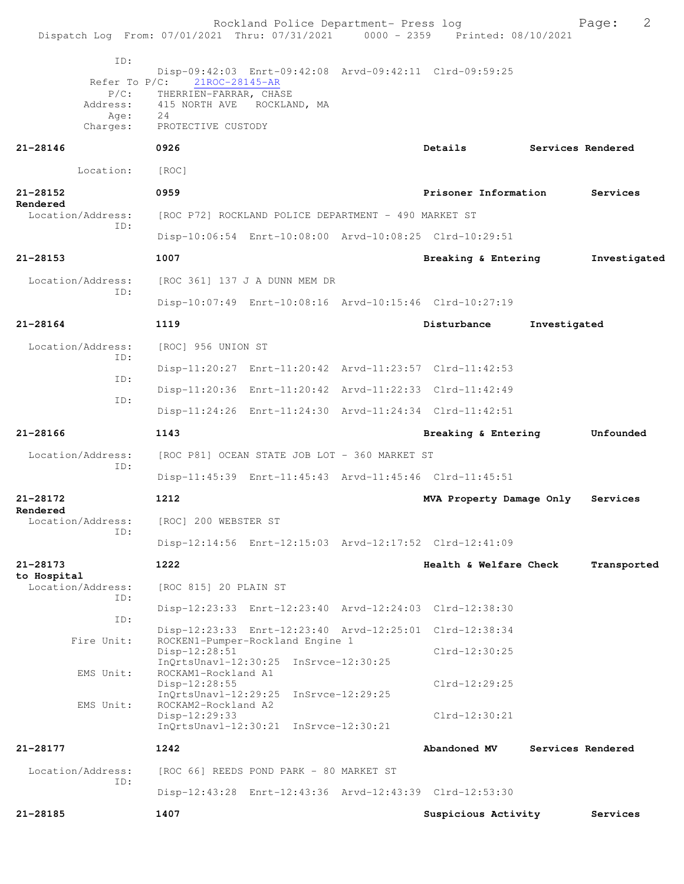| Dispatch Log From: 07/01/2021 Thru: 07/31/2021 0000 - 2359 Printed: 08/10/2021 |                                                                                                    | Rockland Police Department- Press log         |                                                         |              | 2<br>Page:        |
|--------------------------------------------------------------------------------|----------------------------------------------------------------------------------------------------|-----------------------------------------------|---------------------------------------------------------|--------------|-------------------|
| ID:<br>Refer To $P/C$ :<br>$P/C$ :<br>Address:<br>Age:<br>Charges:             | 21ROC-28145-AR<br>THERRIEN-FARRAR, CHASE<br>415 NORTH AVE ROCKLAND, MA<br>24<br>PROTECTIVE CUSTODY |                                               | Disp-09:42:03 Enrt-09:42:08 Arvd-09:42:11 Clrd-09:59:25 |              |                   |
| 21-28146                                                                       | 0926                                                                                               |                                               | Details                                                 |              | Services Rendered |
| Location:                                                                      | [ROC]                                                                                              |                                               |                                                         |              |                   |
| $21 - 28152$                                                                   | 0959                                                                                               |                                               | Prisoner Information                                    |              | Services          |
| Rendered<br>Location/Address:                                                  | [ROC P72] ROCKLAND POLICE DEPARTMENT - 490 MARKET ST                                               |                                               |                                                         |              |                   |
| TD:                                                                            |                                                                                                    |                                               | Disp-10:06:54 Enrt-10:08:00 Arvd-10:08:25 Clrd-10:29:51 |              |                   |
| 21-28153                                                                       | 1007                                                                                               |                                               | Breaking & Entering                                     |              | Investigated      |
| Location/Address:                                                              |                                                                                                    | [ROC 361] 137 J A DUNN MEM DR                 |                                                         |              |                   |
| TD:                                                                            |                                                                                                    |                                               | Disp-10:07:49 Enrt-10:08:16 Arvd-10:15:46 Clrd-10:27:19 |              |                   |
| $21 - 28164$                                                                   | 1119                                                                                               |                                               | Disturbance                                             | Investigated |                   |
| Location/Address:                                                              | [ROC] 956 UNION ST                                                                                 |                                               |                                                         |              |                   |
| ID:                                                                            |                                                                                                    |                                               | Disp-11:20:27 Enrt-11:20:42 Arvd-11:23:57 Clrd-11:42:53 |              |                   |
| ID:<br>ID:                                                                     |                                                                                                    |                                               | Disp-11:20:36 Enrt-11:20:42 Arvd-11:22:33 Clrd-11:42:49 |              |                   |
|                                                                                |                                                                                                    |                                               | Disp-11:24:26 Enrt-11:24:30 Arvd-11:24:34 Clrd-11:42:51 |              |                   |
| 21-28166                                                                       | 1143                                                                                               |                                               | Breaking & Entering                                     |              | Unfounded         |
| Location/Address:<br>ID:                                                       |                                                                                                    | [ROC P81] OCEAN STATE JOB LOT - 360 MARKET ST |                                                         |              |                   |
|                                                                                |                                                                                                    |                                               | Disp-11:45:39 Enrt-11:45:43 Arvd-11:45:46 Clrd-11:45:51 |              |                   |
| 21-28172<br>Rendered                                                           | 1212                                                                                               |                                               | MVA Property Damage Only                                |              | Services          |
| Location/Address:<br>ID:                                                       | [ROC] 200 WEBSTER ST                                                                               |                                               |                                                         |              |                   |
|                                                                                |                                                                                                    |                                               | Disp-12:14:56 Enrt-12:15:03 Arvd-12:17:52 Clrd-12:41:09 |              |                   |
| 21-28173                                                                       | 1222                                                                                               |                                               | Health & Welfare Check                                  |              | Transported       |
| to Hospital<br>Location/Address:<br>ID:                                        | [ROC 815] 20 PLAIN ST                                                                              |                                               |                                                         |              |                   |
| ID:                                                                            |                                                                                                    |                                               | Disp-12:23:33 Enrt-12:23:40 Arvd-12:24:03 Clrd-12:38:30 |              |                   |
| Fire Unit:                                                                     |                                                                                                    | ROCKEN1-Pumper-Rockland Engine 1              | Disp-12:23:33 Enrt-12:23:40 Arvd-12:25:01 Clrd-12:38:34 |              |                   |
|                                                                                | Disp-12:28:51                                                                                      | InQrtsUnavl-12:30:25 InSrvce-12:30:25         | Clrd-12:30:25                                           |              |                   |
| EMS Unit:                                                                      | ROCKAM1-Rockland A1<br>$Disp-12:28:55$                                                             |                                               | Clrd-12:29:25                                           |              |                   |
| EMS Unit:                                                                      | ROCKAM2-Rockland A2                                                                                | InQrtsUnavl-12:29:25 InSrvce-12:29:25         |                                                         |              |                   |
|                                                                                | $Disp-12:29:33$                                                                                    | InQrtsUnavl-12:30:21 InSrvce-12:30:21         | $Clrd-12:30:21$                                         |              |                   |
| 21-28177                                                                       | 1242                                                                                               |                                               | Abandoned MV                                            |              | Services Rendered |
| Location/Address:                                                              |                                                                                                    | [ROC 66] REEDS POND PARK - 80 MARKET ST       |                                                         |              |                   |
| ID:                                                                            |                                                                                                    |                                               | Disp-12:43:28 Enrt-12:43:36 Arvd-12:43:39 Clrd-12:53:30 |              |                   |
| 21-28185                                                                       | 1407                                                                                               |                                               | Suspicious Activity                                     |              | Services          |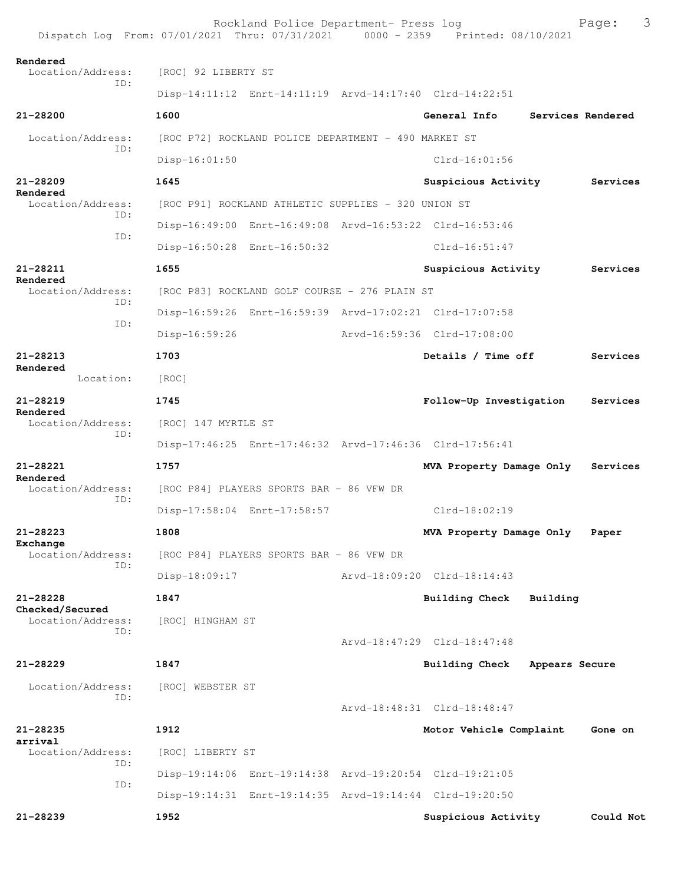Rockland Police Department- Press log Fage: 3<br>21 Thru: 07/31/2021 0000 - 2359 Printed: 08/10/2021 Dispatch Log From:  $07/01/2021$  Thru:  $07/31/2021$  0000 - 2359 **Rendered**  Location/Address: [ROC] 92 LIBERTY ST ID: Disp-14:11:12 Enrt-14:11:19 Arvd-14:17:40 Clrd-14:22:51 **21-28200 1600 General Info Services Rendered** Location/Address: [ROC P72] ROCKLAND POLICE DEPARTMENT - 490 MARKET ST ID: Disp-16:01:50 Clrd-16:01:56 **21-28209 1645 Suspicious Activity Services Rendered**  [ROC P91] ROCKLAND ATHLETIC SUPPLIES - 320 UNION ST ID: Disp-16:49:00 Enrt-16:49:08 Arvd-16:53:22 Clrd-16:53:46 ID: Disp-16:50:28 Enrt-16:50:32 Clrd-16:51:47 **21-28211 1655 Suspicious Activity Services Rendered**  Location/Address: [ROC P83] ROCKLAND GOLF COURSE - 276 PLAIN ST ID: Disp-16:59:26 Enrt-16:59:39 Arvd-17:02:21 Clrd-17:07:58 ID: Disp-16:59:26 Arvd-16:59:36 Clrd-17:08:00 **21-28213 1703 Details / Time off Services Rendered**  Location: [ROC] **21-28219 1745 Follow-Up Investigation Services Rendered**  Location/Address: [ROC] 147 MYRTLE ST ID: Disp-17:46:25 Enrt-17:46:32 Arvd-17:46:36 Clrd-17:56:41 **21-28221 1757 MVA Property Damage Only Services Rendered**  Location/Address: [ROC P84] PLAYERS SPORTS BAR - 86 VFW DR ID: Disp-17:58:04 Enrt-17:58:57 Clrd-18:02:19 **21-28223 1808 MVA Property Damage Only Paper** Exchange<br>Location/Address: [ROC P84] PLAYERS SPORTS BAR - 86 VFW DR ID: Disp-18:09:17 Arvd-18:09:20 Clrd-18:14:43 **21-28228 1847 Building Check Building Checked/Secured**  Location/Address: [ROC] HINGHAM ST ID: Arvd-18:47:29 Clrd-18:47:48 **21-28229 1847 Building Check Appears Secure** Location/Address: [ROC] WEBSTER ST ID: Arvd-18:48:31 Clrd-18:48:47 **21-28235 1912 Motor Vehicle Complaint Gone on arrival**<br>Location/Address: [ROC] LIBERTY ST ID: Disp-19:14:06 Enrt-19:14:38 Arvd-19:20:54 Clrd-19:21:05 ID: Disp-19:14:31 Enrt-19:14:35 Arvd-19:14:44 Clrd-19:20:50 **21-28239 1952 Suspicious Activity Could Not**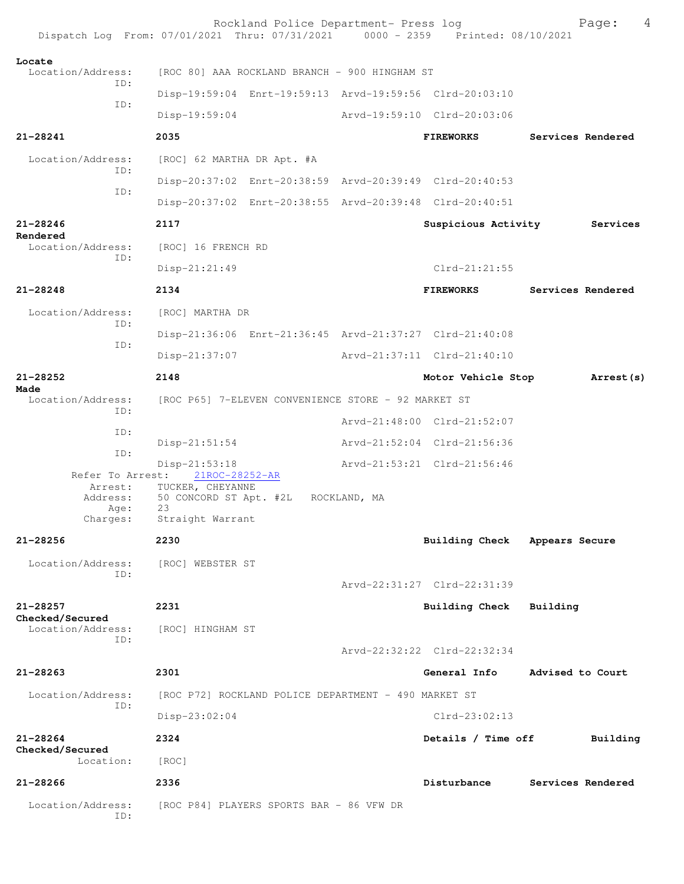|                                      | Rockland Police Department- Press log<br>Dispatch Log From: 07/01/2021 Thru: 07/31/2021 0000 - 2359 Printed: 08/10/2021 |                             | 4<br>Page:        |
|--------------------------------------|-------------------------------------------------------------------------------------------------------------------------|-----------------------------|-------------------|
| Locate<br>Location/Address:<br>ID:   | [ROC 80] AAA ROCKLAND BRANCH - 900 HINGHAM ST<br>Disp-19:59:04 Enrt-19:59:13 Arvd-19:59:56 Clrd-20:03:10                |                             |                   |
| ID:                                  |                                                                                                                         | Arvd-19:59:10 Clrd-20:03:06 |                   |
| 21-28241                             | $Disp-19:59:04$<br>2035                                                                                                 | <b>FIREWORKS</b>            | Services Rendered |
| Location/Address:                    |                                                                                                                         |                             |                   |
| ID:                                  | [ROC] 62 MARTHA DR Apt. #A<br>Disp-20:37:02 Enrt-20:38:59 Arvd-20:39:49 Clrd-20:40:53                                   |                             |                   |
| ID:                                  | Disp-20:37:02 Enrt-20:38:55 Arvd-20:39:48 Clrd-20:40:51                                                                 |                             |                   |
| $21 - 28246$                         | 2117                                                                                                                    | Suspicious Activity         | Services          |
| Rendered<br>Location/Address:        |                                                                                                                         |                             |                   |
| ID:                                  | [ROC] 16 FRENCH RD                                                                                                      | $Clrd-21:21:55$             |                   |
| $21 - 28248$                         | $Disp-21:21:49$                                                                                                         |                             |                   |
|                                      | 2134                                                                                                                    | <b>FIREWORKS</b>            | Services Rendered |
| Location/Address:<br>ID:             | [ROC] MARTHA DR                                                                                                         |                             |                   |
| ID:                                  | Disp-21:36:06 Enrt-21:36:45 Arvd-21:37:27 Clrd-21:40:08                                                                 |                             |                   |
|                                      | $Disp-21:37:07$                                                                                                         | Arvd-21:37:11 Clrd-21:40:10 |                   |
| 21-28252<br>Made                     | 2148                                                                                                                    | Motor Vehicle Stop          | Arrest (s)        |
| Location/Address:<br>ID:             | [ROC P65] 7-ELEVEN CONVENIENCE STORE - 92 MARKET ST                                                                     |                             |                   |
| ID:                                  |                                                                                                                         | Arvd-21:48:00 Clrd-21:52:07 |                   |
| ID:                                  | $Disp-21:51:54$                                                                                                         | Arvd-21:52:04 Clrd-21:56:36 |                   |
|                                      | Disp-21:53:18<br>Refer To Arrest: 21ROC-28252-AR                                                                        | Arvd-21:53:21 Clrd-21:56:46 |                   |
| Address:                             | Arrest: TUCKER, CHEYANNE<br>50 CONCORD ST Apt. #2L ROCKLAND, MA                                                         |                             |                   |
| Age:<br>Charges:                     | 23<br>Straight Warrant                                                                                                  |                             |                   |
| 21-28256                             | 2230                                                                                                                    | Building Check              | Appears Secure    |
| Location/Address:                    | [ROC] WEBSTER ST                                                                                                        |                             |                   |
| TD:                                  |                                                                                                                         | Arvd-22:31:27 Clrd-22:31:39 |                   |
| $21 - 28257$                         | 2231                                                                                                                    | Building Check              | Building          |
| Checked/Secured<br>Location/Address: | [ROC] HINGHAM ST                                                                                                        |                             |                   |
| TD:                                  |                                                                                                                         | Arvd-22:32:22 Clrd-22:32:34 |                   |
| 21-28263                             | 2301                                                                                                                    | General Info                | Advised to Court  |
| Location/Address:                    | [ROC P72] ROCKLAND POLICE DEPARTMENT - 490 MARKET ST                                                                    |                             |                   |
| ID:                                  | Disp-23:02:04                                                                                                           | $Clrd-23:02:13$             |                   |
| $21 - 28264$                         | 2324                                                                                                                    | Details / Time off          | Building          |
| Checked/Secured<br>Location:         | [ROC]                                                                                                                   |                             |                   |
| 21-28266                             | 2336                                                                                                                    | Disturbance                 | Services Rendered |
| Location/Address:<br>ID:             | [ROC P84] PLAYERS SPORTS BAR - 86 VFW DR                                                                                |                             |                   |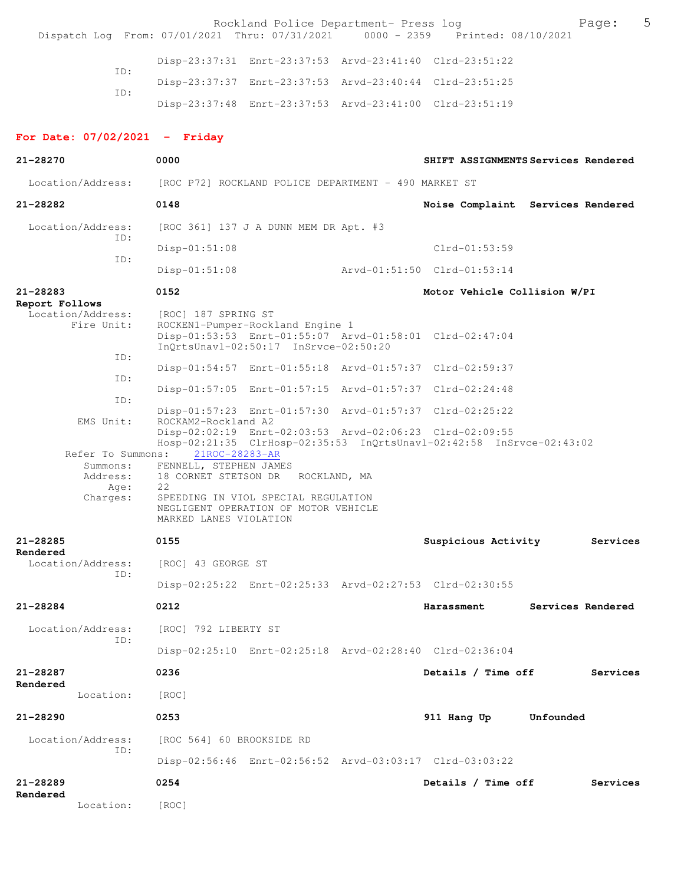| Dispatch Log From: 07/01/2021 Thru: 07/31/2021 0000 - 2359 Printed: 08/10/2021 |                                                                          | Rockland Police Department- Press log                                                                            |                                                                      |           | Page:             | 5 |
|--------------------------------------------------------------------------------|--------------------------------------------------------------------------|------------------------------------------------------------------------------------------------------------------|----------------------------------------------------------------------|-----------|-------------------|---|
|                                                                                |                                                                          |                                                                                                                  | Disp-23:37:31 Enrt-23:37:53 Arvd-23:41:40 Clrd-23:51:22              |           |                   |   |
| TD:                                                                            |                                                                          |                                                                                                                  | Disp-23:37:37 Enrt-23:37:53 Arvd-23:40:44 Clrd-23:51:25              |           |                   |   |
| ID:                                                                            |                                                                          |                                                                                                                  | Disp-23:37:48 Enrt-23:37:53 Arvd-23:41:00 Clrd-23:51:19              |           |                   |   |
|                                                                                |                                                                          |                                                                                                                  |                                                                      |           |                   |   |
| For Date: $07/02/2021$ - Friday                                                |                                                                          |                                                                                                                  |                                                                      |           |                   |   |
| $21 - 28270$                                                                   | 0000                                                                     |                                                                                                                  | SHIFT ASSIGNMENTS Services Rendered                                  |           |                   |   |
| Location/Address:                                                              | [ROC P72] ROCKLAND POLICE DEPARTMENT - 490 MARKET ST                     |                                                                                                                  |                                                                      |           |                   |   |
| 21-28282                                                                       | 0148                                                                     |                                                                                                                  | Noise Complaint Services Rendered                                    |           |                   |   |
| Location/Address:<br>ID:                                                       |                                                                          | [ROC 361] 137 J A DUNN MEM DR Apt. #3                                                                            |                                                                      |           |                   |   |
| ID:                                                                            | $Disp-01:51:08$                                                          |                                                                                                                  | $Clrd-01:53:59$                                                      |           |                   |   |
|                                                                                | $Disp-01:51:08$                                                          |                                                                                                                  | Arvd-01:51:50 Clrd-01:53:14                                          |           |                   |   |
| 21-28283                                                                       | 0152                                                                     |                                                                                                                  | Motor Vehicle Collision W/PI                                         |           |                   |   |
| Report Follows<br>Location/Address:<br>Fire Unit:                              | [ROC] 187 SPRING ST                                                      | ROCKEN1-Pumper-Rockland Engine 1<br>InQrtsUnavl-02:50:17 InSrvce-02:50:20                                        | Disp-01:53:53 Enrt-01:55:07 Arvd-01:58:01 Clrd-02:47:04              |           |                   |   |
| ID:                                                                            |                                                                          |                                                                                                                  | Disp-01:54:57 Enrt-01:55:18 Arvd-01:57:37 Clrd-02:59:37              |           |                   |   |
| ID:                                                                            |                                                                          |                                                                                                                  | Disp-01:57:05 Enrt-01:57:15 Arvd-01:57:37 Clrd-02:24:48              |           |                   |   |
| ID:                                                                            |                                                                          |                                                                                                                  | Disp-01:57:23 Enrt-01:57:30 Arvd-01:57:37 Clrd-02:25:22              |           |                   |   |
| EMS Unit:                                                                      | ROCKAM2-Rockland A2                                                      |                                                                                                                  | Disp-02:02:19 Enrt-02:03:53 Arvd-02:06:23 Clrd-02:09:55              |           |                   |   |
| Refer To Summons:<br>Summons:<br>Address:<br>Age:<br>Charges:                  | 21ROC-28283-AR<br>FENNELL, STEPHEN JAMES<br>22<br>MARKED LANES VIOLATION | 18 CORNET STETSON DR ROCKLAND, MA<br>SPEEDING IN VIOL SPECIAL REGULATION<br>NEGLIGENT OPERATION OF MOTOR VEHICLE | Hosp-02:21:35 ClrHosp-02:35:53 InQrtsUnavl-02:42:58 InSrvce-02:43:02 |           |                   |   |
| $21 - 28285$                                                                   | 0155                                                                     |                                                                                                                  | Suspicious Activity                                                  |           | Services          |   |
| Rendered<br>Location/Address:<br>ID:                                           | [ROC] 43 GEORGE ST                                                       |                                                                                                                  |                                                                      |           |                   |   |
|                                                                                |                                                                          |                                                                                                                  | Disp-02:25:22 Enrt-02:25:33 Arvd-02:27:53 Clrd-02:30:55              |           |                   |   |
| 21-28284                                                                       | 0212                                                                     |                                                                                                                  | Harassment                                                           |           | Services Rendered |   |
| Location/Address:<br>ID:                                                       | [ROC] 792 LIBERTY ST                                                     |                                                                                                                  |                                                                      |           |                   |   |
|                                                                                |                                                                          |                                                                                                                  | Disp-02:25:10 Enrt-02:25:18 Arvd-02:28:40 Clrd-02:36:04              |           |                   |   |
| 21-28287<br>Rendered                                                           | 0236                                                                     |                                                                                                                  | Details / Time off                                                   |           | Services          |   |
| Location:                                                                      | [ROC]                                                                    |                                                                                                                  |                                                                      |           |                   |   |
| 21-28290                                                                       | 0253                                                                     |                                                                                                                  | 911 Hang Up                                                          | Unfounded |                   |   |
| Location/Address:                                                              | [ROC 564] 60 BROOKSIDE RD                                                |                                                                                                                  |                                                                      |           |                   |   |
| ID:                                                                            |                                                                          |                                                                                                                  | Disp-02:56:46 Enrt-02:56:52 Arvd-03:03:17 Clrd-03:03:22              |           |                   |   |
| 21-28289                                                                       | 0254                                                                     |                                                                                                                  | Details / Time off                                                   |           | Services          |   |
| Rendered<br>Location:                                                          | [ROC]                                                                    |                                                                                                                  |                                                                      |           |                   |   |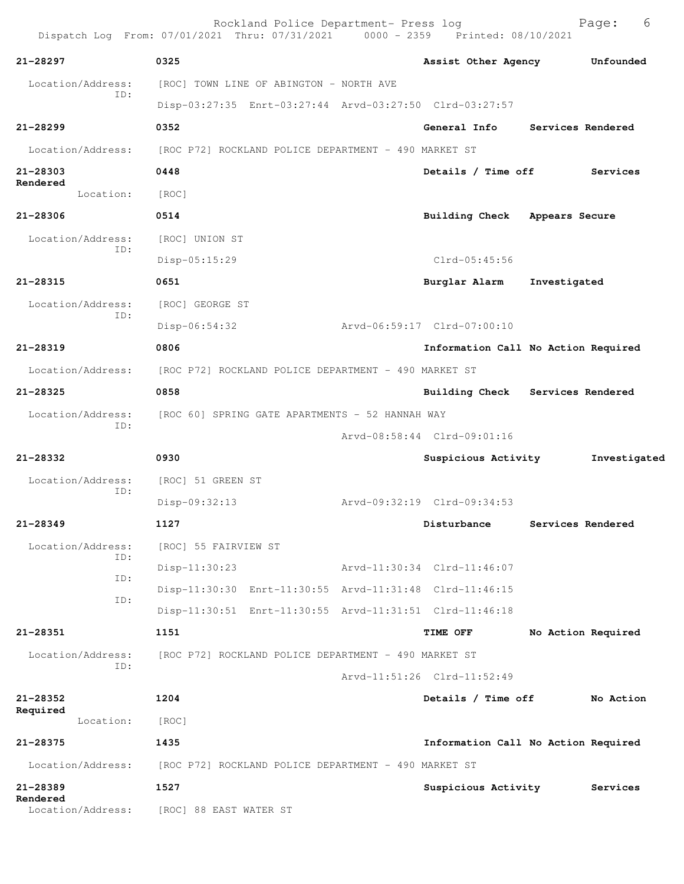|                          | Rockland Police Department- Press log<br>Dispatch Log From: 07/01/2021 Thru: 07/31/2021 0000 - 2359 Printed: 08/10/2021 |                                     |                    | 6<br>Page:   |
|--------------------------|-------------------------------------------------------------------------------------------------------------------------|-------------------------------------|--------------------|--------------|
| 21-28297                 | 0325                                                                                                                    | Assist Other Agency                 |                    | Unfounded    |
| Location/Address:        | [ROC] TOWN LINE OF ABINGTON - NORTH AVE                                                                                 |                                     |                    |              |
| ID:                      | Disp-03:27:35 Enrt-03:27:44 Arvd-03:27:50 Clrd-03:27:57                                                                 |                                     |                    |              |
| 21-28299                 | 0352                                                                                                                    | General Info                        | Services Rendered  |              |
| Location/Address:        | [ROC P72] ROCKLAND POLICE DEPARTMENT - 490 MARKET ST                                                                    |                                     |                    |              |
| 21-28303                 | 0448                                                                                                                    | Details / Time off                  |                    | Services     |
| Rendered<br>Location:    | [ROC]                                                                                                                   |                                     |                    |              |
| 21-28306                 | 0514                                                                                                                    | Building Check Appears Secure       |                    |              |
| Location/Address:        | [ROC] UNION ST                                                                                                          |                                     |                    |              |
| ID:                      | Disp-05:15:29                                                                                                           | $Clrd-05:45:56$                     |                    |              |
| $21 - 28315$             | 0651                                                                                                                    | Burglar Alarm                       | Investigated       |              |
| Location/Address:        | [ROC] GEORGE ST                                                                                                         |                                     |                    |              |
| ID:                      | $Disp-06:54:32$                                                                                                         | Arvd-06:59:17 Clrd-07:00:10         |                    |              |
| 21-28319                 | 0806                                                                                                                    | Information Call No Action Required |                    |              |
| Location/Address:        | [ROC P72] ROCKLAND POLICE DEPARTMENT - 490 MARKET ST                                                                    |                                     |                    |              |
| 21-28325                 | 0858                                                                                                                    | Building Check Services Rendered    |                    |              |
| Location/Address:        | [ROC 60] SPRING GATE APARTMENTS - 52 HANNAH WAY                                                                         |                                     |                    |              |
| ID:                      |                                                                                                                         | Arvd-08:58:44 Clrd-09:01:16         |                    |              |
| 21-28332                 | 0930                                                                                                                    | Suspicious Activity                 |                    | Investigated |
| Location/Address:<br>ID: | [ROC] 51 GREEN ST                                                                                                       |                                     |                    |              |
|                          | Disp-09:32:13                                                                                                           | Arvd-09:32:19 Clrd-09:34:53         |                    |              |
| 21-28349                 | 1127                                                                                                                    | Disturbance                         | Services Rendered  |              |
| Location/Address:<br>ID: | [ROC] 55 FAIRVIEW ST                                                                                                    |                                     |                    |              |
| ID:                      | Disp-11:30:23                                                                                                           | Arvd-11:30:34 Clrd-11:46:07         |                    |              |
| ID:                      | Disp-11:30:30 Enrt-11:30:55 Arvd-11:31:48 Clrd-11:46:15                                                                 |                                     |                    |              |
|                          | Disp-11:30:51 Enrt-11:30:55 Arvd-11:31:51 Clrd-11:46:18                                                                 |                                     |                    |              |
| 21-28351                 | 1151                                                                                                                    | <b>TIME OFF</b>                     | No Action Required |              |
| Location/Address:<br>ID: | [ROC P72] ROCKLAND POLICE DEPARTMENT - 490 MARKET ST                                                                    |                                     |                    |              |
|                          |                                                                                                                         | Arvd-11:51:26 Clrd-11:52:49         |                    |              |
| 21-28352<br>Required     | 1204                                                                                                                    | Details / Time off                  |                    | No Action    |
| Location:                | [ROC]                                                                                                                   |                                     |                    |              |
| 21-28375                 | 1435                                                                                                                    | Information Call No Action Required |                    |              |
| Location/Address:        | [ROC P72] ROCKLAND POLICE DEPARTMENT - 490 MARKET ST                                                                    |                                     |                    |              |
| 21-28389<br>Rendered     | 1527                                                                                                                    | Suspicious Activity                 |                    | Services     |
| Location/Address:        | [ROC] 88 EAST WATER ST                                                                                                  |                                     |                    |              |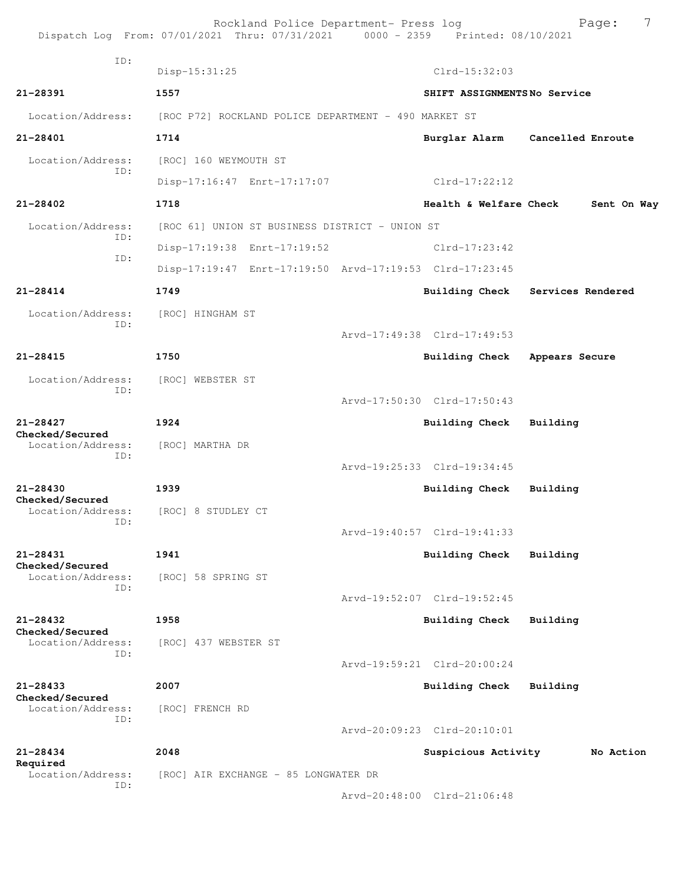|                                      | Rockland Police Department- Press log<br>Dispatch Log From: 07/01/2021 Thru: 07/31/2021 0000 - 2359 Printed: 08/10/2021 |                             | 7<br>Page:                      |
|--------------------------------------|-------------------------------------------------------------------------------------------------------------------------|-----------------------------|---------------------------------|
| ID:                                  | Disp-15:31:25                                                                                                           | Clrd-15:32:03               |                                 |
| 21-28391                             | 1557                                                                                                                    | SHIFT ASSIGNMENTSNo Service |                                 |
| Location/Address:                    | [ROC P72] ROCKLAND POLICE DEPARTMENT - 490 MARKET ST                                                                    |                             |                                 |
| 21-28401                             | 1714                                                                                                                    |                             | Burglar Alarm Cancelled Enroute |
| Location/Address:                    | [ROC] 160 WEYMOUTH ST                                                                                                   |                             |                                 |
| ID:                                  | Disp-17:16:47 Enrt-17:17:07                                                                                             | $Clrd-17:22:12$             |                                 |
| $21 - 28402$                         | 1718                                                                                                                    | Health & Welfare Check      | Sent On Way                     |
| Location/Address:                    | [ROC 61] UNION ST BUSINESS DISTRICT - UNION ST                                                                          |                             |                                 |
| ID:                                  | Disp-17:19:38 Enrt-17:19:52                                                                                             | $Clrd-17:23:42$             |                                 |
| ID:                                  | Disp-17:19:47 Enrt-17:19:50 Arvd-17:19:53 Clrd-17:23:45                                                                 |                             |                                 |
| $21 - 28414$                         | 1749                                                                                                                    | <b>Building Check</b>       | Services Rendered               |
| Location/Address:                    | [ROC] HINGHAM ST                                                                                                        |                             |                                 |
| ID:                                  |                                                                                                                         | Arvd-17:49:38 Clrd-17:49:53 |                                 |
| $21 - 28415$                         | 1750                                                                                                                    | Building Check              | Appears Secure                  |
| Location/Address:                    | [ROC] WEBSTER ST                                                                                                        |                             |                                 |
| ID:                                  |                                                                                                                         | Arvd-17:50:30 Clrd-17:50:43 |                                 |
| $21 - 28427$<br>Checked/Secured      | 1924                                                                                                                    | <b>Building Check</b>       | Building                        |
| Location/Address:                    | [ROC] MARTHA DR                                                                                                         |                             |                                 |
| ID:                                  |                                                                                                                         | Arvd-19:25:33 Clrd-19:34:45 |                                 |
| $21 - 28430$<br>Checked/Secured      | 1939                                                                                                                    | Building Check              | Building                        |
| Location/Address:<br>ID:             | [ROC] 8 STUDLEY CT                                                                                                      |                             |                                 |
|                                      |                                                                                                                         | Arvd-19:40:57 Clrd-19:41:33 |                                 |
| $21 - 28431$<br>Checked/Secured      | 1941                                                                                                                    | <b>Building Check</b>       | Building                        |
| Location/Address:                    | [ROC] 58 SPRING ST                                                                                                      |                             |                                 |
| ID:                                  |                                                                                                                         | Arvd-19:52:07 Clrd-19:52:45 |                                 |
| $21 - 28432$                         | 1958                                                                                                                    | <b>Building Check</b>       | Building                        |
| Checked/Secured<br>Location/Address: | [ROC] 437 WEBSTER ST                                                                                                    |                             |                                 |
| ID:                                  |                                                                                                                         | Arvd-19:59:21 Clrd-20:00:24 |                                 |
| $21 - 28433$<br>Checked/Secured      | 2007                                                                                                                    | <b>Building Check</b>       | Building                        |
| Location/Address:<br>ID:             | [ROC] FRENCH RD                                                                                                         |                             |                                 |
|                                      |                                                                                                                         | Arvd-20:09:23 Clrd-20:10:01 |                                 |
| $21 - 28434$<br>Required             | 2048                                                                                                                    | Suspicious Activity         | No Action                       |
| Location/Address:<br>ID:             | [ROC] AIR EXCHANGE - 85 LONGWATER DR                                                                                    |                             |                                 |
|                                      |                                                                                                                         | Arvd-20:48:00 Clrd-21:06:48 |                                 |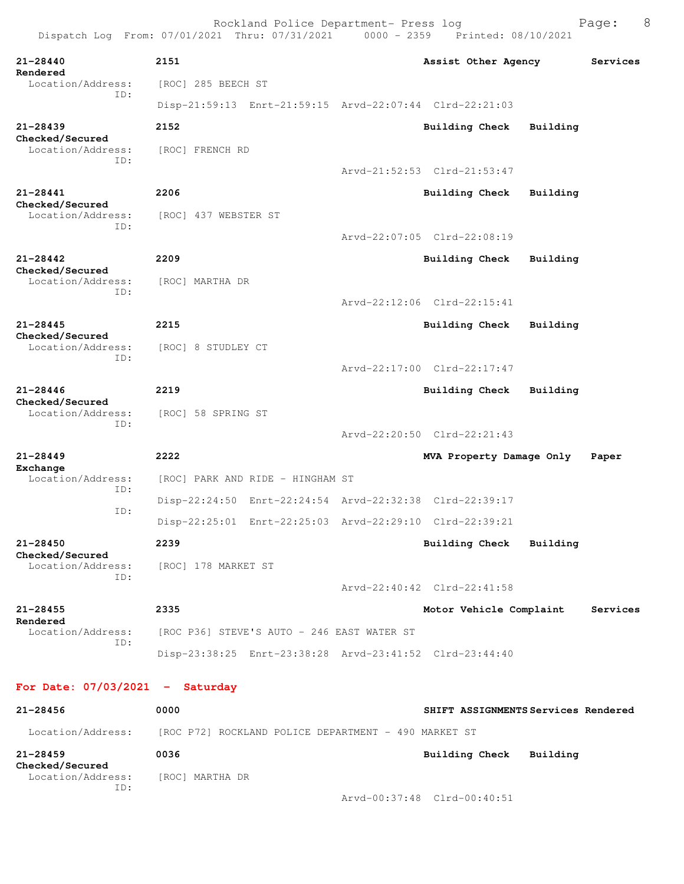Rockland Police Department- Press log Freed Page: 8 Dispatch Log From: 07/01/2021 Thru: 07/31/2021 0000 - 2359 Printed: 08/10/2021 **21-28440 2151 Assist Other Agency Services Rendered**  Location/Address: [ROC] 285 BEECH ST ID: Disp-21:59:13 Enrt-21:59:15 Arvd-22:07:44 Clrd-22:21:03 **21-28439 2152 Building Check Building Checked/Secured**  Location/Address: [ROC] FRENCH RD ID: Arvd-21:52:53 Clrd-21:53:47 **21-28441 2206 Building Check Building Checked/Secured**  Location/Address: [ROC] 437 WEBSTER ST ID: Arvd-22:07:05 Clrd-22:08:19 **21-28442 2209 Building Check Building Checked/Secured**  Location/Address: [ROC] MARTHA DR ID: Arvd-22:12:06 Clrd-22:15:41 **21-28445 2215 Building Check Building Checked/Secured**  Location/Address: [ROC] 8 STUDLEY CT ID: Arvd-22:17:00 Clrd-22:17:47 **21-28446 2219 Building Check Building Checked/Secured**  Location/Address: [ROC] 58 SPRING ST ID: Arvd-22:20:50 Clrd-22:21:43 **21-28449 2222 MVA Property Damage Only Paper Exchange**  Location/Address: [ROC] PARK AND RIDE - HINGHAM ST ID: Disp-22:24:50 Enrt-22:24:54 Arvd-22:32:38 Clrd-22:39:17 ID: Disp-22:25:01 Enrt-22:25:03 Arvd-22:29:10 Clrd-22:39:21 **21-28450 2239 Building Check Building Checked/Secured**  Location/Address: [ROC] 178 MARKET ST ID: Arvd-22:40:42 Clrd-22:41:58 **21-28455 2335 Motor Vehicle Complaint Services Rendered**  Location/Address: [ROC P36] STEVE'S AUTO - 246 EAST WATER ST ID: Disp-23:38:25 Enrt-23:38:28 Arvd-23:41:52 Clrd-23:44:40 **For Date: 07/03/2021 - Saturday 21-28456 0000 SHIFT ASSIGNMENTS Services Rendered**

 Location/Address: [ROC P72] ROCKLAND POLICE DEPARTMENT - 490 MARKET ST **21-28459 0036 Building Check Building Checked/Secured**  Location/Address: [ROC] MARTHA DR ID: Arvd-00:37:48 Clrd-00:40:51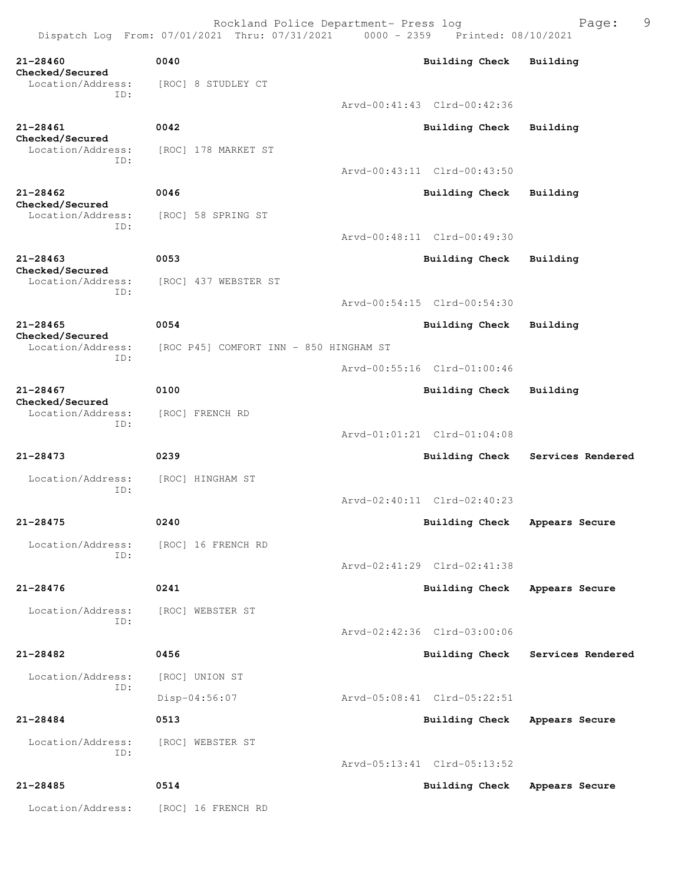**21-28460 0040 Building Check Building Checked/Secured**  Location/Address: [ROC] 8 STUDLEY CT ID: Arvd-00:41:43 Clrd-00:42:36 **21-28461 0042 Building Check Building Checked/Secured**  Location/Address: [ROC] 178 MARKET ST ID: Arvd-00:43:11 Clrd-00:43:50 **21-28462 0046 Building Check Building Checked/Secured**  Location/Address: [ROC] 58 SPRING ST ID: Arvd-00:48:11 Clrd-00:49:30 **21-28463 0053 Building Check Building Checked/Secured**  Location/Address: [ROC] 437 WEBSTER ST ID: Arvd-00:54:15 Clrd-00:54:30 **21-28465 0054 Building Check Building Checked/Secured**  Location/Address: [ROC P45] COMFORT INN - 850 HINGHAM ST ID: Arvd-00:55:16 Clrd-01:00:46 **21-28467 0100 Building Check Building Checked/Secured**  Location/Address: [ROC] FRENCH RD ID: Arvd-01:01:21 Clrd-01:04:08 **21-28473 0239 Building Check Services Rendered** Location/Address: [ROC] HINGHAM ST ID: Arvd-02:40:11 Clrd-02:40:23 **21-28475 0240 Building Check Appears Secure** Location/Address: [ROC] 16 FRENCH RD ID: Arvd-02:41:29 Clrd-02:41:38 **21-28476 0241 Building Check Appears Secure** Location/Address: [ROC] WEBSTER ST ID: Arvd-02:42:36 Clrd-03:00:06 **21-28482 0456 Building Check Services Rendered** Location/Address: [ROC] UNION ST ID: Disp-04:56:07 Arvd-05:08:41 Clrd-05:22:51 **21-28484 0513 Building Check Appears Secure** Location/Address: [ROC] WEBSTER ST ID: Arvd-05:13:41 Clrd-05:13:52 **21-28485 0514 Building Check Appears Secure** Location/Address: [ROC] 16 FRENCH RD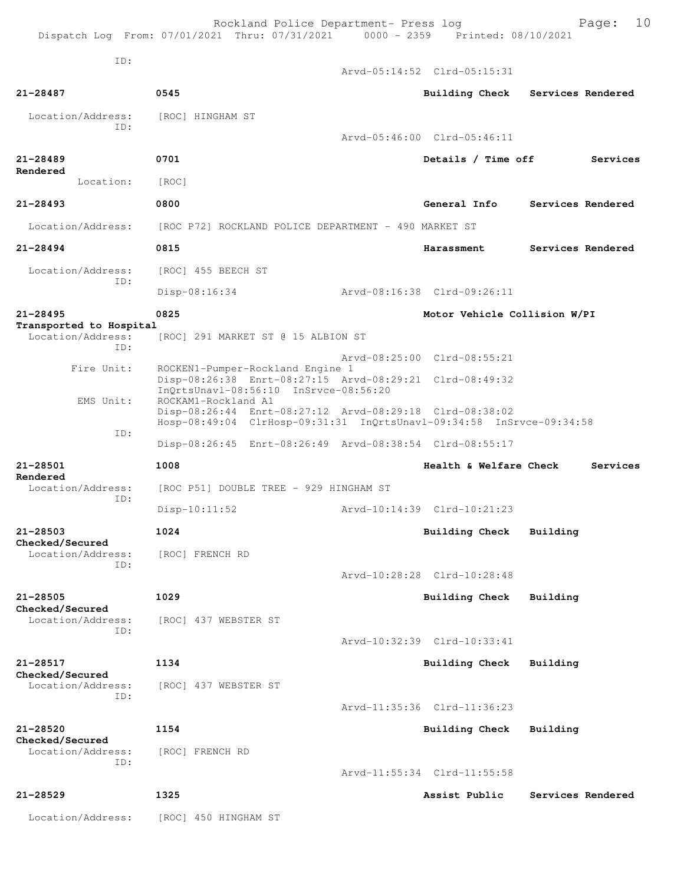Rockland Police Department- Press log Fage: 10 Dispatch Log From: 07/01/2021 Thru: 07/31/2021 0000 - 2359 Printed: 08/10/2021 ID: Arvd-05:14:52 Clrd-05:15:31 **21-28487 0545 Building Check Services Rendered** Location/Address: [ROC] HINGHAM ST ID: Arvd-05:46:00 Clrd-05:46:11 **21-28489 0701 Details / Time off Services Rendered**  Location: [ROC] **21-28493 0800 General Info Services Rendered** Location/Address: [ROC P72] ROCKLAND POLICE DEPARTMENT - 490 MARKET ST **21-28494 0815 Harassment Services Rendered** Location/Address: [ROC] 455 BEECH ST ID: Disp-08:16:34 Arvd-08:16:38 Clrd-09:26:11 **21-28495 0825 Motor Vehicle Collision W/PI Transported to Hospital**  [ROC] 291 MARKET ST @ 15 ALBION ST ID: Arvd-08:25:00 Clrd-08:55:21<br>Fire Unit: ROCKEN1-Pumper-Rockland Engine 1 ROCKEN1-Pumper-Rockland Engine 1 Disp-08:26:38 Enrt-08:27:15 Arvd-08:29:21 Clrd-08:49:32 InQrtsUnavl-08:56:10 InSrvce-08:56:20 EMS Unit: ROCKAM1-Rockland A1 Disp-08:26:44 Enrt-08:27:12 Arvd-08:29:18 Clrd-08:38:02 Hosp-08:49:04 ClrHosp-09:31:31 InQrtsUnavl-09:34:58 InSrvce-09:34:58 ID: Disp-08:26:45 Enrt-08:26:49 Arvd-08:38:54 Clrd-08:55:17 **21-28501 1008 Health & Welfare Check Services Rendered**  Location/Address: [ROC P51] DOUBLE TREE - 929 HINGHAM ST ID: Disp-10:11:52 Arvd-10:14:39 Clrd-10:21:23 **21-28503 1024 Building Check Building Checked/Secured**  Location/Address: [ROC] FRENCH RD ID: Arvd-10:28:28 Clrd-10:28:48 **21-28505 1029 Building Check Building Checked/Secured**  [ROC] 437 WEBSTER ST ID: Arvd-10:32:39 Clrd-10:33:41 **21-28517 1134 Building Check Building Checked/Secured**  Location/Address: [ROC] 437 WEBSTER ST ID: Arvd-11:35:36 Clrd-11:36:23 **21-28520 1154 Building Check Building Checked/Secured**  Location/Address: [ROC] FRENCH RD ID: Arvd-11:55:34 Clrd-11:55:58 **21-28529 1325 Assist Public Services Rendered**

Location/Address: [ROC] 450 HINGHAM ST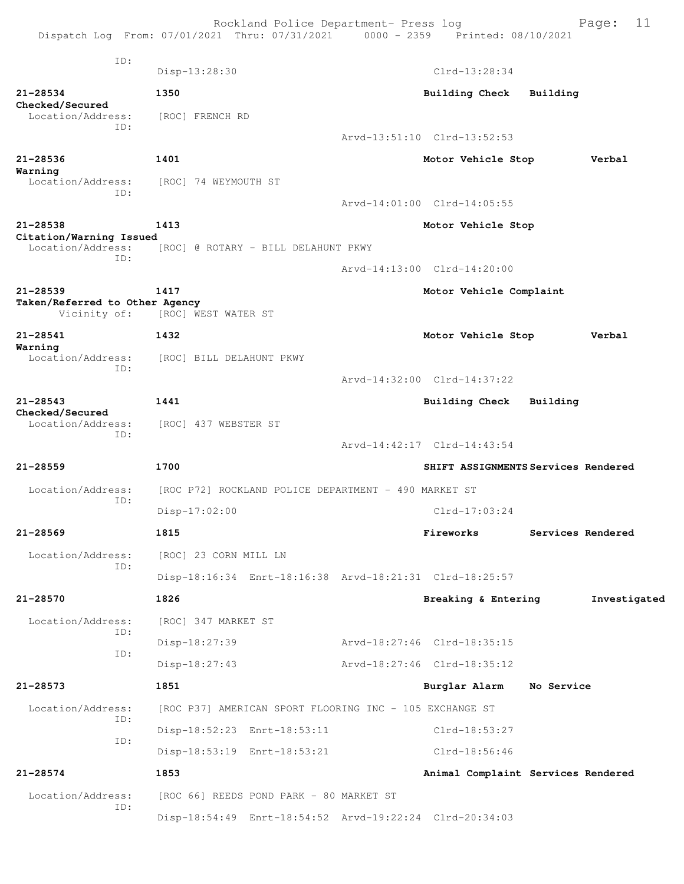|                                                | Rockland Police Department- Press log<br>Dispatch Log From: 07/01/2021 Thru: 07/31/2021 0000 - 2359 Printed: 08/10/2021 |                                     | Page:             | 11           |
|------------------------------------------------|-------------------------------------------------------------------------------------------------------------------------|-------------------------------------|-------------------|--------------|
| ID:                                            | Disp-13:28:30                                                                                                           | $Clrd-13:28:34$                     |                   |              |
| 21-28534                                       | 1350                                                                                                                    | Building Check                      | Building          |              |
| Checked/Secured<br>Location/Address:<br>ID:    | [ROC] FRENCH RD                                                                                                         |                                     |                   |              |
|                                                |                                                                                                                         | Arvd-13:51:10 Clrd-13:52:53         |                   |              |
| $21 - 28536$                                   | 1401                                                                                                                    | Motor Vehicle Stop                  |                   | Verbal       |
| Warning<br>Location/Address:<br>ID:            | [ROC] 74 WEYMOUTH ST                                                                                                    |                                     |                   |              |
|                                                |                                                                                                                         | Arvd-14:01:00 Clrd-14:05:55         |                   |              |
| 21-28538<br>Citation/Warning Issued            | 1413                                                                                                                    | Motor Vehicle Stop                  |                   |              |
| Location/Address:<br>TD:                       | [ROC] @ ROTARY - BILL DELAHUNT PKWY                                                                                     |                                     |                   |              |
|                                                |                                                                                                                         | Arvd-14:13:00 Clrd-14:20:00         |                   |              |
| $21 - 28539$                                   | 1417                                                                                                                    | Motor Vehicle Complaint             |                   |              |
| Taken/Referred to Other Agency<br>Vicinity of: | [ROC] WEST WATER ST                                                                                                     |                                     |                   |              |
| 21-28541<br>Warning                            | 1432                                                                                                                    | Motor Vehicle Stop                  |                   | Verbal       |
| Location/Address:                              | [ROC] BILL DELAHUNT PKWY                                                                                                |                                     |                   |              |
| ID:                                            |                                                                                                                         | Arvd-14:32:00 Clrd-14:37:22         |                   |              |
| $21 - 28543$                                   | 1441                                                                                                                    | <b>Building Check</b>               | Building          |              |
| Checked/Secured<br>Location/Address:           | [ROC] 437 WEBSTER ST                                                                                                    |                                     |                   |              |
| ID:                                            |                                                                                                                         | Arvd-14:42:17 Clrd-14:43:54         |                   |              |
|                                                |                                                                                                                         |                                     |                   |              |
| $21 - 28559$                                   | 1700                                                                                                                    | SHIFT ASSIGNMENTS Services Rendered |                   |              |
| Location/Address:<br>ID:                       | [ROC P72] ROCKLAND POLICE DEPARTMENT - 490 MARKET ST                                                                    |                                     |                   |              |
|                                                | $Disp-17:02:00$                                                                                                         | $Clrd-17:03:24$                     |                   |              |
| $21 - 28569$                                   | 1815                                                                                                                    | Fireworks                           | Services Rendered |              |
| Location/Address:<br>ID:                       | [ROC] 23 CORN MILL LN                                                                                                   |                                     |                   |              |
|                                                | Disp-18:16:34 Enrt-18:16:38 Arvd-18:21:31 Clrd-18:25:57                                                                 |                                     |                   |              |
| $21 - 28570$                                   | 1826                                                                                                                    | Breaking & Entering                 |                   | Investigated |
| Location/Address:                              | [ROC] 347 MARKET ST                                                                                                     |                                     |                   |              |
| ID:                                            | Disp-18:27:39                                                                                                           | Arvd-18:27:46 Clrd-18:35:15         |                   |              |
| ID:                                            | Disp-18:27:43                                                                                                           | Arvd-18:27:46 Clrd-18:35:12         |                   |              |
| 21-28573                                       | 1851                                                                                                                    | Burglar Alarm No Service            |                   |              |
| Location/Address:                              | [ROC P37] AMERICAN SPORT FLOORING INC - 105 EXCHANGE ST                                                                 |                                     |                   |              |
| ID:                                            | Disp-18:52:23 Enrt-18:53:11                                                                                             | Clrd-18:53:27                       |                   |              |
| ID:                                            | Disp-18:53:19 Enrt-18:53:21                                                                                             | Clrd-18:56:46                       |                   |              |
| 21-28574                                       | 1853                                                                                                                    | Animal Complaint Services Rendered  |                   |              |
| Location/Address:                              | [ROC 66] REEDS POND PARK - 80 MARKET ST                                                                                 |                                     |                   |              |
| ID:                                            | Disp-18:54:49 Enrt-18:54:52 Arvd-19:22:24 Clrd-20:34:03                                                                 |                                     |                   |              |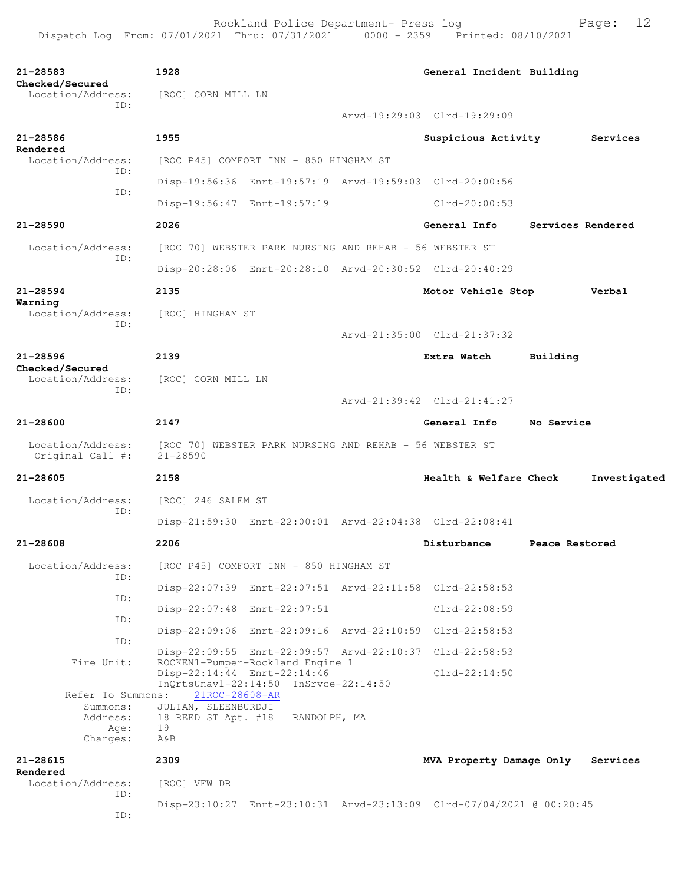| 21-28583                              | 1928                                                                |                                                                           | General Incident Building                                            |                   |              |
|---------------------------------------|---------------------------------------------------------------------|---------------------------------------------------------------------------|----------------------------------------------------------------------|-------------------|--------------|
| Checked/Secured<br>Location/Address:  | [ROC] CORN MILL LN                                                  |                                                                           |                                                                      |                   |              |
| ID:                                   |                                                                     |                                                                           | Arvd-19:29:03 Clrd-19:29:09                                          |                   |              |
| $21 - 28586$                          | 1955                                                                |                                                                           | Suspicious Activity                                                  |                   | Services     |
| Rendered<br>Location/Address:         |                                                                     | [ROC P45] COMFORT INN - 850 HINGHAM ST                                    |                                                                      |                   |              |
| TD:                                   |                                                                     |                                                                           | Disp-19:56:36 Enrt-19:57:19 Arvd-19:59:03 Clrd-20:00:56              |                   |              |
| ID:                                   | Disp-19:56:47 Enrt-19:57:19                                         |                                                                           | Clrd-20:00:53                                                        |                   |              |
| $21 - 28590$                          | 2026                                                                |                                                                           | General Info                                                         | Services Rendered |              |
| Location/Address:                     | [ROC 70] WEBSTER PARK NURSING AND REHAB - 56 WEBSTER ST             |                                                                           |                                                                      |                   |              |
| ID:                                   |                                                                     |                                                                           | Disp-20:28:06 Enrt-20:28:10 Arvd-20:30:52 Clrd-20:40:29              |                   |              |
| $21 - 28594$                          | 2135                                                                |                                                                           | Motor Vehicle Stop                                                   |                   | Verbal       |
| Warning<br>Location/Address:          | [ROC] HINGHAM ST                                                    |                                                                           |                                                                      |                   |              |
| ID:                                   |                                                                     |                                                                           | Arvd-21:35:00 Clrd-21:37:32                                          |                   |              |
| $21 - 28596$                          | 2139                                                                |                                                                           | Extra Watch                                                          | Building          |              |
| Checked/Secured<br>Location/Address:  | [ROC] CORN MILL LN                                                  |                                                                           |                                                                      |                   |              |
| TD:                                   |                                                                     |                                                                           | Arvd-21:39:42 Clrd-21:41:27                                          |                   |              |
| 21-28600                              | 2147                                                                |                                                                           | General Info                                                         | No Service        |              |
| Location/Address:<br>Original Call #: | [ROC 70] WEBSTER PARK NURSING AND REHAB - 56 WEBSTER ST<br>21-28590 |                                                                           |                                                                      |                   |              |
| 21-28605                              | 2158                                                                |                                                                           | Health & Welfare Check                                               |                   | Investigated |
| Location/Address:                     | [ROC] 246 SALEM ST                                                  |                                                                           |                                                                      |                   |              |
| ID:                                   |                                                                     |                                                                           | Disp-21:59:30 Enrt-22:00:01 Arvd-22:04:38 Clrd-22:08:41              |                   |              |
| $21 - 28608$                          | 2206                                                                |                                                                           | Disturbance                                                          | Peace Restored    |              |
| Location/Address:                     |                                                                     | [ROC P45] COMFORT INN - 850 HINGHAM ST                                    |                                                                      |                   |              |
| ID:                                   |                                                                     |                                                                           | Disp-22:07:39 Enrt-22:07:51 Arvd-22:11:58 Clrd-22:58:53              |                   |              |
| ID:                                   | Disp-22:07:48 Enrt-22:07:51                                         |                                                                           | $Clrd-22:08:59$                                                      |                   |              |
| ID:                                   |                                                                     |                                                                           | Disp-22:09:06 Enrt-22:09:16 Arvd-22:10:59 Clrd-22:58:53              |                   |              |
| ID:<br>Fire Unit:                     |                                                                     |                                                                           | Disp-22:09:55 Enrt-22:09:57 Arvd-22:10:37 Clrd-22:58:53              |                   |              |
|                                       | Disp-22:14:44 Enrt-22:14:46                                         | ROCKEN1-Pumper-Rockland Engine 1<br>InQrtsUnavl-22:14:50 InSrvce-22:14:50 | $Clrd-22:14:50$                                                      |                   |              |
| Refer To Summons:                     | 21ROC-28608-AR                                                      |                                                                           |                                                                      |                   |              |
| Summons:<br>Address:                  | JULIAN, SLEENBURDJI<br>18 REED ST Apt. #18 RANDOLPH, MA             |                                                                           |                                                                      |                   |              |
| Age:<br>Charges:                      | 19<br>A&B                                                           |                                                                           |                                                                      |                   |              |
| $21 - 28615$                          | 2309                                                                |                                                                           | MVA Property Damage Only                                             |                   | Services     |
| Rendered<br>Location/Address:         | [ROC] VFW DR                                                        |                                                                           |                                                                      |                   |              |
| ID:<br>ID:                            |                                                                     |                                                                           | Disp-23:10:27 Enrt-23:10:31 Arvd-23:13:09 Clrd-07/04/2021 @ 00:20:45 |                   |              |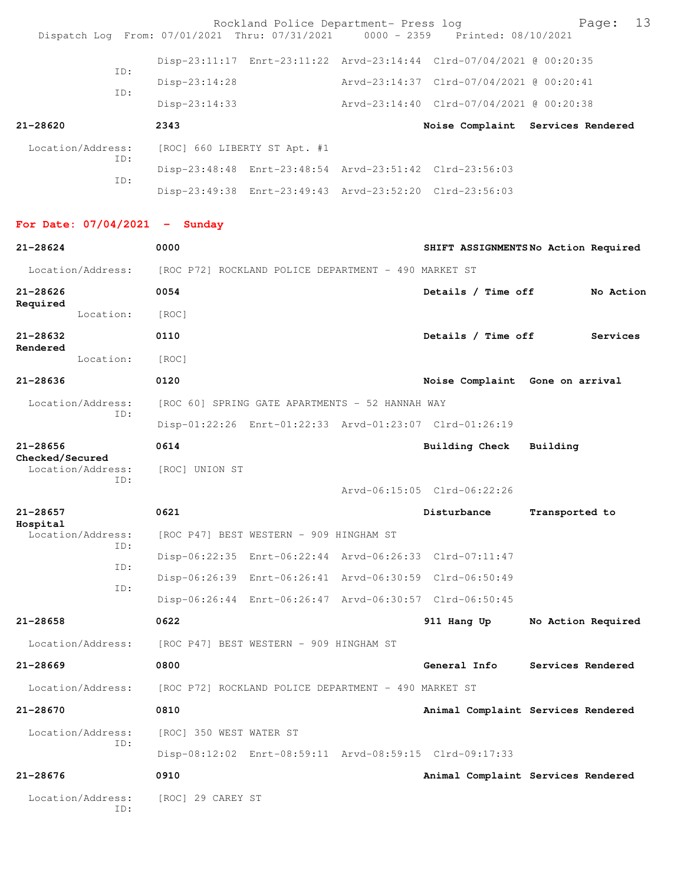|                                 |                                         | Rockland Police Department- Press log<br>Dispatch Log From: 07/01/2021 Thru: 07/31/2021 0000 - 2359 Printed: 08/10/2021 |                                          | 13<br>Page:                         |
|---------------------------------|-----------------------------------------|-------------------------------------------------------------------------------------------------------------------------|------------------------------------------|-------------------------------------|
|                                 |                                         | Disp-23:11:17 Enrt-23:11:22 Arvd-23:14:44 Clrd-07/04/2021 @ 00:20:35                                                    |                                          |                                     |
| TD:                             | $Disp-23:14:28$                         |                                                                                                                         | Arvd-23:14:37 Clrd-07/04/2021 @ 00:20:41 |                                     |
| ID:                             | $Disp-23:14:33$                         |                                                                                                                         | Arvd-23:14:40 Clrd-07/04/2021 @ 00:20:38 |                                     |
| $21 - 28620$                    | 2343                                    |                                                                                                                         |                                          | Noise Complaint Services Rendered   |
| Location/Address:               | [ROC] 660 LIBERTY ST Apt. #1            |                                                                                                                         |                                          |                                     |
| ID:<br>ID:                      |                                         | Disp-23:48:48 Enrt-23:48:54 Arvd-23:51:42 Clrd-23:56:03                                                                 |                                          |                                     |
|                                 |                                         | Disp-23:49:38 Enrt-23:49:43 Arvd-23:52:20 Clrd-23:56:03                                                                 |                                          |                                     |
| For Date: $07/04/2021$ - Sunday |                                         |                                                                                                                         |                                          |                                     |
| 21-28624                        | 0000                                    |                                                                                                                         |                                          | SHIFT ASSIGNMENTSNo Action Required |
| Location/Address:               |                                         | [ROC P72] ROCKLAND POLICE DEPARTMENT - 490 MARKET ST                                                                    |                                          |                                     |
| $21 - 28626$<br>Required        | 0054                                    |                                                                                                                         | Details / Time off                       | No Action                           |
| Location:                       | [ROC]                                   |                                                                                                                         |                                          |                                     |
| $21 - 28632$<br>Rendered        | 0110                                    |                                                                                                                         | Details / Time off                       | Services                            |
| Location:                       | [ROC]                                   |                                                                                                                         |                                          |                                     |
| $21 - 28636$                    | 0120                                    |                                                                                                                         | Noise Complaint Gone on arrival          |                                     |
| Location/Address:<br>ID:        |                                         | [ROC 60] SPRING GATE APARTMENTS - 52 HANNAH WAY                                                                         |                                          |                                     |
|                                 |                                         | Disp-01:22:26 Enrt-01:22:33 Arvd-01:23:07 Clrd-01:26:19                                                                 |                                          |                                     |
| $21 - 28656$<br>Checked/Secured | 0614                                    |                                                                                                                         | Building Check                           | Building                            |
| Location/Address:<br>ID:        | [ROC] UNION ST                          |                                                                                                                         |                                          |                                     |
|                                 |                                         |                                                                                                                         | Arvd-06:15:05 Clrd-06:22:26              |                                     |
| 21-28657<br>Hospital            | 0621                                    |                                                                                                                         | Disturbance                              | Transported to                      |
| Location/Address:<br>ID:        | [ROC P47] BEST WESTERN - 909 HINGHAM ST |                                                                                                                         |                                          |                                     |
| ID:                             |                                         | Disp-06:22:35 Enrt-06:22:44 Arvd-06:26:33 Clrd-07:11:47                                                                 |                                          |                                     |
| ID:                             |                                         | Disp-06:26:39 Enrt-06:26:41 Arvd-06:30:59 Clrd-06:50:49                                                                 |                                          |                                     |
|                                 |                                         | Disp-06:26:44 Enrt-06:26:47 Arvd-06:30:57 Clrd-06:50:45                                                                 |                                          |                                     |
| $21 - 28658$                    | 0622                                    |                                                                                                                         | 911 Hang Up                              | No Action Required                  |
| Location/Address:               | [ROC P47] BEST WESTERN - 909 HINGHAM ST |                                                                                                                         |                                          |                                     |
| $21 - 28669$                    | 0800                                    |                                                                                                                         | General Info                             | Services Rendered                   |
| Location/Address:               |                                         | [ROC P72] ROCKLAND POLICE DEPARTMENT - 490 MARKET ST                                                                    |                                          |                                     |
| 21-28670                        | 0810                                    |                                                                                                                         |                                          | Animal Complaint Services Rendered  |
| Location/Address:<br>ID:        | [ROC] 350 WEST WATER ST                 |                                                                                                                         |                                          |                                     |
|                                 |                                         | Disp-08:12:02 Enrt-08:59:11 Arvd-08:59:15 Clrd-09:17:33                                                                 |                                          |                                     |
| $21 - 28676$                    | 0910                                    |                                                                                                                         |                                          | Animal Complaint Services Rendered  |
| Location/Address:<br>ID:        | [ROC] 29 CAREY ST                       |                                                                                                                         |                                          |                                     |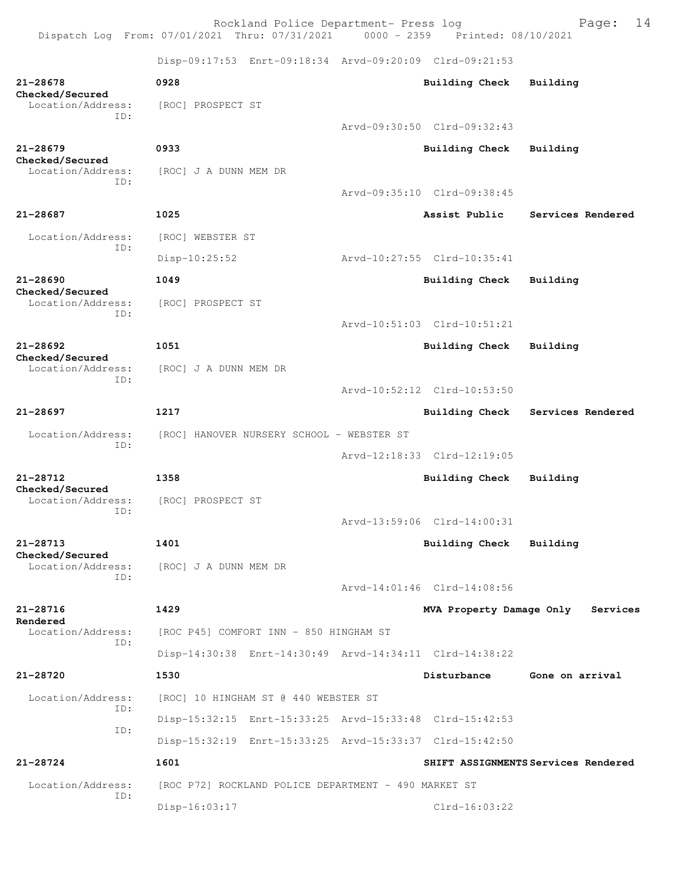Rockland Police Department- Press log entitled and Page: 14 Dispatch Log From: 07/01/2021 Thru: 07/31/2021 0000 - 2359 Printed: 08/10/2021

Disp-09:17:53 Enrt-09:18:34 Arvd-09:20:09 Clrd-09:21:53

| 21-28678<br>Checked/Secured                 | 0928                                                    | Building Check              | Building                            |
|---------------------------------------------|---------------------------------------------------------|-----------------------------|-------------------------------------|
| Location/Address:<br>ID:                    | [ROC] PROSPECT ST                                       | Arvd-09:30:50 Clrd-09:32:43 |                                     |
|                                             |                                                         |                             |                                     |
| $21 - 28679$<br>Checked/Secured             | 0933                                                    | <b>Building Check</b>       | Building                            |
| Location/Address:<br>ID:                    | [ROC] J A DUNN MEM DR                                   |                             |                                     |
|                                             |                                                         | Arvd-09:35:10 Clrd-09:38:45 |                                     |
| 21-28687                                    | 1025                                                    | Assist Public               | Services Rendered                   |
| Location/Address:<br>ID:                    | [ROC] WEBSTER ST                                        |                             |                                     |
|                                             | $Disp-10:25:52$                                         | Arvd-10:27:55 Clrd-10:35:41 |                                     |
| 21-28690<br>Checked/Secured                 | 1049                                                    | <b>Building Check</b>       | Building                            |
| Location/Address:                           | [ROC] PROSPECT ST                                       |                             |                                     |
| ID:                                         |                                                         | Arvd-10:51:03 Clrd-10:51:21 |                                     |
| $21 - 28692$                                | 1051                                                    | <b>Building Check</b>       | Building                            |
| Checked/Secured<br>Location/Address:        | [ROC] J A DUNN MEM DR                                   |                             |                                     |
| ID:                                         |                                                         | Arvd-10:52:12 Clrd-10:53:50 |                                     |
| 21-28697                                    | 1217                                                    | <b>Building Check</b>       | Services Rendered                   |
| Location/Address:                           | [ROC] HANOVER NURSERY SCHOOL - WEBSTER ST               |                             |                                     |
| ID:                                         |                                                         | Arvd-12:18:33 Clrd-12:19:05 |                                     |
| 21-28712                                    | 1358                                                    | <b>Building Check</b>       | Building                            |
| Checked/Secured<br>Location/Address:<br>ID: | [ROC] PROSPECT ST                                       |                             |                                     |
|                                             |                                                         | Arvd-13:59:06 Clrd-14:00:31 |                                     |
| $21 - 28713$<br>Checked/Secured             | 1401                                                    | <b>Building Check</b>       | Building                            |
| Location/Address:<br>ID:                    | [ROC] J A DUNN MEM DR                                   |                             |                                     |
|                                             |                                                         | Arvd-14:01:46 Clrd-14:08:56 |                                     |
| 21-28716                                    | 1429                                                    | MVA Property Damage Only    | Services                            |
| Rendered<br>Location/Address:<br>TD:        | [ROC P45] COMFORT INN - 850 HINGHAM ST                  |                             |                                     |
|                                             | Disp-14:30:38 Enrt-14:30:49 Arvd-14:34:11 Clrd-14:38:22 |                             |                                     |
| 21-28720                                    | 1530                                                    | Disturbance                 | Gone on arrival                     |
| Location/Address:<br>TD:                    | [ROC] 10 HINGHAM ST @ 440 WEBSTER ST                    |                             |                                     |
|                                             | Disp-15:32:15 Enrt-15:33:25 Arvd-15:33:48 Clrd-15:42:53 |                             |                                     |
| ID:                                         | Disp-15:32:19 Enrt-15:33:25 Arvd-15:33:37 Clrd-15:42:50 |                             |                                     |
| 21-28724                                    | 1601                                                    |                             | SHIFT ASSIGNMENTS Services Rendered |
| Location/Address:<br>ID:                    | [ROC P72] ROCKLAND POLICE DEPARTMENT - 490 MARKET ST    |                             |                                     |
|                                             | Disp-16:03:17                                           | $Clrd-16:03:22$             |                                     |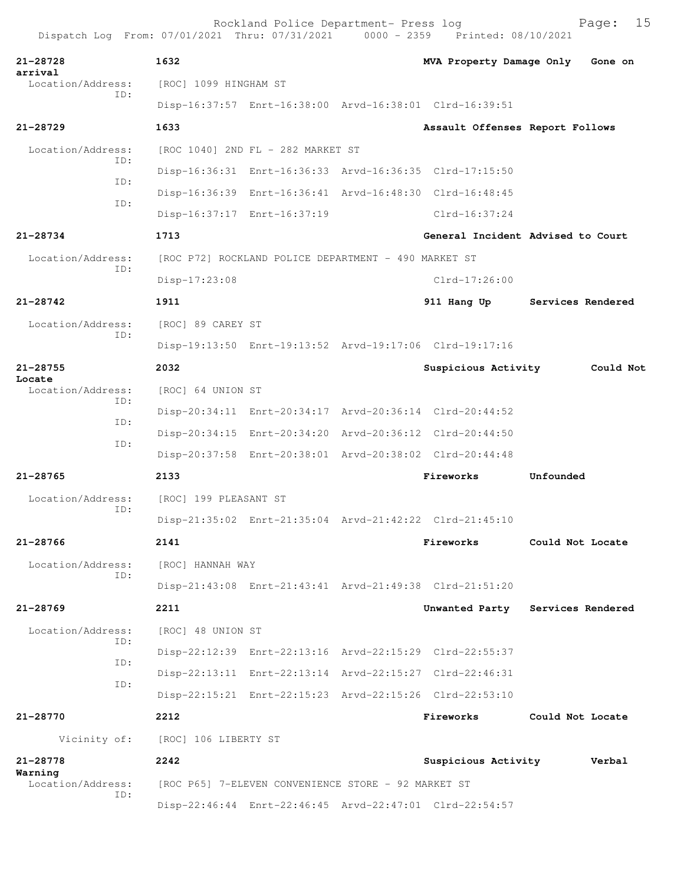| Dispatch Log From: 07/01/2021 Thru: 07/31/2021 0000 - 2359 Printed: 08/10/2021 |                       | Rockland Police Department- Press log                   |                                                         |                   | 15<br>Page: |
|--------------------------------------------------------------------------------|-----------------------|---------------------------------------------------------|---------------------------------------------------------|-------------------|-------------|
| 21-28728<br>arrival                                                            | 1632                  |                                                         | MVA Property Damage Only Gone on                        |                   |             |
| Location/Address:<br>TD:                                                       | [ROC] 1099 HINGHAM ST |                                                         |                                                         |                   |             |
|                                                                                |                       |                                                         | Disp-16:37:57 Enrt-16:38:00 Arvd-16:38:01 Clrd-16:39:51 |                   |             |
| $21 - 28729$                                                                   | 1633                  |                                                         | Assault Offenses Report Follows                         |                   |             |
| Location/Address:<br>TD:                                                       |                       | [ROC 1040] 2ND FL - 282 MARKET ST                       |                                                         |                   |             |
| ID:                                                                            |                       |                                                         | Disp-16:36:31 Enrt-16:36:33 Arvd-16:36:35 Clrd-17:15:50 |                   |             |
| ID:                                                                            |                       |                                                         | Disp-16:36:39 Enrt-16:36:41 Arvd-16:48:30 Clrd-16:48:45 |                   |             |
|                                                                                |                       | Disp-16:37:17 Enrt-16:37:19                             | Clrd-16:37:24                                           |                   |             |
| $21 - 28734$                                                                   | 1713                  |                                                         | General Incident Advised to Court                       |                   |             |
| Location/Address:<br>ID:                                                       |                       | [ROC P72] ROCKLAND POLICE DEPARTMENT - 490 MARKET ST    |                                                         |                   |             |
|                                                                                | $Disp-17:23:08$       |                                                         | Clrd-17:26:00                                           |                   |             |
| $21 - 28742$                                                                   | 1911                  |                                                         | 911 Hang Up                                             | Services Rendered |             |
| Location/Address:                                                              | [ROC] 89 CAREY ST     |                                                         |                                                         |                   |             |
| ID:                                                                            |                       |                                                         | Disp-19:13:50 Enrt-19:13:52 Arvd-19:17:06 Clrd-19:17:16 |                   |             |
| 21-28755<br>Locate                                                             | 2032                  |                                                         | Suspicious Activity                                     |                   | Could Not   |
| Location/Address:<br>ID:                                                       | [ROC] 64 UNION ST     |                                                         |                                                         |                   |             |
| ID:                                                                            |                       |                                                         | Disp-20:34:11 Enrt-20:34:17 Arvd-20:36:14 Clrd-20:44:52 |                   |             |
|                                                                                |                       |                                                         | Disp-20:34:15 Enrt-20:34:20 Arvd-20:36:12 Clrd-20:44:50 |                   |             |
| ID:                                                                            |                       |                                                         | Disp-20:37:58 Enrt-20:38:01 Arvd-20:38:02 Clrd-20:44:48 |                   |             |
| 21-28765                                                                       | 2133                  |                                                         | Fireworks                                               | Unfounded         |             |
| Location/Address:<br>ID:                                                       | [ROC] 199 PLEASANT ST |                                                         |                                                         |                   |             |
|                                                                                |                       | Disp-21:35:02 Enrt-21:35:04 Arvd-21:42:22 Clrd-21:45:10 |                                                         |                   |             |
| 21-28766                                                                       | 2141                  |                                                         | Fireworks                                               | Could Not Locate  |             |
| Location/Address:<br>T.D:                                                      | [ROC] HANNAH WAY      |                                                         |                                                         |                   |             |
|                                                                                |                       |                                                         | Disp-21:43:08 Enrt-21:43:41 Arvd-21:49:38 Clrd-21:51:20 |                   |             |
| 21-28769                                                                       | 2211                  |                                                         | Unwanted Party Services Rendered                        |                   |             |
| Location/Address:<br>TD:                                                       | [ROC] 48 UNION ST     |                                                         |                                                         |                   |             |
| ID:                                                                            |                       |                                                         | Disp-22:12:39 Enrt-22:13:16 Arvd-22:15:29 Clrd-22:55:37 |                   |             |
| ID:                                                                            |                       |                                                         | Disp-22:13:11 Enrt-22:13:14 Arvd-22:15:27 Clrd-22:46:31 |                   |             |
|                                                                                |                       |                                                         | Disp-22:15:21 Enrt-22:15:23 Arvd-22:15:26 Clrd-22:53:10 |                   |             |
| 21-28770                                                                       | 2212                  |                                                         | Fireworks                                               | Could Not Locate  |             |
| Vicinity of:                                                                   | [ROC] 106 LIBERTY ST  |                                                         |                                                         |                   |             |
| 21-28778                                                                       | 2242                  |                                                         | Suspicious Activity                                     |                   | Verbal      |
| Warning<br>Location/Address:                                                   |                       | [ROC P65] 7-ELEVEN CONVENIENCE STORE - 92 MARKET ST     |                                                         |                   |             |
| ID:                                                                            |                       |                                                         | Disp-22:46:44 Enrt-22:46:45 Arvd-22:47:01 Clrd-22:54:57 |                   |             |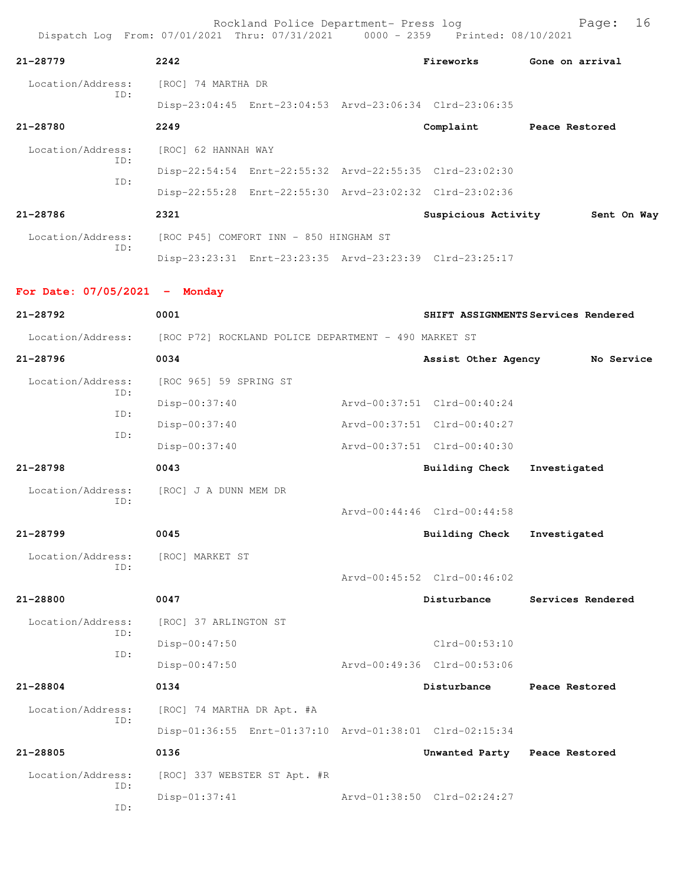| 21-28779                                                               | 2242                                   |                              | Fireworks                                               | Gone on arrival                     |
|------------------------------------------------------------------------|----------------------------------------|------------------------------|---------------------------------------------------------|-------------------------------------|
| Location/Address:<br>ID:                                               | [ROC] 74 MARTHA DR                     |                              |                                                         |                                     |
|                                                                        |                                        |                              | Disp-23:04:45 Enrt-23:04:53 Arvd-23:06:34 Clrd-23:06:35 |                                     |
| 21-28780                                                               | 2249                                   |                              | Complaint                                               | Peace Restored                      |
| Location/Address:<br>ID:                                               | [ROC] 62 HANNAH WAY                    |                              |                                                         |                                     |
| ID:                                                                    |                                        |                              | Disp-22:54:54 Enrt-22:55:32 Arvd-22:55:35 Clrd-23:02:30 |                                     |
|                                                                        |                                        |                              | Disp-22:55:28 Enrt-22:55:30 Arvd-23:02:32 Clrd-23:02:36 |                                     |
| 21-28786                                                               | 2321                                   |                              | Suspicious Activity                                     | Sent On Way                         |
| Location/Address:                                                      | [ROC P45] COMFORT INN - 850 HINGHAM ST |                              |                                                         |                                     |
| ID:                                                                    |                                        |                              | Disp-23:23:31 Enrt-23:23:35 Arvd-23:23:39 Clrd-23:25:17 |                                     |
| For Date: $07/05/2021$ - Monday                                        |                                        |                              |                                                         |                                     |
| 21-28792                                                               | 0001                                   |                              |                                                         | SHIFT ASSIGNMENTS Services Rendered |
| Location/Address: [ROC P72] ROCKLAND POLICE DEPARTMENT - 490 MARKET ST |                                        |                              |                                                         |                                     |
| 21-28796                                                               | 0034                                   |                              | Assist Other Agency                                     | No Service                          |
| Location/Address:                                                      | [ROC 965] 59 SPRING ST                 |                              |                                                         |                                     |
| ID:<br>ID:                                                             | Disp-00:37:40                          |                              | Arvd-00:37:51 Clrd-00:40:24                             |                                     |
| ID:                                                                    | Disp-00:37:40                          |                              | Arvd-00:37:51 Clrd-00:40:27                             |                                     |
|                                                                        | Disp-00:37:40                          |                              | Arvd-00:37:51 Clrd-00:40:30                             |                                     |
| 21-28798                                                               | 0043                                   |                              | Building Check                                          | Investigated                        |
| Location/Address:                                                      | [ROC] J A DUNN MEM DR                  |                              |                                                         |                                     |
| ID:                                                                    |                                        |                              | Arvd-00:44:46 Clrd-00:44:58                             |                                     |
| 21-28799                                                               | 0045                                   |                              | Building Check                                          | Investigated                        |
| Location/Address:                                                      | [ROC] MARKET ST                        |                              |                                                         |                                     |
| ID:                                                                    |                                        |                              | Arvd-00:45:52 Clrd-00:46:02                             |                                     |
| 21-28800                                                               | 0047                                   |                              | Disturbance                                             | Services Rendered                   |
| Location/Address:                                                      | [ROC] 37 ARLINGTON ST                  |                              |                                                         |                                     |
| ID:                                                                    | $Disp-00:47:50$                        |                              | Clrd-00:53:10                                           |                                     |
| ID:                                                                    | Disp-00:47:50                          |                              | Arvd-00:49:36 Clrd-00:53:06                             |                                     |
| 21-28804                                                               | 0134                                   |                              | Disturbance                                             | Peace Restored                      |
| Location/Address:                                                      | [ROC] 74 MARTHA DR Apt. #A             |                              |                                                         |                                     |
| ID:                                                                    |                                        |                              | Disp-01:36:55 Enrt-01:37:10 Arvd-01:38:01 Clrd-02:15:34 |                                     |
| 21-28805                                                               | 0136                                   |                              | Unwanted Party Peace Restored                           |                                     |
| Location/Address:                                                      |                                        | [ROC] 337 WEBSTER ST Apt. #R |                                                         |                                     |
| ID:                                                                    | Disp-01:37:41                          |                              | Arvd-01:38:50 Clrd-02:24:27                             |                                     |
| ID:                                                                    |                                        |                              |                                                         |                                     |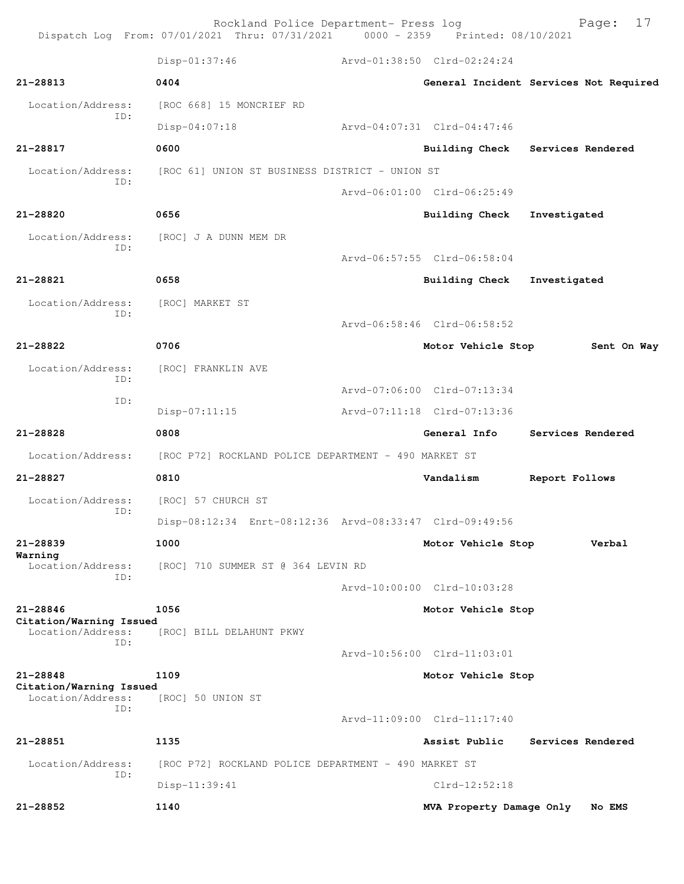Rockland Police Department- Press log Fage: 17<br>21 Thru: 07/31/2021 0000 - 2359 Printed: 08/10/2021 Dispatch Log From: 07/01/2021 Thru: 07/31/2021 0000 - 2359 Disp-01:37:46 Arvd-01:38:50 Clrd-02:24:24 **21-28813 0404 General Incident Services Not Required** Location/Address: [ROC 668] 15 MONCRIEF RD ID: Disp-04:07:18 Arvd-04:07:31 Clrd-04:47:46 **21-28817 0600 Building Check Services Rendered** Location/Address: [ROC 61] UNION ST BUSINESS DISTRICT - UNION ST ID: Arvd-06:01:00 Clrd-06:25:49 **21-28820 0656 Building Check Investigated** Location/Address: [ROC] J A DUNN MEM DR ID: Arvd-06:57:55 Clrd-06:58:04 **21-28821 0658 Building Check Investigated** Location/Address: [ROC] MARKET ST ID: Arvd-06:58:46 Clrd-06:58:52 **21-28822 0706 Motor Vehicle Stop Sent On Way** Location/Address: [ROC] FRANKLIN AVE ID: Arvd-07:06:00 Clrd-07:13:34 ID: Disp-07:11:15 Arvd-07:11:18 Clrd-07:13:36 **21-28828 0808 General Info Services Rendered** Location/Address: [ROC P72] ROCKLAND POLICE DEPARTMENT - 490 MARKET ST **21-28827 0810 Vandalism Report Follows** Location/Address: [ROC] 57 CHURCH ST ID: Disp-08:12:34 Enrt-08:12:36 Arvd-08:33:47 Clrd-09:49:56 **21-28839 1000 Motor Vehicle Stop Verbal Warning**  Location/Address: [ROC] 710 SUMMER ST @ 364 LEVIN RD ID: Arvd-10:00:00 Clrd-10:03:28 **21-28846 1056 Motor Vehicle Stop Citation/Warning Issued**  Location/Address: [ROC] BILL DELAHUNT PKWY ID: Arvd-10:56:00 Clrd-11:03:01 **21-28848 1109 Motor Vehicle Stop Citation/Warning Issued**  [ROC] 50 UNION ST ID: Arvd-11:09:00 Clrd-11:17:40 **21-28851 1135 Assist Public Services Rendered** Location/Address: [ROC P72] ROCKLAND POLICE DEPARTMENT - 490 MARKET ST ID: Disp-11:39:41 Clrd-12:52:18 **21-28852 1140 MVA Property Damage Only No EMS**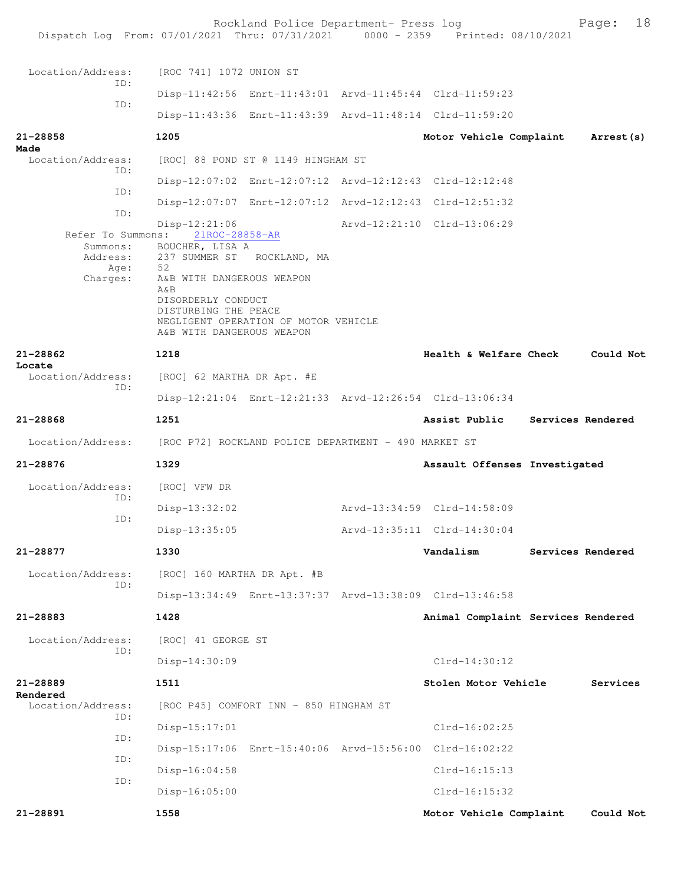|                                  | Rockland Police Department- Press log<br>Dispatch Log From: 07/01/2021 Thru: 07/31/2021 0000 - 2359 Printed: 08/10/2021                                |                                    | 18<br>Page:       |
|----------------------------------|--------------------------------------------------------------------------------------------------------------------------------------------------------|------------------------------------|-------------------|
| Location/Address:                | [ROC 741] 1072 UNION ST                                                                                                                                |                                    |                   |
| TD:                              | Disp-11:42:56 Enrt-11:43:01 Arvd-11:45:44 Clrd-11:59:23                                                                                                |                                    |                   |
| ID:                              | Disp-11:43:36 Enrt-11:43:39 Arvd-11:48:14 Clrd-11:59:20                                                                                                |                                    |                   |
| $21 - 28858$                     | 1205                                                                                                                                                   | Motor Vehicle Complaint            | Arrest (s)        |
| Made<br>Location/Address:<br>ID: | [ROC] 88 POND ST @ 1149 HINGHAM ST                                                                                                                     |                                    |                   |
| ID:                              | Disp-12:07:02 Enrt-12:07:12 Arvd-12:12:43 Clrd-12:12:48                                                                                                |                                    |                   |
| ID:                              | Disp-12:07:07 Enrt-12:07:12 Arvd-12:12:43 Clrd-12:51:32                                                                                                |                                    |                   |
| Refer To Summons:                | $Disp-12:21:06$<br>21ROC-28858-AR                                                                                                                      | Arvd-12:21:10 Clrd-13:06:29        |                   |
| Summons:<br>Address:<br>Age:     | BOUCHER, LISA A<br>237 SUMMER ST ROCKLAND, MA<br>52                                                                                                    |                                    |                   |
| Charges:                         | A&B WITH DANGEROUS WEAPON<br>$A\&B$<br>DISORDERLY CONDUCT<br>DISTURBING THE PEACE<br>NEGLIGENT OPERATION OF MOTOR VEHICLE<br>A&B WITH DANGEROUS WEAPON |                                    |                   |
| 21-28862<br>Locate               | 1218                                                                                                                                                   | Health & Welfare Check             | Could Not         |
| Location/Address:<br>ID:         | [ROC] 62 MARTHA DR Apt. #E                                                                                                                             |                                    |                   |
|                                  | Disp-12:21:04 Enrt-12:21:33 Arvd-12:26:54 Clrd-13:06:34                                                                                                |                                    |                   |
| 21-28868                         | 1251                                                                                                                                                   | Assist Public                      | Services Rendered |
|                                  | Location/Address: [ROC P72] ROCKLAND POLICE DEPARTMENT - 490 MARKET ST                                                                                 |                                    |                   |
| $21 - 28876$                     | 1329                                                                                                                                                   | Assault Offenses Investigated      |                   |
| Location/Address:<br>ID:         | [ROC] VFW DR                                                                                                                                           |                                    |                   |
| ID:                              | Disp-13:32:02                                                                                                                                          | Arvd-13:34:59 Clrd-14:58:09        |                   |
|                                  | Disp-13:35:05                                                                                                                                          | Arvd-13:35:11 Clrd-14:30:04        |                   |
| 21-28877                         | 1330                                                                                                                                                   | Vandalism                          | Services Rendered |
| Location/Address:<br>ID:         | [ROC] 160 MARTHA DR Apt. #B                                                                                                                            |                                    |                   |
|                                  | Disp-13:34:49 Enrt-13:37:37 Arvd-13:38:09 Clrd-13:46:58                                                                                                |                                    |                   |
| 21-28883                         | 1428                                                                                                                                                   | Animal Complaint Services Rendered |                   |
| Location/Address:<br>ID:         | [ROC] 41 GEORGE ST                                                                                                                                     |                                    |                   |
|                                  | Disp-14:30:09                                                                                                                                          | $Clrd-14:30:12$                    |                   |
| 21-28889<br>Rendered             | 1511                                                                                                                                                   | Stolen Motor Vehicle               | Services          |
| Location/Address:<br>ID:         | [ROC P45] COMFORT INN - 850 HINGHAM ST                                                                                                                 |                                    |                   |
| ID:                              | Disp-15:17:01                                                                                                                                          | $Clrd-16:02:25$                    |                   |
| ID:                              | Disp-15:17:06 Enrt-15:40:06 Arvd-15:56:00 Clrd-16:02:22                                                                                                |                                    |                   |
| ID:                              | $Disp-16:04:58$                                                                                                                                        | $Clrd-16:15:13$                    |                   |
|                                  | $Disp-16:05:00$                                                                                                                                        | $Clrd-16:15:32$                    |                   |
| 21-28891                         | 1558                                                                                                                                                   | Motor Vehicle Complaint            | Could Not         |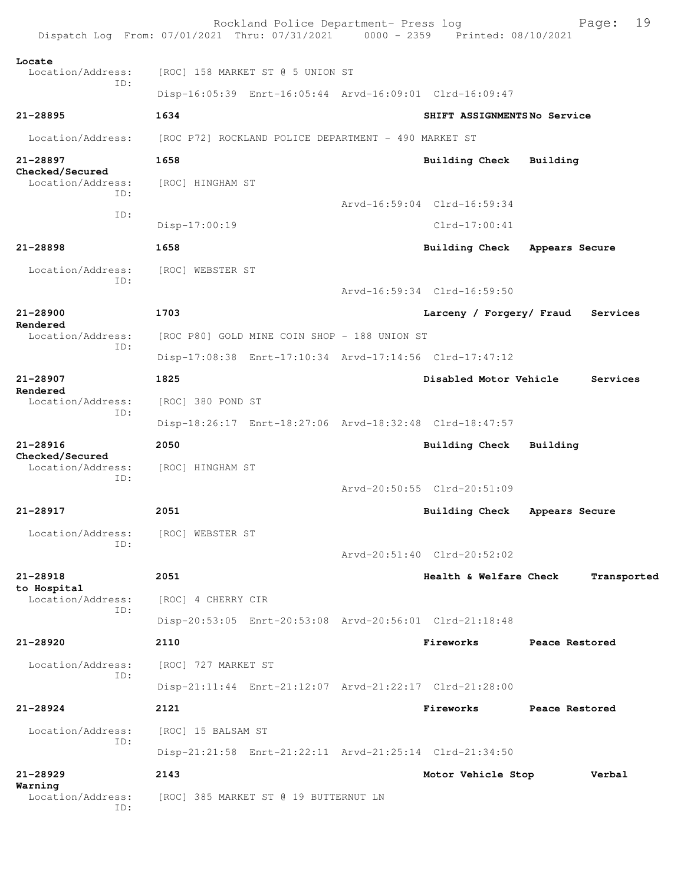Rockland Police Department- Press log Fage: 19<br>21 Thru: 07/31/2021 0000 - 2359 Printed: 08/10/2021 Dispatch Log From: 07/01/2021 Thru: 07/31/2021 **Locate**  Location/Address: [ROC] 158 MARKET ST @ 5 UNION ST ID: Disp-16:05:39 Enrt-16:05:44 Arvd-16:09:01 Clrd-16:09:47 **21-28895 1634 SHIFT ASSIGNMENTS No Service** Location/Address: [ROC P72] ROCKLAND POLICE DEPARTMENT - 490 MARKET ST **21-28897 1658 Building Check Building Checked/Secured**  Location/Address: [ROC] HINGHAM ST ID: Arvd-16:59:04 Clrd-16:59:34 ID: Disp-17:00:19 Clrd-17:00:41 **21-28898 1658 Building Check Appears Secure** Location/Address: [ROC] WEBSTER ST ID: Arvd-16:59:34 Clrd-16:59:50 **21-28900 1703 Larceny / Forgery/ Fraud Services Rendered**  Location/Address: [ROC P80] GOLD MINE COIN SHOP - 188 UNION ST ID: Disp-17:08:38 Enrt-17:10:34 Arvd-17:14:56 Clrd-17:47:12 **21-28907 1825 Disabled Motor Vehicle Services Rendered**  Location/Address: [ROC] 380 POND ST ID: Disp-18:26:17 Enrt-18:27:06 Arvd-18:32:48 Clrd-18:47:57 **21-28916 2050 Building Check Building Checked/Secured**  Location/Address: [ROC] HINGHAM ST ID: Arvd-20:50:55 Clrd-20:51:09 **21-28917 2051 Building Check Appears Secure** Location/Address: [ROC] WEBSTER ST ID: Arvd-20:51:40 Clrd-20:52:02 **21-28918 2051 Health & Welfare Check Transported to Hospital**  Location/Address: [ROC] 4 CHERRY CIR ID: Disp-20:53:05 Enrt-20:53:08 Arvd-20:56:01 Clrd-21:18:48 **21-28920 2110 Fireworks Peace Restored** Location/Address: [ROC] 727 MARKET ST ID: Disp-21:11:44 Enrt-21:12:07 Arvd-21:22:17 Clrd-21:28:00 **21-28924 2121 Fireworks Peace Restored** Location/Address: [ROC] 15 BALSAM ST ID: Disp-21:21:58 Enrt-21:22:11 Arvd-21:25:14 Clrd-21:34:50 **21-28929 2143 Motor Vehicle Stop Verbal Warning**  Location/Address: [ROC] 385 MARKET ST @ 19 BUTTERNUT LN ID: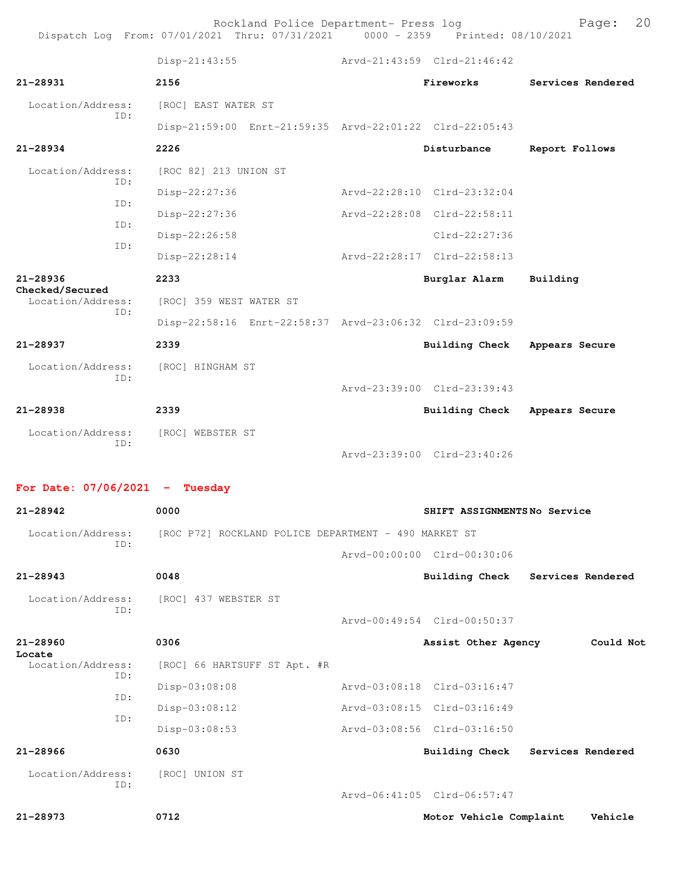Rockland Police Department- Press log entitled and Page: 20 Dispatch Log From: 07/01/2021 Thru: 07/31/2021 0000 - 2359 Printed: 08/10/2021

|                                 | Disp-21:43:55                                           | Arvd-21:43:59 Clrd-21:46:42 |                             |                   |
|---------------------------------|---------------------------------------------------------|-----------------------------|-----------------------------|-------------------|
| $21 - 28931$                    | 2156                                                    |                             | Fireworks                   | Services Rendered |
| Location/Address:<br>TD:        | [ROC] EAST WATER ST                                     |                             |                             |                   |
|                                 | Disp-21:59:00 Enrt-21:59:35 Arvd-22:01:22 Clrd-22:05:43 |                             |                             |                   |
| $21 - 28934$                    | 2226                                                    |                             | Disturbance                 | Report Follows    |
| Location/Address:<br>ID:        | [ROC 82] 213 UNION ST                                   |                             |                             |                   |
| TD:                             | Disp-22:27:36                                           | Arvd-22:28:10 Clrd-23:32:04 |                             |                   |
| TD:                             | Disp-22:27:36                                           | Arvd-22:28:08 Clrd-22:58:11 |                             |                   |
| TD:                             | Disp-22:26:58                                           |                             | Clrd-22:27:36               |                   |
|                                 | Disp-22:28:14                                           | Arvd-22:28:17 Clrd-22:58:13 |                             |                   |
| $21 - 28936$<br>Checked/Secured | 2233                                                    |                             | Burglar Alarm               | Building          |
| Location/Address:<br>TD:        | [ROC] 359 WEST WATER ST                                 |                             |                             |                   |
|                                 | Disp-22:58:16 Enrt-22:58:37 Arvd-23:06:32 Clrd-23:09:59 |                             |                             |                   |
| $21 - 28937$                    | 2339                                                    |                             | Building Check              | Appears Secure    |
| Location/Address:<br>TD:        | [ROC] HINGHAM ST                                        |                             |                             |                   |
|                                 |                                                         |                             | Arvd-23:39:00 Clrd-23:39:43 |                   |
| 21-28938                        | 2339                                                    |                             | Building Check              | Appears Secure    |
| Location/Address:<br>TD:        | [ROC] WEBSTER ST                                        |                             |                             |                   |
|                                 |                                                         |                             | Arvd-23:39:00 Clrd-23:40:26 |                   |

**For Date: 07/06/2021 - Tuesday**

| $21 - 28942$             | 0000                                                 | SHIFT ASSIGNMENTSNo Service |                                  |
|--------------------------|------------------------------------------------------|-----------------------------|----------------------------------|
| Location/Address:<br>ID: | [ROC P72] ROCKLAND POLICE DEPARTMENT - 490 MARKET ST |                             |                                  |
|                          |                                                      | Aryd-00:00:00 Clrd-00:30:06 |                                  |
| $21 - 28943$             | 0048                                                 |                             | Building Check Services Rendered |
| Location/Address:<br>ID: | [ROC] 437 WEBSTER ST                                 |                             |                                  |
|                          |                                                      | Arvd-00:49:54 Clrd-00:50:37 |                                  |
| $21 - 28960$<br>Locate   | 0306                                                 | Assist Other Agency         | Could Not                        |
| Location/Address:<br>ID: | [ROC] 66 HARTSUFF ST Apt. #R                         |                             |                                  |
| ID:                      | Disp-03:08:08                                        | Aryd-03:08:18 Clrd-03:16:47 |                                  |
| TD:                      | Disp-03:08:12                                        | Arvd-03:08:15 Clrd-03:16:49 |                                  |
|                          | Disp-03:08:53                                        | Arvd-03:08:56 Clrd-03:16:50 |                                  |
| $21 - 28966$             | 0630                                                 | Building Check              | Services Rendered                |
| Location/Address:<br>TD: | [ROC] UNION ST                                       | Arvd-06:41:05 Clrd-06:57:47 |                                  |

**21-28973 0712 Motor Vehicle Complaint Vehicle**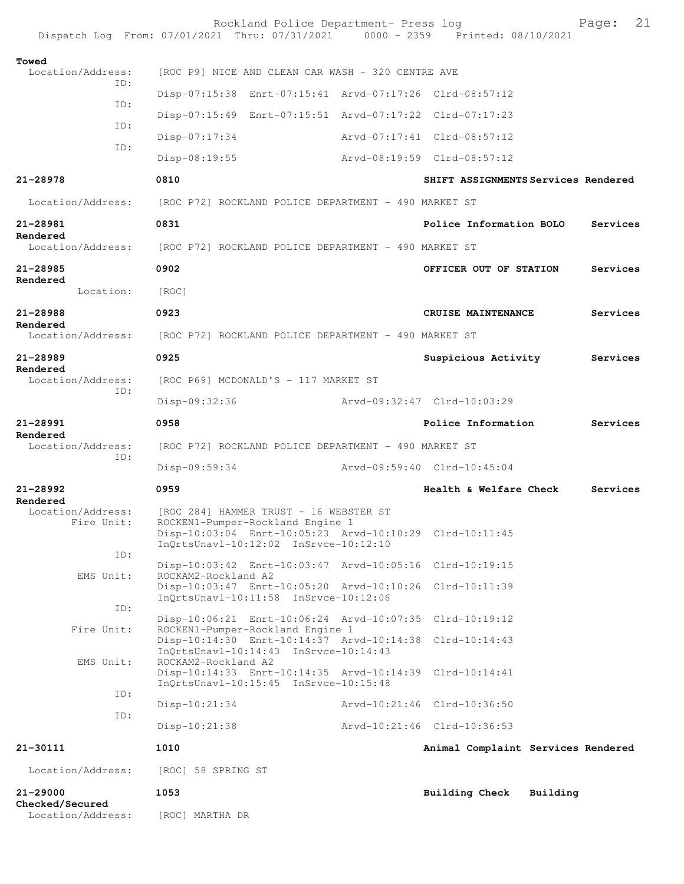|                                      | Rockland Police Department- Press log<br>Dispatch Log From: 07/01/2021 Thru: 07/31/2021 0000 - 2359 Printed: 08/10/2021                                                        |                                     |          | 21<br>Page: |
|--------------------------------------|--------------------------------------------------------------------------------------------------------------------------------------------------------------------------------|-------------------------------------|----------|-------------|
| Towed<br>Location/Address:           | [ROC P9] NICE AND CLEAN CAR WASH - 320 CENTRE AVE                                                                                                                              |                                     |          |             |
| ID:                                  | Disp-07:15:38 Enrt-07:15:41 Arvd-07:17:26 Clrd-08:57:12                                                                                                                        |                                     |          |             |
| ID:                                  | Disp-07:15:49 Enrt-07:15:51 Arvd-07:17:22 Clrd-07:17:23                                                                                                                        |                                     |          |             |
| ID:                                  | $Disp-07:17:34$                                                                                                                                                                | Arvd-07:17:41 Clrd-08:57:12         |          |             |
| ID:                                  | Disp-08:19:55                                                                                                                                                                  | Arvd-08:19:59 Clrd-08:57:12         |          |             |
| 21-28978                             | 0810                                                                                                                                                                           | SHIFT ASSIGNMENTS Services Rendered |          |             |
| Location/Address:                    | [ROC P72] ROCKLAND POLICE DEPARTMENT - 490 MARKET ST                                                                                                                           |                                     |          |             |
| 21-28981                             | 0831                                                                                                                                                                           | Police Information BOLO             |          | Services    |
| Rendered<br>Location/Address:        | [ROC P72] ROCKLAND POLICE DEPARTMENT - 490 MARKET ST                                                                                                                           |                                     |          |             |
| 21-28985                             | 0902                                                                                                                                                                           | OFFICER OUT OF STATION              |          | Services    |
| Rendered<br>Location:                | [ROC]                                                                                                                                                                          |                                     |          |             |
| $21 - 28988$                         | 0923                                                                                                                                                                           | CRUISE MAINTENANCE                  |          | Services    |
| Rendered<br>Location/Address:        | [ROC P72] ROCKLAND POLICE DEPARTMENT - 490 MARKET ST                                                                                                                           |                                     |          |             |
| 21-28989                             | 0925                                                                                                                                                                           | Suspicious Activity                 |          | Services    |
| Rendered<br>Location/Address:<br>TD: | [ROC P69] MCDONALD'S - 117 MARKET ST                                                                                                                                           |                                     |          |             |
|                                      | Disp-09:32:36                                                                                                                                                                  | Arvd-09:32:47 Clrd-10:03:29         |          |             |
| 21-28991<br>Rendered                 | 0958                                                                                                                                                                           | Police Information                  |          | Services    |
| Location/Address:                    | [ROC P72] ROCKLAND POLICE DEPARTMENT - 490 MARKET ST                                                                                                                           |                                     |          |             |
| ID:                                  | Disp-09:59:34                                                                                                                                                                  | Arvd-09:59:40 Clrd-10:45:04         |          |             |
| $21 - 28992$<br>Rendered             | 0959                                                                                                                                                                           | Health & Welfare Check              |          | Services    |
| Location/Address:<br>Fire Unit:      | [ROC 284] HAMMER TRUST - 16 WEBSTER ST<br>ROCKEN1-Pumper-Rockland Engine 1<br>Disp-10:03:04 Enrt-10:05:23 Arvd-10:10:29 Clrd-10:11:45<br>InQrtsUnavl-10:12:02 InSrvce-10:12:10 |                                     |          |             |
| ID:                                  | Disp-10:03:42 Enrt-10:03:47 Arvd-10:05:16 Clrd-10:19:15                                                                                                                        |                                     |          |             |
| EMS Unit:                            | ROCKAM2-Rockland A2<br>Disp-10:03:47 Enrt-10:05:20 Arvd-10:10:26<br>InQrtsUnavl-10:11:58 InSrvce-10:12:06                                                                      | Clrd-10:11:39                       |          |             |
| ID:                                  | Disp-10:06:21 Enrt-10:06:24 Arvd-10:07:35 Clrd-10:19:12                                                                                                                        |                                     |          |             |
| Fire Unit:                           | ROCKEN1-Pumper-Rockland Engine 1<br>Disp-10:14:30 Enrt-10:14:37 Arvd-10:14:38<br>InQrtsUnavl-10:14:43 InSrvce-10:14:43                                                         | $Clrd-10:14:43$                     |          |             |
| EMS Unit:                            | ROCKAM2-Rockland A2<br>Disp-10:14:33 Enrt-10:14:35 Arvd-10:14:39 Clrd-10:14:41<br>InQrtsUnavl-10:15:45 InSrvce-10:15:48                                                        |                                     |          |             |
| ID:                                  | $Disp-10:21:34$                                                                                                                                                                | Arvd-10:21:46 Clrd-10:36:50         |          |             |
| ID:                                  | $Disp-10:21:38$                                                                                                                                                                | Arvd-10:21:46 Clrd-10:36:53         |          |             |
| 21-30111                             | 1010                                                                                                                                                                           | Animal Complaint Services Rendered  |          |             |
| Location/Address:                    | [ROC] 58 SPRING ST                                                                                                                                                             |                                     |          |             |
| 21-29000<br>Checked/Secured          | 1053                                                                                                                                                                           | Building Check                      | Building |             |
| Location/Address:                    | [ROC] MARTHA DR                                                                                                                                                                |                                     |          |             |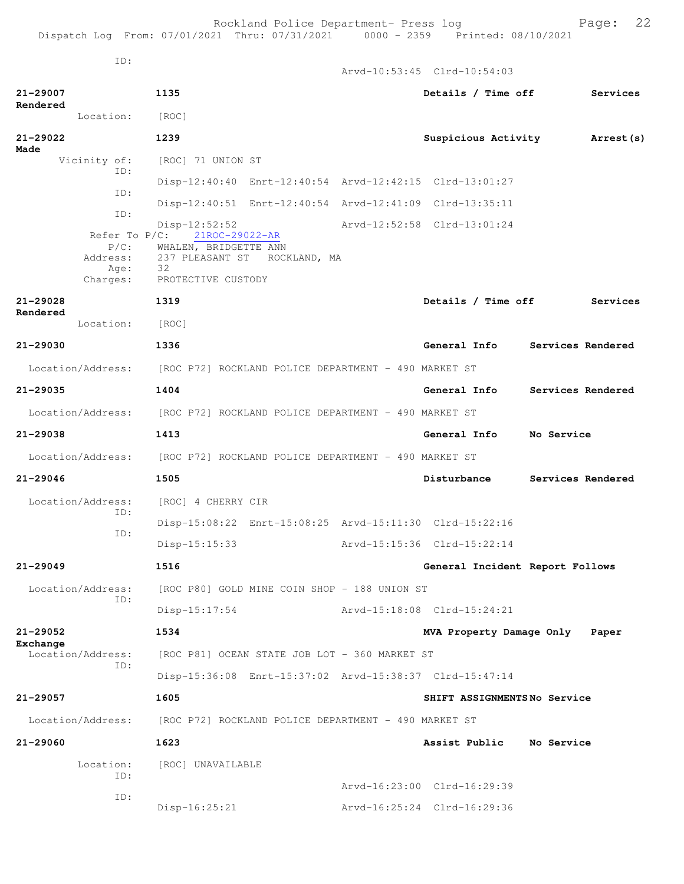Arvd-10:53:45 Clrd-10:54:03

ID:

| 21-29007<br>Rendered                                        | 1135                                                                                                                      | Details / Time off              | Services          |
|-------------------------------------------------------------|---------------------------------------------------------------------------------------------------------------------------|---------------------------------|-------------------|
| Location: [ROC]                                             |                                                                                                                           |                                 |                   |
| 21-29022<br>Made                                            | 1239                                                                                                                      | Suspicious Activity             | Arrest (s)        |
| Vicinity of:                                                | [ROC] 71 UNION ST                                                                                                         |                                 |                   |
| ID:                                                         | Disp-12:40:40 Enrt-12:40:54 Arvd-12:42:15 Clrd-13:01:27                                                                   |                                 |                   |
| ID:                                                         | Disp-12:40:51 Enrt-12:40:54 Arvd-12:41:09 Clrd-13:35:11                                                                   |                                 |                   |
| ID:                                                         | $Disp-12:52:52$                                                                                                           | Arvd-12:52:58 Clrd-13:01:24     |                   |
| Refer To $P/C$ :<br>$P/C$ :<br>Address:<br>Age:<br>Charges: | 21ROC-29022-AR<br>WHALEN, BRIDGETTE ANN<br>237 PLEASANT ST ROCKLAND, MA<br>$\overline{\textbf{32}}$<br>PROTECTIVE CUSTODY |                                 |                   |
| 21-29028                                                    | 1319                                                                                                                      | Details / Time off              | Services          |
| Rendered<br>Location:                                       | [ROC]                                                                                                                     |                                 |                   |
| 21-29030                                                    | 1336                                                                                                                      | General Info                    | Services Rendered |
|                                                             | Location/Address: [ROC P72] ROCKLAND POLICE DEPARTMENT - 490 MARKET ST                                                    |                                 |                   |
| 21-29035                                                    | 1404                                                                                                                      | General Info                    | Services Rendered |
|                                                             | Location/Address: [ROC P72] ROCKLAND POLICE DEPARTMENT - 490 MARKET ST                                                    |                                 |                   |
| 21-29038                                                    | 1413                                                                                                                      | General Info                    | No Service        |
| Location/Address:                                           | [ROC P72] ROCKLAND POLICE DEPARTMENT - 490 MARKET ST                                                                      |                                 |                   |
| 21-29046                                                    | 1505                                                                                                                      | Disturbance                     | Services Rendered |
| Location/Address:                                           | [ROC] 4 CHERRY CIR                                                                                                        |                                 |                   |
| ID:                                                         | Disp-15:08:22 Enrt-15:08:25 Arvd-15:11:30 Clrd-15:22:16                                                                   |                                 |                   |
| ID:                                                         | $Disp-15:15:33$                                                                                                           | Arvd-15:15:36 Clrd-15:22:14     |                   |
| 21-29049                                                    | 1516                                                                                                                      | General Incident Report Follows |                   |
| Location/Address:<br>TD:                                    | [ROC P80] GOLD MINE COIN SHOP - 188 UNION ST                                                                              |                                 |                   |
|                                                             | $Disp-15:17:54$                                                                                                           | Arvd-15:18:08 Clrd-15:24:21     |                   |
| 21-29052                                                    | 1534                                                                                                                      | MVA Property Damage Only Paper  |                   |
| Exchange<br>Location/Address:                               | [ROC P81] OCEAN STATE JOB LOT - 360 MARKET ST                                                                             |                                 |                   |
| TD:                                                         | Disp-15:36:08 Enrt-15:37:02 Arvd-15:38:37 Clrd-15:47:14                                                                   |                                 |                   |
| 21-29057                                                    | 1605                                                                                                                      | SHIFT ASSIGNMENTSNo Service     |                   |
| Location/Address:                                           | [ROC P72] ROCKLAND POLICE DEPARTMENT - 490 MARKET ST                                                                      |                                 |                   |
| 21-29060                                                    | 1623                                                                                                                      | Assist Public                   | No Service        |
| Location:<br>ID:                                            | [ROC] UNAVAILABLE                                                                                                         |                                 |                   |
| ID:                                                         |                                                                                                                           | Arvd-16:23:00 Clrd-16:29:39     |                   |
|                                                             | Disp-16:25:21                                                                                                             | Arvd-16:25:24 Clrd-16:29:36     |                   |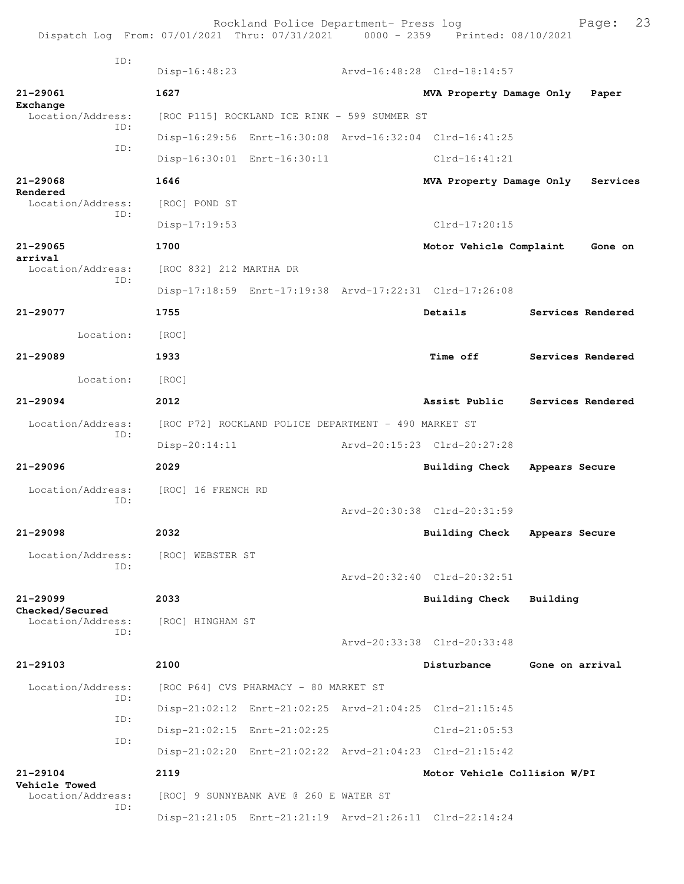| Dispatch Log From: 07/01/2021 Thru: 07/31/2021 0000 - 2359 Printed: 08/10/2021 |                                                      | Rockland Police Department- Press log        |  |                                                         | 23<br>Page:       |  |
|--------------------------------------------------------------------------------|------------------------------------------------------|----------------------------------------------|--|---------------------------------------------------------|-------------------|--|
| TD:                                                                            | Disp-16:48:23                                        |                                              |  | Arvd-16:48:28 Clrd-18:14:57                             |                   |  |
| 21-29061                                                                       | 1627                                                 |                                              |  | MVA Property Damage Only                                | Paper             |  |
| Exchange<br>Location/Address:                                                  |                                                      | [ROC P115] ROCKLAND ICE RINK - 599 SUMMER ST |  |                                                         |                   |  |
| TD:                                                                            |                                                      |                                              |  | Disp-16:29:56 Enrt-16:30:08 Arvd-16:32:04 Clrd-16:41:25 |                   |  |
| TD:                                                                            |                                                      | Disp-16:30:01 Enrt-16:30:11                  |  | Clrd-16:41:21                                           |                   |  |
| 21-29068                                                                       | 1646                                                 |                                              |  | MVA Property Damage Only                                | Services          |  |
| Rendered<br>Location/Address:                                                  | [ROC] POND ST                                        |                                              |  |                                                         |                   |  |
| ID:                                                                            | $Disp-17:19:53$                                      |                                              |  | $Clrd-17:20:15$                                         |                   |  |
| $21 - 29065$                                                                   | 1700                                                 |                                              |  | Motor Vehicle Complaint                                 | Gone on           |  |
| arrival<br>Location/Address:                                                   | [ROC 832] 212 MARTHA DR                              |                                              |  |                                                         |                   |  |
| ID:                                                                            |                                                      |                                              |  | Disp-17:18:59 Enrt-17:19:38 Arvd-17:22:31 Clrd-17:26:08 |                   |  |
| $21 - 29077$                                                                   | 1755                                                 |                                              |  | Details                                                 | Services Rendered |  |
| Location:                                                                      | [ROC]                                                |                                              |  |                                                         |                   |  |
| $21 - 29089$                                                                   | 1933                                                 |                                              |  | <b>Time off</b>                                         | Services Rendered |  |
| Location:                                                                      | [ROC]                                                |                                              |  |                                                         |                   |  |
| $21 - 29094$                                                                   | 2012                                                 |                                              |  | Assist Public                                           | Services Rendered |  |
| Location/Address:<br>ID:                                                       | [ROC P72] ROCKLAND POLICE DEPARTMENT - 490 MARKET ST |                                              |  |                                                         |                   |  |
|                                                                                | $Disp-20:14:11$                                      |                                              |  | Arvd-20:15:23 Clrd-20:27:28                             |                   |  |
| $21 - 29096$                                                                   | 2029                                                 |                                              |  | Building Check                                          | Appears Secure    |  |
| Location/Address:<br>TD:                                                       | [ROC] 16 FRENCH RD                                   |                                              |  |                                                         |                   |  |
|                                                                                |                                                      |                                              |  | Arvd-20:30:38 Clrd-20:31:59                             |                   |  |
| 21-29098                                                                       | 2032                                                 |                                              |  | Building Check Appears Secure                           |                   |  |
| Location/Address:<br>ID:                                                       | [ROC] WEBSTER ST                                     |                                              |  |                                                         |                   |  |
|                                                                                |                                                      |                                              |  | Arvd-20:32:40 Clrd-20:32:51                             |                   |  |
| $21 - 29099$<br>Checked/Secured                                                | 2033                                                 |                                              |  | <b>Building Check</b>                                   | Building          |  |
| Location/Address:<br>TD:                                                       | [ROC] HINGHAM ST                                     |                                              |  |                                                         |                   |  |
|                                                                                |                                                      |                                              |  | Arvd-20:33:38 Clrd-20:33:48                             |                   |  |
| $21 - 29103$                                                                   | 2100                                                 |                                              |  | Disturbance                                             | Gone on arrival   |  |
| Location/Address:<br>ID:                                                       |                                                      | [ROC P64] CVS PHARMACY - 80 MARKET ST        |  |                                                         |                   |  |
| ID:                                                                            |                                                      |                                              |  | Disp-21:02:12 Enrt-21:02:25 Arvd-21:04:25 Clrd-21:15:45 |                   |  |
| ID:                                                                            |                                                      | Disp-21:02:15 Enrt-21:02:25                  |  | $Clrd-21:05:53$                                         |                   |  |
|                                                                                |                                                      |                                              |  | Disp-21:02:20 Enrt-21:02:22 Arvd-21:04:23 Clrd-21:15:42 |                   |  |
| 21-29104<br>Vehicle Towed                                                      | 2119                                                 |                                              |  | Motor Vehicle Collision W/PI                            |                   |  |
| Location/Address:<br>ID:                                                       |                                                      | [ROC] 9 SUNNYBANK AVE @ 260 E WATER ST       |  |                                                         |                   |  |
|                                                                                |                                                      |                                              |  | Disp-21:21:05 Enrt-21:21:19 Arvd-21:26:11 Clrd-22:14:24 |                   |  |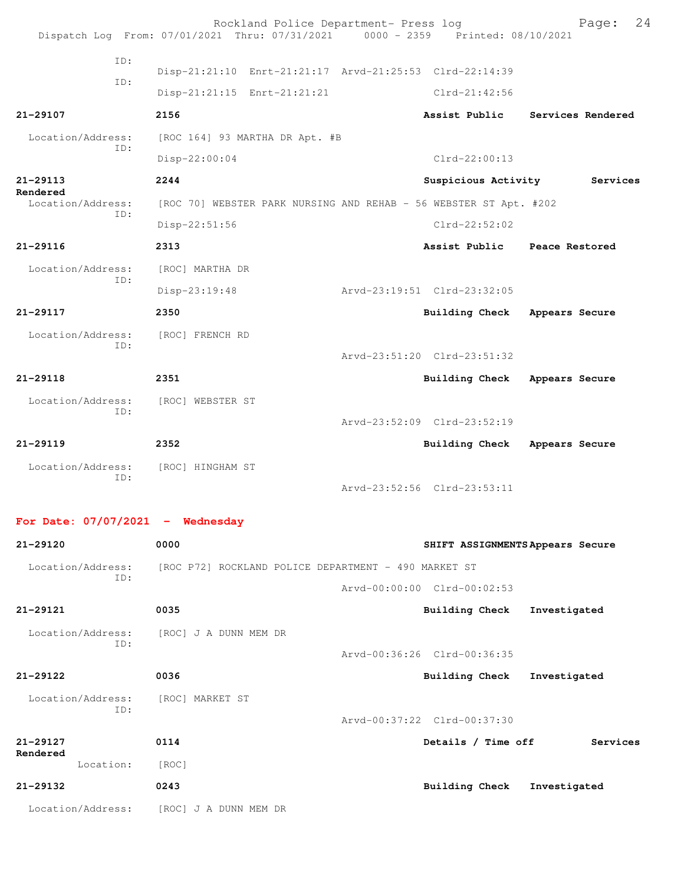|                          | Rockland Police Department- Press log<br>Dispatch Log From: 07/01/2021 Thru: 07/31/2021 0000 - 2359 Printed: 08/10/2021 |                              | 24<br>Page:       |
|--------------------------|-------------------------------------------------------------------------------------------------------------------------|------------------------------|-------------------|
| ID:                      |                                                                                                                         |                              |                   |
| TD:                      | Disp-21:21:10 Enrt-21:21:17 Arvd-21:25:53 Clrd-22:14:39                                                                 |                              |                   |
|                          | Disp-21:21:15 Enrt-21:21:21                                                                                             | $Clrd-21:42:56$              |                   |
| 21-29107                 | 2156                                                                                                                    | Assist Public                | Services Rendered |
| Location/Address:<br>TD: | [ROC 164] 93 MARTHA DR Apt. #B                                                                                          |                              |                   |
|                          | Disp-22:00:04                                                                                                           | $C1rd-22:00:13$              |                   |
| $21 - 29113$<br>Rendered | 2244                                                                                                                    | Suspicious Activity          | Services          |
| Location/Address:<br>ID: | [ROC 70] WEBSTER PARK NURSING AND REHAB - 56 WEBSTER ST Apt. #202                                                       |                              |                   |
|                          | Disp-22:51:56                                                                                                           | $C1rd-22:52:02$              |                   |
| $21 - 29116$             | 2313                                                                                                                    | Assist Public Peace Restored |                   |
| Location/Address:<br>TD: | [ROC] MARTHA DR                                                                                                         |                              |                   |
|                          | Disp-23:19:48                                                                                                           | Arvd-23:19:51 Clrd-23:32:05  |                   |
| $21 - 29117$             | 2350                                                                                                                    | Building Check               | Appears Secure    |
| Location/Address:        | [ROC] FRENCH RD                                                                                                         |                              |                   |
| TD:                      |                                                                                                                         | Arvd-23:51:20 Clrd-23:51:32  |                   |
| $21 - 29118$             | 2351                                                                                                                    | Building Check               | Appears Secure    |
| Location/Address:        | [ROC] WEBSTER ST                                                                                                        |                              |                   |
| TD:                      |                                                                                                                         | Arvd-23:52:09 Clrd-23:52:19  |                   |
| $21 - 29119$             | 2352                                                                                                                    | Building Check               | Appears Secure    |
| Location/Address:        | [ROC] HINGHAM ST                                                                                                        |                              |                   |
| ID:                      |                                                                                                                         | Arvd-23:52:56 Clrd-23:53:11  |                   |

**For Date: 07/07/2021 - Wednesday**

**21-29120 0000 SHIFT ASSIGNMENTS Appears Secure** Location/Address: [ROC P72] ROCKLAND POLICE DEPARTMENT - 490 MARKET ST ID: Arvd-00:00:00 Clrd-00:02:53 **21-29121 0035 Building Check Investigated** Location/Address: [ROC] J A DUNN MEM DR ID: Arvd-00:36:26 Clrd-00:36:35 **21-29122 0036 Building Check Investigated** Location/Address: [ROC] MARKET ST ID: Arvd-00:37:22 Clrd-00:37:30 **21-29127 0114 Details / Time off Services Rendered**  Location: [ROC] **21-29132 0243 Building Check Investigated** Location/Address: [ROC] J A DUNN MEM DR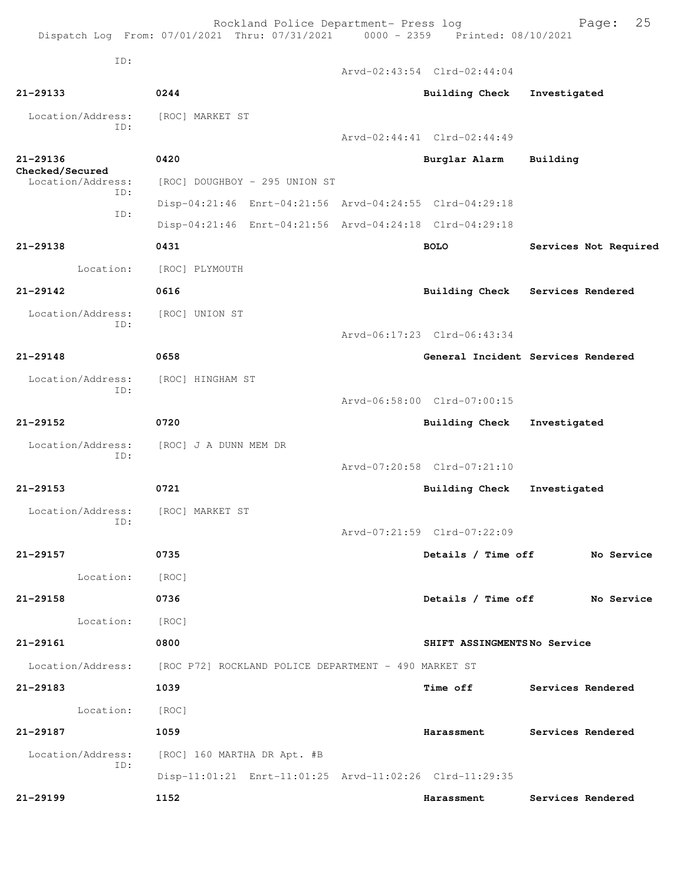Rockland Police Department- Press log Fage: 25 Dispatch Log From: 07/01/2021 Thru: 07/31/2021 0000 - 2359 Printed: 08/10/2021 ID: Arvd-02:43:54 Clrd-02:44:04 **21-29133 0244 Building Check Investigated** Location/Address: [ROC] MARKET ST ID: Arvd-02:44:41 Clrd-02:44:49 **21-29136 0420 Burglar Alarm Building Checked/Secured**  Location/Address: [ROC] DOUGHBOY - 295 UNION ST ID: Disp-04:21:46 Enrt-04:21:56 Arvd-04:24:55 Clrd-04:29:18 ID: Disp-04:21:46 Enrt-04:21:56 Arvd-04:24:18 Clrd-04:29:18 **21-29138 0431 BOLO Services Not Required** Location: [ROC] PLYMOUTH **21-29142 0616 Building Check Services Rendered** Location/Address: [ROC] UNION ST ID: Arvd-06:17:23 Clrd-06:43:34 **21-29148 0658 General Incident Services Rendered** Location/Address: [ROC] HINGHAM ST ID: Arvd-06:58:00 Clrd-07:00:15 **21-29152 0720 Building Check Investigated** Location/Address: [ROC] J A DUNN MEM DR ID: Arvd-07:20:58 Clrd-07:21:10 **21-29153 0721 Building Check Investigated** Location/Address: [ROC] MARKET ST ID: Arvd-07:21:59 Clrd-07:22:09 **21-29157 0735 Details / Time off No Service** Location: [ROC] **21-29158 0736 Details / Time off No Service** Location: [ROC] **21-29161 0800 SHIFT ASSINGMENTS No Service** Location/Address: [ROC P72] ROCKLAND POLICE DEPARTMENT - 490 MARKET ST **21-29183 1039 Time off Services Rendered** Location: [ROC] **21-29187 1059 Harassment Services Rendered** Location/Address: [ROC] 160 MARTHA DR Apt. #B ID: Disp-11:01:21 Enrt-11:01:25 Arvd-11:02:26 Clrd-11:29:35 **21-29199 1152 Harassment Services Rendered**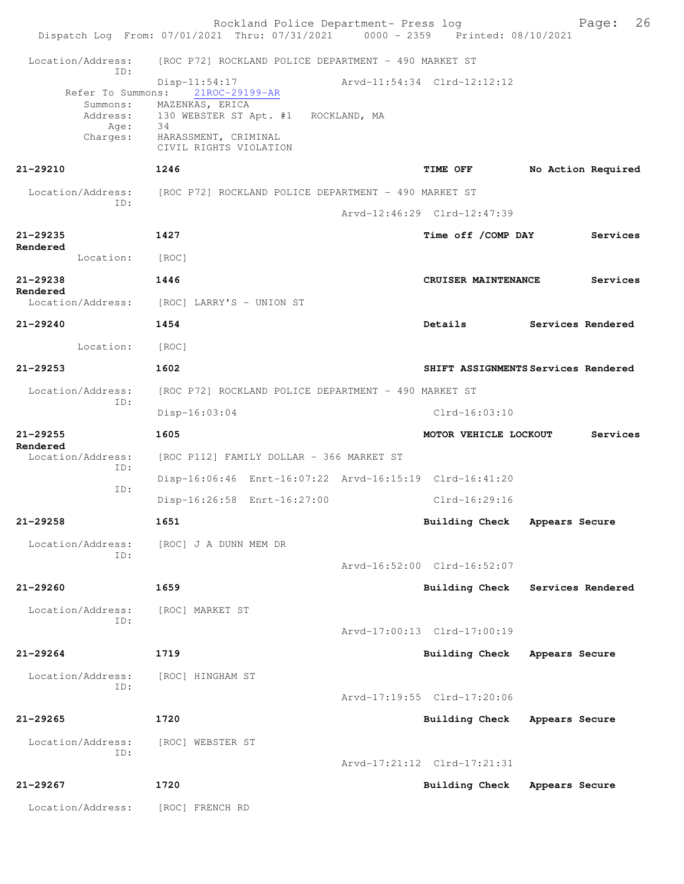|                                                                      | Rockland Police Department- Press log<br>Dispatch Log From: 07/01/2021 Thru: 07/31/2021 0000 - 2359 Printed: 08/10/2021                           |                             | 26<br>Page:                         |
|----------------------------------------------------------------------|---------------------------------------------------------------------------------------------------------------------------------------------------|-----------------------------|-------------------------------------|
| Location/Address:                                                    | [ROC P72] ROCKLAND POLICE DEPARTMENT - 490 MARKET ST                                                                                              |                             |                                     |
| ID:<br>Refer To Summons:<br>Summons:<br>Address:<br>Age:<br>Charges: | Disp-11:54:17<br>21ROC-29199-AR<br>MAZENKAS, ERICA<br>130 WEBSTER ST Apt. #1 ROCKLAND, MA<br>34<br>HARASSMENT, CRIMINAL<br>CIVIL RIGHTS VIOLATION | Arvd-11:54:34 Clrd-12:12:12 |                                     |
| 21-29210                                                             | 1246                                                                                                                                              | <b>TIME OFF</b>             | No Action Required                  |
| ID:                                                                  | Location/Address: [ROC P72] ROCKLAND POLICE DEPARTMENT - 490 MARKET ST                                                                            |                             |                                     |
|                                                                      |                                                                                                                                                   | Arvd-12:46:29 Clrd-12:47:39 |                                     |
| 21-29235<br>Rendered                                                 | 1427                                                                                                                                              | Time off / COMP DAY         | Services                            |
| Location: [ROC]                                                      |                                                                                                                                                   |                             |                                     |
| 21-29238<br>Rendered                                                 | 1446                                                                                                                                              | CRUISER MAINTENANCE         | Services                            |
|                                                                      | Location/Address: [ROC] LARRY'S - UNION ST                                                                                                        |                             |                                     |
| 21-29240                                                             | 1454                                                                                                                                              | Details                     | Services Rendered                   |
| Location:                                                            | [ROC]                                                                                                                                             |                             |                                     |
| 21-29253                                                             | 1602                                                                                                                                              |                             | SHIFT ASSIGNMENTS Services Rendered |
| Location/Address:<br>ID:                                             | [ROC P72] ROCKLAND POLICE DEPARTMENT - 490 MARKET ST                                                                                              |                             |                                     |
|                                                                      | Disp-16:03:04                                                                                                                                     | $Clrd-16:03:10$             |                                     |
| 21-29255<br>Rendered                                                 | 1605                                                                                                                                              | MOTOR VEHICLE LOCKOUT       | Services                            |
| Location/Address:<br>ID:                                             | [ROC P112] FAMILY DOLLAR - 366 MARKET ST                                                                                                          |                             |                                     |
| ID:                                                                  | Disp-16:06:46 Enrt-16:07:22 Arvd-16:15:19 Clrd-16:41:20                                                                                           |                             |                                     |
|                                                                      | Disp-16:26:58 Enrt-16:27:00                                                                                                                       | $Clrd-16:29:16$             |                                     |
| 21-29258                                                             | 1651                                                                                                                                              | <b>Building Check</b>       | Appears Secure                      |
| Location/Address:<br>ID:                                             | [ROC] J A DUNN MEM DR                                                                                                                             |                             |                                     |
|                                                                      |                                                                                                                                                   | Arvd-16:52:00 Clrd-16:52:07 |                                     |
| 21-29260                                                             | 1659                                                                                                                                              | Building Check              | Services Rendered                   |
| Location/Address:<br>ID:                                             | [ROC] MARKET ST                                                                                                                                   |                             |                                     |
|                                                                      |                                                                                                                                                   | Arvd-17:00:13 Clrd-17:00:19 |                                     |
| 21-29264                                                             | 1719                                                                                                                                              | <b>Building Check</b>       | Appears Secure                      |
| Location/Address:<br>ID:                                             | [ROC] HINGHAM ST                                                                                                                                  |                             |                                     |
|                                                                      |                                                                                                                                                   | Arvd-17:19:55 Clrd-17:20:06 |                                     |
| 21-29265                                                             | 1720                                                                                                                                              | <b>Building Check</b>       | Appears Secure                      |
| Location/Address:<br>ID:                                             | [ROC] WEBSTER ST                                                                                                                                  |                             |                                     |
|                                                                      |                                                                                                                                                   | Arvd-17:21:12 Clrd-17:21:31 |                                     |
| 21-29267                                                             | 1720                                                                                                                                              | Building Check              | Appears Secure                      |
| Location/Address:                                                    | [ROC] FRENCH RD                                                                                                                                   |                             |                                     |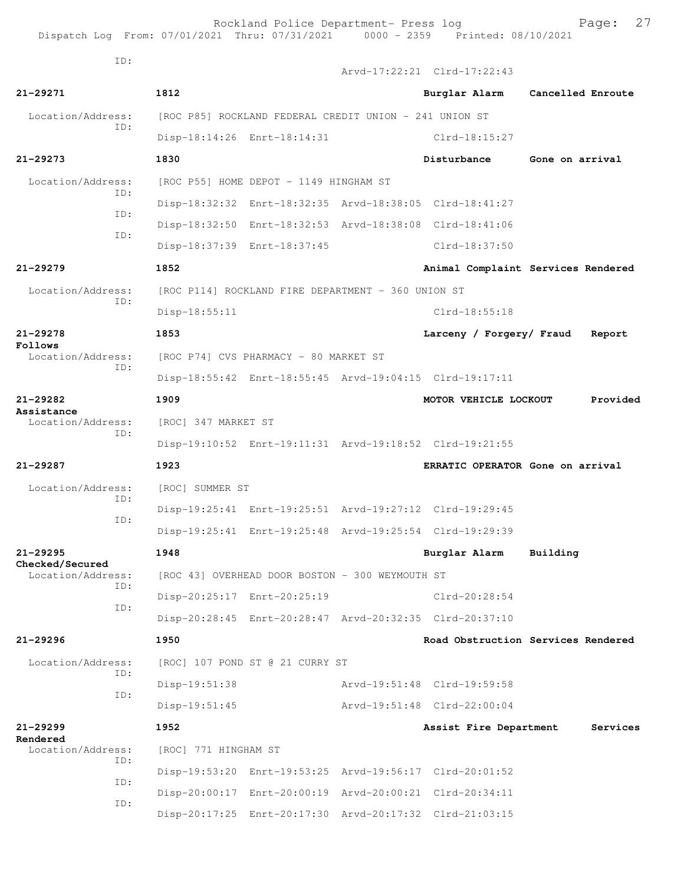Rockland Police Department- Press log Page: 27<br>21 Thru: 07/31/2021 0000 - 2359 Printed: 08/10/2021 Dispatch Log From:  $07/01/2021$  Thru:  $07/31/2021$  0000 - 2359 ID: Arvd-17:22:21 Clrd-17:22:43

**21-29271 1812 Burglar Alarm Cancelled Enroute** Location/Address: [ROC P85] ROCKLAND FEDERAL CREDIT UNION - 241 UNION ST ID: Disp-18:14:26 Enrt-18:14:31 Clrd-18:15:27 **21-29273 1830 Disturbance Gone on arrival** Location/Address: [ROC P55] HOME DEPOT - 1149 HINGHAM ST ID: Disp-18:32:32 Enrt-18:32:35 Arvd-18:38:05 Clrd-18:41:27 ID: Disp-18:32:50 Enrt-18:32:53 Arvd-18:38:08 Clrd-18:41:06 ID: Disp-18:37:39 Enrt-18:37:45 Clrd-18:37:50 **21-29279 1852 Animal Complaint Services Rendered** Location/Address: [ROC P114] ROCKLAND FIRE DEPARTMENT - 360 UNION ST ID: Disp-18:55:11 Clrd-18:55:18 **21-29278 1853 Larceny / Forgery/ Fraud Report Follows**<br>Location/Address: [ROC P74] CVS PHARMACY - 80 MARKET ST ID: Disp-18:55:42 Enrt-18:55:45 Arvd-19:04:15 Clrd-19:17:11 **21-29282 1909 MOTOR VEHICLE LOCKOUT Provided Assistance**  [ROC] 347 MARKET ST ID: Disp-19:10:52 Enrt-19:11:31 Arvd-19:18:52 Clrd-19:21:55 **21-29287 1923 ERRATIC OPERATOR Gone on arrival** Location/Address: [ROC] SUMMER ST ID: Disp-19:25:41 Enrt-19:25:51 Arvd-19:27:12 Clrd-19:29:45 ID: Disp-19:25:41 Enrt-19:25:48 Arvd-19:25:54 Clrd-19:29:39 **21-29295 1948 Burglar Alarm Building Checked/Secured**  Location/Address: [ROC 43] OVERHEAD DOOR BOSTON - 300 WEYMOUTH ST ID: Disp-20:25:17 Enrt-20:25:19 Clrd-20:28:54 ID: Disp-20:28:45 Enrt-20:28:47 Arvd-20:32:35 Clrd-20:37:10 **21-29296 1950 Road Obstruction Services Rendered** Location/Address: [ROC] 107 POND ST @ 21 CURRY ST ID: Disp-19:51:38 Arvd-19:51:48 Clrd-19:59:58 ID: Disp-19:51:45 Arvd-19:51:48 Clrd-22:00:04 **21-29299 1952 Assist Fire Department Services Rendered**  Location/Address: [ROC] 771 HINGHAM ST ID: Disp-19:53:20 Enrt-19:53:25 Arvd-19:56:17 Clrd-20:01:52 ID: Disp-20:00:17 Enrt-20:00:19 Arvd-20:00:21 Clrd-20:34:11 ID: Disp-20:17:25 Enrt-20:17:30 Arvd-20:17:32 Clrd-21:03:15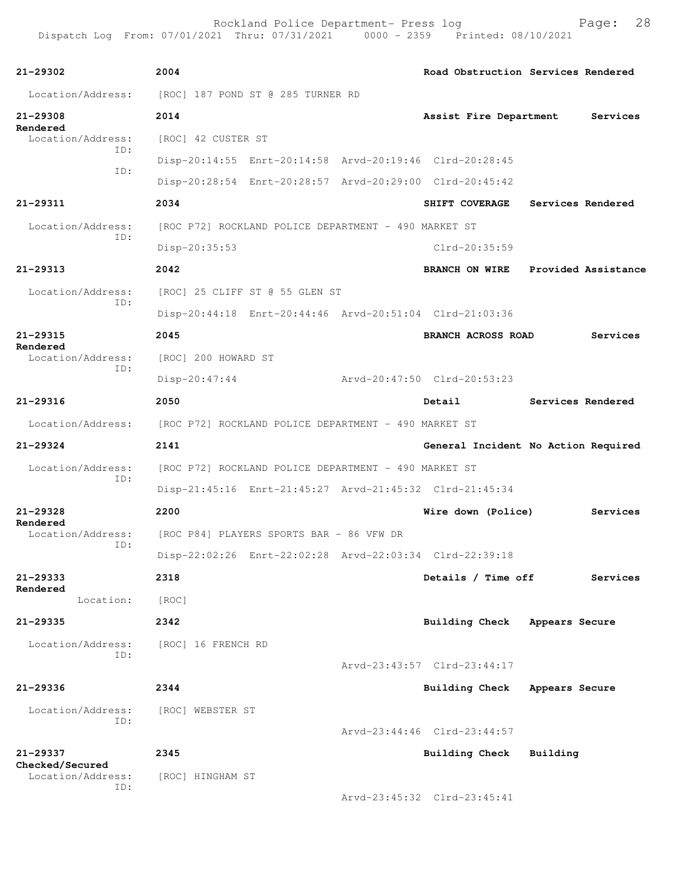| 21-29302                                            | 2004                                                 |                                                      | Road Obstruction Services Rendered                      |                |                   |
|-----------------------------------------------------|------------------------------------------------------|------------------------------------------------------|---------------------------------------------------------|----------------|-------------------|
| Location/Address: [ROC] 187 POND ST @ 285 TURNER RD |                                                      |                                                      |                                                         |                |                   |
| 21-29308                                            | 2014                                                 |                                                      | Assist Fire Department                                  |                | Services          |
| Rendered<br>Location/Address:                       | [ROC] 42 CUSTER ST                                   |                                                      |                                                         |                |                   |
| ID:                                                 |                                                      |                                                      | Disp-20:14:55 Enrt-20:14:58 Arvd-20:19:46 Clrd-20:28:45 |                |                   |
| ID:                                                 |                                                      |                                                      | Disp-20:28:54 Enrt-20:28:57 Arvd-20:29:00 Clrd-20:45:42 |                |                   |
| 21-29311                                            | 2034                                                 |                                                      | SHIFT COVERAGE                                          |                | Services Rendered |
| Location/Address:                                   |                                                      | [ROC P72] ROCKLAND POLICE DEPARTMENT - 490 MARKET ST |                                                         |                |                   |
| ID:                                                 | Disp-20:35:53                                        |                                                      | Clrd-20:35:59                                           |                |                   |
| 21-29313                                            | 2042                                                 |                                                      | BRANCH ON WIRE Provided Assistance                      |                |                   |
| Location/Address:                                   |                                                      | [ROC] 25 CLIFF ST @ 55 GLEN ST                       |                                                         |                |                   |
| ID:                                                 |                                                      |                                                      | Disp-20:44:18 Enrt-20:44:46 Arvd-20:51:04 Clrd-21:03:36 |                |                   |
| 21-29315<br>Rendered                                | 2045                                                 |                                                      | <b>BRANCH ACROSS ROAD</b>                               |                | Services          |
| Location/Address:                                   | [ROC] 200 HOWARD ST                                  |                                                      |                                                         |                |                   |
| ID:                                                 | $Disp-20:47:44$                                      |                                                      | Arvd-20:47:50 Clrd-20:53:23                             |                |                   |
| 21-29316                                            | 2050                                                 |                                                      | Detail                                                  |                | Services Rendered |
| Location/Address:                                   | [ROC P72] ROCKLAND POLICE DEPARTMENT - 490 MARKET ST |                                                      |                                                         |                |                   |
| 21-29324                                            | 2141                                                 |                                                      | General Incident No Action Required                     |                |                   |
| Location/Address:                                   |                                                      | [ROC P72] ROCKLAND POLICE DEPARTMENT - 490 MARKET ST |                                                         |                |                   |
| ID:                                                 |                                                      |                                                      | Disp-21:45:16 Enrt-21:45:27 Arvd-21:45:32 Clrd-21:45:34 |                |                   |
| $21 - 29328$                                        | 2200                                                 |                                                      | Wire down (Police)                                      |                | Services          |
| Rendered<br>Location/Address:                       |                                                      | [ROC P84] PLAYERS SPORTS BAR - 86 VFW DR             |                                                         |                |                   |
| ID:                                                 |                                                      |                                                      | Disp-22:02:26 Enrt-22:02:28 Arvd-22:03:34 Clrd-22:39:18 |                |                   |
| 21-29333                                            | 2318                                                 |                                                      | Details / Time off                                      |                | Services          |
| Rendered<br>Location:                               | [ROC]                                                |                                                      |                                                         |                |                   |
| 21-29335                                            | 2342                                                 |                                                      | Building Check Appears Secure                           |                |                   |
| Location/Address:                                   | [ROC] 16 FRENCH RD                                   |                                                      |                                                         |                |                   |
| ID:                                                 |                                                      |                                                      | Arvd-23:43:57 Clrd-23:44:17                             |                |                   |
| 21-29336                                            | 2344                                                 |                                                      | <b>Building Check</b>                                   | Appears Secure |                   |
| Location/Address:                                   | [ROC] WEBSTER ST                                     |                                                      |                                                         |                |                   |
| ID:                                                 |                                                      |                                                      | Arvd-23:44:46 Clrd-23:44:57                             |                |                   |
| 21-29337                                            | 2345                                                 |                                                      | Building Check                                          | Building       |                   |
| Checked/Secured<br>Location/Address:                | [ROC] HINGHAM ST                                     |                                                      |                                                         |                |                   |
| ID:                                                 |                                                      |                                                      | Arvd-23:45:32 Clrd-23:45:41                             |                |                   |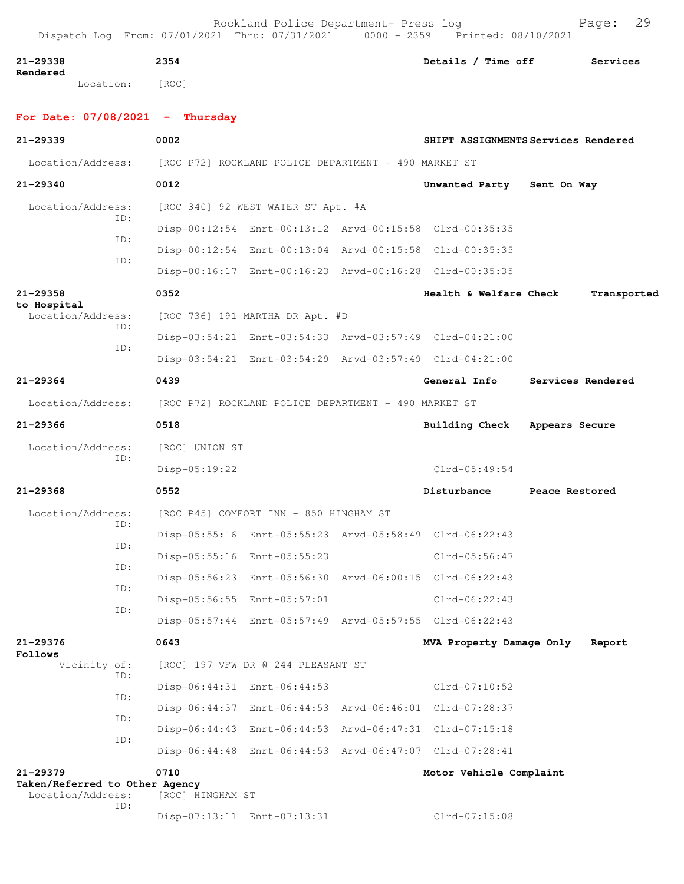| 21-29338<br>Rendered |           | 2354  | Details / Time off | Services |
|----------------------|-----------|-------|--------------------|----------|
|                      | Location: | [ROC] |                    |          |

## **For Date: 07/08/2021 - Thursday**

| $21 - 29339$                                        |            | 0002                                                 |                                        |                                                         | SHIFT ASSIGNMENTS Services Rendered |
|-----------------------------------------------------|------------|------------------------------------------------------|----------------------------------------|---------------------------------------------------------|-------------------------------------|
| Location/Address:                                   |            | [ROC P72] ROCKLAND POLICE DEPARTMENT - 490 MARKET ST |                                        |                                                         |                                     |
| $21 - 29340$                                        |            | 0012                                                 |                                        | Unwanted Party                                          | Sent On Way                         |
| Location/Address:                                   |            |                                                      | [ROC 340] 92 WEST WATER ST Apt. #A     |                                                         |                                     |
|                                                     | ID:        |                                                      |                                        | Disp-00:12:54 Enrt-00:13:12 Arvd-00:15:58 Clrd-00:35:35 |                                     |
|                                                     | ID:        |                                                      |                                        | Disp-00:12:54 Enrt-00:13:04 Arvd-00:15:58 Clrd-00:35:35 |                                     |
|                                                     | ID:        |                                                      |                                        | Disp-00:16:17 Enrt-00:16:23 Arvd-00:16:28 Clrd-00:35:35 |                                     |
| 21-29358                                            |            | 0352                                                 |                                        | Health & Welfare Check                                  | Transported                         |
| to Hospital<br>Location/Address:                    |            |                                                      | [ROC 736] 191 MARTHA DR Apt. #D        |                                                         |                                     |
|                                                     | ID:        |                                                      |                                        | Disp-03:54:21 Enrt-03:54:33 Arvd-03:57:49 Clrd-04:21:00 |                                     |
|                                                     | ID:        |                                                      |                                        | Disp-03:54:21 Enrt-03:54:29 Arvd-03:57:49 Clrd-04:21:00 |                                     |
| $21 - 29364$                                        |            | 0439                                                 |                                        | General Info                                            | Services Rendered                   |
| Location/Address:                                   |            | [ROC P72] ROCKLAND POLICE DEPARTMENT - 490 MARKET ST |                                        |                                                         |                                     |
| $21 - 29366$                                        |            | 0518                                                 |                                        | <b>Building Check</b>                                   | Appears Secure                      |
| Location/Address:                                   |            | [ROC] UNION ST                                       |                                        |                                                         |                                     |
|                                                     | ID:        | $Disp-05:19:22$                                      |                                        | $Clrd-05:49:54$                                         |                                     |
| $21 - 29368$                                        |            | 0552                                                 |                                        | Disturbance                                             | Peace Restored                      |
| Location/Address:                                   |            |                                                      | [ROC P45] COMFORT INN - 850 HINGHAM ST |                                                         |                                     |
|                                                     | ID:        |                                                      |                                        | Disp-05:55:16 Enrt-05:55:23 Arvd-05:58:49 Clrd-06:22:43 |                                     |
|                                                     | ID:        |                                                      | Disp-05:55:16 Enrt-05:55:23            | Clrd-05:56:47                                           |                                     |
|                                                     | ID:        |                                                      |                                        | Disp-05:56:23 Enrt-05:56:30 Arvd-06:00:15 Clrd-06:22:43 |                                     |
|                                                     | ID:        |                                                      | Disp-05:56:55 Enrt-05:57:01            | $Clrd-06:22:43$                                         |                                     |
|                                                     | ID:        |                                                      |                                        | Disp-05:57:44 Enrt-05:57:49 Arvd-05:57:55 Clrd-06:22:43 |                                     |
| 21-29376                                            |            | 0643                                                 |                                        | MVA Property Damage Only                                | Report                              |
| Follows<br>Vicinity of:                             |            |                                                      | [ROC] 197 VFW DR @ 244 PLEASANT ST     |                                                         |                                     |
|                                                     | ID:        |                                                      | Disp-06:44:31 Enrt-06:44:53            | Clrd-07:10:52                                           |                                     |
|                                                     | ID:        |                                                      |                                        | Disp-06:44:37 Enrt-06:44:53 Arvd-06:46:01 Clrd-07:28:37 |                                     |
|                                                     | ID:<br>ID: |                                                      |                                        | Disp-06:44:43 Enrt-06:44:53 Arvd-06:47:31 Clrd-07:15:18 |                                     |
|                                                     |            |                                                      |                                        | Disp-06:44:48 Enrt-06:44:53 Arvd-06:47:07 Clrd-07:28:41 |                                     |
| 21-29379                                            |            | 0710                                                 |                                        | Motor Vehicle Complaint                                 |                                     |
| Taken/Referred to Other Agency<br>Location/Address: |            | [ROC] HINGHAM ST                                     |                                        |                                                         |                                     |
|                                                     | ID:        |                                                      | Disp-07:13:11 Enrt-07:13:31            | Clrd-07:15:08                                           |                                     |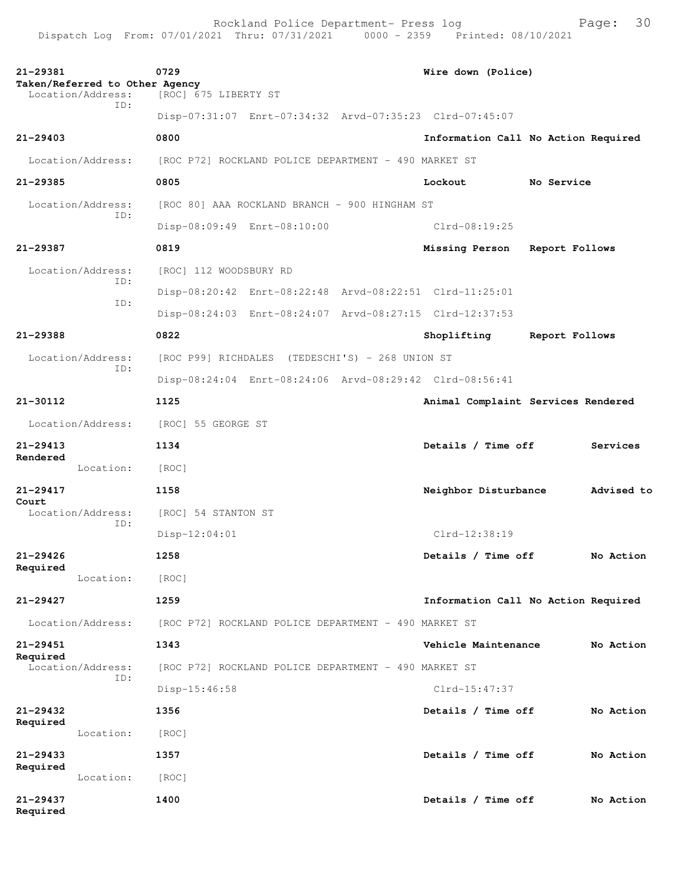| 21-29381<br>Taken/Referred to Other Agency<br>Location/Address: | 0729<br>[ROC] 675 LIBERTY ST                            | Wire down (Police)                  |
|-----------------------------------------------------------------|---------------------------------------------------------|-------------------------------------|
| TD:                                                             | Disp-07:31:07 Enrt-07:34:32 Arvd-07:35:23 Clrd-07:45:07 |                                     |
| $21 - 29403$                                                    | 0800                                                    | Information Call No Action Required |
| Location/Address:                                               | [ROC P72] ROCKLAND POLICE DEPARTMENT - 490 MARKET ST    |                                     |
| 21-29385                                                        | 0805                                                    | Lockout<br>No Service               |
| Location/Address:                                               | [ROC 80] AAA ROCKLAND BRANCH - 900 HINGHAM ST           |                                     |
| ID:                                                             | Disp-08:09:49 Enrt-08:10:00                             | $Clrd-08:19:25$                     |
| 21-29387                                                        | 0819                                                    | Missing Person Report Follows       |
| Location/Address:                                               | [ROC] 112 WOODSBURY RD                                  |                                     |
| ID:                                                             | Disp-08:20:42 Enrt-08:22:48 Arvd-08:22:51 Clrd-11:25:01 |                                     |
| ID:                                                             | Disp-08:24:03 Enrt-08:24:07 Arvd-08:27:15 Clrd-12:37:53 |                                     |
| 21-29388                                                        | 0822                                                    | Shoplifting<br>Report Follows       |
| Location/Address:                                               | [ROC P99] RICHDALES (TEDESCHI'S) - 268 UNION ST         |                                     |
| TD:                                                             | Disp-08:24:04 Enrt-08:24:06 Arvd-08:29:42 Clrd-08:56:41 |                                     |
| $21 - 30112$                                                    | 1125                                                    | Animal Complaint Services Rendered  |
| Location/Address:                                               | [ROC] 55 GEORGE ST                                      |                                     |
| $21 - 29413$                                                    | 1134                                                    | Details / Time off<br>Services      |
| Rendered<br>Location:                                           | [ROC]                                                   |                                     |
| $21 - 29417$                                                    | 1158                                                    | Advised to<br>Neighbor Disturbance  |
| Court<br>Location/Address:                                      | [ROC] 54 STANTON ST                                     |                                     |
| ID:                                                             | $Disp-12:04:01$                                         | Clrd-12:38:19                       |
| $21 - 29426$                                                    | 1258                                                    | Details / Time off<br>No Action     |
| Required<br>Location:                                           | [ROC]                                                   |                                     |
| 21-29427                                                        | 1259                                                    | Information Call No Action Required |
| Location/Address:                                               | [ROC P72] ROCKLAND POLICE DEPARTMENT - 490 MARKET ST    |                                     |
| 21-29451                                                        | 1343                                                    | Vehicle Maintenance<br>No Action    |
| Required<br>Location/Address:                                   | [ROC P72] ROCKLAND POLICE DEPARTMENT - 490 MARKET ST    |                                     |
| ID:                                                             | Disp-15:46:58                                           | $Clrd-15:47:37$                     |
| 21-29432                                                        | 1356                                                    | Details / Time off<br>No Action     |
| Required                                                        |                                                         |                                     |
| Location:                                                       | [ROC]                                                   |                                     |
| $21 - 29433$<br>Required                                        | 1357                                                    | Details / Time off<br>No Action     |
| Location:                                                       | [ROC]                                                   |                                     |
| 21-29437<br>Required                                            | 1400                                                    | Details / Time off<br>No Action     |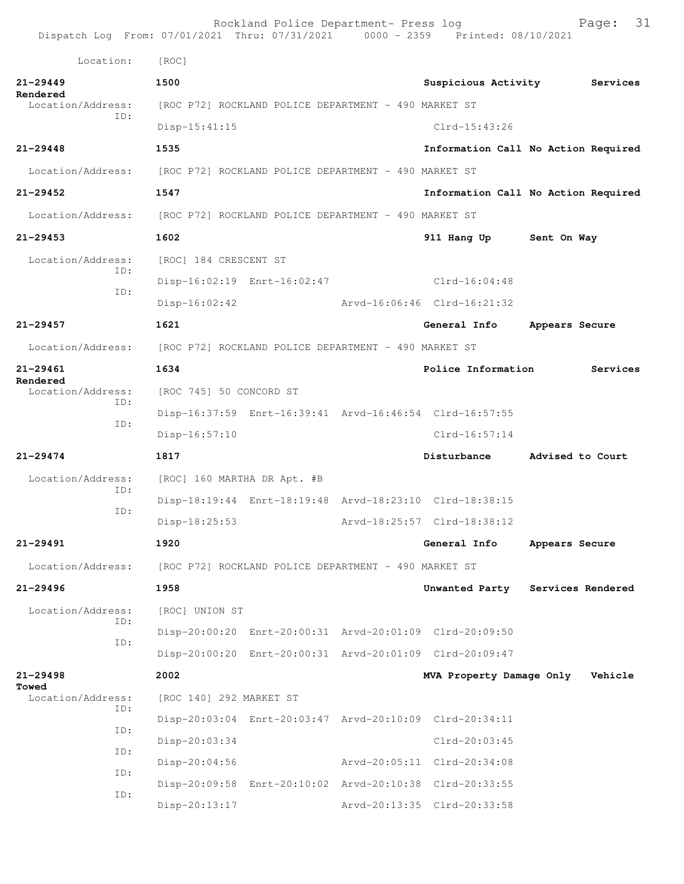| Dispatch Log From: 07/01/2021 Thru: 07/31/2021 0000 - 2359 Printed: 08/10/2021 |                                                         | Rockland Police Department- Press log |                             | 31<br>Page:                         |
|--------------------------------------------------------------------------------|---------------------------------------------------------|---------------------------------------|-----------------------------|-------------------------------------|
| Location:                                                                      | [ROC]                                                   |                                       |                             |                                     |
| $21 - 29449$                                                                   | 1500                                                    |                                       | Suspicious Activity         | Services                            |
| Rendered<br>Location/Address:                                                  | [ROC P72] ROCKLAND POLICE DEPARTMENT - 490 MARKET ST    |                                       |                             |                                     |
| TD:                                                                            | $Disp-15:41:15$                                         |                                       | $Clrd-15:43:26$             |                                     |
| $21 - 29448$                                                                   | 1535                                                    |                                       |                             | Information Call No Action Required |
| Location/Address: [ROC P72] ROCKLAND POLICE DEPARTMENT - 490 MARKET ST         |                                                         |                                       |                             |                                     |
| 21-29452                                                                       | 1547                                                    |                                       |                             | Information Call No Action Required |
| Location/Address:                                                              | [ROC P72] ROCKLAND POLICE DEPARTMENT - 490 MARKET ST    |                                       |                             |                                     |
| $21 - 29453$                                                                   | 1602                                                    |                                       | 911 Hang Up                 | Sent On Way                         |
| Location/Address:                                                              | [ROC] 184 CRESCENT ST                                   |                                       |                             |                                     |
| ID:<br>ID:                                                                     | Disp-16:02:19 Enrt-16:02:47                             |                                       | $Clrd-16:04:48$             |                                     |
|                                                                                | $Disp-16:02:42$                                         |                                       | Arvd-16:06:46 Clrd-16:21:32 |                                     |
| $21 - 29457$                                                                   | 1621                                                    |                                       | General Info                | Appears Secure                      |
| Location/Address:                                                              | [ROC P72] ROCKLAND POLICE DEPARTMENT - 490 MARKET ST    |                                       |                             |                                     |
| 21-29461<br>Rendered                                                           | 1634                                                    |                                       | Police Information          | Services                            |
| Location/Address:<br>ID:                                                       | [ROC 745] 50 CONCORD ST                                 |                                       |                             |                                     |
| ID:                                                                            | Disp-16:37:59 Enrt-16:39:41 Arvd-16:46:54 Clrd-16:57:55 |                                       |                             |                                     |
|                                                                                | $Disp-16:57:10$                                         |                                       | $Clrd-16:57:14$             |                                     |
| $21 - 29474$                                                                   | 1817                                                    |                                       | Disturbance                 | Advised to Court                    |
| Location/Address:<br>TD:                                                       | [ROC] 160 MARTHA DR Apt. #B                             |                                       |                             |                                     |
| ID:                                                                            | Disp-18:19:44 Enrt-18:19:48 Arvd-18:23:10 Clrd-18:38:15 |                                       |                             |                                     |
|                                                                                | Disp-18:25:53                                           |                                       | Arvd-18:25:57 Clrd-18:38:12 |                                     |
| $21 - 29491$                                                                   | 1920                                                    |                                       | General Info                | Appears Secure                      |
| Location/Address:                                                              | [ROC P72] ROCKLAND POLICE DEPARTMENT - 490 MARKET ST    |                                       |                             |                                     |
| 21-29496                                                                       | 1958                                                    |                                       |                             | Unwanted Party Services Rendered    |
| Location/Address:<br>ID:                                                       | [ROC] UNION ST                                          |                                       |                             |                                     |
| ID:                                                                            | Disp-20:00:20 Enrt-20:00:31 Arvd-20:01:09 Clrd-20:09:50 |                                       |                             |                                     |
|                                                                                | Disp-20:00:20 Enrt-20:00:31 Arvd-20:01:09 Clrd-20:09:47 |                                       |                             |                                     |
| $21 - 29498$<br>Towed                                                          | 2002                                                    |                                       | MVA Property Damage Only    | Vehicle                             |
| Location/Address:<br>ID:                                                       | [ROC 140] 292 MARKET ST                                 |                                       |                             |                                     |
| ID:                                                                            | Disp-20:03:04 Enrt-20:03:47 Arvd-20:10:09 Clrd-20:34:11 |                                       |                             |                                     |
| ID:                                                                            | Disp-20:03:34                                           |                                       | $Clrd-20:03:45$             |                                     |
| ID:                                                                            | $Disp-20:04:56$                                         |                                       | Arvd-20:05:11 Clrd-20:34:08 |                                     |
| ID:                                                                            | Disp-20:09:58 Enrt-20:10:02 Arvd-20:10:38 Clrd-20:33:55 |                                       |                             |                                     |
|                                                                                | $Disp-20:13:17$                                         |                                       | Arvd-20:13:35 Clrd-20:33:58 |                                     |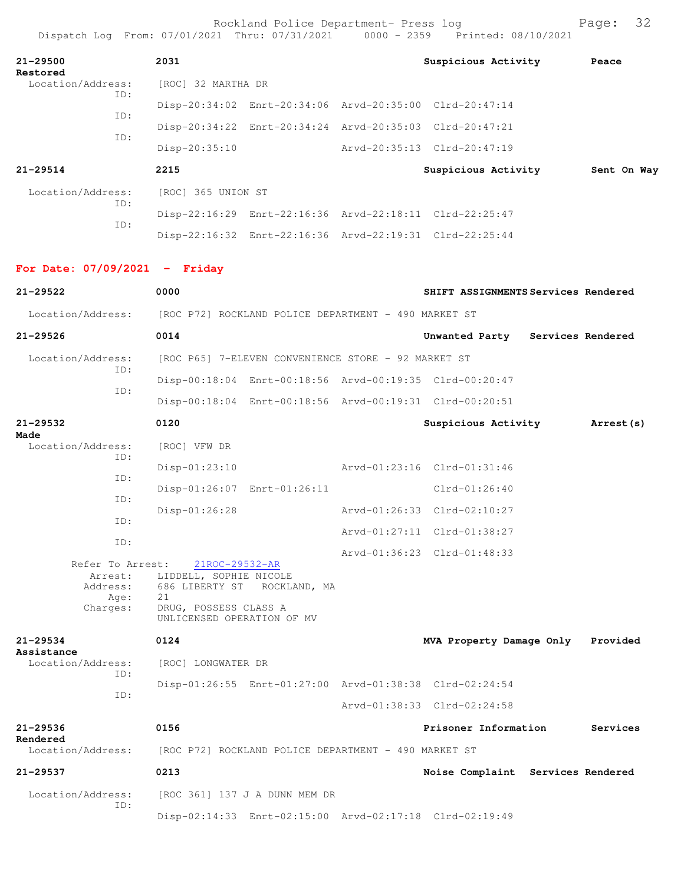|                                                                        | $L = 0.01$ , $V = 7.02$ , $V = 1.01$ , $V = 7.02$ , $V = 7.02$                                                                       |                                                      | vvvv LJJJ |                                                         |          |
|------------------------------------------------------------------------|--------------------------------------------------------------------------------------------------------------------------------------|------------------------------------------------------|-----------|---------------------------------------------------------|----------|
| $21 - 29500$<br>Restored                                               | 2031                                                                                                                                 |                                                      |           | Suspicious Activity Peace                               |          |
| Location/Address:<br>ID:                                               | [ROC] 32 MARTHA DR                                                                                                                   |                                                      |           |                                                         |          |
| ID:                                                                    |                                                                                                                                      |                                                      |           | Disp-20:34:02 Enrt-20:34:06 Arvd-20:35:00 Clrd-20:47:14 |          |
| ID:                                                                    |                                                                                                                                      |                                                      |           | Disp-20:34:22 Enrt-20:34:24 Arvd-20:35:03 Clrd-20:47:21 |          |
|                                                                        | Disp-20:35:10                                                                                                                        |                                                      |           | Arvd-20:35:13 Clrd-20:47:19                             |          |
| 21-29514                                                               | 2215                                                                                                                                 |                                                      |           | Suspicious Activity 5ent On Way                         |          |
| Location/Address:                                                      | [ROC] 365 UNION ST                                                                                                                   |                                                      |           |                                                         |          |
| ID:                                                                    |                                                                                                                                      |                                                      |           | Disp-22:16:29 Enrt-22:16:36 Arvd-22:18:11 Clrd-22:25:47 |          |
| ID:                                                                    |                                                                                                                                      |                                                      |           | Disp-22:16:32 Enrt-22:16:36 Arvd-22:19:31 Clrd-22:25:44 |          |
| For Date: $07/09/2021$ - Friday                                        |                                                                                                                                      |                                                      |           |                                                         |          |
| 21-29522                                                               | 0000                                                                                                                                 |                                                      |           | SHIFT ASSIGNMENTS Services Rendered                     |          |
| Location/Address: [ROC P72] ROCKLAND POLICE DEPARTMENT - 490 MARKET ST |                                                                                                                                      |                                                      |           |                                                         |          |
| $21 - 29526$                                                           | 0014                                                                                                                                 |                                                      |           | Unwanted Party Services Rendered                        |          |
| Location/Address:                                                      | [ROC P65] 7-ELEVEN CONVENIENCE STORE - 92 MARKET ST                                                                                  |                                                      |           |                                                         |          |
| ID:                                                                    |                                                                                                                                      |                                                      |           | Disp-00:18:04 Enrt-00:18:56 Arvd-00:19:35 Clrd-00:20:47 |          |
| ID:                                                                    |                                                                                                                                      |                                                      |           | Disp-00:18:04 Enrt-00:18:56 Arvd-00:19:31 Clrd-00:20:51 |          |
| $21 - 29532$                                                           | 0120                                                                                                                                 |                                                      |           | Suspicious Activity Marrest (s)                         |          |
| Made<br>Location/Address:                                              | [ROC] VFW DR                                                                                                                         |                                                      |           |                                                         |          |
| ID:                                                                    | Disp-01:23:10                                                                                                                        |                                                      |           | Arvd-01:23:16 Clrd-01:31:46                             |          |
| ID:                                                                    |                                                                                                                                      | Disp-01:26:07 Enrt-01:26:11                          |           | Clrd-01:26:40                                           |          |
| ID:                                                                    | Disp-01:26:28                                                                                                                        |                                                      |           | Arvd-01:26:33 Clrd-02:10:27                             |          |
| ID:                                                                    |                                                                                                                                      |                                                      |           | Arvd-01:27:11 Clrd-01:38:27                             |          |
| ID:                                                                    |                                                                                                                                      |                                                      |           | Arvd-01:36:23 Clrd-01:48:33                             |          |
| Refer To Arrest:<br>Arrest:<br>Address:<br>Age:<br>Charges:            | 21ROC-29532-AR<br>LIDDELL, SOPHIE NICOLE<br>686 LIBERTY ST ROCKLAND, MA<br>21<br>DRUG, POSSESS CLASS A<br>UNLICENSED OPERATION OF MV |                                                      |           |                                                         |          |
| $21 - 29534$                                                           | 0124                                                                                                                                 |                                                      |           | MVA Property Damage Only Provided                       |          |
| Assistance<br>Location/Address:                                        | [ROC] LONGWATER DR                                                                                                                   |                                                      |           |                                                         |          |
| ID:                                                                    |                                                                                                                                      |                                                      |           | Disp-01:26:55 Enrt-01:27:00 Arvd-01:38:38 Clrd-02:24:54 |          |
| ID:                                                                    |                                                                                                                                      |                                                      |           | Arvd-01:38:33 Clrd-02:24:58                             |          |
| $21 - 29536$                                                           | 0156                                                                                                                                 |                                                      |           | Prisoner Information                                    | Services |
| Rendered<br>Location/Address:                                          |                                                                                                                                      | [ROC P72] ROCKLAND POLICE DEPARTMENT - 490 MARKET ST |           |                                                         |          |
| $21 - 29537$                                                           | 0213                                                                                                                                 |                                                      |           | Noise Complaint Services Rendered                       |          |
| Location/Address:                                                      |                                                                                                                                      | [ROC 361] 137 J A DUNN MEM DR                        |           |                                                         |          |
| ID:                                                                    |                                                                                                                                      |                                                      |           | Disp-02:14:33 Enrt-02:15:00 Arvd-02:17:18 Clrd-02:19:49 |          |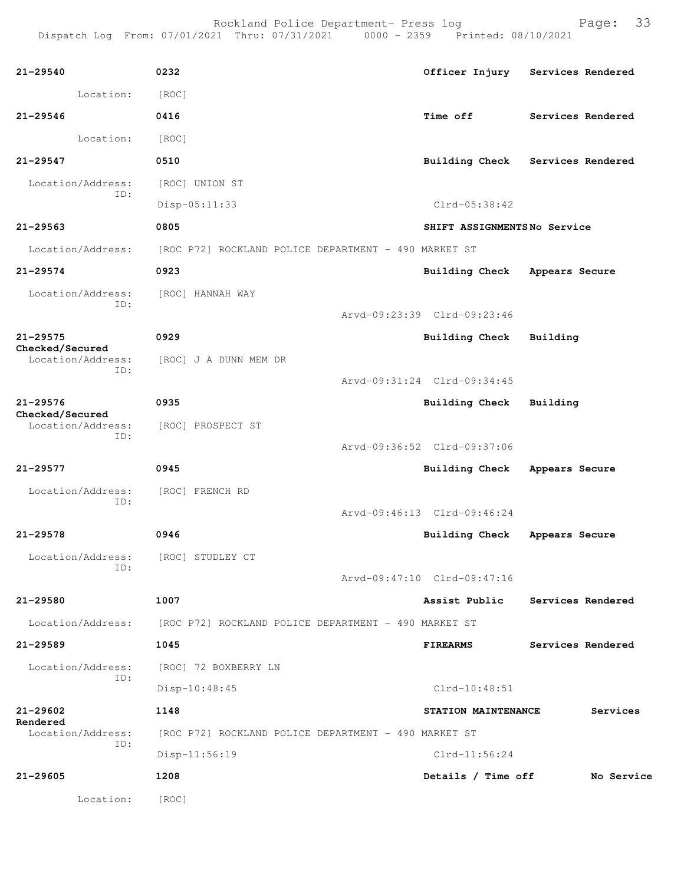| $21 - 29540$                         | 0232                                                                   |                                 | Officer Injury Services Rendered |  |  |
|--------------------------------------|------------------------------------------------------------------------|---------------------------------|----------------------------------|--|--|
| Location:                            | [ROC]                                                                  |                                 |                                  |  |  |
| $21 - 29546$                         | 0416                                                                   | Time off                        | Services Rendered                |  |  |
| Location:                            | [ROC]                                                                  |                                 |                                  |  |  |
| $21 - 29547$                         | 0510                                                                   |                                 | Building Check Services Rendered |  |  |
| Location/Address:                    | [ROC] UNION ST                                                         |                                 |                                  |  |  |
| ID:                                  | $Disp-05:11:33$                                                        | $Clrd-05:38:42$                 |                                  |  |  |
| $21 - 29563$                         | 0805                                                                   | SHIFT ASSIGNMENTSNo Service     |                                  |  |  |
| Location/Address:                    | [ROC P72] ROCKLAND POLICE DEPARTMENT - 490 MARKET ST                   |                                 |                                  |  |  |
| $21 - 29574$                         | 0923                                                                   | <b>Building Check</b>           | Appears Secure                   |  |  |
| Location/Address:                    | [ROC] HANNAH WAY                                                       |                                 |                                  |  |  |
| ID:                                  |                                                                        | Arvd-09:23:39 Clrd-09:23:46     |                                  |  |  |
| $21 - 29575$                         | 0929                                                                   | Building Check Building         |                                  |  |  |
| Checked/Secured<br>Location/Address: | [ROC] J A DUNN MEM DR                                                  |                                 |                                  |  |  |
| ID:                                  |                                                                        | Arvd-09:31:24 Clrd-09:34:45     |                                  |  |  |
| $21 - 29576$                         | 0935                                                                   | <b>Building Check</b>           | Building                         |  |  |
| Checked/Secured<br>Location/Address: | [ROC] PROSPECT ST                                                      |                                 |                                  |  |  |
| ID:                                  |                                                                        | Arvd-09:36:52 Clrd-09:37:06     |                                  |  |  |
| $21 - 29577$                         | 0945                                                                   | Building Check                  | Appears Secure                   |  |  |
| Location/Address:                    | [ROC] FRENCH RD                                                        |                                 |                                  |  |  |
| ID:                                  |                                                                        | Arvd-09:46:13 Clrd-09:46:24     |                                  |  |  |
| $21 - 29578$                         | 0946                                                                   | Building Check Appears Secure   |                                  |  |  |
| Location/Address:                    | [ROC] STUDLEY CT                                                       |                                 |                                  |  |  |
| ID:                                  |                                                                        | Arvd-09:47:10 Clrd-09:47:16     |                                  |  |  |
| $21 - 29580$                         | 1007                                                                   | Assist Public                   | Services Rendered                |  |  |
|                                      | Location/Address: [ROC P72] ROCKLAND POLICE DEPARTMENT - 490 MARKET ST |                                 |                                  |  |  |
| 21-29589                             | 1045                                                                   | <b>FIREARMS</b>                 | Services Rendered                |  |  |
|                                      | Location/Address: [ROC] 72 BOXBERRY LN                                 |                                 |                                  |  |  |
| ID:                                  | Disp-10:48:45                                                          | $Clrd-10:48:51$                 |                                  |  |  |
| 21-29602                             | 1148                                                                   | STATION MAINTENANCE<br>Services |                                  |  |  |
| Rendered<br>Location/Address:        | [ROC P72] ROCKLAND POLICE DEPARTMENT - 490 MARKET ST                   |                                 |                                  |  |  |
| ID:                                  | Disp-11:56:19                                                          | $Clrd-11:56:24$                 |                                  |  |  |
| 21-29605                             | 1208                                                                   | Details / Time off              | No Service                       |  |  |
| Location:                            | [ROC]                                                                  |                                 |                                  |  |  |
|                                      |                                                                        |                                 |                                  |  |  |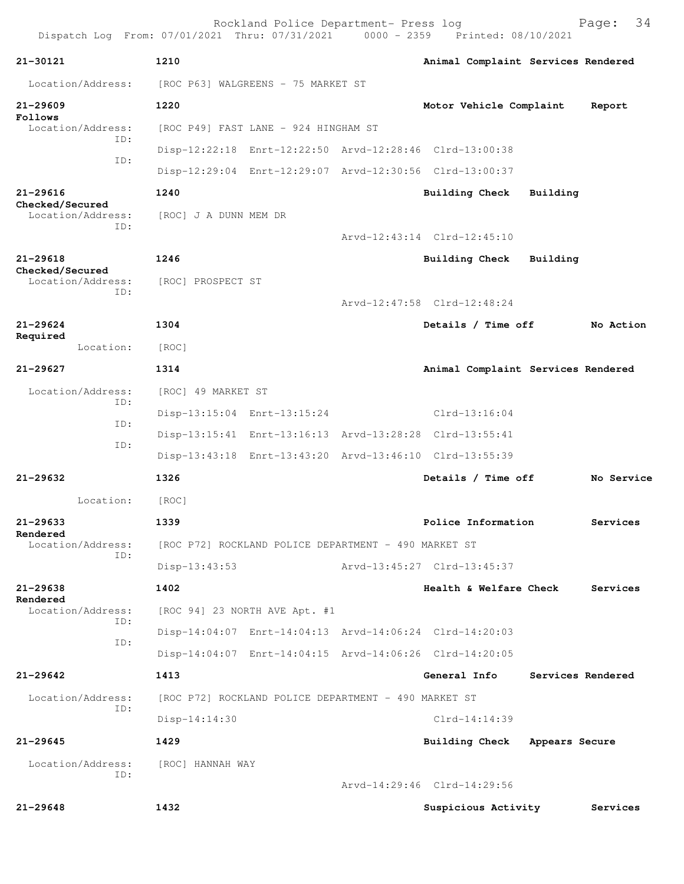| Dispatch Log From: 07/01/2021 Thru: 07/31/2021 0000 - 2359 Printed: 08/10/2021 |                                      | Rockland Police Department- Press log                |  |                                                         |                | Page: 34          |  |
|--------------------------------------------------------------------------------|--------------------------------------|------------------------------------------------------|--|---------------------------------------------------------|----------------|-------------------|--|
| 21-30121                                                                       | 1210                                 |                                                      |  | Animal Complaint Services Rendered                      |                |                   |  |
| Location/Address:                                                              | [ROC P63] WALGREENS - 75 MARKET ST   |                                                      |  |                                                         |                |                   |  |
| $21 - 29609$                                                                   | 1220                                 |                                                      |  | Motor Vehicle Complaint                                 |                | Report            |  |
| Follows<br>Location/Address:<br>TD:                                            | [ROC P49] FAST LANE - 924 HINGHAM ST |                                                      |  |                                                         |                |                   |  |
| TD:                                                                            |                                      |                                                      |  | Disp-12:22:18 Enrt-12:22:50 Arvd-12:28:46 Clrd-13:00:38 |                |                   |  |
|                                                                                |                                      |                                                      |  | Disp-12:29:04 Enrt-12:29:07 Arvd-12:30:56 Clrd-13:00:37 |                |                   |  |
| $21 - 29616$<br>Checked/Secured                                                | 1240                                 |                                                      |  | Building Check                                          | Building       |                   |  |
| Location/Address:<br>TD:                                                       | [ROC] J A DUNN MEM DR                |                                                      |  |                                                         |                |                   |  |
|                                                                                |                                      |                                                      |  | Arvd-12:43:14 Clrd-12:45:10                             |                |                   |  |
| $21 - 29618$                                                                   | 1246                                 |                                                      |  | Building Check                                          | Building       |                   |  |
| Checked/Secured<br>Location/Address:                                           | [ROC] PROSPECT ST                    |                                                      |  |                                                         |                |                   |  |
| ID:                                                                            |                                      |                                                      |  | Arvd-12:47:58 Clrd-12:48:24                             |                |                   |  |
| $21 - 29624$                                                                   | 1304                                 |                                                      |  | Details / Time off                                      |                | No Action         |  |
| Required<br>Location:                                                          | [ROC]                                |                                                      |  |                                                         |                |                   |  |
| 21-29627                                                                       | 1314                                 |                                                      |  | Animal Complaint Services Rendered                      |                |                   |  |
| Location/Address:                                                              | [ROC] 49 MARKET ST                   |                                                      |  |                                                         |                |                   |  |
| ID:                                                                            |                                      | Disp-13:15:04 Enrt-13:15:24                          |  | $Clrd-13:16:04$                                         |                |                   |  |
| TD:                                                                            |                                      |                                                      |  | Disp-13:15:41 Enrt-13:16:13 Arvd-13:28:28 Clrd-13:55:41 |                |                   |  |
| ID:                                                                            |                                      |                                                      |  | Disp-13:43:18 Enrt-13:43:20 Arvd-13:46:10 Clrd-13:55:39 |                |                   |  |
| 21-29632                                                                       | 1326                                 |                                                      |  | Details / Time off                                      |                | No Service        |  |
| Location:                                                                      | [ROC]                                |                                                      |  |                                                         |                |                   |  |
| 21-29633                                                                       | 1339                                 |                                                      |  | Police Information                                      |                | Services          |  |
| Rendered<br>Location/Address:                                                  |                                      | [ROC P72] ROCKLAND POLICE DEPARTMENT - 490 MARKET ST |  |                                                         |                |                   |  |
| TD:                                                                            | Disp-13:43:53                        |                                                      |  | Arvd-13:45:27 Clrd-13:45:37                             |                |                   |  |
| 21-29638                                                                       | 1402                                 |                                                      |  | Health & Welfare Check                                  |                | Services          |  |
| Rendered<br>Location/Address:                                                  |                                      | [ROC 94] 23 NORTH AVE Apt. #1                        |  |                                                         |                |                   |  |
| ID:                                                                            |                                      |                                                      |  | Disp-14:04:07 Enrt-14:04:13 Arvd-14:06:24 Clrd-14:20:03 |                |                   |  |
| ID:                                                                            |                                      |                                                      |  | Disp-14:04:07 Enrt-14:04:15 Arvd-14:06:26 Clrd-14:20:05 |                |                   |  |
| $21 - 29642$                                                                   | 1413                                 |                                                      |  | General Info                                            |                | Services Rendered |  |
| Location/Address:                                                              |                                      | [ROC P72] ROCKLAND POLICE DEPARTMENT - 490 MARKET ST |  |                                                         |                |                   |  |
| ID:                                                                            | Disp-14:14:30                        |                                                      |  | $Clrd-14:14:39$                                         |                |                   |  |
| $21 - 29645$                                                                   | 1429                                 |                                                      |  | <b>Building Check</b>                                   | Appears Secure |                   |  |
| Location/Address:<br>ID:                                                       | [ROC] HANNAH WAY                     |                                                      |  |                                                         |                |                   |  |
|                                                                                |                                      |                                                      |  | Arvd-14:29:46 Clrd-14:29:56                             |                |                   |  |
| $21 - 29648$                                                                   | 1432                                 |                                                      |  | Suspicious Activity                                     |                | Services          |  |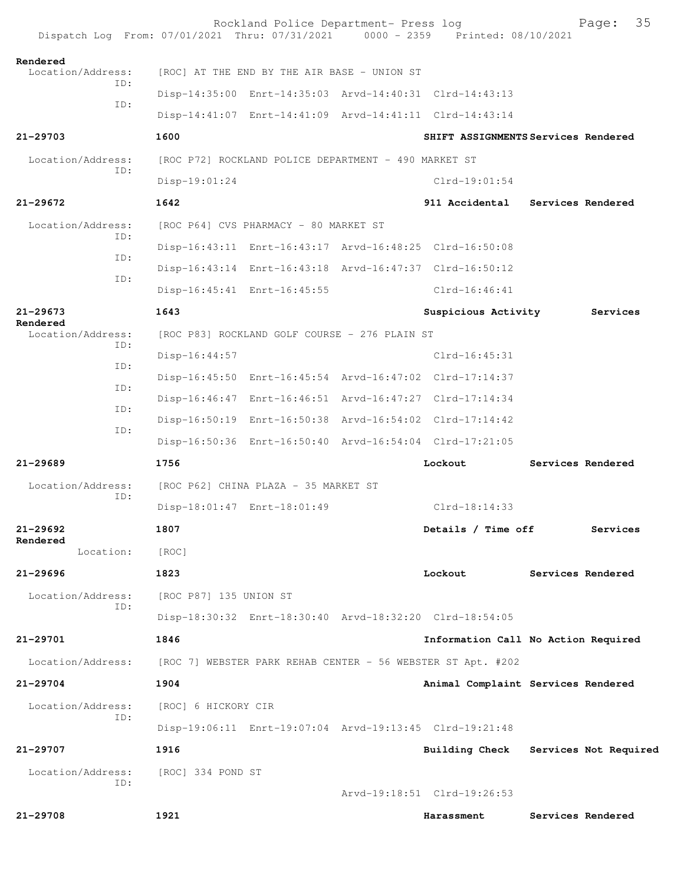| Dispatch Log From: 07/01/2021 Thru: 07/31/2021 0000 - 2359 Printed: 08/10/2021 |                        | Rockland Police Department- Press log                |                                                             | 35<br>Page:                         |
|--------------------------------------------------------------------------------|------------------------|------------------------------------------------------|-------------------------------------------------------------|-------------------------------------|
| Rendered<br>Location/Address:                                                  |                        | [ROC] AT THE END BY THE AIR BASE - UNION ST          |                                                             |                                     |
| ID:                                                                            |                        |                                                      | Disp-14:35:00 Enrt-14:35:03 Arvd-14:40:31 Clrd-14:43:13     |                                     |
| ID:                                                                            |                        |                                                      | Disp-14:41:07 Enrt-14:41:09 Arvd-14:41:11 Clrd-14:43:14     |                                     |
| 21-29703                                                                       | 1600                   |                                                      |                                                             | SHIFT ASSIGNMENTS Services Rendered |
| Location/Address:                                                              |                        | [ROC P72] ROCKLAND POLICE DEPARTMENT - 490 MARKET ST |                                                             |                                     |
| TD:                                                                            | $Disp-19:01:24$        |                                                      | $Clrd-19:01:54$                                             |                                     |
| 21-29672                                                                       | 1642                   |                                                      | 911 Accidental                                              | Services Rendered                   |
| Location/Address:                                                              |                        | [ROC P64] CVS PHARMACY - 80 MARKET ST                |                                                             |                                     |
| ID:                                                                            |                        |                                                      | Disp-16:43:11 Enrt-16:43:17 Arvd-16:48:25 Clrd-16:50:08     |                                     |
| ID:                                                                            |                        |                                                      | Disp-16:43:14 Enrt-16:43:18 Arvd-16:47:37 Clrd-16:50:12     |                                     |
| ID:                                                                            |                        | Disp-16:45:41 Enrt-16:45:55                          | Clrd-16:46:41                                               |                                     |
| $21 - 29673$                                                                   | 1643                   |                                                      | Suspicious Activity                                         | Services                            |
| Rendered<br>Location/Address:                                                  |                        | [ROC P83] ROCKLAND GOLF COURSE - 276 PLAIN ST        |                                                             |                                     |
| ID:                                                                            | $Disp-16:44:57$        |                                                      | $Clrd-16:45:31$                                             |                                     |
| ID:                                                                            |                        |                                                      | Disp-16:45:50 Enrt-16:45:54 Arvd-16:47:02 Clrd-17:14:37     |                                     |
| ID:                                                                            |                        |                                                      | Disp-16:46:47 Enrt-16:46:51 Arvd-16:47:27 Clrd-17:14:34     |                                     |
| ID:                                                                            |                        |                                                      | Disp-16:50:19 Enrt-16:50:38 Arvd-16:54:02 Clrd-17:14:42     |                                     |
| ID:                                                                            |                        |                                                      | Disp-16:50:36 Enrt-16:50:40 Arvd-16:54:04 Clrd-17:21:05     |                                     |
| $21 - 29689$                                                                   | 1756                   |                                                      | Lockout                                                     | Services Rendered                   |
| Location/Address:                                                              |                        | [ROC P62] CHINA PLAZA - 35 MARKET ST                 |                                                             |                                     |
| ID:                                                                            |                        | Disp-18:01:47 Enrt-18:01:49                          | $Clrd-18:14:33$                                             |                                     |
| 21-29692                                                                       | 1807                   |                                                      | Details / Time off                                          | Services                            |
| Rendered<br>Location:                                                          | [ROC]                  |                                                      |                                                             |                                     |
| 21-29696                                                                       | 1823                   |                                                      | Lockout                                                     | Services Rendered                   |
| Location/Address:                                                              | [ROC P87] 135 UNION ST |                                                      |                                                             |                                     |
| ID:                                                                            |                        |                                                      | Disp-18:30:32 Enrt-18:30:40 Arvd-18:32:20 Clrd-18:54:05     |                                     |
| 21-29701                                                                       | 1846                   |                                                      |                                                             | Information Call No Action Required |
| Location/Address:                                                              |                        |                                                      | [ROC 7] WEBSTER PARK REHAB CENTER - 56 WEBSTER ST Apt. #202 |                                     |
| $21 - 29704$                                                                   | 1904                   |                                                      |                                                             | Animal Complaint Services Rendered  |
| Location/Address:<br>ID:                                                       | [ROC] 6 HICKORY CIR    |                                                      |                                                             |                                     |
|                                                                                |                        |                                                      | Disp-19:06:11 Enrt-19:07:04 Arvd-19:13:45 Clrd-19:21:48     |                                     |
| 21-29707                                                                       | 1916                   |                                                      | <b>Building Check</b>                                       | Services Not Required               |
| Location/Address:                                                              | [ROC] 334 POND ST      |                                                      |                                                             |                                     |
| ID:                                                                            |                        |                                                      | Arvd-19:18:51 Clrd-19:26:53                                 |                                     |
| 21-29708                                                                       | 1921                   |                                                      | Harassment                                                  | Services Rendered                   |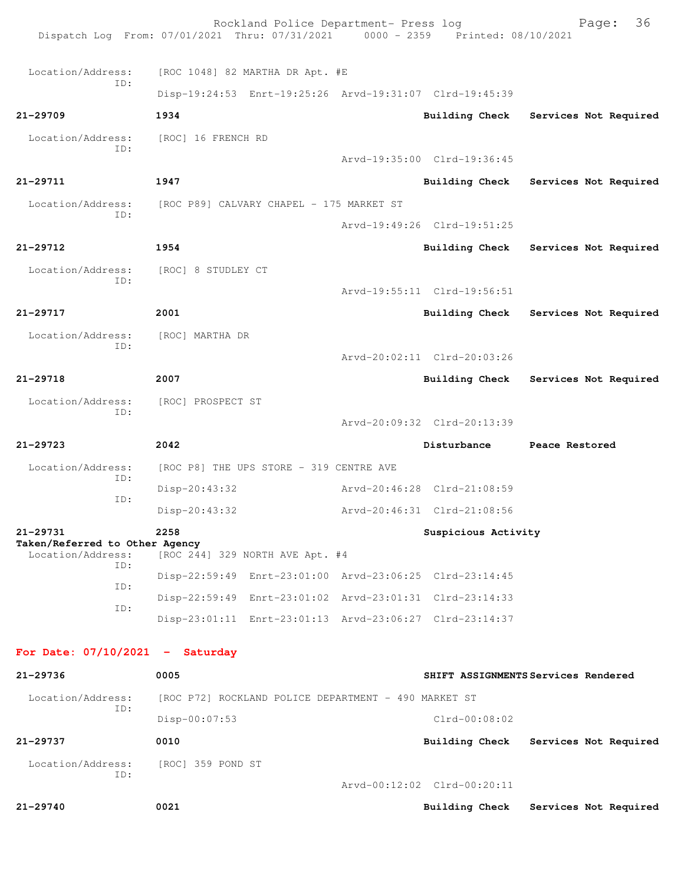| Dispatch Log From: 07/01/2021 Thru: 07/31/2021 0000 - 2359 Printed: 08/10/2021   | 36 |  |  |  |  |  |  |
|----------------------------------------------------------------------------------|----|--|--|--|--|--|--|
| Location/Address:<br>[ROC 1048] 82 MARTHA DR Apt. #E                             |    |  |  |  |  |  |  |
| ID:<br>Disp-19:24:53 Enrt-19:25:26 Arvd-19:31:07 Clrd-19:45:39                   |    |  |  |  |  |  |  |
| $21 - 29709$<br>1934<br>Building Check<br>Services Not Required                  |    |  |  |  |  |  |  |
| Location/Address:<br>[ROC] 16 FRENCH RD                                          |    |  |  |  |  |  |  |
| ID:<br>Arvd-19:35:00 Clrd-19:36:45                                               |    |  |  |  |  |  |  |
| 1947<br>21-29711<br>Building Check<br>Services Not Required                      |    |  |  |  |  |  |  |
| [ROC P89] CALVARY CHAPEL - 175 MARKET ST<br>Location/Address:<br>ID:             |    |  |  |  |  |  |  |
| Arvd-19:49:26 Clrd-19:51:25                                                      |    |  |  |  |  |  |  |
| $21 - 29712$<br>1954<br>Building Check<br>Services Not Required                  |    |  |  |  |  |  |  |
| Location/Address:<br>[ROC] 8 STUDLEY CT<br>ID:                                   |    |  |  |  |  |  |  |
| Arvd-19:55:11 Clrd-19:56:51                                                      |    |  |  |  |  |  |  |
| 21-29717<br>2001<br><b>Building Check</b><br>Services Not Required               |    |  |  |  |  |  |  |
| Location/Address:<br>[ROC] MARTHA DR<br>ID:                                      |    |  |  |  |  |  |  |
| Arvd-20:02:11 Clrd-20:03:26                                                      |    |  |  |  |  |  |  |
| 21-29718<br>2007<br><b>Building Check</b><br>Services Not Required               |    |  |  |  |  |  |  |
| Location/Address:<br>[ROC] PROSPECT ST<br>ID:                                    |    |  |  |  |  |  |  |
| Arvd-20:09:32 Clrd-20:13:39                                                      |    |  |  |  |  |  |  |
| 2042<br>21-29723<br>Disturbance<br>Peace Restored                                |    |  |  |  |  |  |  |
| Location/Address:<br>[ROC P8] THE UPS STORE - 319 CENTRE AVE<br>ID:              |    |  |  |  |  |  |  |
| Arvd-20:46:28 Clrd-21:08:59<br>Disp-20:43:32<br>ID:                              |    |  |  |  |  |  |  |
| Disp-20:43:32<br>Arvd-20:46:31 Clrd-21:08:56                                     |    |  |  |  |  |  |  |
| 21-29731<br>2258<br>Suspicious Activity<br>Taken/Referred to Other Agency        |    |  |  |  |  |  |  |
| Location/Address:<br>[ROC 244] 329 NORTH AVE Apt. #4<br>TD:                      |    |  |  |  |  |  |  |
| Disp-22:59:49 Enrt-23:01:00 Arvd-23:06:25 Clrd-23:14:45<br>ID:                   |    |  |  |  |  |  |  |
| Disp-22:59:49 Enrt-23:01:02 Arvd-23:01:31 Clrd-23:14:33<br>ID:                   |    |  |  |  |  |  |  |
| Disp-23:01:11 Enrt-23:01:13 Arvd-23:06:27 Clrd-23:14:37                          |    |  |  |  |  |  |  |
| For Date: $07/10/2021$ - Saturday                                                |    |  |  |  |  |  |  |
| 21-29736<br>0005<br>SHIFT ASSIGNMENTS Services Rendered                          |    |  |  |  |  |  |  |
| Location/Address:<br>[ROC P72] ROCKLAND POLICE DEPARTMENT - 490 MARKET ST<br>ID: |    |  |  |  |  |  |  |
| Disp-00:07:53<br>Clrd-00:08:02                                                   |    |  |  |  |  |  |  |
| 21-29737<br>0010<br>Building Check<br>Services Not Required                      |    |  |  |  |  |  |  |
|                                                                                  |    |  |  |  |  |  |  |
| Location/Address:<br>[ROC] 359 POND ST<br>ID:<br>Arvd-00:12:02 Clrd-00:20:11     |    |  |  |  |  |  |  |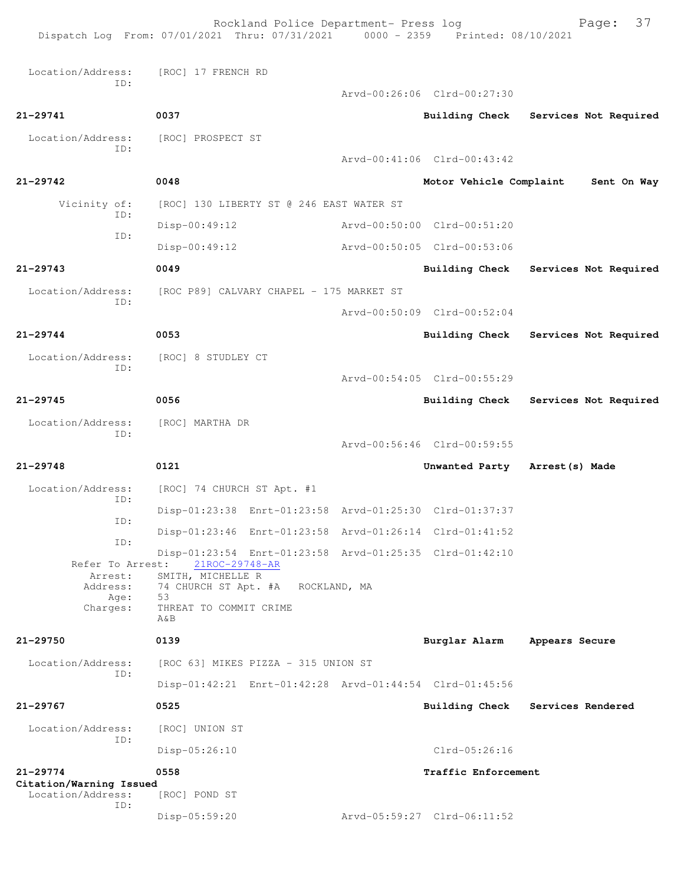|                                                             | Rockland Police Department- Press log<br>Dispatch Log From: 07/01/2021 Thru: 07/31/2021 0000 - 2359 Printed: 08/10/2021 |                             | 37<br>Page:           |
|-------------------------------------------------------------|-------------------------------------------------------------------------------------------------------------------------|-----------------------------|-----------------------|
| Location/Address:                                           | [ROC] 17 FRENCH RD                                                                                                      |                             |                       |
| ID:                                                         |                                                                                                                         | Arvd-00:26:06 Clrd-00:27:30 |                       |
| 21-29741                                                    | 0037                                                                                                                    | <b>Building Check</b>       | Services Not Required |
| Location/Address:                                           | [ROC] PROSPECT ST                                                                                                       |                             |                       |
| ID:                                                         |                                                                                                                         | Arvd-00:41:06 Clrd-00:43:42 |                       |
| $21 - 29742$                                                | 0048                                                                                                                    | Motor Vehicle Complaint     | Sent On Way           |
| Vicinity of:                                                | [ROC] 130 LIBERTY ST @ 246 EAST WATER ST                                                                                |                             |                       |
| ID:                                                         | $Disp-00:49:12$                                                                                                         | Arvd-00:50:00 Clrd-00:51:20 |                       |
| ID:                                                         | Disp-00:49:12                                                                                                           | Arvd-00:50:05 Clrd-00:53:06 |                       |
| $21 - 29743$                                                | 0049                                                                                                                    | <b>Building Check</b>       | Services Not Required |
| Location/Address:                                           | [ROC P89] CALVARY CHAPEL - 175 MARKET ST                                                                                |                             |                       |
| ID:                                                         |                                                                                                                         | Arvd-00:50:09 Clrd-00:52:04 |                       |
| $21 - 29744$                                                | 0053                                                                                                                    | Building Check              | Services Not Required |
| Location/Address:                                           | [ROC] 8 STUDLEY CT                                                                                                      |                             |                       |
| ID:                                                         |                                                                                                                         | Arvd-00:54:05 Clrd-00:55:29 |                       |
| $21 - 29745$                                                | 0056                                                                                                                    | Building Check              | Services Not Required |
| Location/Address:                                           | [ROC] MARTHA DR                                                                                                         |                             |                       |
| ID:                                                         |                                                                                                                         | Arvd-00:56:46 Clrd-00:59:55 |                       |
| $21 - 29748$                                                | 0121                                                                                                                    | Unwanted Party              | Arrest(s) Made        |
| Location/Address:                                           | [ROC] 74 CHURCH ST Apt. #1                                                                                              |                             |                       |
| ID:                                                         | Disp-01:23:38 Enrt-01:23:58 Arvd-01:25:30 Clrd-01:37:37                                                                 |                             |                       |
| ID:                                                         | Disp-01:23:46 Enrt-01:23:58 Arvd-01:26:14 Clrd-01:41:52                                                                 |                             |                       |
| ID:                                                         | Disp-01:23:54 Enrt-01:23:58 Arvd-01:25:35 Clrd-01:42:10                                                                 |                             |                       |
| Refer To Arrest:<br>Arrest:<br>Address:<br>Age:<br>Charges: | 21ROC-29748-AR<br>SMITH, MICHELLE R<br>74 CHURCH ST Apt. #A ROCKLAND, MA<br>53<br>THREAT TO COMMIT CRIME<br>$A\delta B$ |                             |                       |
| $21 - 29750$                                                | 0139                                                                                                                    | Burglar Alarm               | Appears Secure        |
| Location/Address:                                           | [ROC 63] MIKES PIZZA - 315 UNION ST                                                                                     |                             |                       |
| ID:                                                         | Disp-01:42:21 Enrt-01:42:28 Arvd-01:44:54 Clrd-01:45:56                                                                 |                             |                       |
| 21-29767                                                    | 0525                                                                                                                    | <b>Building Check</b>       | Services Rendered     |
| Location/Address:                                           | [ROC] UNION ST                                                                                                          |                             |                       |
| ID:                                                         | $Disp-05:26:10$                                                                                                         | $Clrd-05:26:16$             |                       |
| $21 - 29774$                                                | 0558                                                                                                                    | Traffic Enforcement         |                       |
| Citation/Warning Issued<br>Location/Address:                | [ROC] POND ST                                                                                                           |                             |                       |
| ID:                                                         | Disp-05:59:20                                                                                                           | Arvd-05:59:27 Clrd-06:11:52 |                       |
|                                                             |                                                                                                                         |                             |                       |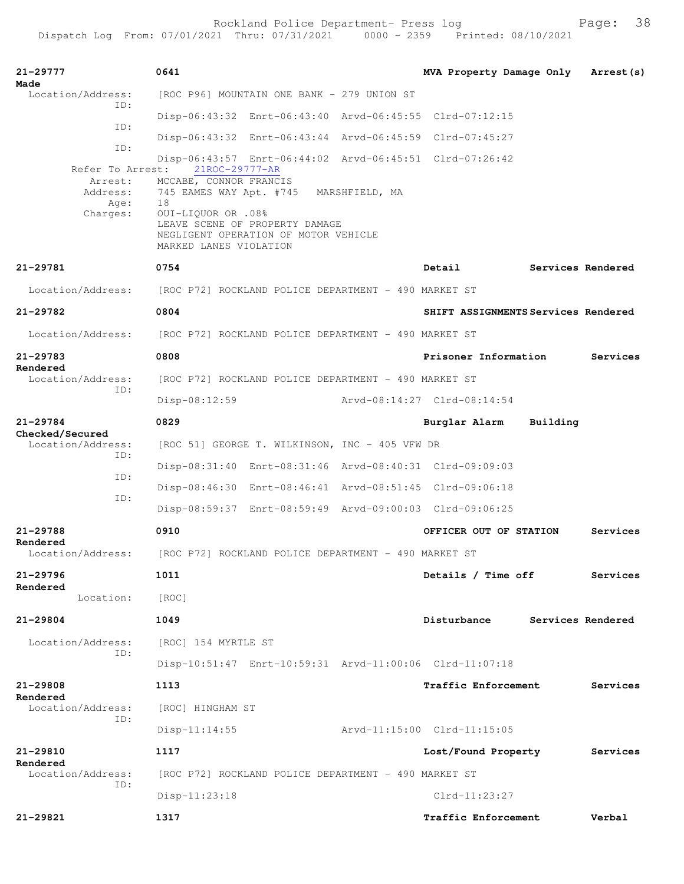Rockland Police Department- Press log Fage: 38

```
21-29777 0641 MVA Property Damage Only Arrest(s)
Made 
 Location/Address: [ROC P96] MOUNTAIN ONE BANK - 279 UNION ST
            ID: 
                 Disp-06:43:32 Enrt-06:43:40 Arvd-06:45:55 Clrd-07:12:15
            ID: 
                 Disp-06:43:32 Enrt-06:43:44 Arvd-06:45:59 Clrd-07:45:27
            ID: 
                 Disp-06:43:57 Enrt-06:44:02 Arvd-06:45:51 Clrd-07:26:42
       Refer To Arrest: 21ROC-29777-AR
         Arrest: MCCABE, CONNOR FRANCIS 
         Address: 745 EAMES WAY Apt. #745 MARSHFIELD, MA
            Age: 18
         Charges: OUI-LIQUOR OR .08%
                 LEAVE SCENE OF PROPERTY DAMAGE
                 NEGLIGENT OPERATION OF MOTOR VEHICLE
                 MARKED LANES VIOLATION
21-29781 0754 Detail Services Rendered
  Location/Address: [ROC P72] ROCKLAND POLICE DEPARTMENT - 490 MARKET ST
21-29782 0804 SHIFT ASSIGNMENTS Services Rendered
  Location/Address: [ROC P72] ROCKLAND POLICE DEPARTMENT - 490 MARKET ST
21-29783 0808 Prisoner Information Services
Rendered 
 Location/Address: [ROC P72] ROCKLAND POLICE DEPARTMENT - 490 MARKET ST
            ID: 
                  Disp-08:12:59 Arvd-08:14:27 Clrd-08:14:54
21-29784 0829 Burglar Alarm Building
Checked/Secured 
  Location/Address: [ROC 51] GEORGE T. WILKINSON, INC - 405 VFW DR
            ID: 
                  Disp-08:31:40 Enrt-08:31:46 Arvd-08:40:31 Clrd-09:09:03
            ID: 
                  Disp-08:46:30 Enrt-08:46:41 Arvd-08:51:45 Clrd-09:06:18
            ID: 
                  Disp-08:59:37 Enrt-08:59:49 Arvd-09:00:03 Clrd-09:06:25
21-29788 0910 OFFICER OUT OF STATION Services
Rendered 
  Location/Address: [ROC P72] ROCKLAND POLICE DEPARTMENT - 490 MARKET ST
21-29796 1011 Details / Time off Services
Rendered 
        Location: [ROC] 
21-29804 1049 Disturbance Services Rendered
 Location/Address: [ROC] 154 MYRTLE ST
            ID: 
                 Disp-10:51:47 Enrt-10:59:31 Arvd-11:00:06 Clrd-11:07:18
21-29808 1113 Traffic Enforcement Services
Rendered 
  Location/Address: [ROC] HINGHAM ST
            ID: 
                 Disp-11:14:55 Arvd-11:15:00 Clrd-11:15:05
21-29810 1117 Lost/Found Property Services
Rendered 
 Location/Address: [ROC P72] ROCKLAND POLICE DEPARTMENT - 490 MARKET ST
            ID: 
                 Disp-11:23:18 Clrd-11:23:27
21-29821 1317 Traffic Enforcement Verbal
```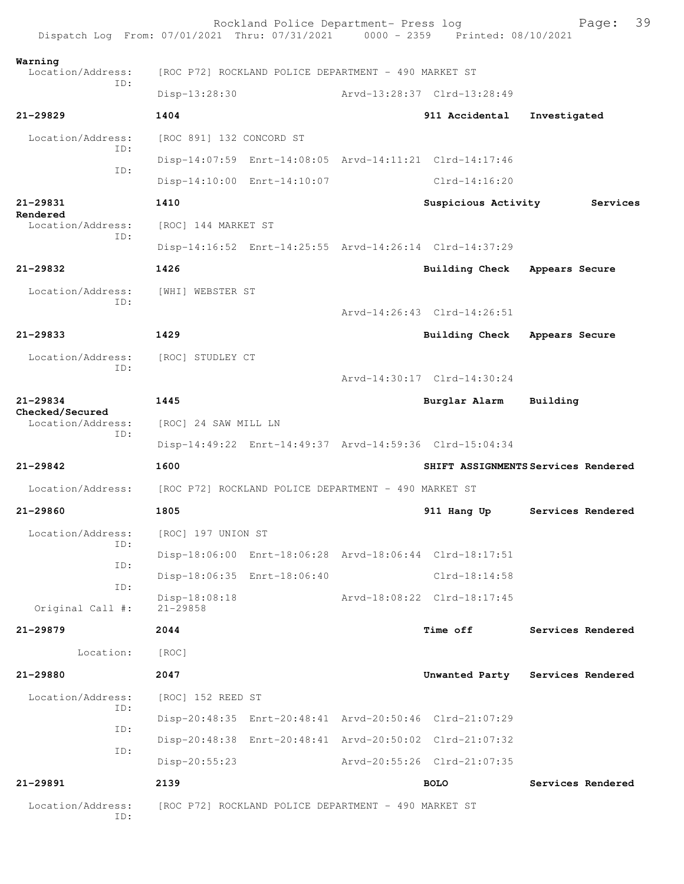|                                      | Rockland Police Department- Press log<br>Dispatch Log From: 07/01/2021 Thru: 07/31/2021 0000 - 2359 Printed: 08/10/2021 |                             | 39<br>Page:                         |
|--------------------------------------|-------------------------------------------------------------------------------------------------------------------------|-----------------------------|-------------------------------------|
| Warning<br>Location/Address:         | [ROC P72] ROCKLAND POLICE DEPARTMENT - 490 MARKET ST                                                                    |                             |                                     |
| ID:                                  | Disp-13:28:30                                                                                                           | Arvd-13:28:37 Clrd-13:28:49 |                                     |
| $21 - 29829$                         | 1404                                                                                                                    | 911 Accidental              | Investigated                        |
| Location/Address:                    | [ROC 891] 132 CONCORD ST                                                                                                |                             |                                     |
| ID:                                  | Disp-14:07:59 Enrt-14:08:05 Arvd-14:11:21 Clrd-14:17:46                                                                 |                             |                                     |
| ID:                                  | Disp-14:10:00 Enrt-14:10:07                                                                                             | $Clrd-14:16:20$             |                                     |
| 21-29831                             | 1410                                                                                                                    | Suspicious Activity         | Services                            |
| Rendered<br>Location/Address:        | [ROC] 144 MARKET ST                                                                                                     |                             |                                     |
| TD:                                  | Disp-14:16:52 Enrt-14:25:55 Arvd-14:26:14 Clrd-14:37:29                                                                 |                             |                                     |
| $21 - 29832$                         | 1426                                                                                                                    | Building Check              | Appears Secure                      |
| Location/Address:                    | [WHI] WEBSTER ST                                                                                                        |                             |                                     |
| TD:                                  |                                                                                                                         | Arvd-14:26:43 Clrd-14:26:51 |                                     |
| 21-29833                             | 1429                                                                                                                    | <b>Building Check</b>       | Appears Secure                      |
| Location/Address:                    | [ROC] STUDLEY CT                                                                                                        |                             |                                     |
| TD:                                  |                                                                                                                         | Arvd-14:30:17 Clrd-14:30:24 |                                     |
| 21-29834                             | 1445                                                                                                                    | Burglar Alarm               | Building                            |
| Checked/Secured<br>Location/Address: | [ROC] 24 SAW MILL LN                                                                                                    |                             |                                     |
| ID:                                  | Disp-14:49:22 Enrt-14:49:37 Arvd-14:59:36 Clrd-15:04:34                                                                 |                             |                                     |
| 21-29842                             | 1600                                                                                                                    |                             | SHIFT ASSIGNMENTS Services Rendered |
| Location/Address:                    | [ROC P72] ROCKLAND POLICE DEPARTMENT - 490 MARKET ST                                                                    |                             |                                     |
| $21 - 29860$                         | 1805                                                                                                                    | 911 Hang Up                 | Services Rendered                   |
| Location/Address:                    | [ROC] 197 UNION ST                                                                                                      |                             |                                     |
| ID:<br>ID:                           | Disp-18:06:00 Enrt-18:06:28 Arvd-18:06:44 Clrd-18:17:51                                                                 |                             |                                     |
| ID:                                  | Disp-18:06:35 Enrt-18:06:40                                                                                             | $Clrd-18:14:58$             |                                     |
| Original Call #:                     | Disp-18:08:18<br>$21 - 29858$                                                                                           | Arvd-18:08:22 Clrd-18:17:45 |                                     |
| $21 - 29879$                         | 2044                                                                                                                    | <b>Time off</b>             | Services Rendered                   |
| Location:                            | [ROC]                                                                                                                   |                             |                                     |
| 21-29880                             | 2047                                                                                                                    |                             | Unwanted Party Services Rendered    |
| Location/Address:                    | [ROC] 152 REED ST                                                                                                       |                             |                                     |
| ID:                                  | Disp-20:48:35 Enrt-20:48:41 Arvd-20:50:46 Clrd-21:07:29                                                                 |                             |                                     |
| ID:                                  | Disp-20:48:38 Enrt-20:48:41 Arvd-20:50:02 Clrd-21:07:32                                                                 |                             |                                     |
| ID:                                  | $Disp-20:55:23$                                                                                                         | Arvd-20:55:26 Clrd-21:07:35 |                                     |
| 21-29891                             | 2139                                                                                                                    | <b>BOLO</b>                 | Services Rendered                   |
| Location/Address:<br>ID:             | [ROC P72] ROCKLAND POLICE DEPARTMENT - 490 MARKET ST                                                                    |                             |                                     |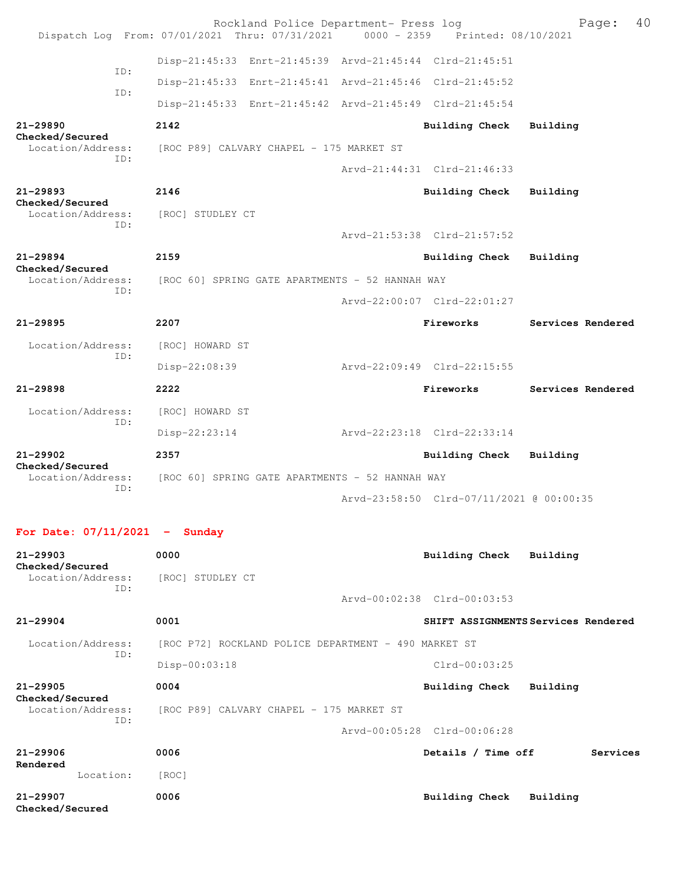|                                 |                                                 |                                                 | Rockland Police Department- Press log                   | Dispatch Log From: 07/01/2021 Thru: 07/31/2021 0000 - 2359 Printed: 08/10/2021 | 40<br>Page:       |
|---------------------------------|-------------------------------------------------|-------------------------------------------------|---------------------------------------------------------|--------------------------------------------------------------------------------|-------------------|
|                                 | ID:                                             |                                                 | Disp-21:45:33 Enrt-21:45:39 Arvd-21:45:44 Clrd-21:45:51 |                                                                                |                   |
|                                 |                                                 |                                                 | Disp-21:45:33 Enrt-21:45:41 Arvd-21:45:46 Clrd-21:45:52 |                                                                                |                   |
|                                 | ID:                                             |                                                 | Disp-21:45:33 Enrt-21:45:42 Arvd-21:45:49 Clrd-21:45:54 |                                                                                |                   |
| 21-29890<br>Checked/Secured     |                                                 | 2142                                            |                                                         | <b>Building Check</b>                                                          | Building          |
| Location/Address:               | ID:                                             |                                                 | [ROC P89] CALVARY CHAPEL - 175 MARKET ST                |                                                                                |                   |
|                                 |                                                 |                                                 |                                                         | Arvd-21:44:31 Clrd-21:46:33                                                    |                   |
| $21 - 29893$<br>Checked/Secured |                                                 | 2146                                            |                                                         | <b>Building Check</b>                                                          | Building          |
| Location/Address:               | ID:                                             | [ROC] STUDLEY CT                                |                                                         |                                                                                |                   |
|                                 |                                                 |                                                 |                                                         | Arvd-21:53:38 Clrd-21:57:52                                                    |                   |
| $21 - 29894$<br>Checked/Secured |                                                 | 2159                                            |                                                         | <b>Building Check</b>                                                          | Building          |
| Location/Address:<br>ID:        | [ROC 60] SPRING GATE APARTMENTS - 52 HANNAH WAY |                                                 |                                                         |                                                                                |                   |
|                                 |                                                 |                                                 |                                                         | Arvd-22:00:07 Clrd-22:01:27                                                    |                   |
| $21 - 29895$                    |                                                 | 2207                                            |                                                         | Fireworks                                                                      | Services Rendered |
| Location/Address:               | ID:                                             | [ROC] HOWARD ST                                 |                                                         |                                                                                |                   |
|                                 |                                                 | Disp-22:08:39                                   |                                                         | Arvd-22:09:49 Clrd-22:15:55                                                    |                   |
| $21 - 29898$                    |                                                 | 2222                                            |                                                         | Fireworks                                                                      | Services Rendered |
| Location/Address:               | ID:                                             | [ROC] HOWARD ST                                 |                                                         |                                                                                |                   |
|                                 |                                                 | Disp-22:23:14                                   |                                                         | Arvd-22:23:18 Clrd-22:33:14                                                    |                   |
| $21 - 29902$<br>Checked/Secured |                                                 | 2357                                            |                                                         | <b>Building Check</b>                                                          | Building          |
| Location/Address:               | ID:                                             | [ROC 60] SPRING GATE APARTMENTS - 52 HANNAH WAY |                                                         |                                                                                |                   |
|                                 |                                                 |                                                 |                                                         | Arvd-23:58:50 Clrd-07/11/2021 @ 00:00:35                                       |                   |
|                                 |                                                 |                                                 |                                                         |                                                                                |                   |

## **For Date: 07/11/2021 - Sunday**

| $21 - 29903$<br>Checked/Secured             | 0000                                                 | Building Check<br>Building          |
|---------------------------------------------|------------------------------------------------------|-------------------------------------|
| Location/Address:<br>ID:                    | [ROC] STUDLEY CT                                     |                                     |
|                                             |                                                      | Arvd-00:02:38 Clrd-00:03:53         |
| $21 - 29904$                                | 0001                                                 | SHIFT ASSIGNMENTS Services Rendered |
| Location/Address:                           | [ROC P72] ROCKLAND POLICE DEPARTMENT - 490 MARKET ST |                                     |
| ID:                                         | $Disp-00:03:18$                                      | $Clrd-00:03:25$                     |
| $21 - 29905$                                | 0004                                                 | Building Check<br>Building          |
| Checked/Secured<br>Location/Address:<br>TD: | [ROC P89] CALVARY CHAPEL - 175 MARKET ST             |                                     |
|                                             |                                                      | Arvd-00:05:28 Clrd-00:06:28         |
| $21 - 29906$<br>Rendered                    | 0006                                                 | Details / Time off<br>Services      |
| Location:                                   | [ROC]                                                |                                     |
| $21 - 29907$<br>Checked/Secured             | 0006                                                 | Building Check<br>Building          |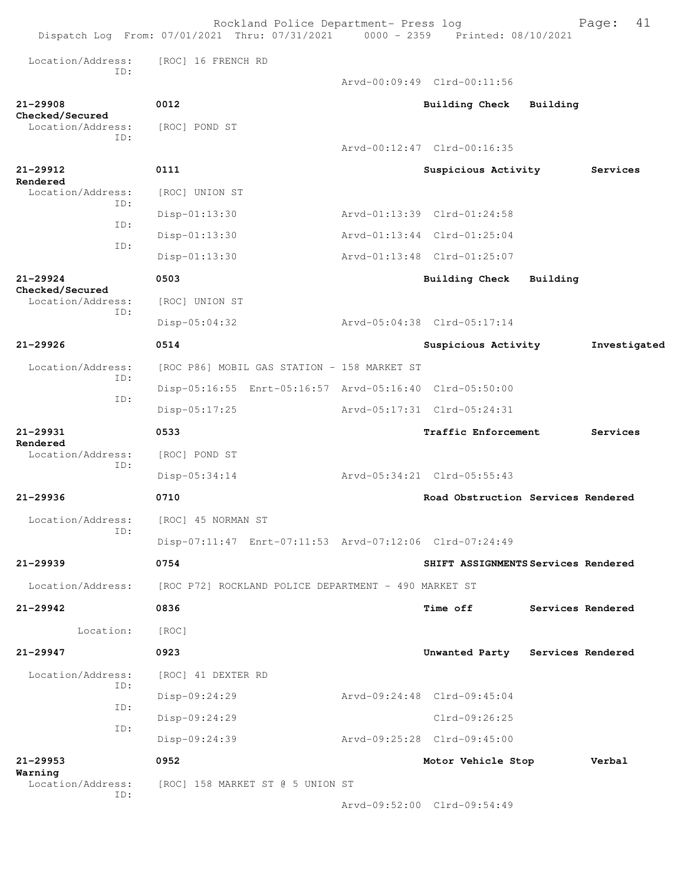|                                      | Rockland Police Department- Press log<br>Dispatch Log From: 07/01/2021 Thru: 07/31/2021 0000 - 2359 Printed: 08/10/2021 |                                     |          | 41<br>Page:       |
|--------------------------------------|-------------------------------------------------------------------------------------------------------------------------|-------------------------------------|----------|-------------------|
| Location/Address:                    | [ROC] 16 FRENCH RD                                                                                                      |                                     |          |                   |
| TD:                                  |                                                                                                                         | Aryd-00:09:49 Clrd-00:11:56         |          |                   |
| $21 - 29908$                         | 0012                                                                                                                    | <b>Building Check</b>               | Building |                   |
| Checked/Secured<br>Location/Address: | [ROC] POND ST                                                                                                           |                                     |          |                   |
| TD:                                  |                                                                                                                         | Aryd-00:12:47 Clrd-00:16:35         |          |                   |
| 21-29912                             | 0111                                                                                                                    | Suspicious Activity                 |          | Services          |
| Rendered<br>Location/Address:        | [ROC] UNION ST                                                                                                          |                                     |          |                   |
| ID:                                  | Disp-01:13:30                                                                                                           | Arvd-01:13:39 Clrd-01:24:58         |          |                   |
| ID:                                  | Disp-01:13:30                                                                                                           | Arvd-01:13:44 Clrd-01:25:04         |          |                   |
| ID:                                  | Disp-01:13:30                                                                                                           | Arvd-01:13:48 Clrd-01:25:07         |          |                   |
| $21 - 29924$                         | 0503                                                                                                                    | Building Check                      | Building |                   |
| Checked/Secured<br>Location/Address: | [ROC] UNION ST                                                                                                          |                                     |          |                   |
| TD:                                  | Disp-05:04:32                                                                                                           | Arvd-05:04:38 Clrd-05:17:14         |          |                   |
| $21 - 29926$                         | 0514                                                                                                                    | Suspicious Activity                 |          | Investigated      |
| Location/Address:                    | [ROC P86] MOBIL GAS STATION - 158 MARKET ST                                                                             |                                     |          |                   |
| ID:                                  | Disp-05:16:55 Enrt-05:16:57 Arvd-05:16:40 Clrd-05:50:00                                                                 |                                     |          |                   |
| ID:                                  | Disp-05:17:25                                                                                                           | Arvd-05:17:31 Clrd-05:24:31         |          |                   |
| $21 - 29931$                         | 0533                                                                                                                    | Traffic Enforcement                 |          | Services          |
| Rendered<br>Location/Address:        | [ROC] POND ST                                                                                                           |                                     |          |                   |
| ID:                                  | Disp-05:34:14                                                                                                           | Arvd-05:34:21 Clrd-05:55:43         |          |                   |
| $21 - 29936$                         | 0710                                                                                                                    | Road Obstruction Services Rendered  |          |                   |
| Location/Address:                    | [ROC] 45 NORMAN ST                                                                                                      |                                     |          |                   |
| TD:                                  | Disp-07:11:47 Enrt-07:11:53 Arvd-07:12:06 Clrd-07:24:49                                                                 |                                     |          |                   |
| 21-29939                             | 0754                                                                                                                    | SHIFT ASSIGNMENTS Services Rendered |          |                   |
| Location/Address:                    | [ROC P72] ROCKLAND POLICE DEPARTMENT - 490 MARKET ST                                                                    |                                     |          |                   |
| $21 - 29942$                         | 0836                                                                                                                    | Time off                            |          | Services Rendered |
| Location:                            | [ROC]                                                                                                                   |                                     |          |                   |
| $21 - 29947$                         | 0923                                                                                                                    | Unwanted Party Services Rendered    |          |                   |
| Location/Address:                    | [ROC] 41 DEXTER RD                                                                                                      |                                     |          |                   |
| ID:                                  | Disp-09:24:29                                                                                                           | Arvd-09:24:48 Clrd-09:45:04         |          |                   |
| ID:                                  | Disp-09:24:29                                                                                                           | $Clrd-09:26:25$                     |          |                   |
| ID:                                  | Disp-09:24:39                                                                                                           | Arvd-09:25:28 Clrd-09:45:00         |          |                   |
| $21 - 29953$                         | 0952                                                                                                                    | Motor Vehicle Stop                  |          | Verbal            |
| Warning<br>Location/Address:         | [ROC] 158 MARKET ST @ 5 UNION ST                                                                                        |                                     |          |                   |
| ID:                                  |                                                                                                                         | Arvd-09:52:00 Clrd-09:54:49         |          |                   |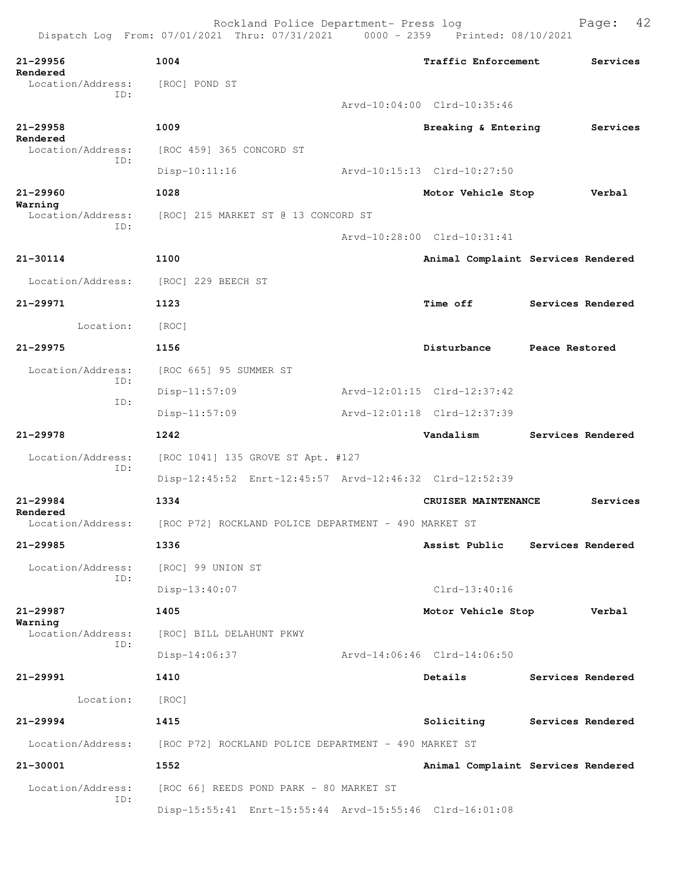Dispatch Log From: 07/01/2021 Thru: 07/31/2021 0000 - 2359 Printed: 08/10/2021 **21-29956 1004 Traffic Enforcement Services Rendered**  Location/Address: [ROC] POND ST ID: Arvd-10:04:00 Clrd-10:35:46 **21-29958 1009 Breaking & Entering Services Rendered**  Location/Address: [ROC 459] 365 CONCORD ST ID: Disp-10:11:16 Arvd-10:15:13 Clrd-10:27:50 **21-29960 1028 Motor Vehicle Stop Verbal Warning**  Location/Address: [ROC] 215 MARKET ST @ 13 CONCORD ST ID: Arvd-10:28:00 Clrd-10:31:41 **21-30114 1100 Animal Complaint Services Rendered** Location/Address: [ROC] 229 BEECH ST **21-29971 1123 Time off Services Rendered** Location: [ROC] **21-29975 1156 Disturbance Peace Restored** Location/Address: [ROC 665] 95 SUMMER ST ID: Disp-11:57:09 Arvd-12:01:15 Clrd-12:37:42 ID: Disp-11:57:09 Arvd-12:01:18 Clrd-12:37:39 **21-29978 1242 Vandalism Services Rendered** Location/Address: [ROC 1041] 135 GROVE ST Apt. #127 ID: Disp-12:45:52 Enrt-12:45:57 Arvd-12:46:32 Clrd-12:52:39 **21-29984 1334 CRUISER MAINTENANCE Services Rendered**  Location/Address: [ROC P72] ROCKLAND POLICE DEPARTMENT - 490 MARKET ST **21-29985 1336 Assist Public Services Rendered** Location/Address: [ROC] 99 UNION ST ID: Disp-13:40:07 Clrd-13:40:16 **21-29987 1405 Motor Vehicle Stop Verbal Warning**  Location/Address: [ROC] BILL DELAHUNT PKWY ID: Disp-14:06:37 Arvd-14:06:46 Clrd-14:06:50 **21-29991 1410 Details Services Rendered** Location: [ROC] **21-29994 1415 Soliciting Services Rendered** Location/Address: [ROC P72] ROCKLAND POLICE DEPARTMENT - 490 MARKET ST **21-30001 1552 Animal Complaint Services Rendered** Location/Address: [ROC 66] REEDS POND PARK - 80 MARKET ST ID: Disp-15:55:41 Enrt-15:55:44 Arvd-15:55:46 Clrd-16:01:08

Rockland Police Department- Press log Fage: 42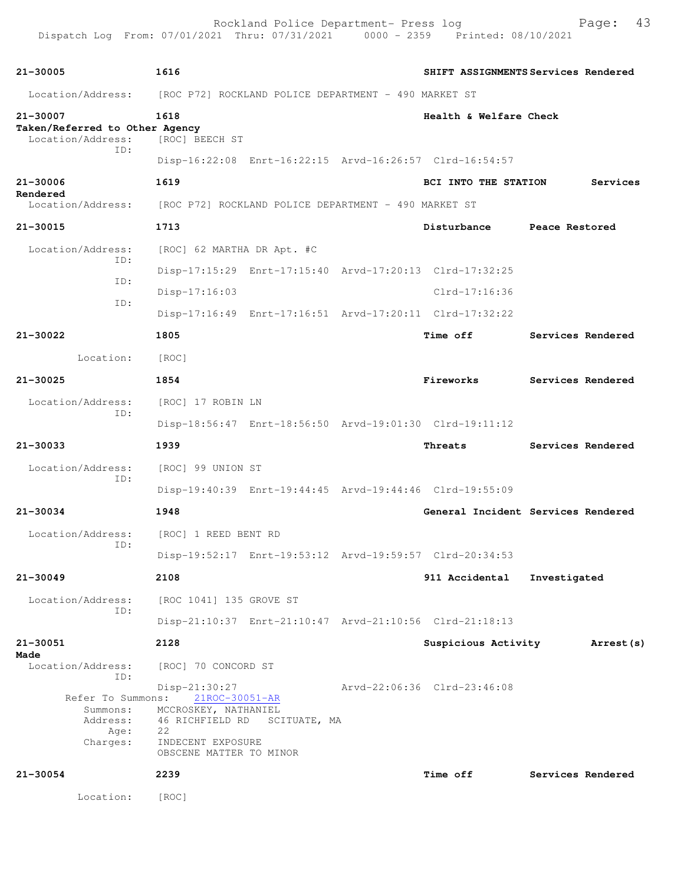| 21-30005                                                      | 1616                                                                                                                                             |                             | SHIFT ASSIGNMENTS Services Rendered |
|---------------------------------------------------------------|--------------------------------------------------------------------------------------------------------------------------------------------------|-----------------------------|-------------------------------------|
|                                                               | Location/Address: [ROC P72] ROCKLAND POLICE DEPARTMENT - 490 MARKET ST                                                                           |                             |                                     |
| 21-30007                                                      | 1618                                                                                                                                             | Health & Welfare Check      |                                     |
| Taken/Referred to Other Agency<br>Location/Address:           | [ROC] BEECH ST                                                                                                                                   |                             |                                     |
| ID:                                                           | Disp-16:22:08 Enrt-16:22:15 Arvd-16:26:57 Clrd-16:54:57                                                                                          |                             |                                     |
| 21-30006                                                      | 1619                                                                                                                                             | BCI INTO THE STATION        | Services                            |
| Rendered                                                      | Location/Address: [ROC P72] ROCKLAND POLICE DEPARTMENT - 490 MARKET ST                                                                           |                             |                                     |
| 21-30015                                                      | 1713                                                                                                                                             | Disturbance Peace Restored  |                                     |
| Location/Address:                                             | [ROC] 62 MARTHA DR Apt. #C                                                                                                                       |                             |                                     |
| ID:                                                           | Disp-17:15:29 Enrt-17:15:40 Arvd-17:20:13 Clrd-17:32:25                                                                                          |                             |                                     |
| ID:                                                           | $Disp-17:16:03$                                                                                                                                  | $Clrd-17:16:36$             |                                     |
| ID:                                                           | Disp-17:16:49 Enrt-17:16:51 Arvd-17:20:11 Clrd-17:32:22                                                                                          |                             |                                     |
| 21-30022                                                      | 1805                                                                                                                                             | <b>Time off</b>             | Services Rendered                   |
| Location: [ROC]                                               |                                                                                                                                                  |                             |                                     |
| $21 - 30025$                                                  | 1854                                                                                                                                             | Fireworks                   | Services Rendered                   |
| Location/Address:                                             | [ROC] 17 ROBIN LN                                                                                                                                |                             |                                     |
| ID:                                                           | Disp-18:56:47 Enrt-18:56:50 Arvd-19:01:30 Clrd-19:11:12                                                                                          |                             |                                     |
| 21-30033                                                      | 1939                                                                                                                                             | Threats                     | Services Rendered                   |
| Location/Address:<br>ID:                                      | [ROC] 99 UNION ST                                                                                                                                |                             |                                     |
|                                                               | Disp-19:40:39 Enrt-19:44:45 Arvd-19:44:46 Clrd-19:55:09                                                                                          |                             |                                     |
| $21 - 30034$                                                  | 1948                                                                                                                                             |                             | General Incident Services Rendered  |
| Location/Address:<br>ID:                                      | [ROC] 1 REED BENT RD                                                                                                                             |                             |                                     |
|                                                               | Disp-19:52:17 Enrt-19:53:12 Arvd-19:59:57 Clrd-20:34:53                                                                                          |                             |                                     |
| 21-30049                                                      | 2108                                                                                                                                             | 911 Accidental              | Investigated                        |
| Location/Address:<br>ID:                                      | [ROC 1041] 135 GROVE ST                                                                                                                          |                             |                                     |
|                                                               | Disp-21:10:37 Enrt-21:10:47 Arvd-21:10:56 Clrd-21:18:13                                                                                          |                             |                                     |
| 21-30051<br>Made                                              | 2128                                                                                                                                             | Suspicious Activity         | Arrest (s)                          |
| Location/Address:<br>ID:                                      | [ROC] 70 CONCORD ST                                                                                                                              |                             |                                     |
| Refer To Summons:<br>Summons:<br>Address:<br>Age:<br>Charges: | Disp-21:30:27<br>21ROC-30051-AR<br>MCCROSKEY, NATHANIEL<br>46 RICHFIELD RD<br>SCITUATE, MA<br>22<br>INDECENT EXPOSURE<br>OBSCENE MATTER TO MINOR | Arvd-22:06:36 Clrd-23:46:08 |                                     |
| 21-30054                                                      | 2239                                                                                                                                             | Time off                    | Services Rendered                   |
| Location:                                                     | [ROC]                                                                                                                                            |                             |                                     |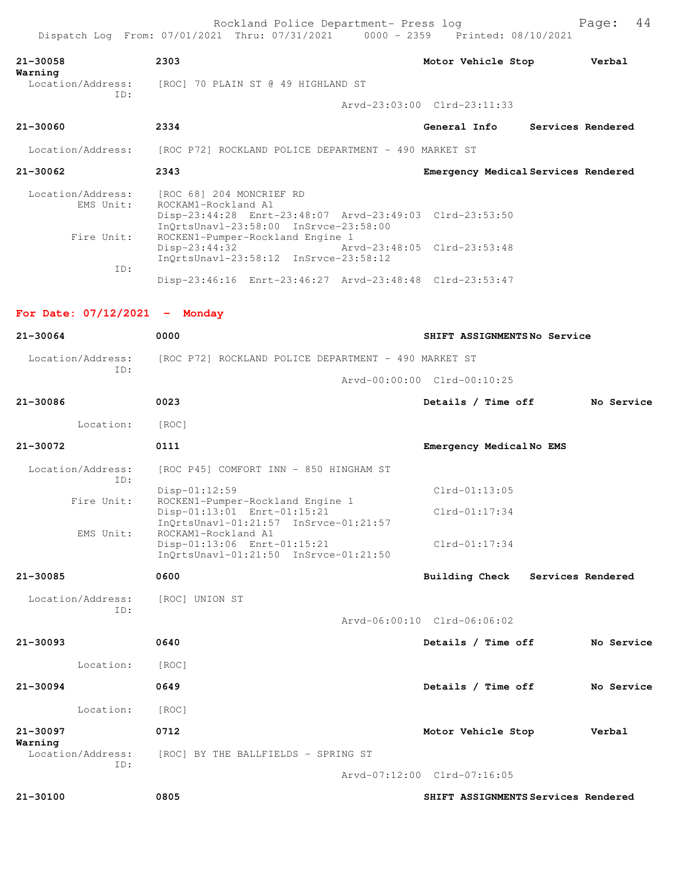| 21-30058<br>Warning            | 2303                                                 | Motor Vehicle Stop<br>Verbal        |
|--------------------------------|------------------------------------------------------|-------------------------------------|
| Location/Address:<br>ID:       | [ROC] 70 PLAIN ST @ 49 HIGHLAND ST                   |                                     |
|                                |                                                      | Arvd-23:03:00 Clrd-23:11:33         |
| 21-30060                       | 2334                                                 | General Info<br>Services Rendered   |
| Location/Address:              | [ROC P72] ROCKLAND POLICE DEPARTMENT - 490 MARKET ST |                                     |
| 21-30062                       | 2343                                                 | Emergency Medical Services Rendered |
| Location/Address:<br>EMS Unit: | [ROC 68] 204 MONCRIEF RD<br>ROCKAM1-Rockland A1      |                                     |

|            |                 | Disp-23:44:28 Enrt-23:48:07 Arvd-23:49:03 Clrd-23:53:50<br>InOrtsUnav1-23:58:00 InSrvce-23:58:00 |                             |
|------------|-----------------|--------------------------------------------------------------------------------------------------|-----------------------------|
| Fire Unit: |                 | ROCKEN1-Pumper-Rockland Engine 1                                                                 |                             |
|            | $Disp-23:44:32$ |                                                                                                  | Arvd-23:48:05 Clrd-23:53:48 |
|            |                 | InOrtsUnav1-23:58:12 InSrvce-23:58:12                                                            |                             |
| TD:        |                 |                                                                                                  |                             |
|            |                 | Disp-23:46:16 Enrt-23:46:27 Arvd-23:48:48 Clrd-23:53:47                                          |                             |

## **For Date: 07/12/2021 - Monday**

| 21-30064                            | 0000                                                                                                     | SHIFT ASSIGNMENTSNo Service         |  |
|-------------------------------------|----------------------------------------------------------------------------------------------------------|-------------------------------------|--|
| Location/Address:                   | [ROC P72] ROCKLAND POLICE DEPARTMENT - 490 MARKET ST                                                     |                                     |  |
| TD:                                 |                                                                                                          | Arvd-00:00:00 Clrd-00:10:25         |  |
| 21-30086                            | 0023                                                                                                     | Details / Time off<br>No Service    |  |
| Location:                           | [ROC]                                                                                                    |                                     |  |
| 21-30072                            | 0111                                                                                                     | Emergency MedicalNo EMS             |  |
| Location/Address:<br>TD:            | [ROC P45] COMFORT INN - 850 HINGHAM ST                                                                   |                                     |  |
|                                     | Disp-01:12:59                                                                                            | $Clrd-01:13:05$                     |  |
| Fire Unit:                          | ROCKEN1-Pumper-Rockland Engine 1<br>Disp-01:13:01 Enrt-01:15:21<br>InQrtsUnavl-01:21:57 InSrvce-01:21:57 | $Clrd-01:17:34$                     |  |
| EMS Unit:                           | ROCKAM1-Rockland A1<br>Disp-01:13:06 Enrt-01:15:21<br>InQrtsUnavl-01:21:50 InSrvce-01:21:50              | $Clrd-01:17:34$                     |  |
| 21-30085                            | 0600                                                                                                     | Building Check<br>Services Rendered |  |
| Location/Address:<br>ID:            | [ROC] UNION ST                                                                                           |                                     |  |
|                                     |                                                                                                          | Arvd-06:00:10 Clrd-06:06:02         |  |
| $21 - 30093$                        | 0640                                                                                                     | Details / Time off<br>No Service    |  |
| Location:                           | [ROC]                                                                                                    |                                     |  |
| $21 - 30094$                        | 0649                                                                                                     | Details / Time off<br>No Service    |  |
| Location:                           | [ROC]                                                                                                    |                                     |  |
| 21-30097                            | 0712                                                                                                     | Verbal<br>Motor Vehicle Stop        |  |
| Warning<br>Location/Address:<br>ID: | [ROC] BY THE BALLFIELDS - SPRING ST                                                                      |                                     |  |
|                                     |                                                                                                          | Arvd-07:12:00 Clrd-07:16:05         |  |
| 21-30100                            | 0805                                                                                                     | SHIFT ASSIGNMENTS Services Rendered |  |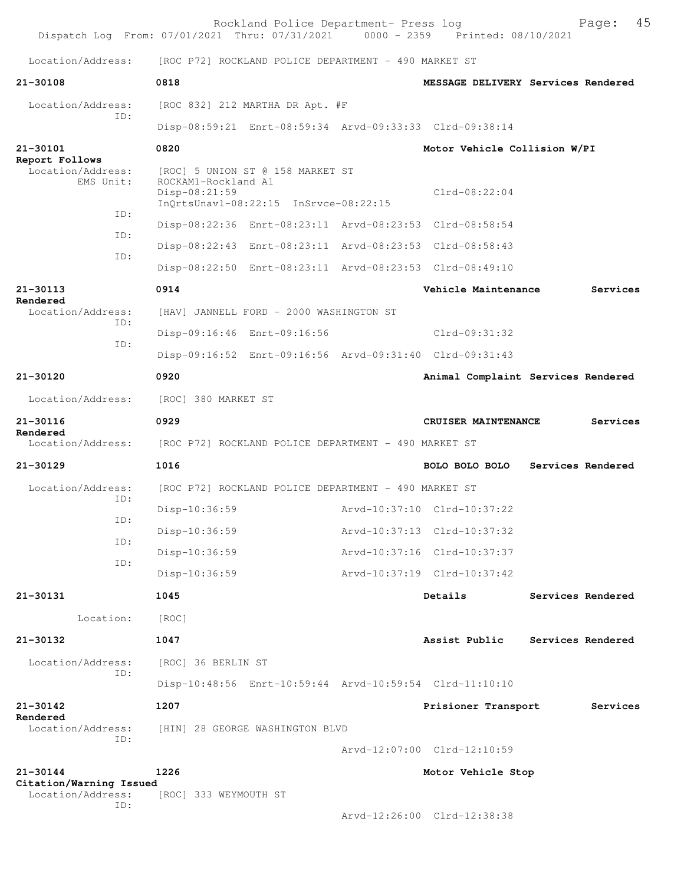|                                                  | Dispatch Log From: 07/01/2021 Thru: 07/31/2021 0000 - 2359 Printed: 08/10/2021                                      | Rockland Police Department- Press log |                              | 45<br>Page:                        |
|--------------------------------------------------|---------------------------------------------------------------------------------------------------------------------|---------------------------------------|------------------------------|------------------------------------|
| Location/Address:                                | [ROC P72] ROCKLAND POLICE DEPARTMENT - 490 MARKET ST                                                                |                                       |                              |                                    |
| $21 - 30108$                                     | 0818                                                                                                                |                                       |                              | MESSAGE DELIVERY Services Rendered |
| Location/Address:                                | [ROC 832] 212 MARTHA DR Apt. #F                                                                                     |                                       |                              |                                    |
| TD:                                              | Disp-08:59:21 Enrt-08:59:34 Arvd-09:33:33 Clrd-09:38:14                                                             |                                       |                              |                                    |
| 21-30101                                         | 0820                                                                                                                |                                       | Motor Vehicle Collision W/PI |                                    |
| Report Follows<br>Location/Address:<br>EMS Unit: | [ROC] 5 UNION ST @ 158 MARKET ST<br>ROCKAM1-Rockland A1<br>$Disp-08:21:59$<br>InQrtsUnavl-08:22:15 InSrvce-08:22:15 |                                       | $Clrd-08:22:04$              |                                    |
| ID:                                              | Disp-08:22:36 Enrt-08:23:11 Arvd-08:23:53 Clrd-08:58:54                                                             |                                       |                              |                                    |
| ID:                                              | Disp-08:22:43 Enrt-08:23:11 Arvd-08:23:53 Clrd-08:58:43                                                             |                                       |                              |                                    |
| TD:                                              | Disp-08:22:50 Enrt-08:23:11 Arvd-08:23:53 Clrd-08:49:10                                                             |                                       |                              |                                    |
| 21-30113                                         | 0914                                                                                                                |                                       | Vehicle Maintenance          | Services                           |
| Rendered<br>Location/Address:                    | [HAV] JANNELL FORD - 2000 WASHINGTON ST                                                                             |                                       |                              |                                    |
| TD:                                              | Disp-09:16:46 Enrt-09:16:56                                                                                         |                                       | Clrd-09:31:32                |                                    |
| ID:                                              | Disp-09:16:52 Enrt-09:16:56 Arvd-09:31:40 Clrd-09:31:43                                                             |                                       |                              |                                    |
| 21-30120                                         | 0920                                                                                                                |                                       |                              | Animal Complaint Services Rendered |
| Location/Address:                                | [ROC] 380 MARKET ST                                                                                                 |                                       |                              |                                    |
| 21-30116<br>Rendered                             | 0929                                                                                                                |                                       | CRUISER MAINTENANCE          | Services                           |
| Location/Address:                                | [ROC P72] ROCKLAND POLICE DEPARTMENT - 490 MARKET ST                                                                |                                       |                              |                                    |
| $21 - 30129$                                     | 1016                                                                                                                |                                       | BOLO BOLO BOLO               | Services Rendered                  |
| Location/Address:<br>ID:                         | [ROC P72] ROCKLAND POLICE DEPARTMENT - 490 MARKET ST                                                                |                                       |                              |                                    |
| ID:                                              | $Disp-10:36:59$                                                                                                     |                                       | Arvd-10:37:10 Clrd-10:37:22  |                                    |
| ID:                                              | Disp-10:36:59                                                                                                       |                                       | Arvd-10:37:13 Clrd-10:37:32  |                                    |
| ID:                                              | $Disp-10:36:59$                                                                                                     |                                       | Arvd-10:37:16 Clrd-10:37:37  |                                    |
|                                                  | Disp-10:36:59                                                                                                       |                                       | Arvd-10:37:19 Clrd-10:37:42  |                                    |
| 21-30131                                         | 1045                                                                                                                |                                       | Details                      | Services Rendered                  |
| Location:                                        | [ROC]                                                                                                               |                                       |                              |                                    |
| 21-30132                                         | 1047                                                                                                                |                                       | Assist Public                | Services Rendered                  |
| Location/Address:<br>ID:                         | [ROC] 36 BERLIN ST                                                                                                  |                                       |                              |                                    |
|                                                  | Disp-10:48:56 Enrt-10:59:44 Arvd-10:59:54 Clrd-11:10:10                                                             |                                       |                              |                                    |
| 21-30142<br>Rendered                             | 1207                                                                                                                |                                       | Prisioner Transport          | Services                           |
| Location/Address:<br>TD:                         | [HIN] 28 GEORGE WASHINGTON BLVD                                                                                     |                                       |                              |                                    |
|                                                  |                                                                                                                     |                                       | Arvd-12:07:00 Clrd-12:10:59  |                                    |
| 21-30144<br>Citation/Warning Issued              | 1226                                                                                                                |                                       | Motor Vehicle Stop           |                                    |
| Location/Address:<br>ID:                         | [ROC] 333 WEYMOUTH ST                                                                                               |                                       |                              |                                    |
|                                                  |                                                                                                                     |                                       | Arvd-12:26:00 Clrd-12:38:38  |                                    |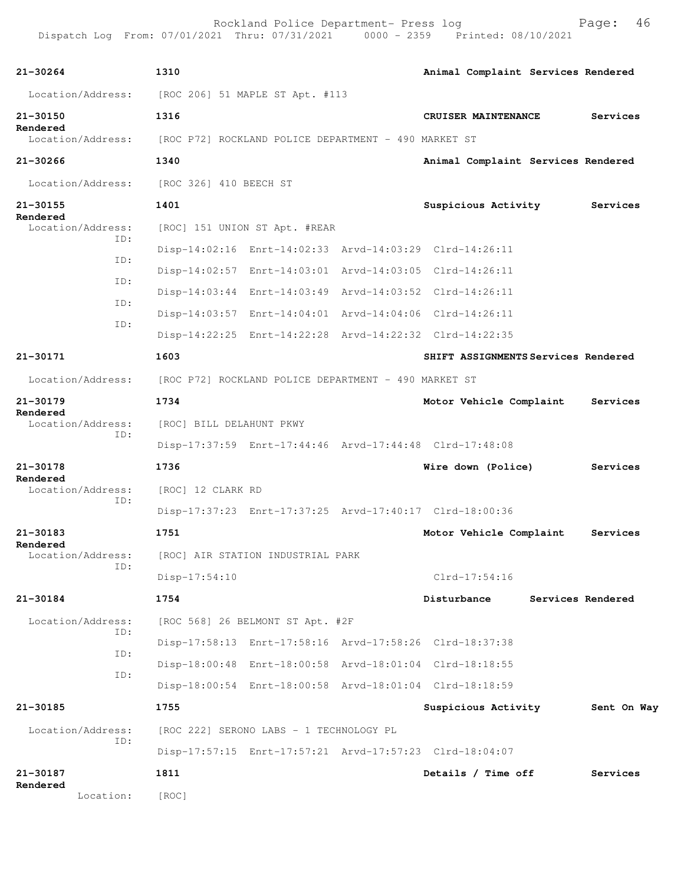| 21-30264                             | 1310                                                    |  | Animal Complaint Services Rendered  |                   |  |
|--------------------------------------|---------------------------------------------------------|--|-------------------------------------|-------------------|--|
|                                      | Location/Address: [ROC 206] 51 MAPLE ST Apt. #113       |  |                                     |                   |  |
| 21-30150                             | 1316                                                    |  | CRUISER MAINTENANCE                 | Services          |  |
| Rendered<br>Location/Address:        | [ROC P72] ROCKLAND POLICE DEPARTMENT - 490 MARKET ST    |  |                                     |                   |  |
| 21-30266                             | 1340                                                    |  | Animal Complaint Services Rendered  |                   |  |
| Location/Address:                    | [ROC 326] 410 BEECH ST                                  |  |                                     |                   |  |
| 21-30155                             | 1401                                                    |  | Suspicious Activity                 | Services          |  |
| Rendered<br>Location/Address:        | [ROC] 151 UNION ST Apt. #REAR                           |  |                                     |                   |  |
| ID:                                  | Disp-14:02:16 Enrt-14:02:33 Arvd-14:03:29 Clrd-14:26:11 |  |                                     |                   |  |
| ID:                                  | Disp-14:02:57 Enrt-14:03:01 Arvd-14:03:05 Clrd-14:26:11 |  |                                     |                   |  |
| ID:                                  | Disp-14:03:44 Enrt-14:03:49 Arvd-14:03:52 Clrd-14:26:11 |  |                                     |                   |  |
| ID:                                  | Disp-14:03:57 Enrt-14:04:01 Arvd-14:04:06 Clrd-14:26:11 |  |                                     |                   |  |
| ID:                                  | Disp-14:22:25 Enrt-14:22:28 Arvd-14:22:32 Clrd-14:22:35 |  |                                     |                   |  |
| 21-30171                             | 1603                                                    |  | SHIFT ASSIGNMENTS Services Rendered |                   |  |
| Location/Address:                    | [ROC P72] ROCKLAND POLICE DEPARTMENT - 490 MARKET ST    |  |                                     |                   |  |
| 21-30179                             | 1734                                                    |  | Motor Vehicle Complaint             | Services          |  |
| Rendered<br>Location/Address:<br>ID: | [ROC] BILL DELAHUNT PKWY                                |  |                                     |                   |  |
|                                      | Disp-17:37:59 Enrt-17:44:46 Arvd-17:44:48 Clrd-17:48:08 |  |                                     |                   |  |
| 21-30178                             | 1736                                                    |  | Wire down (Police)                  | Services          |  |
| Rendered<br>Location/Address:        | [ROC] 12 CLARK RD                                       |  |                                     |                   |  |
| ID:                                  | Disp-17:37:23 Enrt-17:37:25 Arvd-17:40:17 Clrd-18:00:36 |  |                                     |                   |  |
| 21-30183                             | 1751                                                    |  | Motor Vehicle Complaint             | Services          |  |
| Rendered<br>Location/Address:        | [ROC] AIR STATION INDUSTRIAL PARK                       |  |                                     |                   |  |
| ID:                                  | $Disp-17:54:10$                                         |  | $C1rd-17:54:16$                     |                   |  |
| 21-30184                             | 1754                                                    |  | Disturbance                         | Services Rendered |  |
| Location/Address:                    | [ROC 568] 26 BELMONT ST Apt. #2F                        |  |                                     |                   |  |
| ID:                                  | Disp-17:58:13 Enrt-17:58:16 Arvd-17:58:26 Clrd-18:37:38 |  |                                     |                   |  |
| ID:                                  | Disp-18:00:48 Enrt-18:00:58 Arvd-18:01:04 Clrd-18:18:55 |  |                                     |                   |  |
| ID:                                  | Disp-18:00:54 Enrt-18:00:58 Arvd-18:01:04 Clrd-18:18:59 |  |                                     |                   |  |
| 21-30185                             | 1755                                                    |  | Suspicious Activity                 | Sent On Way       |  |
| Location/Address:                    | [ROC 222] SERONO LABS - 1 TECHNOLOGY PL                 |  |                                     |                   |  |
| ID:                                  | Disp-17:57:15 Enrt-17:57:21 Arvd-17:57:23 Clrd-18:04:07 |  |                                     |                   |  |
| 21-30187                             | 1811                                                    |  | Details / Time off                  | Services          |  |
| Rendered<br>Location:                | [ROC]                                                   |  |                                     |                   |  |
|                                      |                                                         |  |                                     |                   |  |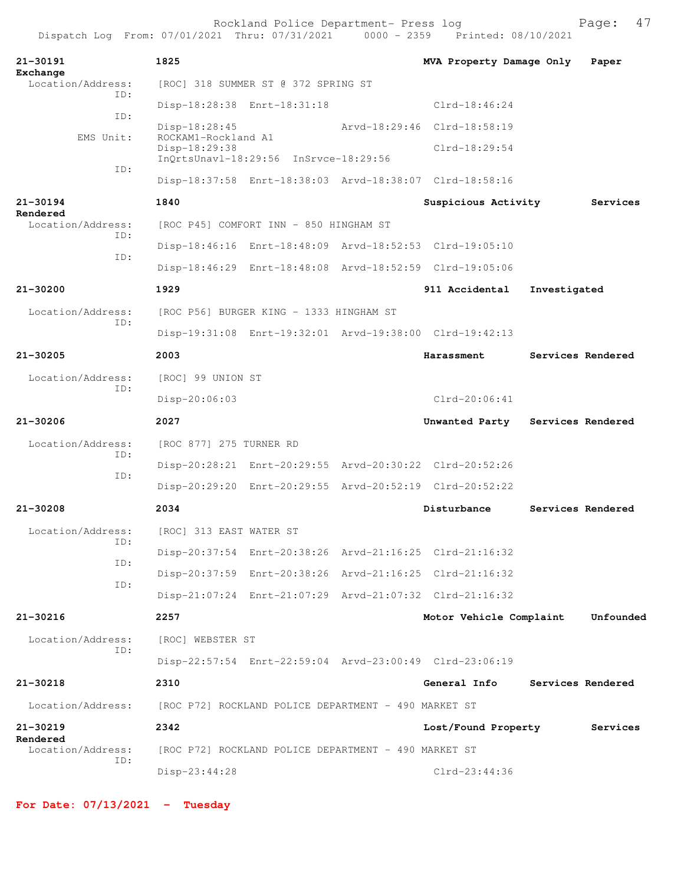| Rockland Police Department- Press log |  |  |  | Page: 47 |  |
|---------------------------------------|--|--|--|----------|--|
|---------------------------------------|--|--|--|----------|--|

| 21-30191<br>Exchange                 | 1825                                                 |                                                      | MVA Property Damage Only                                |              | Paper             |
|--------------------------------------|------------------------------------------------------|------------------------------------------------------|---------------------------------------------------------|--------------|-------------------|
| Location/Address:<br>TD:             |                                                      | [ROC] 318 SUMMER ST @ 372 SPRING ST                  |                                                         |              |                   |
|                                      |                                                      | Disp-18:28:38 Enrt-18:31:18                          | $Clrd-18:46:24$                                         |              |                   |
| ID:                                  | $Disp-18:28:45$                                      |                                                      | Arvd-18:29:46 Clrd-18:58:19                             |              |                   |
| EMS Unit:                            | ROCKAM1-Rockland A1<br>Disp-18:29:38                 | InQrtsUnavl-18:29:56 InSrvce-18:29:56                | $Clrd-18:29:54$                                         |              |                   |
| ID:                                  |                                                      |                                                      | Disp-18:37:58 Enrt-18:38:03 Arvd-18:38:07 Clrd-18:58:16 |              |                   |
| 21-30194                             | 1840                                                 |                                                      | Suspicious Activity                                     |              | Services          |
| Rendered<br>Location/Address:<br>ID: |                                                      | [ROC P45] COMFORT INN - 850 HINGHAM ST               |                                                         |              |                   |
| ID:                                  |                                                      |                                                      | Disp-18:46:16 Enrt-18:48:09 Arvd-18:52:53 Clrd-19:05:10 |              |                   |
|                                      |                                                      |                                                      | Disp-18:46:29 Enrt-18:48:08 Arvd-18:52:59 Clrd-19:05:06 |              |                   |
| 21-30200                             | 1929                                                 |                                                      | 911 Accidental                                          | Investigated |                   |
| Location/Address:                    |                                                      | [ROC P56] BURGER KING - 1333 HINGHAM ST              |                                                         |              |                   |
| ID:                                  |                                                      |                                                      | Disp-19:31:08 Enrt-19:32:01 Arvd-19:38:00 Clrd-19:42:13 |              |                   |
| $21 - 30205$                         | 2003                                                 |                                                      | Harassment                                              |              | Services Rendered |
| Location/Address:<br>TD:             | [ROC] 99 UNION ST                                    |                                                      |                                                         |              |                   |
|                                      | Disp-20:06:03                                        |                                                      | $Clrd-20:06:41$                                         |              |                   |
|                                      |                                                      |                                                      |                                                         |              |                   |
| 21-30206                             | 2027                                                 |                                                      | Unwanted Party                                          |              | Services Rendered |
| Location/Address:                    | [ROC 877] 275 TURNER RD                              |                                                      |                                                         |              |                   |
| ID:                                  |                                                      |                                                      | Disp-20:28:21 Enrt-20:29:55 Arvd-20:30:22 Clrd-20:52:26 |              |                   |
| ID:                                  |                                                      |                                                      | Disp-20:29:20 Enrt-20:29:55 Arvd-20:52:19 Clrd-20:52:22 |              |                   |
| 21-30208                             | 2034                                                 |                                                      | Disturbance                                             |              | Services Rendered |
| Location/Address:                    | [ROC] 313 EAST WATER ST                              |                                                      |                                                         |              |                   |
| ID:                                  |                                                      |                                                      | Disp-20:37:54 Enrt-20:38:26 Arvd-21:16:25 Clrd-21:16:32 |              |                   |
| ID:                                  |                                                      |                                                      | Disp-20:37:59 Enrt-20:38:26 Arvd-21:16:25 Clrd-21:16:32 |              |                   |
| ID:                                  |                                                      |                                                      | Disp-21:07:24 Enrt-21:07:29 Arvd-21:07:32 Clrd-21:16:32 |              |                   |
| 21-30216                             | 2257                                                 |                                                      | Motor Vehicle Complaint                                 |              | Unfounded         |
| Location/Address:                    | [ROC] WEBSTER ST                                     |                                                      |                                                         |              |                   |
| ID:                                  |                                                      |                                                      | Disp-22:57:54 Enrt-22:59:04 Arvd-23:00:49 Clrd-23:06:19 |              |                   |
| $21 - 30218$                         | 2310                                                 |                                                      | General Info                                            |              | Services Rendered |
| Location/Address:                    | [ROC P72] ROCKLAND POLICE DEPARTMENT - 490 MARKET ST |                                                      |                                                         |              |                   |
| $21 - 30219$                         | 2342                                                 |                                                      | Lost/Found Property                                     |              | Services          |
| Rendered<br>Location/Address:<br>ID: |                                                      | [ROC P72] ROCKLAND POLICE DEPARTMENT - 490 MARKET ST |                                                         |              |                   |

**For Date: 07/13/2021 - Tuesday**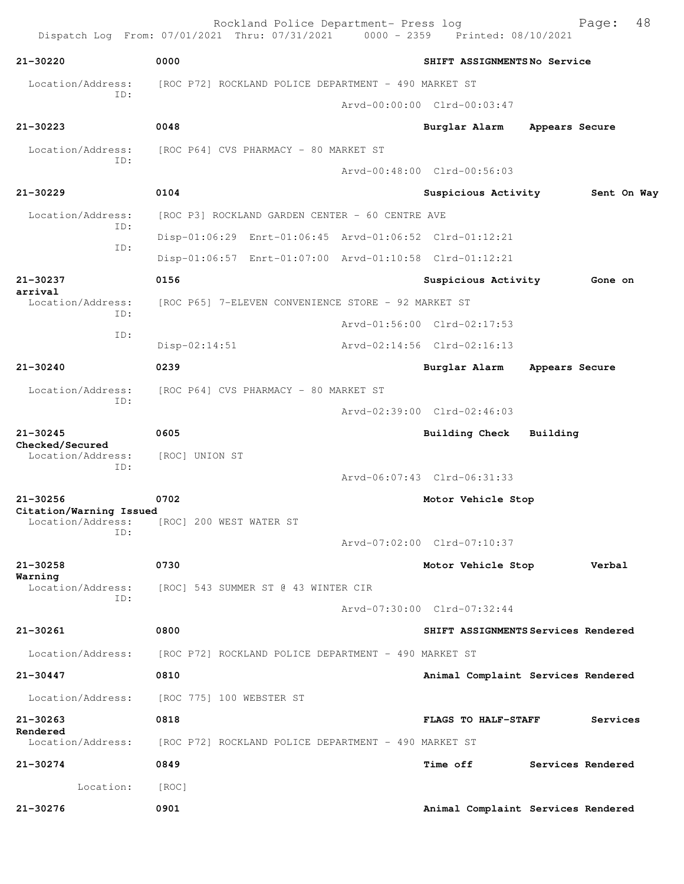Rockland Police Department- Press log Bookland Police Department- Press log<br>21 Thru: 07/31/2021 0000 - 2359 Printed: 08/10/2021 Dispatch Log From: 07/01/2021 Thru: 07/31/2021 **21-30220 0000 SHIFT ASSIGNMENTS No Service** Location/Address: [ROC P72] ROCKLAND POLICE DEPARTMENT - 490 MARKET ST ID: Arvd-00:00:00 Clrd-00:03:47 **21-30223 0048 Burglar Alarm Appears Secure** Location/Address: [ROC P64] CVS PHARMACY - 80 MARKET ST ID: Arvd-00:48:00 Clrd-00:56:03 **21-30229 0104 Suspicious Activity Sent On Way** Location/Address: [ROC P3] ROCKLAND GARDEN CENTER - 60 CENTRE AVE ID: Disp-01:06:29 Enrt-01:06:45 Arvd-01:06:52 Clrd-01:12:21 ID: Disp-01:06:57 Enrt-01:07:00 Arvd-01:10:58 Clrd-01:12:21 **21-30237 0156 Suspicious Activity Gone on arrival**  Location/Address: [ROC P65] 7-ELEVEN CONVENIENCE STORE - 92 MARKET ST ID: Arvd-01:56:00 Clrd-02:17:53 ID: Disp-02:14:51 Arvd-02:14:56 Clrd-02:16:13 **21-30240 0239 Burglar Alarm Appears Secure** Location/Address: [ROC P64] CVS PHARMACY - 80 MARKET ST ID: Arvd-02:39:00 Clrd-02:46:03 **21-30245 0605 Building Check Building Checked/Secured**  Location/Address: [ROC] UNION ST ID: Arvd-06:07:43 Clrd-06:31:33 **21-30256 0702 Motor Vehicle Stop Citation/Warning Issued**  Location/Address: [ROC] 200 WEST WATER ST ID: Arvd-07:02:00 Clrd-07:10:37 **21-30258 0730 Motor Vehicle Stop Verbal Warning**  Location/Address: [ROC] 543 SUMMER ST @ 43 WINTER CIR ID: Arvd-07:30:00 Clrd-07:32:44 **21-30261 0800 SHIFT ASSIGNMENTS Services Rendered** Location/Address: [ROC P72] ROCKLAND POLICE DEPARTMENT - 490 MARKET ST **21-30447 0810 Animal Complaint Services Rendered** Location/Address: [ROC 775] 100 WEBSTER ST **21-30263 0818 FLAGS TO HALF-STAFF Services Rendered**  [ROC P72] ROCKLAND POLICE DEPARTMENT - 490 MARKET ST **21-30274 0849 Time off Services Rendered** Location: [ROC] **21-30276 0901 Animal Complaint Services Rendered**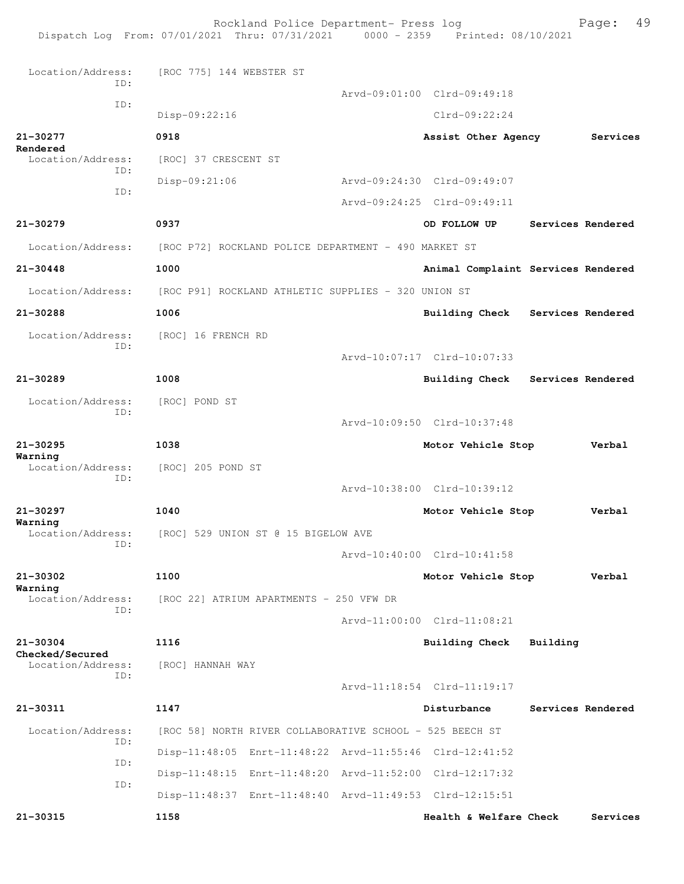Rockland Police Department- Press log Fage: 49 Dispatch Log From: 07/01/2021 Thru: 07/31/2021 0000 - 2359 Printed: 08/10/2021 Location/Address: [ROC 775] 144 WEBSTER ST ID: Arvd-09:01:00 Clrd-09:49:18 ID: Disp-09:22:16 Clrd-09:22:24 **21-30277 0918 Assist Other Agency Services Rendered**  [ROC] 37 CRESCENT ST ID: Disp-09:21:06 Arvd-09:24:30 Clrd-09:49:07 ID: Arvd-09:24:25 Clrd-09:49:11 **21-30279 0937 OD FOLLOW UP Services Rendered** Location/Address: [ROC P72] ROCKLAND POLICE DEPARTMENT - 490 MARKET ST **21-30448 1000 Animal Complaint Services Rendered** Location/Address: [ROC P91] ROCKLAND ATHLETIC SUPPLIES - 320 UNION ST **21-30288 1006 Building Check Services Rendered** Location/Address: [ROC] 16 FRENCH RD ID: Arvd-10:07:17 Clrd-10:07:33 **21-30289 1008 Building Check Services Rendered** Location/Address: [ROC] POND ST ID: Arvd-10:09:50 Clrd-10:37:48 **21-30295 1038 Motor Vehicle Stop Verbal Warning**  Location/Address: [ROC] 205 POND ST ID: Arvd-10:38:00 Clrd-10:39:12 **21-30297 1040 Motor Vehicle Stop Verbal Warning**  Location/Address: [ROC] 529 UNION ST @ 15 BIGELOW AVE ID: Arvd-10:40:00 Clrd-10:41:58 **21-30302 1100 Motor Vehicle Stop Verbal Warning**  [ROC 22] ATRIUM APARTMENTS - 250 VFW DR ID: Arvd-11:00:00 Clrd-11:08:21 **21-30304 1116 Building Check Building Checked/Secured**  Location/Address: [ROC] HANNAH WAY ID: Arvd-11:18:54 Clrd-11:19:17 **21-30311 1147 Disturbance Services Rendered** Location/Address: [ROC 58] NORTH RIVER COLLABORATIVE SCHOOL - 525 BEECH ST ID: Disp-11:48:05 Enrt-11:48:22 Arvd-11:55:46 Clrd-12:41:52 ID: Disp-11:48:15 Enrt-11:48:20 Arvd-11:52:00 Clrd-12:17:32 ID: Disp-11:48:37 Enrt-11:48:40 Arvd-11:49:53 Clrd-12:15:51 **21-30315 1158 Health & Welfare Check Services**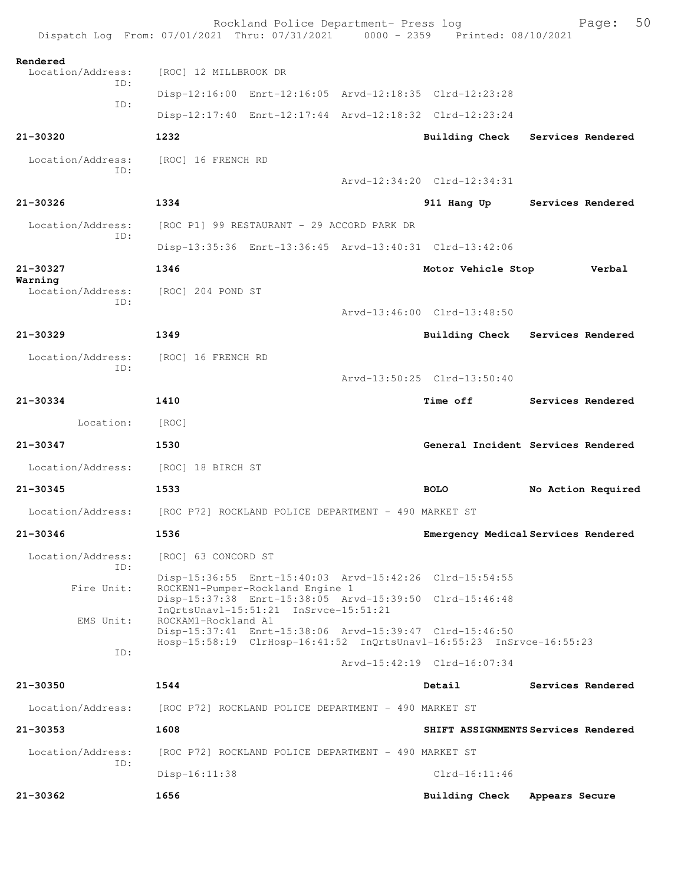|                              | Rockland Police Department- Press log<br>Dispatch Log From: 07/01/2021 Thru: 07/31/2021 0000 - 2359 Printed: 08/10/2021         |                             | 50<br>Page:                         |
|------------------------------|---------------------------------------------------------------------------------------------------------------------------------|-----------------------------|-------------------------------------|
| Rendered                     |                                                                                                                                 |                             |                                     |
| Location/Address:<br>TD:     | [ROC] 12 MILLBROOK DR                                                                                                           |                             |                                     |
| ID:                          | Disp-12:16:00 Enrt-12:16:05 Arvd-12:18:35 Clrd-12:23:28                                                                         |                             |                                     |
|                              | Disp-12:17:40 Enrt-12:17:44 Arvd-12:18:32 Clrd-12:23:24                                                                         |                             |                                     |
| $21 - 30320$                 | 1232                                                                                                                            |                             | Building Check Services Rendered    |
| Location/Address:<br>TD:     | [ROC] 16 FRENCH RD                                                                                                              |                             |                                     |
|                              |                                                                                                                                 | Arvd-12:34:20 Clrd-12:34:31 |                                     |
| $21 - 30326$                 | 1334                                                                                                                            |                             | 911 Hang Up Services Rendered       |
| Location/Address:            | [ROC P1] 99 RESTAURANT - 29 ACCORD PARK DR                                                                                      |                             |                                     |
| TD:                          | Disp-13:35:36 Enrt-13:36:45 Arvd-13:40:31 Clrd-13:42:06                                                                         |                             |                                     |
| $21 - 30327$                 | 1346                                                                                                                            | Motor Vehicle Stop          | Verbal                              |
| Warning<br>Location/Address: | [ROC] 204 POND ST                                                                                                               |                             |                                     |
| TD:                          |                                                                                                                                 | Arvd-13:46:00 Clrd-13:48:50 |                                     |
| $21 - 30329$                 | 1349                                                                                                                            |                             | Building Check Services Rendered    |
| Location/Address:<br>TD:     | [ROC] 16 FRENCH RD                                                                                                              |                             |                                     |
|                              |                                                                                                                                 | Arvd-13:50:25 Clrd-13:50:40 |                                     |
| 21-30334                     | 1410                                                                                                                            | <b>Time off</b>             | <b>Services Rendered</b>            |
| Location:                    | [ROC]                                                                                                                           |                             |                                     |
| 21-30347                     | 1530                                                                                                                            |                             | General Incident Services Rendered  |
| Location/Address:            | [ROC] 18 BIRCH ST                                                                                                               |                             |                                     |
| $21 - 30345$                 | 1533                                                                                                                            | <b>BOLO</b>                 | No Action Required                  |
| Location/Address:            | [ROC P72] ROCKLAND POLICE DEPARTMENT - 490 MARKET ST                                                                            |                             |                                     |
| 21-30346                     | 1536                                                                                                                            |                             | Emergency Medical Services Rendered |
| Location/Address:<br>TD:     | [ROC] 63 CONCORD ST                                                                                                             |                             |                                     |
| Fire Unit:                   | Disp-15:36:55 Enrt-15:40:03 Arvd-15:42:26 Clrd-15:54:55<br>ROCKEN1-Pumper-Rockland Engine 1                                     |                             |                                     |
|                              | Disp-15:37:38 Enrt-15:38:05 Arvd-15:39:50 Clrd-15:46:48<br>InQrtsUnavl-15:51:21 InSrvce-15:51:21<br>ROCKAM1-Rockland A1         |                             |                                     |
| EMS Unit:                    | Disp-15:37:41 Enrt-15:38:06 Arvd-15:39:47 Clrd-15:46:50<br>Hosp-15:58:19 ClrHosp-16:41:52 InQrtsUnavl-16:55:23 InSrvce-16:55:23 |                             |                                     |
| ID:                          |                                                                                                                                 | Arvd-15:42:19 Clrd-16:07:34 |                                     |
| 21-30350                     | 1544                                                                                                                            | Detail                      | Services Rendered                   |
| Location/Address:            | [ROC P72] ROCKLAND POLICE DEPARTMENT - 490 MARKET ST                                                                            |                             |                                     |
| 21-30353                     | 1608                                                                                                                            |                             | SHIFT ASSIGNMENTS Services Rendered |
| Location/Address:<br>ID:     | [ROC P72] ROCKLAND POLICE DEPARTMENT - 490 MARKET ST                                                                            |                             |                                     |
|                              | $Disp-16:11:38$                                                                                                                 | $Clrd-16:11:46$             |                                     |
| 21-30362                     | 1656                                                                                                                            | Building Check              | Appears Secure                      |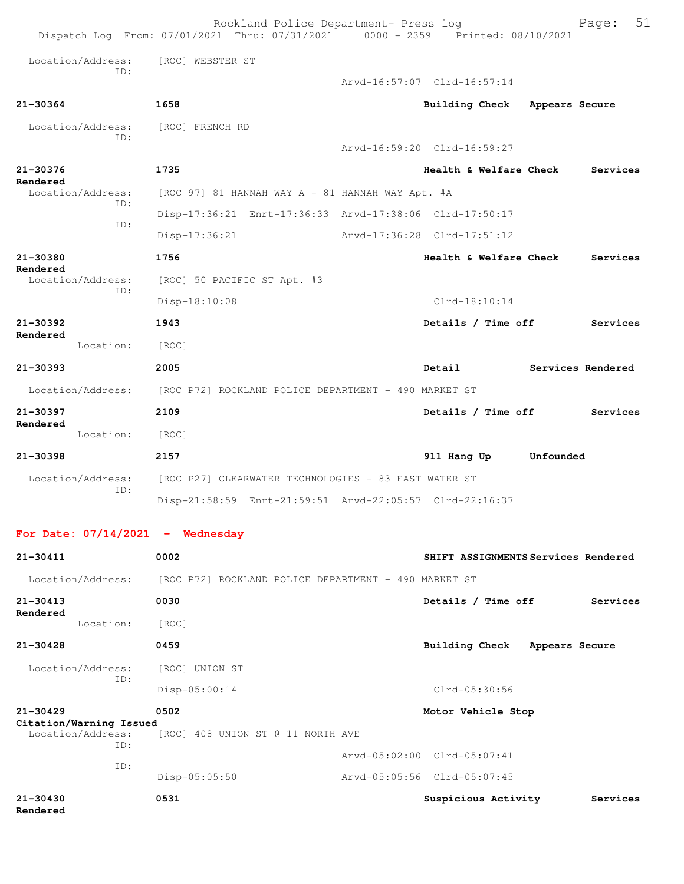|                                    | Rockland Police Department- Press log<br>Dispatch Log From: 07/01/2021 Thru: 07/31/2021 0000 - 2359 Printed: 08/10/2021 |                                     |                | 51<br>Page:       |
|------------------------------------|-------------------------------------------------------------------------------------------------------------------------|-------------------------------------|----------------|-------------------|
| Location/Address:                  | [ROC] WEBSTER ST                                                                                                        |                                     |                |                   |
| TD:                                |                                                                                                                         | Arvd-16:57:07 Clrd-16:57:14         |                |                   |
| 21-30364                           | 1658                                                                                                                    | Building Check                      | Appears Secure |                   |
| Location/Address:                  | [ROC] FRENCH RD                                                                                                         |                                     |                |                   |
| TD:                                |                                                                                                                         | Arvd-16:59:20 Clrd-16:59:27         |                |                   |
| $21 - 30376$<br>Rendered           | 1735                                                                                                                    | Health & Welfare Check              |                | Services          |
| Location/Address:<br>TD:           | [ROC 97] 81 HANNAH WAY A - 81 HANNAH WAY Apt. #A                                                                        |                                     |                |                   |
| ID:                                | Disp-17:36:21 Enrt-17:36:33 Arvd-17:38:06 Clrd-17:50:17                                                                 |                                     |                |                   |
|                                    | $Disp-17:36:21$                                                                                                         | Arvd-17:36:28 Clrd-17:51:12         |                |                   |
| 21-30380                           | 1756                                                                                                                    | Health & Welfare Check              |                | Services          |
| Rendered<br>Location/Address:      | [ROC] 50 PACIFIC ST Apt. #3                                                                                             |                                     |                |                   |
| ID:                                | Disp-18:10:08                                                                                                           | $Clrd-18:10:14$                     |                |                   |
| $21 - 30392$                       | 1943                                                                                                                    | Details / Time off                  |                | Services          |
| Rendered<br>Location:              | [ROC]                                                                                                                   |                                     |                |                   |
| 21-30393                           | 2005                                                                                                                    | Detail                              |                | Services Rendered |
| Location/Address:                  | [ROC P72] ROCKLAND POLICE DEPARTMENT - 490 MARKET ST                                                                    |                                     |                |                   |
| $21 - 30397$                       | 2109                                                                                                                    | Details / Time off                  |                | Services          |
| Rendered<br>Location:              | [ROC]                                                                                                                   |                                     |                |                   |
| $21 - 30398$                       | 2157                                                                                                                    | 911 Hang Up                         | Unfounded      |                   |
| Location/Address:                  | [ROC P27] CLEARWATER TECHNOLOGIES - 83 EAST WATER ST                                                                    |                                     |                |                   |
| ID:                                | Disp-21:58:59 Enrt-21:59:51 Arvd-22:05:57 Clrd-22:16:37                                                                 |                                     |                |                   |
| For Date: $07/14/2021$ - Wednesday |                                                                                                                         |                                     |                |                   |
| $21 - 30411$                       | 0002                                                                                                                    | SHIFT ASSIGNMENTS Services Rendered |                |                   |

| $21 - 30413$                            |     | 0030                                 | Details / Time off          |                | Services |
|-----------------------------------------|-----|--------------------------------------|-----------------------------|----------------|----------|
| Rendered<br>Location:                   |     | [ROC]                                |                             |                |          |
| $21 - 30428$                            |     | 0459                                 | Building Check              | Appears Secure |          |
| Location/Address:                       | ID: | [ROC] UNION ST                       |                             |                |          |
|                                         |     | $Disp-05:00:14$                      | Clrd-05:30:56               |                |          |
| $21 - 30429$<br>Citation/Warning Issued |     | 0502                                 | Motor Vehicle Stop          |                |          |
| Location/Address:                       | ID: | [ROC]<br>408 UNION ST @ 11 NORTH AVE |                             |                |          |
|                                         | ID: |                                      | Arvd-05:02:00 Clrd-05:07:41 |                |          |
|                                         |     | $Disp-05:05:50$                      | Arvd-05:05:56 Clrd-05:07:45 |                |          |
| $21 - 30430$                            |     | 0531                                 | Suspicious Activity         |                | Services |

Location/Address: [ROC P72] ROCKLAND POLICE DEPARTMENT - 490 MARKET ST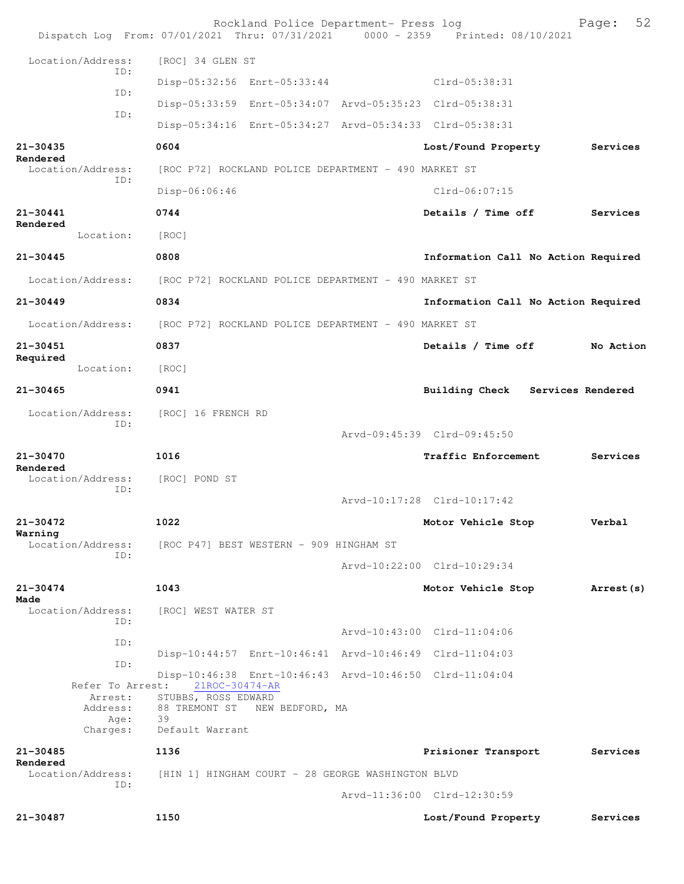|                               | Rockland Police Department- Press log<br>Dispatch Log From: 07/01/2021 Thru: 07/31/2021 0000 - 2359 Printed: 08/10/2021 |                                     | 52<br>Page: |
|-------------------------------|-------------------------------------------------------------------------------------------------------------------------|-------------------------------------|-------------|
| Location/Address:             | [ROC] 34 GLEN ST                                                                                                        |                                     |             |
| TD:                           | Disp-05:32:56 Enrt-05:33:44                                                                                             | Clrd-05:38:31                       |             |
| ID:                           | Disp-05:33:59 Enrt-05:34:07 Arvd-05:35:23 Clrd-05:38:31                                                                 |                                     |             |
| ID:                           | Disp-05:34:16 Enrt-05:34:27 Arvd-05:34:33 Clrd-05:38:31                                                                 |                                     |             |
| $21 - 30435$                  | 0604                                                                                                                    | Lost/Found Property                 | Services    |
| Rendered<br>Location/Address: | [ROC P72] ROCKLAND POLICE DEPARTMENT - 490 MARKET ST                                                                    |                                     |             |
| ID:                           | Disp-06:06:46                                                                                                           | Clrd-06:07:15                       |             |
| $21 - 30441$                  | 0744                                                                                                                    | Details / Time off                  | Services    |
| Rendered<br>Location:         | [ROC]                                                                                                                   |                                     |             |
| $21 - 30445$                  | 0808                                                                                                                    | Information Call No Action Required |             |
| Location/Address:             | [ROC P72] ROCKLAND POLICE DEPARTMENT - 490 MARKET ST                                                                    |                                     |             |
| $21 - 30449$                  | 0834                                                                                                                    | Information Call No Action Required |             |
| Location/Address:             | [ROC P72] ROCKLAND POLICE DEPARTMENT - 490 MARKET ST                                                                    |                                     |             |
| $21 - 30451$                  | 0837                                                                                                                    | Details / Time off                  | No Action   |
| Required<br>Location:         | [ROC]                                                                                                                   |                                     |             |
| $21 - 30465$                  | 0941                                                                                                                    | Building Check Services Rendered    |             |
| Location/Address:             | [ROC] 16 FRENCH RD                                                                                                      |                                     |             |
| ID:                           |                                                                                                                         | Arvd-09:45:39 Clrd-09:45:50         |             |
| $21 - 30470$                  | 1016                                                                                                                    | <b>Traffic Enforcement</b>          | Services    |
| Rendered<br>Location/Address: | [ROC] POND ST                                                                                                           |                                     |             |
| ID:                           |                                                                                                                         | Arvd-10:17:28 Clrd-10:17:42         |             |
| $21 - 30472$                  | 1022                                                                                                                    | Motor Vehicle Stop                  | Verbal      |
| Warning<br>Location/Address:  | [ROC P47] BEST WESTERN - 909 HINGHAM ST                                                                                 |                                     |             |
| ID:                           |                                                                                                                         | Arvd-10:22:00 Clrd-10:29:34         |             |
| $21 - 30474$                  | 1043                                                                                                                    | Motor Vehicle Stop                  | Arrest (s)  |
| Made<br>Location/Address:     | [ROC] WEST WATER ST                                                                                                     |                                     |             |
| ID:                           |                                                                                                                         | Arvd-10:43:00 Clrd-11:04:06         |             |
| ID:                           | Disp-10:44:57 Enrt-10:46:41 Arvd-10:46:49 Clrd-11:04:03                                                                 |                                     |             |
| ID:<br>Refer To Arrest:       | Disp-10:46:38 Enrt-10:46:43 Arvd-10:46:50 Clrd-11:04:04<br>21ROC-30474-AR                                               |                                     |             |
| Arrest:<br>Address:           | STUBBS, ROSS EDWARD<br>88 TREMONT ST NEW BEDFORD, MA                                                                    |                                     |             |
| Age:<br>Charges:              | 39<br>Default Warrant                                                                                                   |                                     |             |
| $21 - 30485$                  | 1136                                                                                                                    | Prisioner Transport                 | Services    |
| Rendered<br>Location/Address: | [HIN 1] HINGHAM COURT - 28 GEORGE WASHINGTON BLVD                                                                       |                                     |             |
| ID:                           |                                                                                                                         | Arvd-11:36:00 Clrd-12:30:59         |             |
| 21-30487                      | 1150                                                                                                                    | Lost/Found Property                 | Services    |
|                               |                                                                                                                         |                                     |             |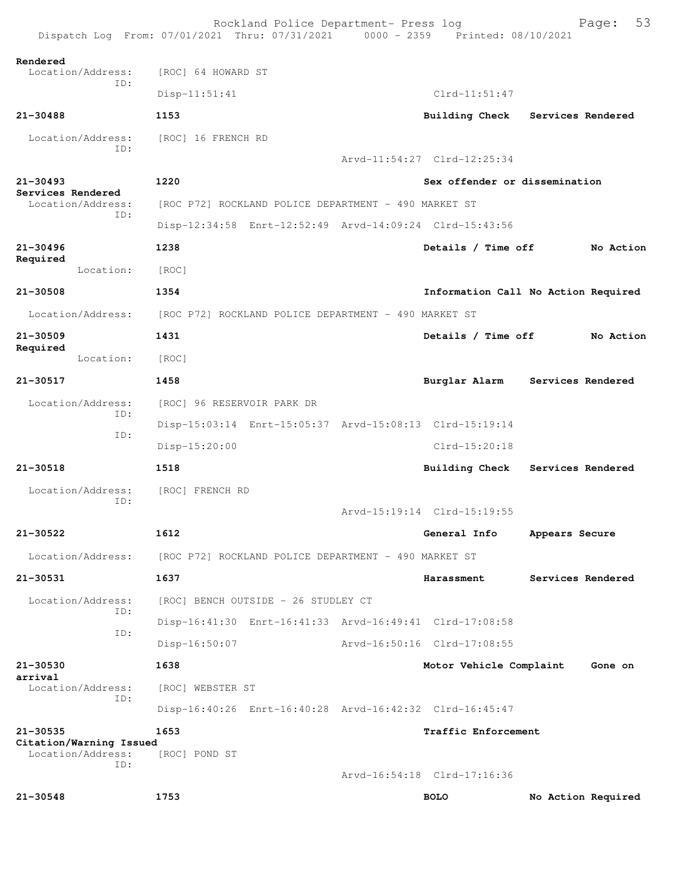|                                     | Rockland Police Department- Press log<br>Dispatch Log From: 07/01/2021 Thru: 07/31/2021 0000 - 2359 Printed: 08/10/2021 |                               | 53<br>Page:                         |
|-------------------------------------|-------------------------------------------------------------------------------------------------------------------------|-------------------------------|-------------------------------------|
| Rendered                            |                                                                                                                         |                               |                                     |
| Location/Address:<br>ID:            | [ROC] 64 HOWARD ST                                                                                                      |                               |                                     |
|                                     | $Disp-11:51:41$                                                                                                         | $Clrd-11:51:47$               |                                     |
| 21-30488                            | 1153                                                                                                                    |                               | Building Check Services Rendered    |
| Location/Address:<br>ID:            | [ROC] 16 FRENCH RD                                                                                                      |                               |                                     |
|                                     |                                                                                                                         | Arvd-11:54:27 Clrd-12:25:34   |                                     |
| $21 - 30493$<br>Services Rendered   | 1220                                                                                                                    | Sex offender or dissemination |                                     |
| Location/Address:<br>ID:            | [ROC P72] ROCKLAND POLICE DEPARTMENT - 490 MARKET ST                                                                    |                               |                                     |
|                                     | Disp-12:34:58 Enrt-12:52:49 Arvd-14:09:24 Clrd-15:43:56                                                                 |                               |                                     |
| $21 - 30496$                        | 1238                                                                                                                    | Details / Time off            | No Action                           |
| Required<br>Location:               | [ROC]                                                                                                                   |                               |                                     |
| 21-30508                            | 1354                                                                                                                    |                               | Information Call No Action Required |
| Location/Address:                   | [ROC P72] ROCKLAND POLICE DEPARTMENT - 490 MARKET ST                                                                    |                               |                                     |
| $21 - 30509$                        | 1431                                                                                                                    | Details / Time off            | No Action                           |
| Required<br>Location:               | [ROC]                                                                                                                   |                               |                                     |
| $21 - 30517$                        | 1458                                                                                                                    | Burglar Alarm                 | Services Rendered                   |
| Location/Address:                   | [ROC] 96 RESERVOIR PARK DR                                                                                              |                               |                                     |
| ID:                                 | Disp-15:03:14 Enrt-15:05:37 Arvd-15:08:13 Clrd-15:19:14                                                                 |                               |                                     |
| ID:                                 | Disp-15:20:00                                                                                                           | Clrd-15:20:18                 |                                     |
| $21 - 30518$                        | 1518                                                                                                                    | <b>Building Check</b>         | Services Rendered                   |
| Location/Address:                   | [ROC] FRENCH RD                                                                                                         |                               |                                     |
| ID:                                 |                                                                                                                         | Arvd-15:19:14 Clrd-15:19:55   |                                     |
| 21-30522                            | 1612                                                                                                                    | General Info                  | Appears Secure                      |
| Location/Address:                   | [ROC P72] ROCKLAND POLICE DEPARTMENT - 490 MARKET ST                                                                    |                               |                                     |
| 21-30531                            | 1637                                                                                                                    | Harassment                    | Services Rendered                   |
| Location/Address:                   | [ROC] BENCH OUTSIDE - 26 STUDLEY CT                                                                                     |                               |                                     |
| ID:                                 | Disp-16:41:30 Enrt-16:41:33 Arvd-16:49:41 Clrd-17:08:58                                                                 |                               |                                     |
| ID:                                 | $Disp-16:50:07$                                                                                                         | Arvd-16:50:16 Clrd-17:08:55   |                                     |
| 21-30530                            | 1638                                                                                                                    | Motor Vehicle Complaint       | Gone on                             |
| arrival                             |                                                                                                                         |                               |                                     |
| Location/Address:<br>ID:            | [ROC] WEBSTER ST                                                                                                        |                               |                                     |
|                                     | Disp-16:40:26 Enrt-16:40:28 Arvd-16:42:32 Clrd-16:45:47                                                                 |                               |                                     |
| 21-30535<br>Citation/Warning Issued | 1653                                                                                                                    | <b>Traffic Enforcement</b>    |                                     |
| Location/Address:<br>TD:            | [ROC] POND ST                                                                                                           |                               |                                     |
|                                     |                                                                                                                         | Arvd-16:54:18 Clrd-17:16:36   |                                     |
| $21 - 30548$                        | 1753                                                                                                                    | <b>BOLO</b>                   | No Action Required                  |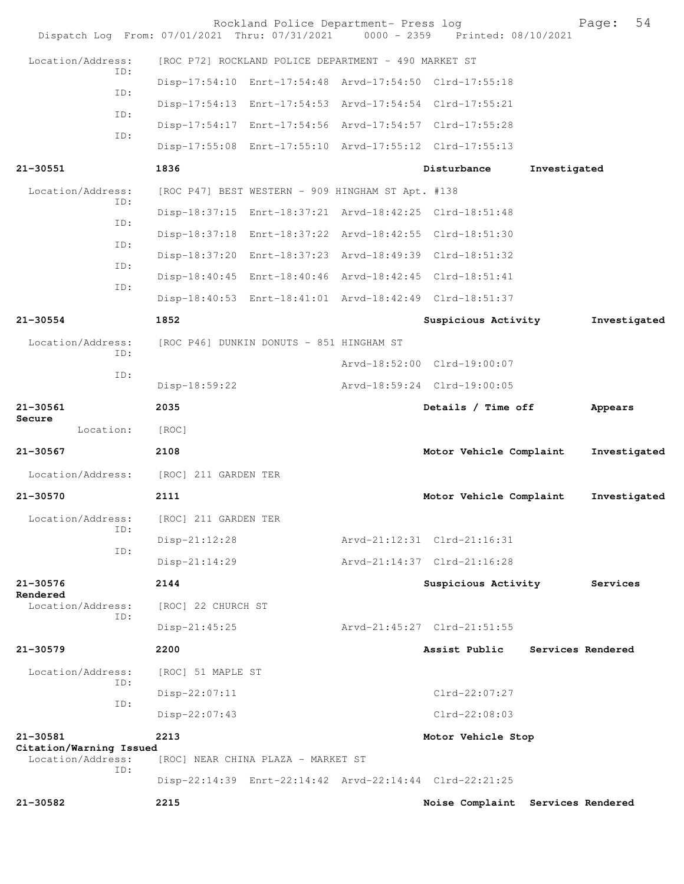|                                              |     | Dispatch Log From: 07/01/2021 Thru: 07/31/2021    | Rockland Police Department- Press log                | 0000 - 2359 Printed: 08/10/2021                         |                   | Page:        | 54 |
|----------------------------------------------|-----|---------------------------------------------------|------------------------------------------------------|---------------------------------------------------------|-------------------|--------------|----|
| Location/Address:                            |     |                                                   | [ROC P72] ROCKLAND POLICE DEPARTMENT - 490 MARKET ST |                                                         |                   |              |    |
|                                              | ID: |                                                   |                                                      | Disp-17:54:10 Enrt-17:54:48 Arvd-17:54:50 Clrd-17:55:18 |                   |              |    |
|                                              | ID: |                                                   |                                                      | Disp-17:54:13 Enrt-17:54:53 Arvd-17:54:54 Clrd-17:55:21 |                   |              |    |
|                                              | ID: |                                                   |                                                      | Disp-17:54:17 Enrt-17:54:56 Arvd-17:54:57 Clrd-17:55:28 |                   |              |    |
|                                              | ID: |                                                   |                                                      | Disp-17:55:08 Enrt-17:55:10 Arvd-17:55:12 Clrd-17:55:13 |                   |              |    |
| 21-30551                                     |     | 1836                                              |                                                      | Disturbance                                             | Investigated      |              |    |
| Location/Address:                            |     | [ROC P47] BEST WESTERN - 909 HINGHAM ST Apt. #138 |                                                      |                                                         |                   |              |    |
|                                              | ID: |                                                   |                                                      | Disp-18:37:15 Enrt-18:37:21 Arvd-18:42:25 Clrd-18:51:48 |                   |              |    |
|                                              | ID: |                                                   |                                                      | Disp-18:37:18 Enrt-18:37:22 Arvd-18:42:55 Clrd-18:51:30 |                   |              |    |
|                                              | ID: |                                                   |                                                      | Disp-18:37:20 Enrt-18:37:23 Arvd-18:49:39 Clrd-18:51:32 |                   |              |    |
|                                              | ID: |                                                   |                                                      | Disp-18:40:45 Enrt-18:40:46 Arvd-18:42:45 Clrd-18:51:41 |                   |              |    |
|                                              | ID: |                                                   |                                                      | Disp-18:40:53 Enrt-18:41:01 Arvd-18:42:49 Clrd-18:51:37 |                   |              |    |
| $21 - 30554$                                 |     | 1852                                              |                                                      | Suspicious Activity                                     |                   | Investigated |    |
| Location/Address:                            |     | [ROC P46] DUNKIN DONUTS - 851 HINGHAM ST          |                                                      |                                                         |                   |              |    |
|                                              | ID: |                                                   |                                                      | Arvd-18:52:00 Clrd-19:00:07                             |                   |              |    |
|                                              | ID: | $Disp-18:59:22$                                   |                                                      | Arvd-18:59:24 Clrd-19:00:05                             |                   |              |    |
| 21-30561                                     |     | 2035                                              |                                                      | Details / Time off                                      |                   | Appears      |    |
| Secure<br>Location:                          |     | [ROC]                                             |                                                      |                                                         |                   |              |    |
| 21-30567                                     |     | 2108                                              |                                                      | Motor Vehicle Complaint                                 |                   | Investigated |    |
| Location/Address:                            |     | [ROC] 211 GARDEN TER                              |                                                      |                                                         |                   |              |    |
| 21-30570                                     |     | 2111                                              |                                                      | Motor Vehicle Complaint                                 |                   | Investigated |    |
| Location/Address:                            |     | [ROC] 211 GARDEN TER                              |                                                      |                                                         |                   |              |    |
|                                              | ID: | $Disp-21:12:28$                                   |                                                      | Arvd-21:12:31 Clrd-21:16:31                             |                   |              |    |
|                                              | ID: | $Disp-21:14:29$                                   |                                                      | Arvd-21:14:37 Clrd-21:16:28                             |                   |              |    |
| 21-30576                                     |     | 2144                                              |                                                      | Suspicious Activity                                     |                   | Services     |    |
| Rendered<br>Location/Address:                |     | [ROC] 22 CHURCH ST                                |                                                      |                                                         |                   |              |    |
|                                              | ID: | $Disp-21:45:25$                                   |                                                      | Arvd-21:45:27 Clrd-21:51:55                             |                   |              |    |
| 21-30579                                     |     | 2200                                              |                                                      | Assist Public                                           | Services Rendered |              |    |
| Location/Address:                            |     | [ROC] 51 MAPLE ST                                 |                                                      |                                                         |                   |              |    |
|                                              | ID: | Disp-22:07:11                                     |                                                      | $Clrd-22:07:27$                                         |                   |              |    |
|                                              | ID: | Disp-22:07:43                                     |                                                      | $Clrd-22:08:03$                                         |                   |              |    |
| 21-30581                                     |     | 2213                                              |                                                      | Motor Vehicle Stop                                      |                   |              |    |
| Citation/Warning Issued<br>Location/Address: |     |                                                   | [ROC] NEAR CHINA PLAZA - MARKET ST                   |                                                         |                   |              |    |
|                                              | ID: |                                                   |                                                      | Disp-22:14:39 Enrt-22:14:42 Arvd-22:14:44 Clrd-22:21:25 |                   |              |    |
| 21-30582                                     |     | 2215                                              |                                                      | Noise Complaint Services Rendered                       |                   |              |    |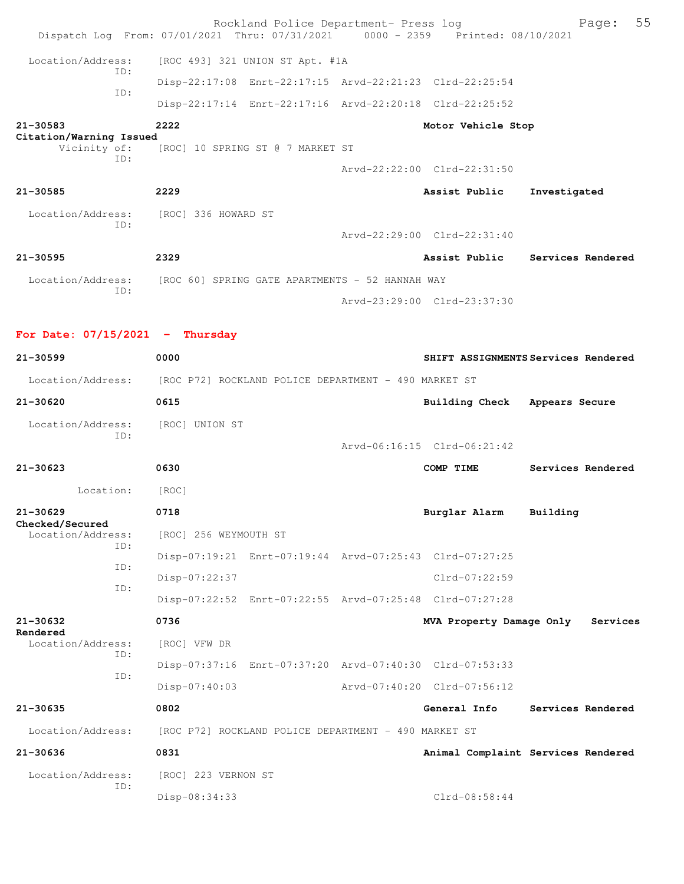|                                     | Rockland Police Department- Press log                                          |                               | 55<br>Page:                         |
|-------------------------------------|--------------------------------------------------------------------------------|-------------------------------|-------------------------------------|
|                                     | Dispatch Log From: 07/01/2021 Thru: 07/31/2021 0000 - 2359 Printed: 08/10/2021 |                               |                                     |
| Location/Address:<br>ID:            | [ROC 493] 321 UNION ST Apt. #1A                                                |                               |                                     |
| ID:                                 | Disp-22:17:08 Enrt-22:17:15 Arvd-22:21:23 Clrd-22:25:54                        |                               |                                     |
|                                     | Disp-22:17:14 Enrt-22:17:16 Arvd-22:20:18 Clrd-22:25:52                        |                               |                                     |
| 21-30583<br>Citation/Warning Issued | 2222                                                                           | Motor Vehicle Stop            |                                     |
| Vicinity of:<br>ID:                 | [ROC] 10 SPRING ST @ 7 MARKET ST                                               |                               |                                     |
|                                     |                                                                                | Arvd-22:22:00 Clrd-22:31:50   |                                     |
| 21-30585                            | 2229                                                                           | Assist Public                 | Investigated                        |
| Location/Address:                   | [ROC] 336 HOWARD ST                                                            |                               |                                     |
| ID:                                 |                                                                                | Arvd-22:29:00 Clrd-22:31:40   |                                     |
| 21-30595                            | 2329                                                                           |                               | Assist Public Services Rendered     |
|                                     | Location/Address: [ROC 60] SPRING GATE APARTMENTS - 52 HANNAH WAY              |                               |                                     |
| ID:                                 |                                                                                | Arvd-23:29:00 Clrd-23:37:30   |                                     |
|                                     |                                                                                |                               |                                     |
| For Date: $07/15/2021$ - Thursday   |                                                                                |                               |                                     |
| 21-30599                            | 0000                                                                           |                               | SHIFT ASSIGNMENTS Services Rendered |
|                                     | Location/Address: [ROC P72] ROCKLAND POLICE DEPARTMENT - 490 MARKET ST         |                               |                                     |
| 21-30620                            | 0615                                                                           | Building Check Appears Secure |                                     |
| Location/Address:<br>ID:            | [ROC] UNION ST                                                                 |                               |                                     |
|                                     |                                                                                | Arvd-06:16:15 Clrd-06:21:42   |                                     |
| 21-30623                            | 0630                                                                           | COMP TIME                     | Services Rendered                   |
| Location:                           | [ROC]                                                                          |                               |                                     |
| 21-30629<br>Checked/Secured         | 0718                                                                           | Burglar Alarm Building        |                                     |
| Location/Address:<br>ID:            | [ROC] 256 WEYMOUTH ST                                                          |                               |                                     |
| ID:                                 | Disp-07:19:21 Enrt-07:19:44 Arvd-07:25:43 Clrd-07:27:25                        |                               |                                     |
| ID:                                 | Disp-07:22:37                                                                  | Clrd-07:22:59                 |                                     |
|                                     | Disp-07:22:52 Enrt-07:22:55 Arvd-07:25:48 Clrd-07:27:28                        |                               |                                     |
| 21-30632<br>Rendered                | 0736                                                                           | MVA Property Damage Only      | Services                            |
| Location/Address:<br>ID:            | [ROC] VFW DR                                                                   |                               |                                     |
| ID:                                 | Disp-07:37:16 Enrt-07:37:20 Arvd-07:40:30 Clrd-07:53:33                        |                               |                                     |
|                                     | Disp-07:40:03                                                                  | Arvd-07:40:20 Clrd-07:56:12   |                                     |
| 21-30635                            | 0802                                                                           | General Info                  | Services Rendered                   |
| Location/Address:                   | [ROC P72] ROCKLAND POLICE DEPARTMENT - 490 MARKET ST                           |                               |                                     |
| 21-30636                            | 0831                                                                           |                               | Animal Complaint Services Rendered  |
| Location/Address:<br>ID:            | [ROC] 223 VERNON ST                                                            |                               |                                     |
|                                     | Disp-08:34:33                                                                  | Clrd-08:58:44                 |                                     |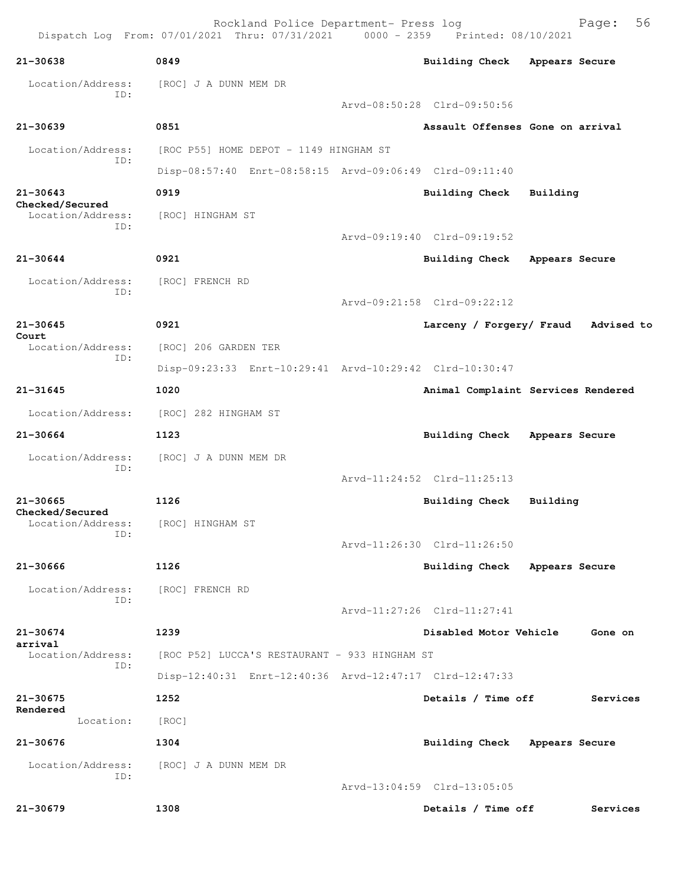Rockland Police Department- Press log Fage: 56 Dispatch Log From: 07/01/2021 Thru: 07/31/2021 0000 - 2359 Printed: 08/10/2021 **21-30638 0849 Building Check Appears Secure** Location/Address: [ROC] J A DUNN MEM DR ID: Arvd-08:50:28 Clrd-09:50:56 **21-30639 0851 Assault Offenses Gone on arrival** Location/Address: [ROC P55] HOME DEPOT - 1149 HINGHAM ST ID: Disp-08:57:40 Enrt-08:58:15 Arvd-09:06:49 Clrd-09:11:40 **21-30643 0919 Building Check Building Checked/Secured**  Location/Address: [ROC] HINGHAM ST ID: Arvd-09:19:40 Clrd-09:19:52 **21-30644 0921 Building Check Appears Secure** Location/Address: [ROC] FRENCH RD ID: Arvd-09:21:58 Clrd-09:22:12 **21-30645 0921 Larceny / Forgery/ Fraud Advised to Court**  [ROC] 206 GARDEN TER ID: Disp-09:23:33 Enrt-10:29:41 Arvd-10:29:42 Clrd-10:30:47 **21-31645 1020 Animal Complaint Services Rendered** Location/Address: [ROC] 282 HINGHAM ST **21-30664 1123 Building Check Appears Secure** Location/Address: [ROC] J A DUNN MEM DR ID: Arvd-11:24:52 Clrd-11:25:13 **21-30665 1126 Building Check Building Checked/Secured**  Location/Address: [ROC] HINGHAM ST ID: Arvd-11:26:30 Clrd-11:26:50 **21-30666 1126 Building Check Appears Secure** Location/Address: [ROC] FRENCH RD ID: Arvd-11:27:26 Clrd-11:27:41 **21-30674 1239 Disabled Motor Vehicle Gone on arrival**  Location/Address: [ROC P52] LUCCA'S RESTAURANT - 933 HINGHAM ST ID: Disp-12:40:31 Enrt-12:40:36 Arvd-12:47:17 Clrd-12:47:33 **21-30675 1252 Details / Time off Services Rendered**  Location: [ROC] **21-30676 1304 Building Check Appears Secure** Location/Address: [ROC] J A DUNN MEM DR ID: Arvd-13:04:59 Clrd-13:05:05 **21-30679 1308 Details / Time off Services**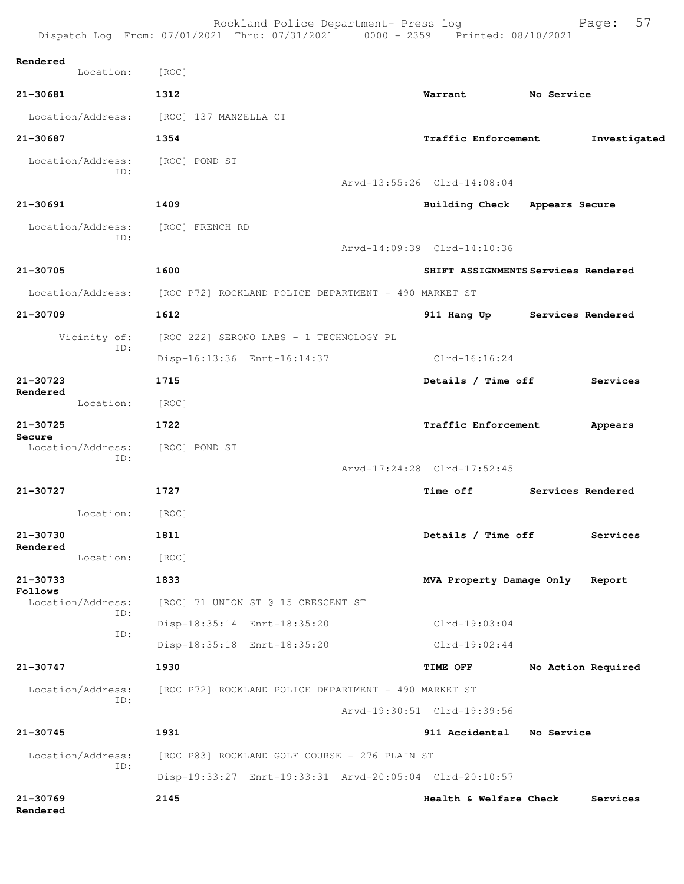|                              | Rockland Police Department- Press log<br>Dispatch Log From: 07/01/2021 Thru: 07/31/2021 0000 - 2359 Printed: 08/10/2021 |                                     | 57<br>Page:        |
|------------------------------|-------------------------------------------------------------------------------------------------------------------------|-------------------------------------|--------------------|
| Rendered<br>Location:        | [ROC]                                                                                                                   |                                     |                    |
| 21-30681                     | 1312                                                                                                                    | Warrant                             | No Service         |
| Location/Address:            | [ROC] 137 MANZELLA CT                                                                                                   |                                     |                    |
| 21-30687                     | 1354                                                                                                                    | Traffic Enforcement                 | Investigated       |
| Location/Address:<br>ID:     | [ROC] POND ST                                                                                                           | Arvd-13:55:26 Clrd-14:08:04         |                    |
| 21-30691                     | 1409                                                                                                                    | <b>Building Check</b>               | Appears Secure     |
| Location/Address:<br>ID:     | [ROC] FRENCH RD                                                                                                         | Arvd-14:09:39 Clrd-14:10:36         |                    |
|                              |                                                                                                                         |                                     |                    |
| 21-30705                     | 1600                                                                                                                    | SHIFT ASSIGNMENTS Services Rendered |                    |
| Location/Address:            | [ROC P72] ROCKLAND POLICE DEPARTMENT - 490 MARKET ST                                                                    |                                     |                    |
| 21-30709                     | 1612                                                                                                                    | 911 Hang Up                         | Services Rendered  |
| Vicinity of:<br>ID:          | [ROC 222] SERONO LABS - 1 TECHNOLOGY PL                                                                                 |                                     |                    |
|                              | Disp-16:13:36 Enrt-16:14:37                                                                                             | $Clrd-16:16:24$                     |                    |
| $21 - 30723$<br>Rendered     | 1715                                                                                                                    | Details / Time off                  | Services           |
| Location:                    | [ROC]                                                                                                                   |                                     |                    |
| 21-30725<br>Secure           | 1722                                                                                                                    | Traffic Enforcement                 | Appears            |
| Location/Address:<br>ID:     | [ROC] POND ST                                                                                                           | Arvd-17:24:28 Clrd-17:52:45         |                    |
| 21-30727                     | 1727                                                                                                                    | Time off                            | Services Rendered  |
| Location:                    | [ROC]                                                                                                                   |                                     |                    |
| 21-30730                     | 1811                                                                                                                    | Details / Time off                  | Services           |
| Rendered<br>Location:        | [ROC]                                                                                                                   |                                     |                    |
| 21-30733                     | 1833                                                                                                                    | MVA Property Damage Only            | Report             |
| Follows<br>Location/Address: | [ROC] 71 UNION ST @ 15 CRESCENT ST                                                                                      |                                     |                    |
| ID:                          | Disp-18:35:14 Enrt-18:35:20                                                                                             | $Clrd-19:03:04$                     |                    |
| ID:                          | Disp-18:35:18 Enrt-18:35:20                                                                                             | $Clrd-19:02:44$                     |                    |
| 21-30747                     | 1930                                                                                                                    | <b>TIME OFF</b>                     | No Action Required |
| Location/Address:            | [ROC P72] ROCKLAND POLICE DEPARTMENT - 490 MARKET ST                                                                    |                                     |                    |
| ID:                          |                                                                                                                         | Arvd-19:30:51 Clrd-19:39:56         |                    |
| 21-30745                     | 1931                                                                                                                    | 911 Accidental No Service           |                    |
| Location/Address:            | [ROC P83] ROCKLAND GOLF COURSE - 276 PLAIN ST                                                                           |                                     |                    |
| ID:                          | Disp-19:33:27 Enrt-19:33:31 Arvd-20:05:04 Clrd-20:10:57                                                                 |                                     |                    |
| 21-30769<br>Rendered         | 2145                                                                                                                    | Health & Welfare Check              | Services           |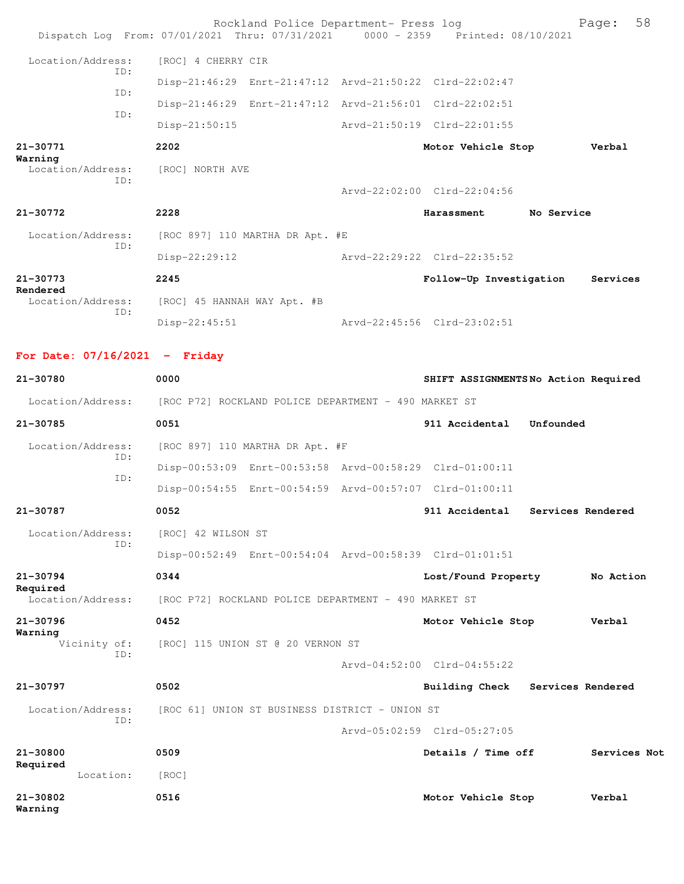|                               |     |                             | Rockland Police Department- Press log                                          |                             |                             |            | Page:    | 58 |
|-------------------------------|-----|-----------------------------|--------------------------------------------------------------------------------|-----------------------------|-----------------------------|------------|----------|----|
|                               |     |                             | Dispatch Log From: 07/01/2021 Thru: 07/31/2021 0000 - 2359 Printed: 08/10/2021 |                             |                             |            |          |    |
| Location/Address:             | ID: | [ROC] 4 CHERRY CIR          |                                                                                |                             |                             |            |          |    |
|                               | ID: |                             | Disp-21:46:29 Enrt-21:47:12 Arvd-21:50:22 Clrd-22:02:47                        |                             |                             |            |          |    |
|                               |     |                             | Disp-21:46:29 Enrt-21:47:12 Arvd-21:56:01 Clrd-22:02:51                        |                             |                             |            |          |    |
|                               | TD: | $Disp-21:50:15$             |                                                                                | Arvd-21:50:19 Clrd-22:01:55 |                             |            |          |    |
| 21-30771<br>Warning           |     | 2202                        |                                                                                |                             | Motor Vehicle Stop          |            | Verbal   |    |
| Location/Address:             |     | [ROC] NORTH AVE             |                                                                                |                             |                             |            |          |    |
|                               | ID: |                             |                                                                                |                             | Arvd-22:02:00 Clrd-22:04:56 |            |          |    |
| 21-30772                      |     | 2228                        |                                                                                |                             | Harassment                  | No Service |          |    |
| Location/Address:             |     |                             | [ROC 897] 110 MARTHA DR Apt. #E                                                |                             |                             |            |          |    |
| ID:                           |     | Disp-22:29:12               |                                                                                | Arvd-22:29:22 Clrd-22:35:52 |                             |            |          |    |
| 21-30773                      |     | 2245                        |                                                                                |                             | Follow-Up Investigation     |            | Services |    |
| Rendered<br>Location/Address: |     | [ROC] 45 HANNAH WAY Apt. #B |                                                                                |                             |                             |            |          |    |
|                               | ID: | $Disp-22:45:51$             |                                                                                | Arvd-22:45:56 Clrd-23:02:51 |                             |            |          |    |
|                               |     |                             |                                                                                |                             |                             |            |          |    |

## **For Date: 07/16/2021 - Friday**

| 21-30780                      | 0000                                                    | SHIFT ASSIGNMENTSNo Action Required |                   |
|-------------------------------|---------------------------------------------------------|-------------------------------------|-------------------|
| Location/Address:             | [ROC P72] ROCKLAND POLICE DEPARTMENT - 490 MARKET ST    |                                     |                   |
| 21-30785                      | 0051                                                    | 911 Accidental<br>Unfounded         |                   |
| Location/Address:             | [ROC 897] 110 MARTHA DR Apt. #F                         |                                     |                   |
| ID:                           | Disp-00:53:09 Enrt-00:53:58 Arvd-00:58:29 Clrd-01:00:11 |                                     |                   |
| TD:                           | Disp-00:54:55 Enrt-00:54:59 Arvd-00:57:07 Clrd-01:00:11 |                                     |                   |
| 21-30787                      | 0052                                                    | 911 Accidental                      | Services Rendered |
| Location/Address:             | [ROC] 42 WILSON ST                                      |                                     |                   |
| TD:                           | Disp-00:52:49 Enrt-00:54:04 Arvd-00:58:39 Clrd-01:01:51 |                                     |                   |
| $21 - 30794$                  | 0344                                                    | Lost/Found Property                 | No Action         |
| Required<br>Location/Address: | [ROC P72] ROCKLAND POLICE DEPARTMENT - 490 MARKET ST    |                                     |                   |
| 21-30796                      | 0452                                                    | Motor Vehicle Stop                  | Verbal            |
| Warning<br>Vicinity of:       | [ROC] 115 UNION ST @ 20 VERNON ST                       |                                     |                   |
| TD:                           |                                                         | $Arvd-04:52:00$ $Clrd-04:55:22$     |                   |
| 21-30797                      | 0502                                                    | Building Check                      | Services Rendered |
| Location/Address:             | [ROC 61] UNION ST BUSINESS DISTRICT - UNION ST          |                                     |                   |
| TD:                           |                                                         | Arvd-05:02:59 Clrd-05:27:05         |                   |
| 21-30800                      | 0509                                                    | Details / Time off                  | Services Not      |
| Required<br>Location:         | [ROC]                                                   |                                     |                   |
| $21 - 30802$<br>Warning       | 0516                                                    | Motor Vehicle Stop                  | Verbal            |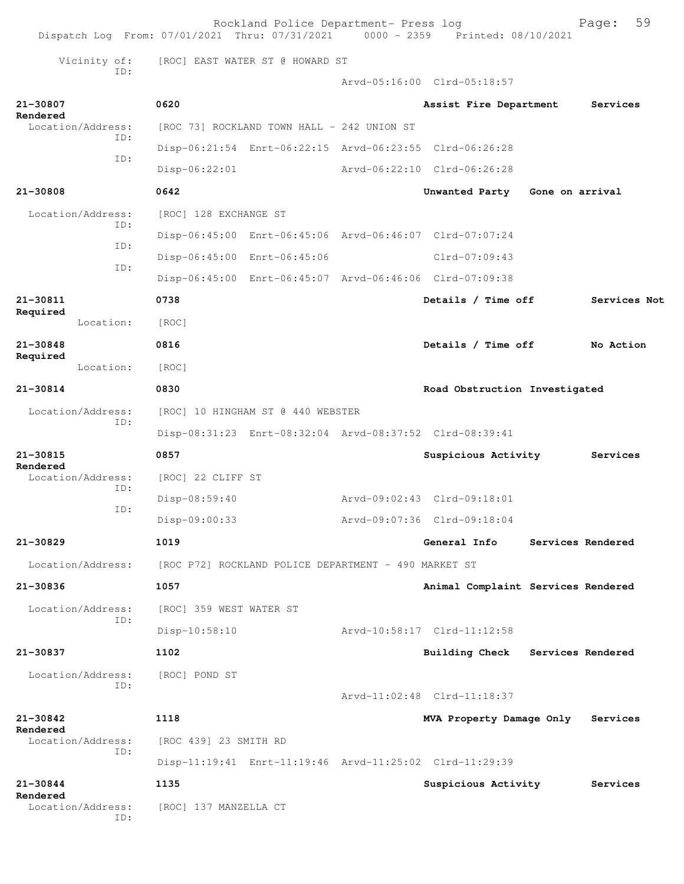|                                      | Rockland Police Department- Press log<br>Dispatch Log From: 07/01/2021 Thru: 07/31/2021 0000 - 2359 Printed: 08/10/2021 |                                    | 59<br>Page:       |
|--------------------------------------|-------------------------------------------------------------------------------------------------------------------------|------------------------------------|-------------------|
| Vicinity of:                         | [ROC] EAST WATER ST @ HOWARD ST                                                                                         |                                    |                   |
| ID:                                  |                                                                                                                         | Arvd-05:16:00 Clrd-05:18:57        |                   |
| 21-30807                             | 0620                                                                                                                    | Assist Fire Department             | Services          |
| Rendered<br>Location/Address:        | [ROC 73] ROCKLAND TOWN HALL - 242 UNION ST                                                                              |                                    |                   |
| ID:                                  | Disp-06:21:54 Enrt-06:22:15 Arvd-06:23:55 Clrd-06:26:28                                                                 |                                    |                   |
| ID:                                  | $Disp-06:22:01$                                                                                                         | Arvd-06:22:10 Clrd-06:26:28        |                   |
| 21-30808                             | 0642                                                                                                                    | Unwanted Party Gone on arrival     |                   |
| Location/Address:                    | [ROC] 128 EXCHANGE ST                                                                                                   |                                    |                   |
| ID:                                  | Disp-06:45:00 Enrt-06:45:06 Arvd-06:46:07 Clrd-07:07:24                                                                 |                                    |                   |
| ID:                                  | Disp-06:45:00 Enrt-06:45:06                                                                                             | Clrd-07:09:43                      |                   |
| ID:                                  | Disp-06:45:00 Enrt-06:45:07 Arvd-06:46:06 Clrd-07:09:38                                                                 |                                    |                   |
| 21-30811                             | 0738                                                                                                                    | Details / Time off                 | Services Not      |
| Required<br>Location:                | [ROC]                                                                                                                   |                                    |                   |
| 21-30848                             | 0816                                                                                                                    | Details / Time off                 | No Action         |
| Required<br>Location:                | [ROC]                                                                                                                   |                                    |                   |
| 21-30814                             | 0830                                                                                                                    | Road Obstruction Investigated      |                   |
| Location/Address:                    | [ROC] 10 HINGHAM ST @ 440 WEBSTER                                                                                       |                                    |                   |
| ID:                                  | Disp-08:31:23 Enrt-08:32:04 Arvd-08:37:52 Clrd-08:39:41                                                                 |                                    |                   |
| 21-30815                             | 0857                                                                                                                    | Suspicious Activity                | Services          |
| Rendered<br>Location/Address:        | [ROC] 22 CLIFF ST                                                                                                       |                                    |                   |
| ID:                                  | Disp-08:59:40                                                                                                           | Arvd-09:02:43 Clrd-09:18:01        |                   |
| ID:                                  | Disp-09:00:33                                                                                                           | Arvd-09:07:36 Clrd-09:18:04        |                   |
| 21-30829                             | 1019                                                                                                                    | General Info                       | Services Rendered |
| Location/Address:                    | [ROC P72] ROCKLAND POLICE DEPARTMENT - 490 MARKET ST                                                                    |                                    |                   |
| $21 - 30836$                         | 1057                                                                                                                    | Animal Complaint Services Rendered |                   |
| Location/Address:                    | [ROC] 359 WEST WATER ST                                                                                                 |                                    |                   |
| ID:                                  | $Disp-10:58:10$                                                                                                         | Arvd-10:58:17 Clrd-11:12:58        |                   |
| 21-30837                             | 1102                                                                                                                    | Building Check Services Rendered   |                   |
| Location/Address:                    | [ROC] POND ST                                                                                                           |                                    |                   |
| ID:                                  |                                                                                                                         | Arvd-11:02:48 Clrd-11:18:37        |                   |
| 21-30842                             | 1118                                                                                                                    | MVA Property Damage Only           | Services          |
| Rendered<br>Location/Address:        | [ROC 439] 23 SMITH RD                                                                                                   |                                    |                   |
| ID:                                  | Disp-11:19:41 Enrt-11:19:46 Arvd-11:25:02 Clrd-11:29:39                                                                 |                                    |                   |
| 21-30844                             | 1135                                                                                                                    | Suspicious Activity                | Services          |
| Rendered<br>Location/Address:<br>ID: | [ROC] 137 MANZELLA CT                                                                                                   |                                    |                   |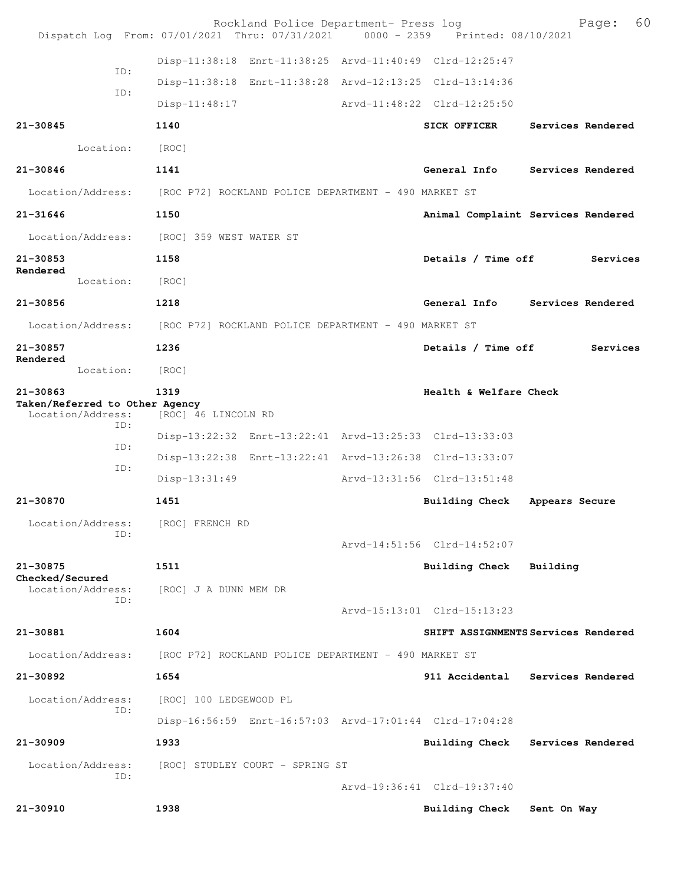|                                                                 | Rockland Police Department- Press log<br>Dispatch Log From: 07/01/2021 Thru: 07/31/2021 0000 - 2359 Printed: 08/10/2021 |                             | 60<br>Page:                         |
|-----------------------------------------------------------------|-------------------------------------------------------------------------------------------------------------------------|-----------------------------|-------------------------------------|
|                                                                 | Disp-11:38:18 Enrt-11:38:25 Arvd-11:40:49 Clrd-12:25:47                                                                 |                             |                                     |
| ID:                                                             | Disp-11:38:18 Enrt-11:38:28 Arvd-12:13:25 Clrd-13:14:36                                                                 |                             |                                     |
| ID:                                                             | $Disp-11:48:17$                                                                                                         | Arvd-11:48:22 Clrd-12:25:50 |                                     |
| 21-30845                                                        | 1140                                                                                                                    | <b>SICK OFFICER</b>         | Services Rendered                   |
| Location:                                                       | [ROC]                                                                                                                   |                             |                                     |
| 21-30846                                                        | 1141                                                                                                                    |                             | General Info Services Rendered      |
| Location/Address:                                               | [ROC P72] ROCKLAND POLICE DEPARTMENT - 490 MARKET ST                                                                    |                             |                                     |
| 21-31646                                                        | 1150                                                                                                                    |                             | Animal Complaint Services Rendered  |
|                                                                 | Location/Address: [ROC] 359 WEST WATER ST                                                                               |                             |                                     |
| 21-30853                                                        | 1158                                                                                                                    | Details / Time off          | Services                            |
| Rendered<br>Location:                                           | [ROC]                                                                                                                   |                             |                                     |
| 21-30856                                                        | 1218                                                                                                                    |                             | General Info Services Rendered      |
|                                                                 | Location/Address: [ROC P72] ROCKLAND POLICE DEPARTMENT - 490 MARKET ST                                                  |                             |                                     |
| 21-30857                                                        | 1236                                                                                                                    | Details / Time off          | Services                            |
| Rendered<br>Location:                                           | [ROC]                                                                                                                   |                             |                                     |
| 21-30863<br>Taken/Referred to Other Agency<br>Location/Address: | 1319<br>[ROC] 46 LINCOLN RD                                                                                             | Health & Welfare Check      |                                     |
| ID:                                                             | Disp-13:22:32 Enrt-13:22:41 Arvd-13:25:33 Clrd-13:33:03                                                                 |                             |                                     |
| ID:                                                             | Disp-13:22:38 Enrt-13:22:41 Arvd-13:26:38 Clrd-13:33:07                                                                 |                             |                                     |
| ID:                                                             | $Disp-13:31:49$                                                                                                         | Arvd-13:31:56 Clrd-13:51:48 |                                     |
| 21-30870                                                        | 1451                                                                                                                    | Building Check              | Appears Secure                      |
| Location/Address:<br>ID:                                        | [ROC] FRENCH RD                                                                                                         |                             |                                     |
|                                                                 |                                                                                                                         | Arvd-14:51:56 Clrd-14:52:07 |                                     |
| 21-30875<br>Checked/Secured                                     | 1511                                                                                                                    | Building Check Building     |                                     |
| Location/Address:<br>ID:                                        | [ROC] J A DUNN MEM DR                                                                                                   |                             |                                     |
|                                                                 |                                                                                                                         | Arvd-15:13:01 Clrd-15:13:23 |                                     |
| 21-30881                                                        | 1604                                                                                                                    |                             | SHIFT ASSIGNMENTS Services Rendered |
| Location/Address:                                               | [ROC P72] ROCKLAND POLICE DEPARTMENT - 490 MARKET ST                                                                    |                             |                                     |
| 21-30892                                                        | 1654                                                                                                                    |                             | 911 Accidental Services Rendered    |
| Location/Address:<br>ID:                                        | [ROC] 100 LEDGEWOOD PL                                                                                                  |                             |                                     |
|                                                                 | Disp-16:56:59 Enrt-16:57:03 Arvd-17:01:44 Clrd-17:04:28                                                                 |                             |                                     |
| 21-30909                                                        | 1933                                                                                                                    |                             | Building Check Services Rendered    |
| Location/Address:<br>ID:                                        | [ROC] STUDLEY COURT - SPRING ST                                                                                         |                             |                                     |
|                                                                 |                                                                                                                         | Arvd-19:36:41 Clrd-19:37:40 |                                     |
| 21-30910                                                        | 1938                                                                                                                    | <b>Building Check</b>       | Sent On Way                         |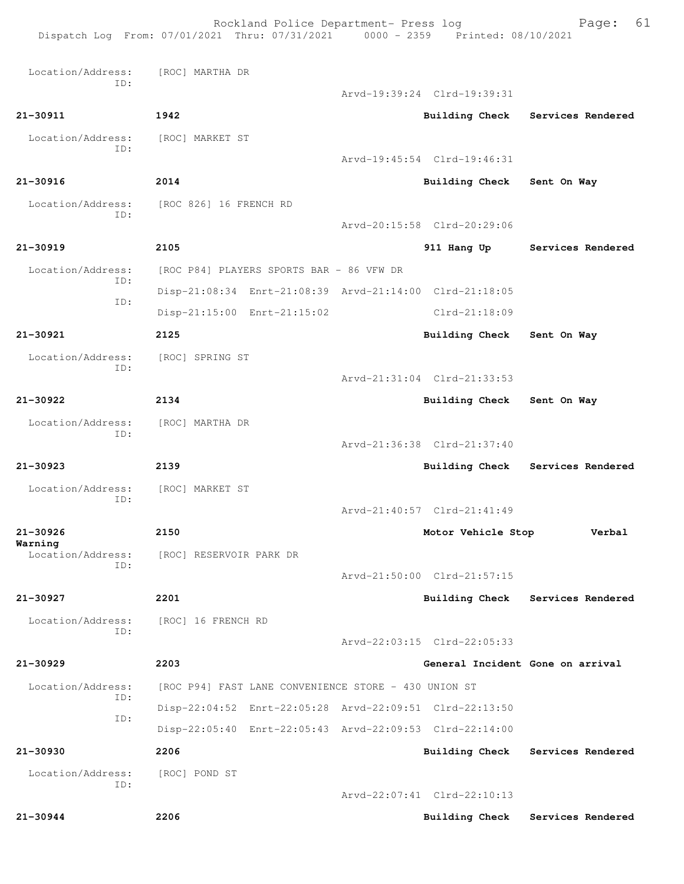Rockland Police Department- Press log Fage: 61 Dispatch Log From: 07/01/2021 Thru: 07/31/2021 0000 - 2359 Printed: 08/10/2021 Location/Address: [ROC] MARTHA DR ID: Arvd-19:39:24 Clrd-19:39:31 **21-30911 1942 Building Check Services Rendered** Location/Address: [ROC] MARKET ST ID: Arvd-19:45:54 Clrd-19:46:31 **21-30916 2014 Building Check Sent On Way** Location/Address: [ROC 826] 16 FRENCH RD ID: Arvd-20:15:58 Clrd-20:29:06 **21-30919 2105 911 Hang Up Services Rendered** Location/Address: [ROC P84] PLAYERS SPORTS BAR - 86 VFW DR ID: Disp-21:08:34 Enrt-21:08:39 Arvd-21:14:00 Clrd-21:18:05 ID: Disp-21:15:00 Enrt-21:15:02 Clrd-21:18:09 **21-30921 2125 Building Check Sent On Way** Location/Address: [ROC] SPRING ST ID: Arvd-21:31:04 Clrd-21:33:53 **21-30922 2134 Building Check Sent On Way** Location/Address: [ROC] MARTHA DR ID: Arvd-21:36:38 Clrd-21:37:40 **21-30923 2139 Building Check Services Rendered** Location/Address: [ROC] MARKET ST ID: Arvd-21:40:57 Clrd-21:41:49 **21-30926 2150 Motor Vehicle Stop Verbal Warning**  [ROC] RESERVOIR PARK DR ID: Arvd-21:50:00 Clrd-21:57:15 **21-30927 2201 Building Check Services Rendered** Location/Address: [ROC] 16 FRENCH RD ID: Arvd-22:03:15 Clrd-22:05:33 **21-30929 2203 General Incident Gone on arrival** Location/Address: [ROC P94] FAST LANE CONVENIENCE STORE - 430 UNION ST ID: Disp-22:04:52 Enrt-22:05:28 Arvd-22:09:51 Clrd-22:13:50 ID: Disp-22:05:40 Enrt-22:05:43 Arvd-22:09:53 Clrd-22:14:00 **21-30930 2206 Building Check Services Rendered** Location/Address: [ROC] POND ST ID: Arvd-22:07:41 Clrd-22:10:13 **21-30944 2206 Building Check Services Rendered**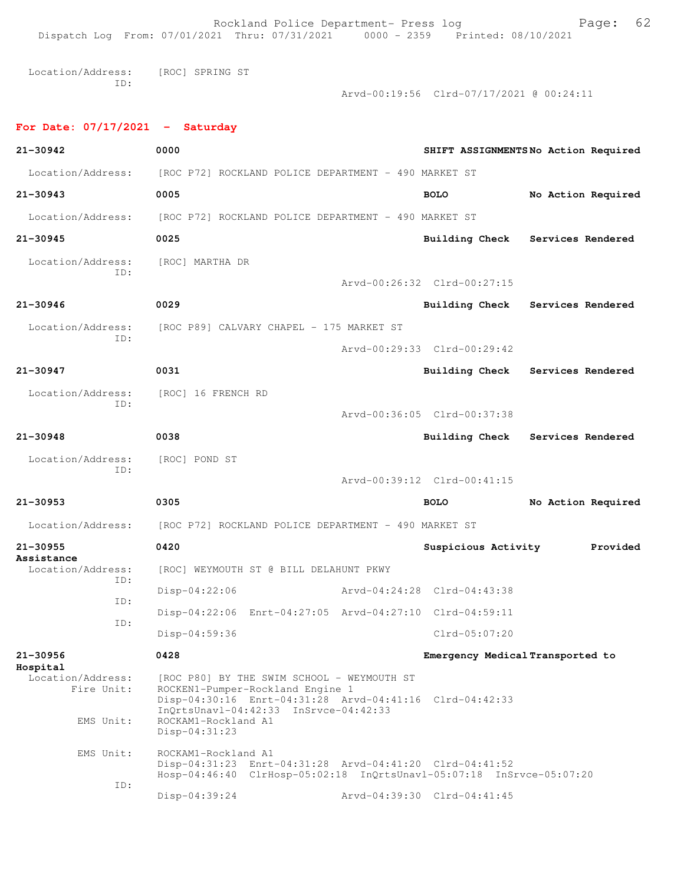Rockland Police Department- Press log Fage: 62 Dispatch Log From: 07/01/2021 Thru: 07/31/2021 0000 - 2359 Printed: 08/10/2021 Location/Address: [ROC] SPRING ST ID: Arvd-00:19:56 Clrd-07/17/2021 @ 00:24:11 **For Date: 07/17/2021 - Saturday 21-30942 0000 SHIFT ASSIGNMENTS No Action Required** Location/Address: [ROC P72] ROCKLAND POLICE DEPARTMENT - 490 MARKET ST **21-30943 0005 BOLO No Action Required** Location/Address: [ROC P72] ROCKLAND POLICE DEPARTMENT - 490 MARKET ST **21-30945 0025 Building Check Services Rendered** Location/Address: [ROC] MARTHA DR ID: Arvd-00:26:32 Clrd-00:27:15 **21-30946 0029 Building Check Services Rendered** Location/Address: [ROC P89] CALVARY CHAPEL - 175 MARKET ST ID: Arvd-00:29:33 Clrd-00:29:42 **21-30947 0031 Building Check Services Rendered** Location/Address: [ROC] 16 FRENCH RD ID: Arvd-00:36:05 Clrd-00:37:38 **21-30948 0038 Building Check Services Rendered** Location/Address: [ROC] POND ST ID: Arvd-00:39:12 Clrd-00:41:15 **21-30953 0305 BOLO No Action Required** Location/Address: [ROC P72] ROCKLAND POLICE DEPARTMENT - 490 MARKET ST **21-30955 0420 Suspicious Activity Provided Assistance**  [ROC] WEYMOUTH ST @ BILL DELAHUNT PKWY ID: Disp-04:22:06 Arvd-04:24:28 Clrd-04:43:38 ID: Disp-04:22:06 Enrt-04:27:05 Arvd-04:27:10 Clrd-04:59:11 ID: Disp-04:59:36 Clrd-05:07:20 **21-30956 0428 Emergency Medical Transported to Hospital**  Location/Address: [ROC P80] BY THE SWIM SCHOOL - WEYMOUTH ST Fire Unit: ROCKEN1-Pumper-Rockland Engine 1 Disp-04:30:16 Enrt-04:31:28 Arvd-04:41:16 Clrd-04:42:33 InQrtsUnavl-04:42:33 InSrvce-04:42:33 EMS Unit: ROCKAM1-Rockland A1 Disp-04:31:23 EMS Unit: ROCKAM1-Rockland A1 Disp-04:31:23 Enrt-04:31:28 Arvd-04:41:20 Clrd-04:41:52 Hosp-04:46:40 ClrHosp-05:02:18 InQrtsUnavl-05:07:18 InSrvce-05:07:20 ID: Disp-04:39:24 Arvd-04:39:30 Clrd-04:41:45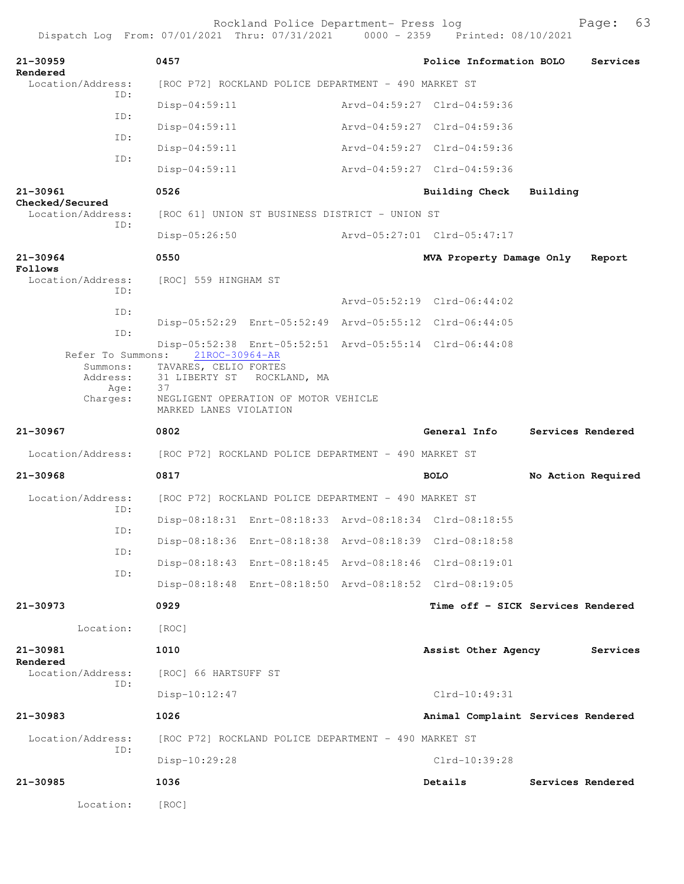| 21-30959                                                      | 0457                                          |                                                                    | Police Information BOLO                                 |          | Services           |
|---------------------------------------------------------------|-----------------------------------------------|--------------------------------------------------------------------|---------------------------------------------------------|----------|--------------------|
| Rendered<br>Location/Address:                                 |                                               | [ROC P72] ROCKLAND POLICE DEPARTMENT - 490 MARKET ST               |                                                         |          |                    |
| TD:                                                           | $Disp-04:59:11$                               |                                                                    | Arvd-04:59:27 Clrd-04:59:36                             |          |                    |
| ID:                                                           | $Disp-04:59:11$                               |                                                                    | Arvd-04:59:27 Clrd-04:59:36                             |          |                    |
| ID:                                                           | $Disp-04:59:11$                               |                                                                    | Arvd-04:59:27 Clrd-04:59:36                             |          |                    |
| ID:                                                           | Disp-04:59:11                                 |                                                                    | Arvd-04:59:27 Clrd-04:59:36                             |          |                    |
| 21-30961                                                      | 0526                                          |                                                                    | Building Check                                          | Building |                    |
| Checked/Secured<br>Location/Address:                          |                                               | [ROC 61] UNION ST BUSINESS DISTRICT - UNION ST                     |                                                         |          |                    |
| ID:                                                           | $Disp-05:26:50$                               |                                                                    | Arvd-05:27:01 Clrd-05:47:17                             |          |                    |
| $21 - 30964$                                                  | 0550                                          |                                                                    | MVA Property Damage Only                                |          | Report             |
| Follows<br>Location/Address:<br>TD:                           | [ROC] 559 HINGHAM ST                          |                                                                    |                                                         |          |                    |
| ID:                                                           |                                               |                                                                    | Arvd-05:52:19 Clrd-06:44:02                             |          |                    |
| ID:                                                           |                                               |                                                                    | Disp-05:52:29 Enrt-05:52:49 Arvd-05:55:12 Clrd-06:44:05 |          |                    |
| Refer To Summons:<br>Summons:<br>Address:<br>Age:<br>Charges: | 21ROC-30964-AR<br>TAVARES, CELIO FORTES<br>37 | 31 LIBERTY ST ROCKLAND, MA<br>NEGLIGENT OPERATION OF MOTOR VEHICLE | Disp-05:52:38 Enrt-05:52:51 Arvd-05:55:14 Clrd-06:44:08 |          |                    |
|                                                               | MARKED LANES VIOLATION                        |                                                                    |                                                         |          |                    |
| 21-30967                                                      | 0802                                          |                                                                    | General Info                                            |          | Services Rendered  |
| Location/Address:                                             |                                               | [ROC P72] ROCKLAND POLICE DEPARTMENT - 490 MARKET ST               |                                                         |          |                    |
| $21 - 30968$                                                  | 0817                                          |                                                                    | <b>BOLO</b>                                             |          | No Action Required |
| Location/Address:<br>ID:                                      |                                               | [ROC P72] ROCKLAND POLICE DEPARTMENT - 490 MARKET ST               |                                                         |          |                    |
| ID:                                                           |                                               |                                                                    | Disp-08:18:31 Enrt-08:18:33 Arvd-08:18:34 Clrd-08:18:55 |          |                    |
| ID:                                                           |                                               |                                                                    | Disp-08:18:36 Enrt-08:18:38 Arvd-08:18:39 Clrd-08:18:58 |          |                    |
| ID:                                                           |                                               |                                                                    | Disp-08:18:43 Enrt-08:18:45 Arvd-08:18:46 Clrd-08:19:01 |          |                    |
|                                                               |                                               |                                                                    | Disp-08:18:48 Enrt-08:18:50 Arvd-08:18:52 Clrd-08:19:05 |          |                    |
| 21-30973                                                      | 0929                                          |                                                                    | Time off - SICK Services Rendered                       |          |                    |
| Location:                                                     | [ROC]                                         |                                                                    |                                                         |          |                    |
| 21-30981<br>Rendered                                          | 1010                                          |                                                                    | Assist Other Agency                                     |          | Services           |
| Location/Address:<br>ID:                                      | [ROC] 66 HARTSUFF ST                          |                                                                    |                                                         |          |                    |
|                                                               | $Disp-10:12:47$                               |                                                                    | Clrd-10:49:31                                           |          |                    |
| 21-30983                                                      | 1026                                          |                                                                    | Animal Complaint Services Rendered                      |          |                    |
| Location/Address:                                             |                                               | [ROC P72] ROCKLAND POLICE DEPARTMENT - 490 MARKET ST               |                                                         |          |                    |
| ID:                                                           | Disp-10:29:28                                 |                                                                    | Clrd-10:39:28                                           |          |                    |
| 21-30985                                                      | 1036                                          |                                                                    | Details                                                 |          | Services Rendered  |
| Location:                                                     | [ROC]                                         |                                                                    |                                                         |          |                    |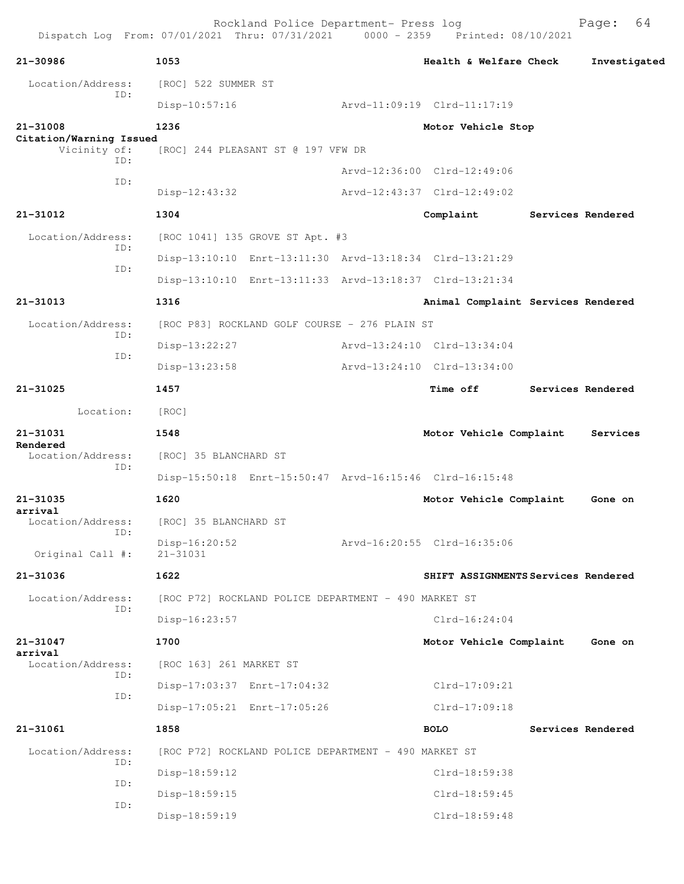| 21-30986                            | 1053                                                    |  | Health & Welfare Check              | Investigated      |
|-------------------------------------|---------------------------------------------------------|--|-------------------------------------|-------------------|
| Location/Address:<br>ID:            | [ROC] 522 SUMMER ST                                     |  |                                     |                   |
|                                     | $Disp-10:57:16$                                         |  | Arvd-11:09:19 Clrd-11:17:19         |                   |
| 21-31008<br>Citation/Warning Issued | 1236                                                    |  | Motor Vehicle Stop                  |                   |
| Vicinity of:<br>ID:                 | [ROC] 244 PLEASANT ST @ 197 VFW DR                      |  |                                     |                   |
| ID:                                 |                                                         |  | Arvd-12:36:00 Clrd-12:49:06         |                   |
|                                     | Disp-12:43:32                                           |  | Arvd-12:43:37 Clrd-12:49:02         |                   |
| 21-31012                            | 1304                                                    |  | Complaint                           | Services Rendered |
| Location/Address:                   | [ROC 1041] 135 GROVE ST Apt. #3                         |  |                                     |                   |
| ID:                                 | Disp-13:10:10 Enrt-13:11:30 Arvd-13:18:34 Clrd-13:21:29 |  |                                     |                   |
| ID:                                 | Disp-13:10:10 Enrt-13:11:33 Arvd-13:18:37 Clrd-13:21:34 |  |                                     |                   |
| 21-31013                            | 1316                                                    |  | Animal Complaint Services Rendered  |                   |
| Location/Address:                   | [ROC P83] ROCKLAND GOLF COURSE - 276 PLAIN ST           |  |                                     |                   |
| ID:                                 | Disp-13:22:27                                           |  | Arvd-13:24:10 Clrd-13:34:04         |                   |
| ID:                                 | Disp-13:23:58                                           |  | Arvd-13:24:10 Clrd-13:34:00         |                   |
| 21-31025                            | 1457                                                    |  | <b>Time off</b>                     | Services Rendered |
| Location:                           | [ROC]                                                   |  |                                     |                   |
| 21-31031                            | 1548                                                    |  | Motor Vehicle Complaint             | Services          |
| Rendered<br>Location/Address:       | [ROC] 35 BLANCHARD ST                                   |  |                                     |                   |
| ID:                                 | Disp-15:50:18 Enrt-15:50:47 Arvd-16:15:46 Clrd-16:15:48 |  |                                     |                   |
| 21-31035                            | 1620                                                    |  | Motor Vehicle Complaint             | Gone on           |
| arrival<br>Location/Address:        | [ROC] 35 BLANCHARD ST                                   |  |                                     |                   |
| ID:                                 | $Disp-16:20:52$                                         |  | Arvd-16:20:55 Clrd-16:35:06         |                   |
| Original Call #:                    | $21 - 31031$                                            |  |                                     |                   |
| 21-31036                            | 1622                                                    |  | SHIFT ASSIGNMENTS Services Rendered |                   |
| Location/Address:<br>ID:            | [ROC P72] ROCKLAND POLICE DEPARTMENT - 490 MARKET ST    |  |                                     |                   |
|                                     | Disp-16:23:57                                           |  | $Clrd-16:24:04$                     |                   |
| 21-31047                            | 1700                                                    |  | Motor Vehicle Complaint             | Gone on           |
| arrival<br>Location/Address:        | [ROC 163] 261 MARKET ST                                 |  |                                     |                   |
| ID:                                 | Disp-17:03:37 Enrt-17:04:32                             |  | $Clrd-17:09:21$                     |                   |
| ID:                                 | Disp-17:05:21 Enrt-17:05:26                             |  | $Clrd-17:09:18$                     |                   |
| 21-31061                            | 1858                                                    |  | <b>BOLO</b>                         | Services Rendered |
| Location/Address:                   | [ROC P72] ROCKLAND POLICE DEPARTMENT - 490 MARKET ST    |  |                                     |                   |
| ID:                                 | Disp-18:59:12                                           |  | Clrd-18:59:38                       |                   |
| ID:                                 | Disp-18:59:15                                           |  | Clrd-18:59:45                       |                   |
| ID:                                 | Disp-18:59:19                                           |  | Clrd-18:59:48                       |                   |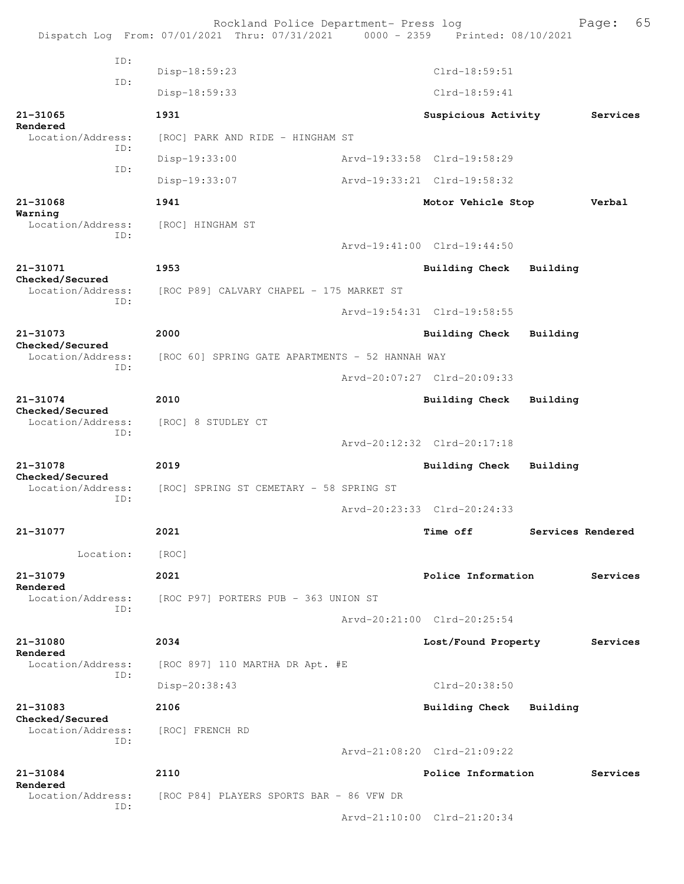|                                             | Rockland Police Department- Press log<br>Dispatch Log From: 07/01/2021 Thru: 07/31/2021 0000 - 2359 Printed: 08/10/2021 |                             |                   | 65<br>Page: |
|---------------------------------------------|-------------------------------------------------------------------------------------------------------------------------|-----------------------------|-------------------|-------------|
| TD:                                         |                                                                                                                         |                             |                   |             |
| ID:                                         | Disp-18:59:23                                                                                                           | Clrd-18:59:51               |                   |             |
|                                             | Disp-18:59:33                                                                                                           | Clrd-18:59:41               |                   |             |
| 21-31065<br>Rendered                        | 1931                                                                                                                    | Suspicious Activity         |                   | Services    |
| Location/Address:<br>TD:                    | [ROC] PARK AND RIDE - HINGHAM ST                                                                                        |                             |                   |             |
| ID:                                         | Disp-19:33:00                                                                                                           | Arvd-19:33:58 Clrd-19:58:29 |                   |             |
|                                             | Disp-19:33:07                                                                                                           | Arvd-19:33:21 Clrd-19:58:32 |                   |             |
| 21-31068<br>Warning                         | 1941                                                                                                                    | Motor Vehicle Stop          |                   | Verbal      |
| Location/Address:<br>ID:                    | [ROC] HINGHAM ST                                                                                                        |                             |                   |             |
|                                             |                                                                                                                         | Arvd-19:41:00 Clrd-19:44:50 |                   |             |
| 21-31071                                    | 1953                                                                                                                    | Building Check              | Building          |             |
| Checked/Secured<br>Location/Address:        | [ROC P89] CALVARY CHAPEL - 175 MARKET ST                                                                                |                             |                   |             |
| ID:                                         |                                                                                                                         | Arvd-19:54:31 Clrd-19:58:55 |                   |             |
| 21-31073                                    | 2000                                                                                                                    | Building Check              | Building          |             |
| Checked/Secured<br>Location/Address:<br>TD: | [ROC 60] SPRING GATE APARTMENTS - 52 HANNAH WAY                                                                         |                             |                   |             |
|                                             |                                                                                                                         | Arvd-20:07:27 Clrd-20:09:33 |                   |             |
| 21-31074                                    | 2010                                                                                                                    | <b>Building Check</b>       | Building          |             |
| Checked/Secured<br>Location/Address:        | [ROC] 8 STUDLEY CT                                                                                                      |                             |                   |             |
| ID:                                         |                                                                                                                         | Arvd-20:12:32 Clrd-20:17:18 |                   |             |
| 21-31078                                    | 2019                                                                                                                    | <b>Building Check</b>       | Building          |             |
| Checked/Secured<br>Location/Address:        | [ROC] SPRING ST CEMETARY - 58 SPRING ST                                                                                 |                             |                   |             |
| ID:                                         |                                                                                                                         | Arvd-20:23:33 Clrd-20:24:33 |                   |             |
| 21-31077                                    | 2021                                                                                                                    | <b>Time off</b>             | Services Rendered |             |
| Location:                                   | [ROC]                                                                                                                   |                             |                   |             |
| 21-31079                                    | 2021                                                                                                                    | Police Information          |                   | Services    |
| Rendered<br>Location/Address:               | [ROC P97] PORTERS PUB - 363 UNION ST                                                                                    |                             |                   |             |
| ID:                                         |                                                                                                                         | Arvd-20:21:00 Clrd-20:25:54 |                   |             |
| 21-31080                                    |                                                                                                                         |                             |                   |             |
| Rendered                                    | 2034                                                                                                                    | Lost/Found Property         |                   | Services    |
| Location/Address:<br>ID:                    | [ROC 897] 110 MARTHA DR Apt. #E                                                                                         |                             |                   |             |
|                                             | Disp-20:38:43                                                                                                           | Clrd-20:38:50               |                   |             |
| 21-31083<br>Checked/Secured                 | 2106                                                                                                                    | Building Check              | Building          |             |
| Location/Address:<br>TD:                    | [ROC] FRENCH RD                                                                                                         |                             |                   |             |
|                                             |                                                                                                                         | Arvd-21:08:20 Clrd-21:09:22 |                   |             |
| 21-31084<br>Rendered                        | 2110                                                                                                                    | Police Information          |                   | Services    |
| Location/Address:<br>ID:                    | [ROC P84] PLAYERS SPORTS BAR - 86 VFW DR                                                                                |                             |                   |             |
|                                             |                                                                                                                         | Arvd-21:10:00 Clrd-21:20:34 |                   |             |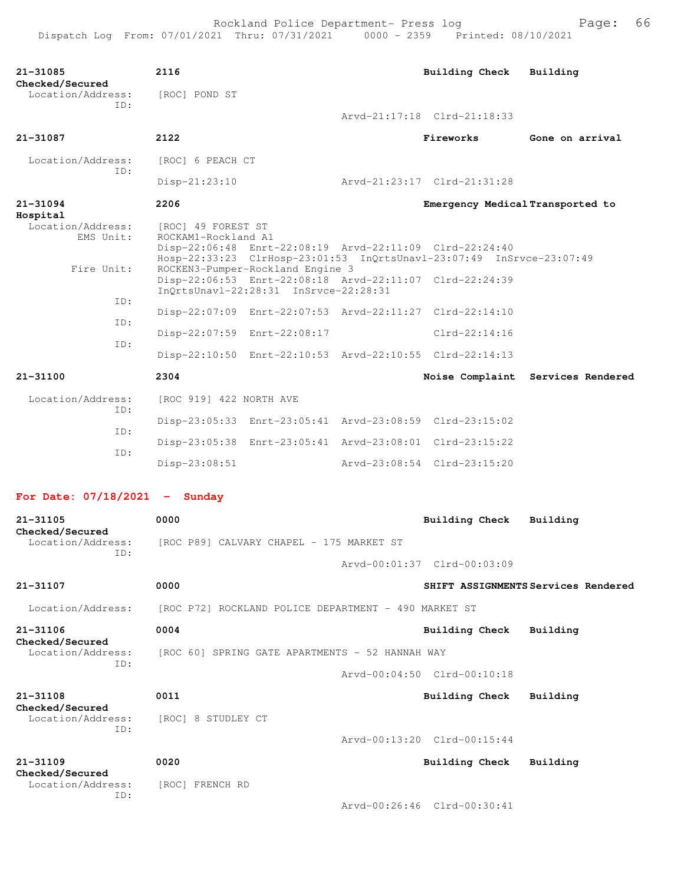| 21-31085<br>Checked/Secured                 | 2116                                                                                                                                                                         |  | Building Check                   | Building                            |  |  |
|---------------------------------------------|------------------------------------------------------------------------------------------------------------------------------------------------------------------------------|--|----------------------------------|-------------------------------------|--|--|
| Location/Address:<br>TD:                    | [ROC] POND ST                                                                                                                                                                |  |                                  |                                     |  |  |
|                                             |                                                                                                                                                                              |  | Arvd-21:17:18 Clrd-21:18:33      |                                     |  |  |
| 21-31087                                    | 2122                                                                                                                                                                         |  | Fireworks                        | Gone on arrival                     |  |  |
| Location/Address:<br>TD:                    | [ROC] 6 PEACH CT                                                                                                                                                             |  |                                  |                                     |  |  |
|                                             | $Disp-21:23:10$                                                                                                                                                              |  | Arvd-21:23:17 Clrd-21:31:28      |                                     |  |  |
| 21-31094<br>Hospital                        | 2206                                                                                                                                                                         |  | Emergency Medical Transported to |                                     |  |  |
| Location/Address:<br>EMS Unit:              | [ROC] 49 FOREST ST<br>ROCKAM1-Rockland A1<br>Disp-22:06:48 Enrt-22:08:19 Arvd-22:11:09 Clrd-22:24:40<br>Hosp-22:33:23 ClrHosp-23:01:53 InQrtsUnavl-23:07:49 InSrvce-23:07:49 |  |                                  |                                     |  |  |
| Fire Unit:                                  | ROCKEN3-Pumper-Rockland Engine 3<br>Disp-22:06:53 Enrt-22:08:18 Arvd-22:11:07 Clrd-22:24:39<br>InOrtsUnavl-22:28:31 InSrvce-22:28:31                                         |  |                                  |                                     |  |  |
| ID:<br>ID:                                  | Disp-22:07:09 Enrt-22:07:53 Arvd-22:11:27 Clrd-22:14:10                                                                                                                      |  |                                  |                                     |  |  |
|                                             | Disp-22:07:59 Enrt-22:08:17                                                                                                                                                  |  | $Clrd-22:14:16$                  |                                     |  |  |
| ID:                                         | Disp-22:10:50 Enrt-22:10:53 Arvd-22:10:55 Clrd-22:14:13                                                                                                                      |  |                                  |                                     |  |  |
| 21-31100                                    | 2304                                                                                                                                                                         |  |                                  | Noise Complaint Services Rendered   |  |  |
| Location/Address:                           | [ROC 919] 422 NORTH AVE                                                                                                                                                      |  |                                  |                                     |  |  |
| TD:                                         | Disp-23:05:33 Enrt-23:05:41 Arvd-23:08:59 Clrd-23:15:02                                                                                                                      |  |                                  |                                     |  |  |
| ID:                                         | Disp-23:05:38 Enrt-23:05:41 Arvd-23:08:01 Clrd-23:15:22                                                                                                                      |  |                                  |                                     |  |  |
| ID:                                         | $Disp-23:08:51$                                                                                                                                                              |  | Arvd-23:08:54 Clrd-23:15:20      |                                     |  |  |
| For Date: $07/18/2021$ - Sunday             |                                                                                                                                                                              |  |                                  |                                     |  |  |
| $21 - 31105$                                | 0000                                                                                                                                                                         |  | Building Check                   | Building                            |  |  |
| Checked/Secured<br>Location/Address:<br>ID: | [ROC P89] CALVARY CHAPEL - 175 MARKET ST                                                                                                                                     |  |                                  |                                     |  |  |
|                                             |                                                                                                                                                                              |  | Arvd-00:01:37 Clrd-00:03:09      |                                     |  |  |
| 21-31107                                    | 0000                                                                                                                                                                         |  |                                  | SHIFT ASSIGNMENTS Services Rendered |  |  |
| Location/Address:                           | [ROC P72] ROCKLAND POLICE DEPARTMENT - 490 MARKET ST                                                                                                                         |  |                                  |                                     |  |  |
| 21-31106                                    | 0004                                                                                                                                                                         |  | <b>Building Check</b>            | Building                            |  |  |
| Checked/Secured<br>Location/Address:        | [ROC 60] SPRING GATE APARTMENTS - 52 HANNAH WAY                                                                                                                              |  |                                  |                                     |  |  |
| ID:                                         |                                                                                                                                                                              |  | Arvd-00:04:50 Clrd-00:10:18      |                                     |  |  |
| 21-31108                                    | 0011                                                                                                                                                                         |  | <b>Building Check</b>            | Building                            |  |  |
| Checked/Secured<br>Location/Address:        | [ROC] 8 STUDLEY CT                                                                                                                                                           |  |                                  |                                     |  |  |
| ID:                                         |                                                                                                                                                                              |  | Arvd-00:13:20 Clrd-00:15:44      |                                     |  |  |
| 21-31109                                    | 0020                                                                                                                                                                         |  | Building Check                   | Building                            |  |  |
| Checked/Secured<br>Location/Address:        | [ROC] FRENCH RD                                                                                                                                                              |  |                                  |                                     |  |  |
| ID:                                         |                                                                                                                                                                              |  | Arvd-00:26:46 Clrd-00:30:41      |                                     |  |  |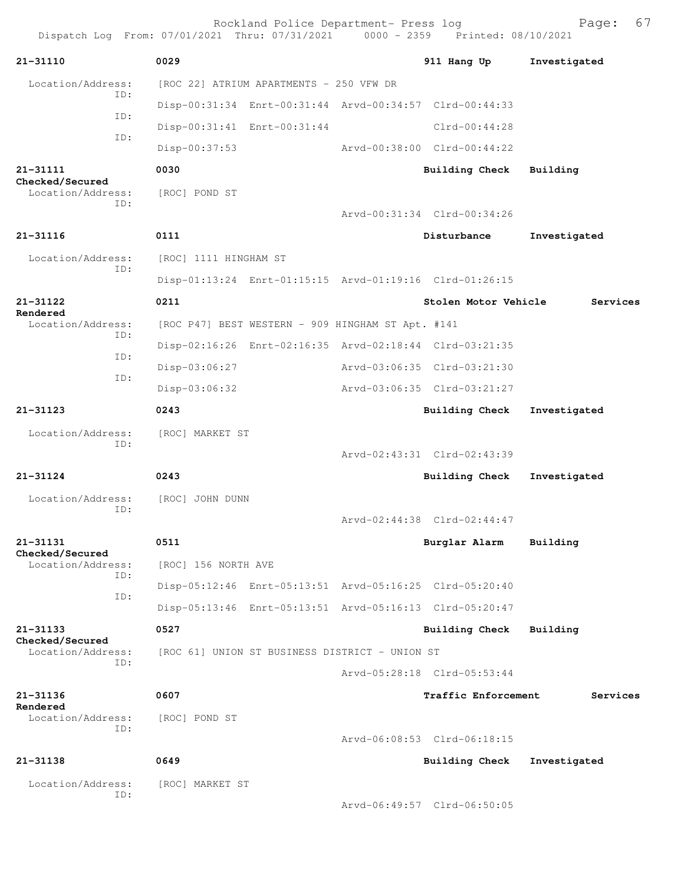Rockland Police Department- Press log Page: 67 Dispatch Log From: 07/01/2021 Thru: 07/31/2021 0000 - 2359 Printed: 08/10/2021 **21-31110 0029 911 Hang Up Investigated** Location/Address: [ROC 22] ATRIUM APARTMENTS - 250 VFW DR ID: Disp-00:31:34 Enrt-00:31:44 Arvd-00:34:57 Clrd-00:44:33 ID: Disp-00:31:41 Enrt-00:31:44 Clrd-00:44:28 ID: Disp-00:37:53 Arvd-00:38:00 Clrd-00:44:22 **21-31111 0030 Building Check Building Checked/Secured**  Location/Address: [ROC] POND ST ID: Arvd-00:31:34 Clrd-00:34:26 **21-31116 0111 Disturbance Investigated** Location/Address: [ROC] 1111 HINGHAM ST ID: Disp-01:13:24 Enrt-01:15:15 Arvd-01:19:16 Clrd-01:26:15 **21-31122 0211 Stolen Motor Vehicle Services Rendered**  [ROC P47] BEST WESTERN - 909 HINGHAM ST Apt. #141 ID: Disp-02:16:26 Enrt-02:16:35 Arvd-02:18:44 Clrd-03:21:35 ID: Disp-03:06:27 Arvd-03:06:35 Clrd-03:21:30 ID: Disp-03:06:32 Arvd-03:06:35 Clrd-03:21:27 **21-31123 0243 Building Check Investigated** Location/Address: [ROC] MARKET ST ID: Arvd-02:43:31 Clrd-02:43:39 **21-31124 0243 Building Check Investigated** Location/Address: [ROC] JOHN DUNN ID: Arvd-02:44:38 Clrd-02:44:47 **21-31131 0511 Burglar Alarm Building Checked/Secured**  Location/Address: [ROC] 156 NORTH AVE ID: Disp-05:12:46 Enrt-05:13:51 Arvd-05:16:25 Clrd-05:20:40 ID: Disp-05:13:46 Enrt-05:13:51 Arvd-05:16:13 Clrd-05:20:47 **21-31133 0527 Building Check Building Checked/Secured**  Location/Address: [ROC 61] UNION ST BUSINESS DISTRICT - UNION ST ID: Arvd-05:28:18 Clrd-05:53:44 **21-31136 0607 Traffic Enforcement Services Rendered**  Location/Address: [ROC] POND ST ID: Arvd-06:08:53 Clrd-06:18:15 **21-31138 0649 Building Check Investigated** Location/Address: [ROC] MARKET ST ID: Arvd-06:49:57 Clrd-06:50:05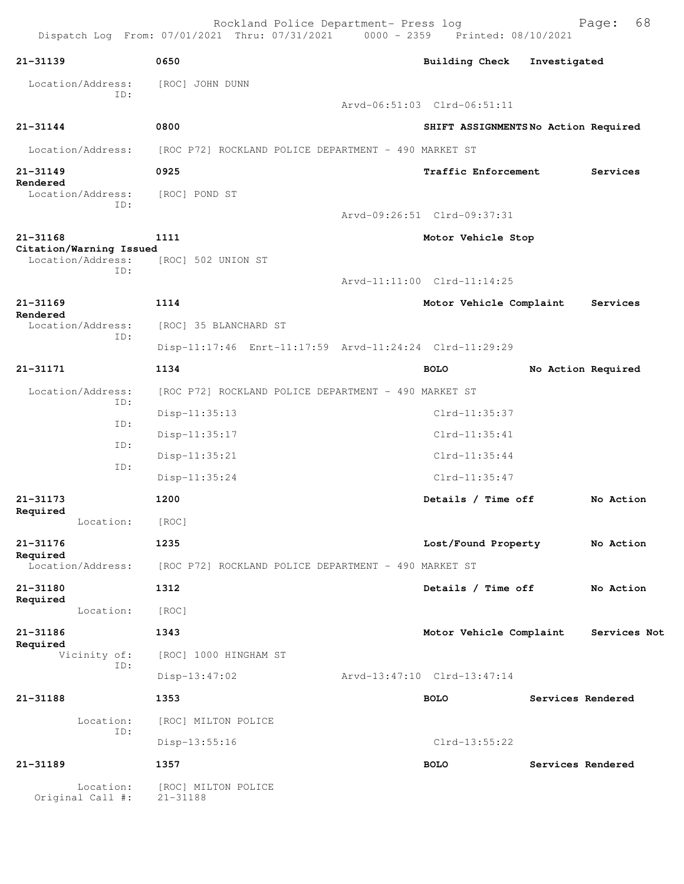|                                              | Rockland Police Department- Press log<br>Dispatch Log From: 07/01/2021 Thru: 07/31/2021 | 0000 - 2359 Printed: 08/10/2021     |                    | 68<br>Page:  |
|----------------------------------------------|-----------------------------------------------------------------------------------------|-------------------------------------|--------------------|--------------|
| 21-31139                                     | 0650                                                                                    | <b>Building Check</b>               | Investigated       |              |
| Location/Address:                            | [ROC] JOHN DUNN                                                                         |                                     |                    |              |
| ID:                                          |                                                                                         | Arvd-06:51:03 Clrd-06:51:11         |                    |              |
| $21 - 31144$                                 | 0800                                                                                    | SHIFT ASSIGNMENTSNo Action Required |                    |              |
| Location/Address:                            | [ROC P72] ROCKLAND POLICE DEPARTMENT - 490 MARKET ST                                    |                                     |                    |              |
| $21 - 31149$                                 | 0925                                                                                    | Traffic Enforcement                 |                    | Services     |
| Rendered<br>Location/Address:                | [ROC] POND ST                                                                           |                                     |                    |              |
| ID:                                          |                                                                                         | Arvd-09:26:51 Clrd-09:37:31         |                    |              |
| 21-31168                                     | 1111                                                                                    | Motor Vehicle Stop                  |                    |              |
| Citation/Warning Issued<br>Location/Address: | [ROC] 502 UNION ST                                                                      |                                     |                    |              |
| ID:                                          |                                                                                         | Arvd-11:11:00 Clrd-11:14:25         |                    |              |
| 21-31169                                     | 1114                                                                                    | Motor Vehicle Complaint             |                    | Services     |
| Rendered<br>Location/Address:                | [ROC] 35 BLANCHARD ST                                                                   |                                     |                    |              |
| ID:                                          | Disp-11:17:46 Enrt-11:17:59 Arvd-11:24:24 Clrd-11:29:29                                 |                                     |                    |              |
| 21-31171                                     | 1134                                                                                    | <b>BOLO</b>                         | No Action Required |              |
| Location/Address:                            | [ROC P72] ROCKLAND POLICE DEPARTMENT - 490 MARKET ST                                    |                                     |                    |              |
| ID:                                          | Disp-11:35:13                                                                           | $Clrd-11:35:37$                     |                    |              |
| ID:                                          | Disp-11:35:17                                                                           | $Clrd-11:35:41$                     |                    |              |
| ID:<br>ID:                                   | $Disp-11:35:21$                                                                         | $Clrd-11:35:44$                     |                    |              |
|                                              | Disp-11:35:24                                                                           | Clrd-11:35:47                       |                    |              |
| 21-31173                                     | 1200                                                                                    | Details / Time off                  |                    | No Action    |
| Required<br>Location:                        | [ROC]                                                                                   |                                     |                    |              |
| 21-31176                                     | 1235                                                                                    | Lost/Found Property                 |                    | No Action    |
| Required<br>Location/Address:                | [ROC P72] ROCKLAND POLICE DEPARTMENT - 490 MARKET ST                                    |                                     |                    |              |
| 21-31180                                     | 1312                                                                                    | Details / Time off                  |                    | No Action    |
| Required<br>Location:                        | [ROC]                                                                                   |                                     |                    |              |
| 21-31186                                     | 1343                                                                                    | Motor Vehicle Complaint             |                    | Services Not |
| Required<br>Vicinity of:                     | [ROC] 1000 HINGHAM ST                                                                   |                                     |                    |              |
| ID:                                          | $Disp-13:47:02$                                                                         | Arvd-13:47:10 Clrd-13:47:14         |                    |              |
| 21-31188                                     | 1353                                                                                    | <b>BOLO</b>                         | Services Rendered  |              |
| Location:                                    | [ROC] MILTON POLICE                                                                     |                                     |                    |              |
| ID:                                          | Disp-13:55:16                                                                           | $Clrd-13:55:22$                     |                    |              |
| 21-31189                                     | 1357                                                                                    | <b>BOLO</b>                         | Services Rendered  |              |
| Location:<br>Original Call #:                | [ROC] MILTON POLICE<br>$21 - 31188$                                                     |                                     |                    |              |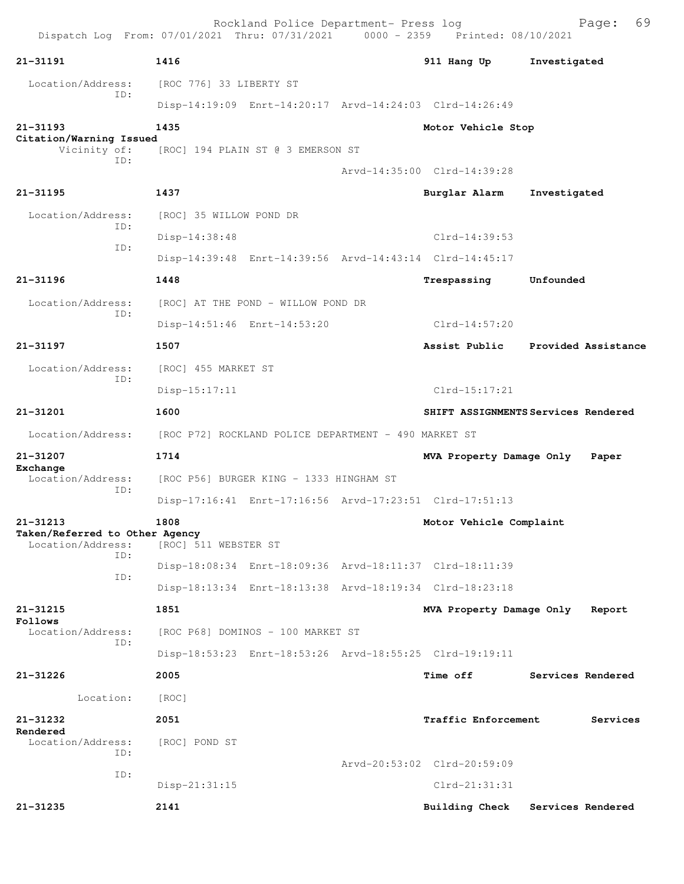Rockland Police Department- Press log Freed Page: 69 Dispatch Log From: 07/01/2021 Thru: 07/31/2021 0000 - 2359 Printed: 08/10/2021 **21-31191 1416 911 Hang Up Investigated** Location/Address: [ROC 776] 33 LIBERTY ST ID: Disp-14:19:09 Enrt-14:20:17 Arvd-14:24:03 Clrd-14:26:49 **21-31193 1435 Motor Vehicle Stop Citation/Warning Issued**  Vicinity of: [ROC] 194 PLAIN ST @ 3 EMERSON ST ID: Arvd-14:35:00 Clrd-14:39:28 **21-31195 1437 Burglar Alarm Investigated** Location/Address: [ROC] 35 WILLOW POND DR ID: Disp-14:38:48 Clrd-14:39:53 ID: Disp-14:39:48 Enrt-14:39:56 Arvd-14:43:14 Clrd-14:45:17 **21-31196 1448 Trespassing Unfounded**  Location/Address: [ROC] AT THE POND - WILLOW POND DR ID: Disp-14:51:46 Enrt-14:53:20 Clrd-14:57:20 **21-31197 1507 Assist Public Provided Assistance** Location/Address: [ROC] 455 MARKET ST ID: Disp-15:17:11 Clrd-15:17:21 **21-31201 1600 SHIFT ASSIGNMENTS Services Rendered** Location/Address: [ROC P72] ROCKLAND POLICE DEPARTMENT - 490 MARKET ST **21-31207 1714 MVA Property Damage Only Paper Exchange**  Location/Address: [ROC P56] BURGER KING - 1333 HINGHAM ST ID: Disp-17:16:41 Enrt-17:16:56 Arvd-17:23:51 Clrd-17:51:13 **21-31213 1808 Motor Vehicle Complaint Taken/Referred to Other Agency**  [ROC] 511 WEBSTER ST ID: Disp-18:08:34 Enrt-18:09:36 Arvd-18:11:37 Clrd-18:11:39 ID: Disp-18:13:34 Enrt-18:13:38 Arvd-18:19:34 Clrd-18:23:18 **21-31215 1851 MVA Property Damage Only Report Follows**  Location/Address: [ROC P68] DOMINOS - 100 MARKET ST ID: Disp-18:53:23 Enrt-18:53:26 Arvd-18:55:25 Clrd-19:19:11 **21-31226 2005 Time off Services Rendered** Location: [ROC] **21-31232 2051 Traffic Enforcement Services Rendered**  Location/Address: [ROC] POND ST ID: Arvd-20:53:02 Clrd-20:59:09 ID: Disp-21:31:15 Clrd-21:31:31 **21-31235 2141 Building Check Services Rendered**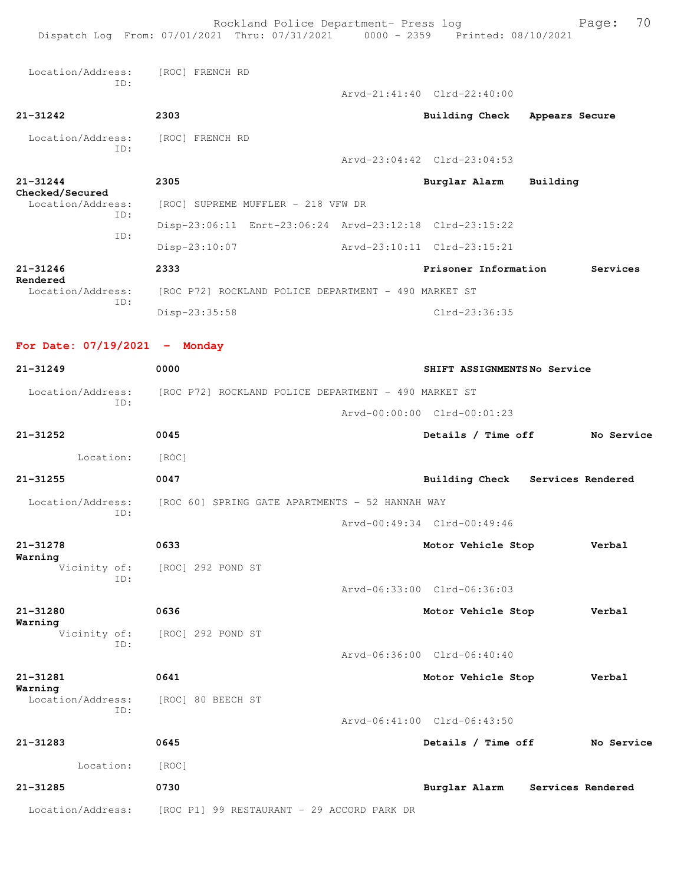|                                 | Rockland Police Department- Press log<br>Dispatch Log From: 07/01/2021 Thru: 07/31/2021 0000 - 2359 Printed: 08/10/2021 |                                  |                | Page:             | 70 |
|---------------------------------|-------------------------------------------------------------------------------------------------------------------------|----------------------------------|----------------|-------------------|----|
| Location/Address:               | [ROC] FRENCH RD                                                                                                         |                                  |                |                   |    |
| ID:                             |                                                                                                                         | Arvd-21:41:40 Clrd-22:40:00      |                |                   |    |
| $21 - 31242$                    | 2303                                                                                                                    | <b>Building Check</b>            | Appears Secure |                   |    |
| Location/Address:<br>ID:        | [ROC] FRENCH RD                                                                                                         |                                  |                |                   |    |
|                                 |                                                                                                                         | Arvd-23:04:42 Clrd-23:04:53      |                |                   |    |
| 21-31244<br>Checked/Secured     | 2305                                                                                                                    | Burglar Alarm                    | Building       |                   |    |
| Location/Address:<br>ID:        | [ROC] SUPREME MUFFLER - 218 VFW DR                                                                                      |                                  |                |                   |    |
| ID:                             | Disp-23:06:11 Enrt-23:06:24 Arvd-23:12:18 Clrd-23:15:22                                                                 |                                  |                |                   |    |
|                                 | $Disp-23:10:07$                                                                                                         | Arvd-23:10:11 Clrd-23:15:21      |                |                   |    |
| $21 - 31246$<br>Rendered        | 2333                                                                                                                    | Prisoner Information             |                | Services          |    |
| Location/Address:<br>ID:        | [ROC P72] ROCKLAND POLICE DEPARTMENT - 490 MARKET ST                                                                    |                                  |                |                   |    |
|                                 | Disp-23:35:58                                                                                                           | Clrd-23:36:35                    |                |                   |    |
| For Date: $07/19/2021$ - Monday |                                                                                                                         |                                  |                |                   |    |
| $21 - 31249$                    | 0000                                                                                                                    | SHIFT ASSIGNMENTSNo Service      |                |                   |    |
|                                 | Location/Address: [ROC P72] ROCKLAND POLICE DEPARTMENT - 490 MARKET ST                                                  |                                  |                |                   |    |
| ID:                             |                                                                                                                         | Arvd-00:00:00 Clrd-00:01:23      |                |                   |    |
| 21-31252                        | 0045                                                                                                                    | Details / Time off               |                | No Service        |    |
| Location:                       | [ROC]                                                                                                                   |                                  |                |                   |    |
| 21-31255                        | 0047                                                                                                                    | Building Check Services Rendered |                |                   |    |
| Location/Address:               | [ROC 60] SPRING GATE APARTMENTS - 52 HANNAH WAY                                                                         |                                  |                |                   |    |
| ID:                             |                                                                                                                         | Arvd-00:49:34 Clrd-00:49:46      |                |                   |    |
| 21-31278                        | 0633                                                                                                                    | Motor Vehicle Stop               |                | Verbal            |    |
| Warning<br>Vicinity of:         | [ROC] 292 POND ST                                                                                                       |                                  |                |                   |    |
| ID:                             |                                                                                                                         | Arvd-06:33:00 Clrd-06:36:03      |                |                   |    |
| 21-31280                        | 0636                                                                                                                    | Motor Vehicle Stop               |                | Verbal            |    |
| Warning<br>Vicinity of:         | [ROC] 292 POND ST                                                                                                       |                                  |                |                   |    |
| ID:                             |                                                                                                                         | Arvd-06:36:00 Clrd-06:40:40      |                |                   |    |
| 21-31281                        | 0641                                                                                                                    | Motor Vehicle Stop               |                | Verbal            |    |
| Warning<br>Location/Address:    | [ROC] 80 BEECH ST                                                                                                       |                                  |                |                   |    |
| ID:                             |                                                                                                                         | Arvd-06:41:00 Clrd-06:43:50      |                |                   |    |
| 21-31283                        | 0645                                                                                                                    | Details / Time off               |                | No Service        |    |
| Location:                       | [ROC]                                                                                                                   |                                  |                |                   |    |
| 21-31285                        | 0730                                                                                                                    | Burglar Alarm                    |                | Services Rendered |    |
| Location/Address:               | [ROC P1] 99 RESTAURANT - 29 ACCORD PARK DR                                                                              |                                  |                |                   |    |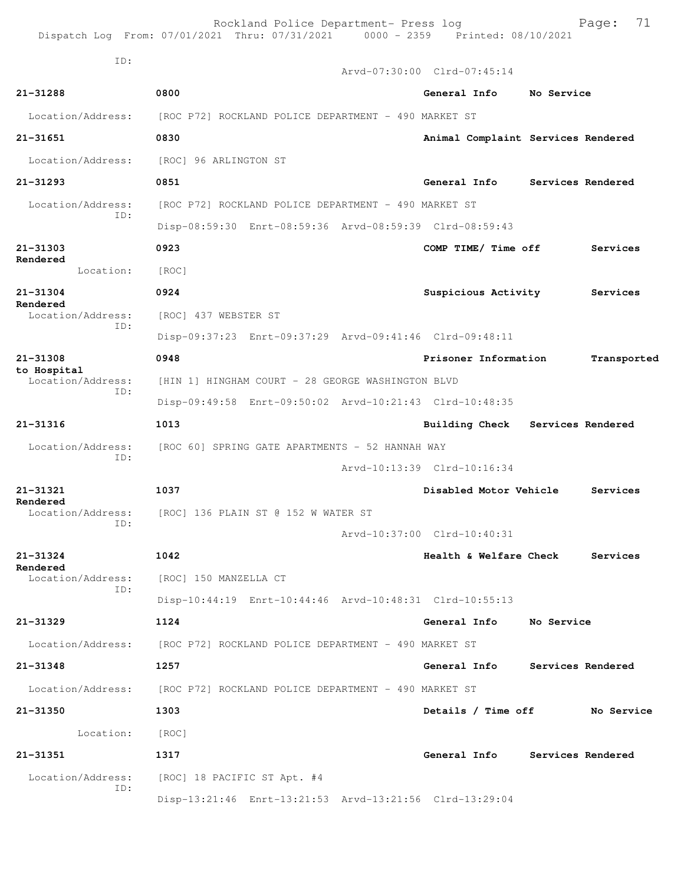|                               | Rockland Police Department- Press log<br>Dispatch Log From: 07/01/2021 Thru: 07/31/2021 0000 - 2359 Printed: 08/10/2021 |                             | 71<br>Page:                        |
|-------------------------------|-------------------------------------------------------------------------------------------------------------------------|-----------------------------|------------------------------------|
| ID:                           |                                                                                                                         | Arvd-07:30:00 Clrd-07:45:14 |                                    |
| $21 - 31288$                  | 0800                                                                                                                    | General Info                | No Service                         |
| Location/Address:             | [ROC P72] ROCKLAND POLICE DEPARTMENT - 490 MARKET ST                                                                    |                             |                                    |
| 21-31651                      | 0830                                                                                                                    |                             | Animal Complaint Services Rendered |
| Location/Address:             | [ROC] 96 ARLINGTON ST                                                                                                   |                             |                                    |
|                               |                                                                                                                         |                             |                                    |
| $21 - 31293$                  | 0851                                                                                                                    | General Info                | Services Rendered                  |
| Location/Address:<br>ID:      | [ROC P72] ROCKLAND POLICE DEPARTMENT - 490 MARKET ST                                                                    |                             |                                    |
|                               | Disp-08:59:30 Enrt-08:59:36 Arvd-08:59:39 Clrd-08:59:43                                                                 |                             |                                    |
| $21 - 31303$<br>Rendered      | 0923                                                                                                                    | COMP TIME/ Time off         | Services                           |
| Location:                     | [ROC]                                                                                                                   |                             |                                    |
| 21-31304<br>Rendered          | 0924                                                                                                                    | Suspicious Activity         | Services                           |
| Location/Address:<br>ID:      | [ROC] 437 WEBSTER ST                                                                                                    |                             |                                    |
|                               | Disp-09:37:23 Enrt-09:37:29 Arvd-09:41:46 Clrd-09:48:11                                                                 |                             |                                    |
| 21-31308<br>to Hospital       | 0948                                                                                                                    | Prisoner Information        | Transported                        |
| Location/Address:<br>TD:      | [HIN 1] HINGHAM COURT - 28 GEORGE WASHINGTON BLVD                                                                       |                             |                                    |
|                               | Disp-09:49:58 Enrt-09:50:02 Arvd-10:21:43 Clrd-10:48:35                                                                 |                             |                                    |
| 21-31316                      | 1013                                                                                                                    | <b>Building Check</b>       | Services Rendered                  |
| Location/Address:             | [ROC 60] SPRING GATE APARTMENTS - 52 HANNAH WAY                                                                         |                             |                                    |
| ID:                           |                                                                                                                         | Arvd-10:13:39 Clrd-10:16:34 |                                    |
| 21-31321                      | 1037                                                                                                                    | Disabled Motor Vehicle      | Services                           |
| Rendered<br>Location/Address: | [ROC] 136 PLAIN ST @ 152 W WATER ST                                                                                     |                             |                                    |
| ID:                           |                                                                                                                         | Arvd-10:37:00 Clrd-10:40:31 |                                    |
| 21-31324                      | 1042                                                                                                                    | Health & Welfare Check      | Services                           |
| Rendered<br>Location/Address: | [ROC] 150 MANZELLA CT                                                                                                   |                             |                                    |
| ID:                           | Disp-10:44:19 Enrt-10:44:46 Arvd-10:48:31 Clrd-10:55:13                                                                 |                             |                                    |
| 21-31329                      | 1124                                                                                                                    | General Info                | No Service                         |
|                               | Location/Address: [ROC P72] ROCKLAND POLICE DEPARTMENT - 490 MARKET ST                                                  |                             |                                    |
| 21-31348                      | 1257                                                                                                                    | General Info                | Services Rendered                  |
|                               | Location/Address: [ROC P72] ROCKLAND POLICE DEPARTMENT - 490 MARKET ST                                                  |                             |                                    |
| 21-31350                      | 1303                                                                                                                    | Details / Time off          | No Service                         |
| Location:                     | [ROC]                                                                                                                   |                             |                                    |
| 21-31351                      | 1317                                                                                                                    | General Info                | Services Rendered                  |
| Location/Address:             | [ROC] 18 PACIFIC ST Apt. #4                                                                                             |                             |                                    |
| ID:                           | Disp-13:21:46 Enrt-13:21:53 Arvd-13:21:56 Clrd-13:29:04                                                                 |                             |                                    |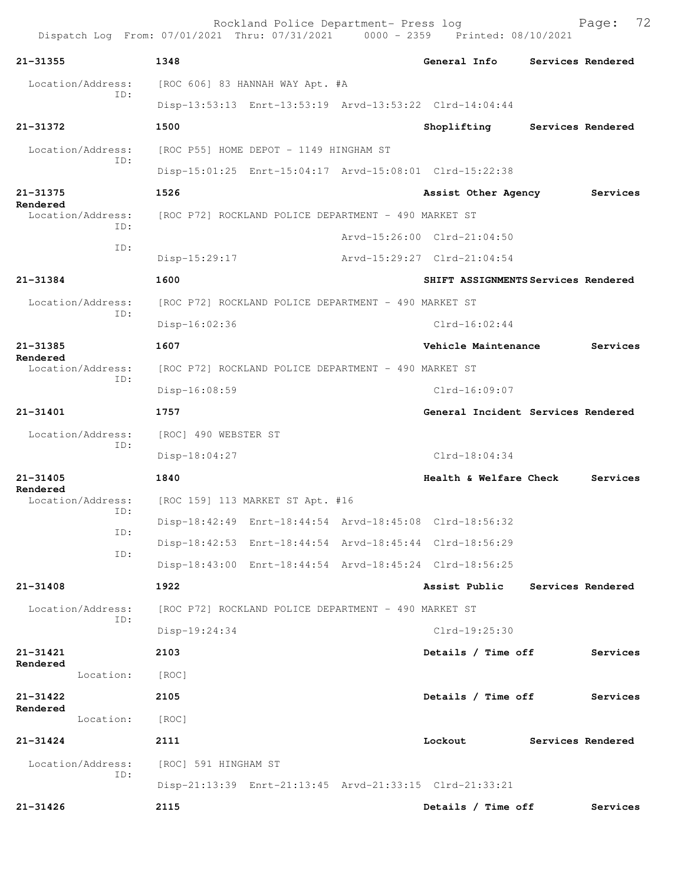| 21-31355                      | 1348                 |                                                      | General Info                                            | Services Rendered |
|-------------------------------|----------------------|------------------------------------------------------|---------------------------------------------------------|-------------------|
| Location/Address:             |                      | [ROC 606] 83 HANNAH WAY Apt. #A                      |                                                         |                   |
| ID:                           |                      |                                                      | Disp-13:53:13 Enrt-13:53:19 Arvd-13:53:22 Clrd-14:04:44 |                   |
| 21-31372                      | 1500                 |                                                      | Shoplifting                                             | Services Rendered |
| Location/Address:             |                      | [ROC P55] HOME DEPOT - 1149 HINGHAM ST               |                                                         |                   |
| ID:                           |                      |                                                      | Disp-15:01:25 Enrt-15:04:17 Arvd-15:08:01 Clrd-15:22:38 |                   |
| 21-31375                      | 1526                 |                                                      | Assist Other Agency                                     | Services          |
| Rendered<br>Location/Address: |                      | [ROC P72] ROCKLAND POLICE DEPARTMENT - 490 MARKET ST |                                                         |                   |
| ID:                           |                      |                                                      | Arvd-15:26:00 Clrd-21:04:50                             |                   |
| ID:                           | Disp-15:29:17        |                                                      | Arvd-15:29:27 Clrd-21:04:54                             |                   |
| 21-31384                      | 1600                 |                                                      | SHIFT ASSIGNMENTS Services Rendered                     |                   |
| Location/Address:             |                      | [ROC P72] ROCKLAND POLICE DEPARTMENT - 490 MARKET ST |                                                         |                   |
| ID:                           | $Disp-16:02:36$      |                                                      | $C1rd-16:02:44$                                         |                   |
| $21 - 31385$                  | 1607                 |                                                      | Vehicle Maintenance                                     | Services          |
| Rendered<br>Location/Address: |                      | [ROC P72] ROCKLAND POLICE DEPARTMENT - 490 MARKET ST |                                                         |                   |
| TD:                           | Disp-16:08:59        |                                                      | $Clrd-16:09:07$                                         |                   |
| 21-31401                      | 1757                 |                                                      | General Incident Services Rendered                      |                   |
| Location/Address:             | [ROC] 490 WEBSTER ST |                                                      |                                                         |                   |
| ID:                           | Disp-18:04:27        |                                                      | $Clrd-18:04:34$                                         |                   |
| $21 - 31405$                  | 1840                 |                                                      | Health & Welfare Check                                  | Services          |
| Rendered<br>Location/Address: |                      | [ROC 159] 113 MARKET ST Apt. #16                     |                                                         |                   |
| ID:                           |                      |                                                      | Disp-18:42:49 Enrt-18:44:54 Arvd-18:45:08 Clrd-18:56:32 |                   |
| ID:                           |                      |                                                      | Disp-18:42:53 Enrt-18:44:54 Arvd-18:45:44 Clrd-18:56:29 |                   |
| ID:                           |                      |                                                      | Disp-18:43:00 Enrt-18:44:54 Arvd-18:45:24 Clrd-18:56:25 |                   |
| 21-31408                      | 1922                 |                                                      | Assist Public                                           | Services Rendered |
| Location/Address:<br>ID:      |                      | [ROC P72] ROCKLAND POLICE DEPARTMENT - 490 MARKET ST |                                                         |                   |
|                               | Disp-19:24:34        |                                                      | Clrd-19:25:30                                           |                   |
| 21-31421                      | 2103                 |                                                      | Details / Time off                                      | Services          |
| Rendered<br>Location:         | [ROC]                |                                                      |                                                         |                   |
| 21-31422                      | 2105                 |                                                      | Details / Time off                                      | Services          |
| Rendered<br>Location:         | [ROC]                |                                                      |                                                         |                   |
| $21 - 31424$                  | 2111                 |                                                      | Lockout                                                 | Services Rendered |
| Location/Address:             | [ROC] 591 HINGHAM ST |                                                      |                                                         |                   |
| ID:                           |                      |                                                      | Disp-21:13:39 Enrt-21:13:45 Arvd-21:33:15 Clrd-21:33:21 |                   |
| $21 - 31426$                  | 2115                 |                                                      | Details / Time off                                      | Services          |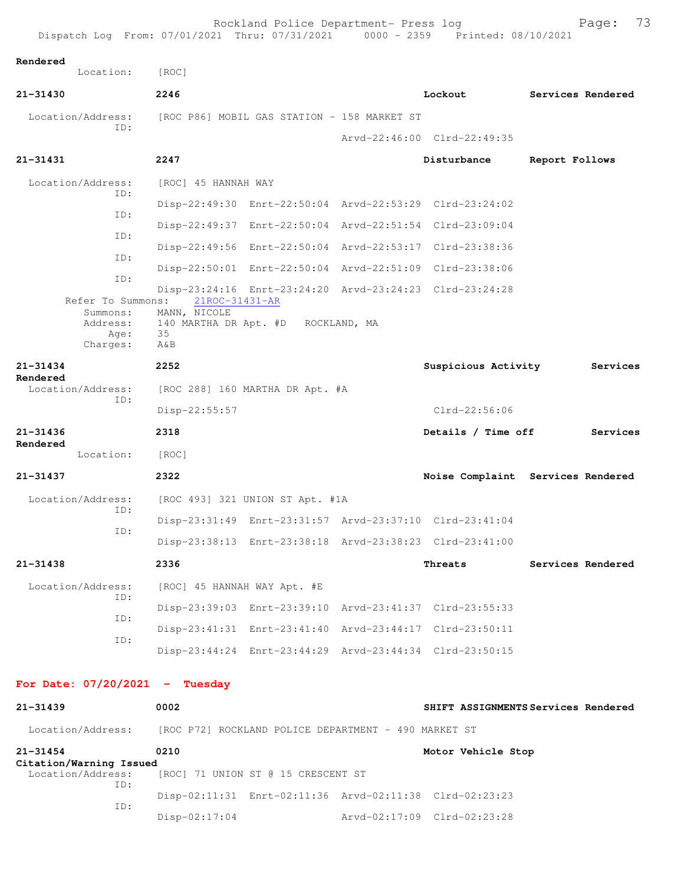| Dispatch Log From: 07/01/2021 Thru: 07/31/2021 0000 - 2359 Printed: 08/10/2021 |                                | Rockland Police Department- Press log                   |                             | 73<br>Page:                         |
|--------------------------------------------------------------------------------|--------------------------------|---------------------------------------------------------|-----------------------------|-------------------------------------|
| Rendered<br>Location:                                                          | [ROC]                          |                                                         |                             |                                     |
| $21 - 31430$                                                                   | 2246                           |                                                         | Lockout                     | Services Rendered                   |
| Location/Address:                                                              |                                | [ROC P86] MOBIL GAS STATION - 158 MARKET ST             |                             |                                     |
| TD:                                                                            |                                |                                                         | Arvd-22:46:00 Clrd-22:49:35 |                                     |
| 21-31431                                                                       | 2247                           |                                                         | Disturbance                 | Report Follows                      |
| Location/Address:                                                              | [ROC] 45 HANNAH WAY            |                                                         |                             |                                     |
| ID:                                                                            |                                | Disp-22:49:30 Enrt-22:50:04 Arvd-22:53:29 Clrd-23:24:02 |                             |                                     |
| ID:                                                                            |                                | Disp-22:49:37 Enrt-22:50:04 Arvd-22:51:54 Clrd-23:09:04 |                             |                                     |
| ID:                                                                            |                                | Disp-22:49:56 Enrt-22:50:04 Arvd-22:53:17 Clrd-23:38:36 |                             |                                     |
| ID:                                                                            |                                | Disp-22:50:01 Enrt-22:50:04 Arvd-22:51:09 Clrd-23:38:06 |                             |                                     |
| ID:                                                                            |                                | Disp-23:24:16 Enrt-23:24:20 Arvd-23:24:23 Clrd-23:24:28 |                             |                                     |
| Refer To Summons:<br>Summons:                                                  | 21ROC-31431-AR<br>MANN, NICOLE |                                                         |                             |                                     |
| Address:<br>Age:                                                               | 35                             | 140 MARTHA DR Apt. #D ROCKLAND, MA                      |                             |                                     |
| Charges:                                                                       | A&B                            |                                                         |                             |                                     |
| $21 - 31434$                                                                   | 2252                           |                                                         | Suspicious Activity         | Services                            |
| Rendered<br>Location/Address:                                                  |                                | [ROC 288] 160 MARTHA DR Apt. #A                         |                             |                                     |
| ID:                                                                            | Disp-22:55:57                  |                                                         | $Clrd-22:56:06$             |                                     |
| 21-31436                                                                       | 2318                           |                                                         | Details / Time off          | Services                            |
| Rendered<br>Location:                                                          | [ROC]                          |                                                         |                             |                                     |
| $21 - 31437$                                                                   | 2322                           |                                                         |                             | Noise Complaint Services Rendered   |
| Location/Address:                                                              |                                | [ROC 493] 321 UNION ST Apt. #1A                         |                             |                                     |
| ID:                                                                            |                                | Disp-23:31:49 Enrt-23:31:57 Arvd-23:37:10 Clrd-23:41:04 |                             |                                     |
| ID:                                                                            |                                | Disp-23:38:13 Enrt-23:38:18 Arvd-23:38:23 Clrd-23:41:00 |                             |                                     |
| $21 - 31438$                                                                   | 2336                           |                                                         | Threats                     | Services Rendered                   |
| Location/Address:                                                              | [ROC] 45 HANNAH WAY Apt. #E    |                                                         |                             |                                     |
| ID:                                                                            |                                | Disp-23:39:03 Enrt-23:39:10 Arvd-23:41:37 Clrd-23:55:33 |                             |                                     |
| ID:                                                                            |                                | Disp-23:41:31 Enrt-23:41:40 Arvd-23:44:17 Clrd-23:50:11 |                             |                                     |
| ID:                                                                            |                                |                                                         |                             |                                     |
|                                                                                |                                | Disp-23:44:24 Enrt-23:44:29 Arvd-23:44:34 Clrd-23:50:15 |                             |                                     |
| For Date: $07/20/2021$ - Tuesday                                               |                                |                                                         |                             |                                     |
| 21-31439                                                                       | 0002                           |                                                         |                             | SHIFT ASSIGNMENTS Services Rendered |
| Location/Address: [ROC P72] ROCKLAND POLICE DEPARTMENT - 490 MARKET ST         |                                |                                                         |                             |                                     |

**21-31454 0210 Motor Vehicle Stop Citation/Warning Issued**  [ROC] 71 UNION ST @ 15 CRESCENT ST ID: Disp-02:11:31 Enrt-02:11:36 Arvd-02:11:38 Clrd-02:23:23 ID: Disp-02:17:04 Arvd-02:17:09 Clrd-02:23:28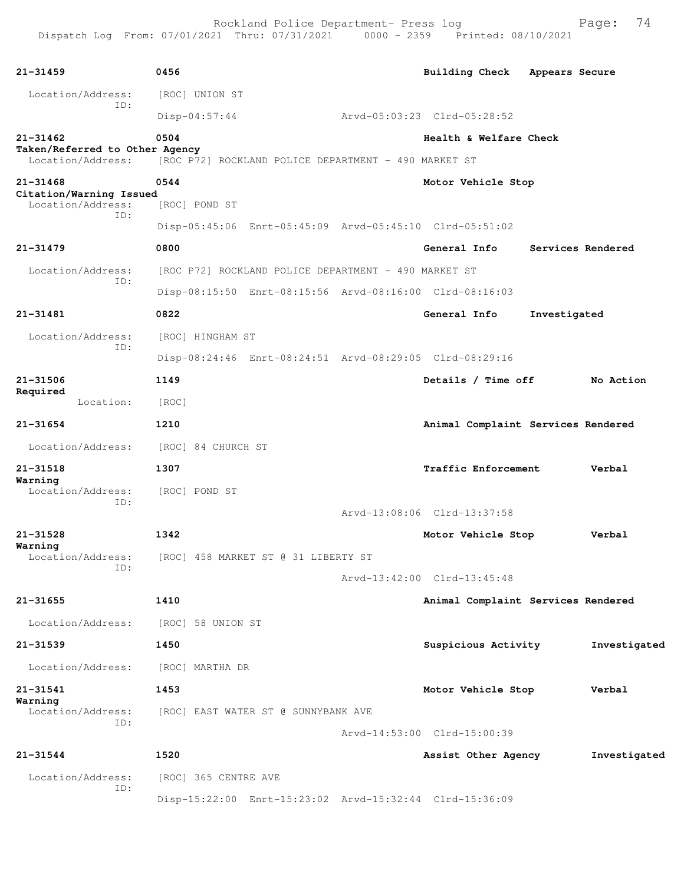| $21 - 31459$                                        | 0456                                                    | Building Check Appears Secure      |              |                   |
|-----------------------------------------------------|---------------------------------------------------------|------------------------------------|--------------|-------------------|
| Location/Address:                                   | [ROC] UNION ST                                          |                                    |              |                   |
| ID:                                                 | $Disp-04:57:44$                                         | Arvd-05:03:23 Clrd-05:28:52        |              |                   |
| $21 - 31462$                                        | 0504                                                    | Health & Welfare Check             |              |                   |
| Taken/Referred to Other Agency<br>Location/Address: | [ROC P72] ROCKLAND POLICE DEPARTMENT - 490 MARKET ST    |                                    |              |                   |
| $21 - 31468$                                        | 0544                                                    | Motor Vehicle Stop                 |              |                   |
| Citation/Warning Issued<br>Location/Address:        | [ROC] POND ST                                           |                                    |              |                   |
| ID:                                                 | Disp-05:45:06 Enrt-05:45:09 Arvd-05:45:10 Clrd-05:51:02 |                                    |              |                   |
| $21 - 31479$                                        | 0800                                                    | General Info                       |              | Services Rendered |
| Location/Address:                                   | [ROC P72] ROCKLAND POLICE DEPARTMENT - 490 MARKET ST    |                                    |              |                   |
| ID:                                                 |                                                         |                                    |              |                   |
|                                                     | Disp-08:15:50 Enrt-08:15:56 Arvd-08:16:00 Clrd-08:16:03 |                                    |              |                   |
| 21-31481                                            | 0822                                                    | General Info                       | Investigated |                   |
| Location/Address:<br>ID:                            | [ROC] HINGHAM ST                                        |                                    |              |                   |
|                                                     | Disp-08:24:46 Enrt-08:24:51 Arvd-08:29:05 Clrd-08:29:16 |                                    |              |                   |
| 21-31506<br>Required                                | 1149                                                    | Details / Time off                 |              | No Action         |
| Location:                                           | [ROC]                                                   |                                    |              |                   |
| $21 - 31654$                                        | 1210                                                    | Animal Complaint Services Rendered |              |                   |
| Location/Address:                                   | [ROC] 84 CHURCH ST                                      |                                    |              |                   |
| 21-31518                                            | 1307                                                    | Traffic Enforcement                |              | Verbal            |
| Warning<br>Location/Address:                        | [ROC] POND ST                                           |                                    |              |                   |
| ID:                                                 |                                                         | Arvd-13:08:06 Clrd-13:37:58        |              |                   |
| 21-31528                                            | 1342                                                    | Motor Vehicle Stop                 |              | Verbal            |
| Warning                                             | Location/Address: [ROC] 458 MARKET ST @ 31 LIBERTY ST   |                                    |              |                   |
| ID:                                                 |                                                         | Arvd-13:42:00 Clrd-13:45:48        |              |                   |
| $21 - 31655$                                        | 1410                                                    | Animal Complaint Services Rendered |              |                   |
|                                                     |                                                         |                                    |              |                   |
| Location/Address:                                   | [ROC] 58 UNION ST                                       |                                    |              |                   |
| 21-31539                                            | 1450                                                    | Suspicious Activity                |              | Investigated      |
| Location/Address:                                   | [ROC] MARTHA DR                                         |                                    |              |                   |
| 21-31541<br>Warning                                 | 1453                                                    | Motor Vehicle Stop                 |              | Verbal            |
| Location/Address:<br>ID:                            | [ROC] EAST WATER ST @ SUNNYBANK AVE                     |                                    |              |                   |
|                                                     |                                                         | Arvd-14:53:00 Clrd-15:00:39        |              |                   |
| $21 - 31544$                                        | 1520                                                    | Assist Other Agency                |              | Investigated      |
| Location/Address:                                   | [ROC] 365 CENTRE AVE                                    |                                    |              |                   |
| ID:                                                 | Disp-15:22:00 Enrt-15:23:02 Arvd-15:32:44 Clrd-15:36:09 |                                    |              |                   |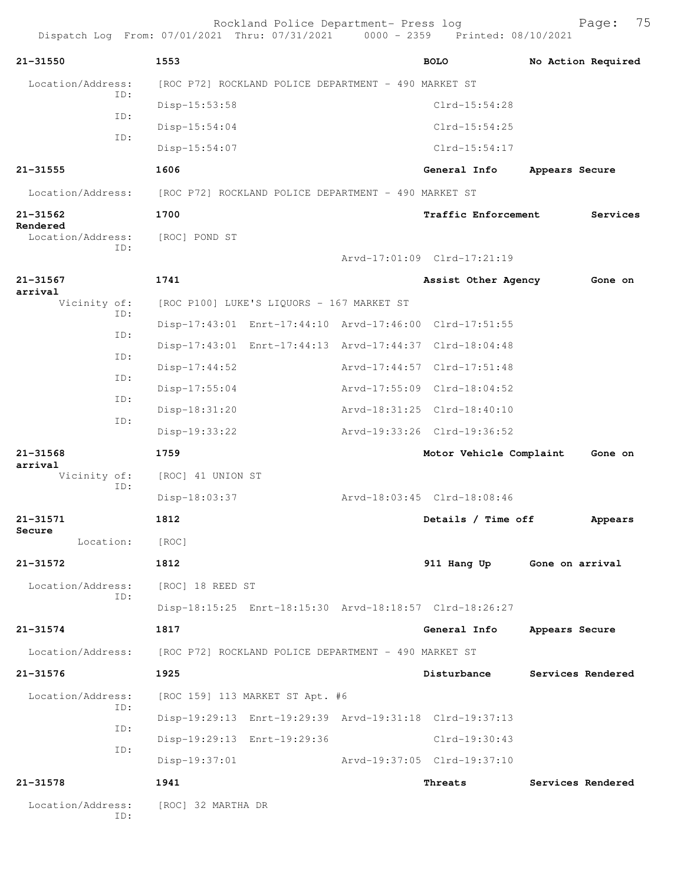|                               |               |                                                      | Rockland Police Department- Press log                | Dispatch Log From: 07/01/2021 Thru: 07/31/2021 0000 - 2359 Printed: 08/10/2021 |                 | 75<br>Page:        |
|-------------------------------|---------------|------------------------------------------------------|------------------------------------------------------|--------------------------------------------------------------------------------|-----------------|--------------------|
| $21 - 31550$                  |               | 1553                                                 |                                                      | <b>BOLO</b>                                                                    |                 | No Action Required |
| Location/Address:             |               |                                                      | [ROC P72] ROCKLAND POLICE DEPARTMENT - 490 MARKET ST |                                                                                |                 |                    |
|                               | TD:           | Disp-15:53:58                                        |                                                      | $Clrd-15:54:28$                                                                |                 |                    |
|                               | ID:           | Disp-15:54:04                                        |                                                      | $Clrd-15:54:25$                                                                |                 |                    |
|                               | ID:           | Disp-15:54:07                                        |                                                      | $Clrd-15:54:17$                                                                |                 |                    |
| $21 - 31555$                  |               | 1606                                                 |                                                      | General Info                                                                   | Appears Secure  |                    |
| Location/Address:             |               |                                                      | [ROC P72] ROCKLAND POLICE DEPARTMENT - 490 MARKET ST |                                                                                |                 |                    |
| 21-31562                      |               | 1700                                                 |                                                      | Traffic Enforcement                                                            |                 | Services           |
| Rendered<br>Location/Address: |               | [ROC] POND ST                                        |                                                      |                                                                                |                 |                    |
|                               | ID:           |                                                      |                                                      | Arvd-17:01:09 Clrd-17:21:19                                                    |                 |                    |
| $21 - 31567$                  |               | 1741                                                 |                                                      | Assist Other Agency                                                            |                 | Gone on            |
| arrival<br>Vicinity of:       |               |                                                      | [ROC P100] LUKE'S LIQUORS - 167 MARKET ST            |                                                                                |                 |                    |
|                               | ID:           |                                                      |                                                      | Disp-17:43:01 Enrt-17:44:10 Arvd-17:46:00 Clrd-17:51:55                        |                 |                    |
|                               | ID:           |                                                      |                                                      | Disp-17:43:01 Enrt-17:44:13 Arvd-17:44:37 Clrd-18:04:48                        |                 |                    |
|                               | ID:           | $Disp-17:44:52$                                      |                                                      | Arvd-17:44:57 Clrd-17:51:48                                                    |                 |                    |
|                               | ID:           | $Disp-17:55:04$                                      |                                                      | Arvd-17:55:09 Clrd-18:04:52                                                    |                 |                    |
| ID:                           | Disp-18:31:20 |                                                      | Arvd-18:31:25 Clrd-18:40:10                          |                                                                                |                 |                    |
|                               | ID:           | Disp-19:33:22                                        |                                                      | Arvd-19:33:26 Clrd-19:36:52                                                    |                 |                    |
| $21 - 31568$                  |               | 1759                                                 |                                                      | Motor Vehicle Complaint                                                        |                 | Gone on            |
| arrival<br>Vicinity of:       |               | [ROC] 41 UNION ST                                    |                                                      |                                                                                |                 |                    |
|                               | ID:           | Disp-18:03:37                                        |                                                      | Arvd-18:03:45 Clrd-18:08:46                                                    |                 |                    |
| $21 - 31571$                  |               | 1812                                                 |                                                      | Details / Time off                                                             |                 | Appears            |
| Secure<br>Location:           |               | [ROC]                                                |                                                      |                                                                                |                 |                    |
| 21-31572                      |               | 1812                                                 |                                                      | 911 Hang Up                                                                    | Gone on arrival |                    |
| Location/Address:             |               | [ROC] 18 REED ST                                     |                                                      |                                                                                |                 |                    |
|                               | ID:           |                                                      |                                                      | Disp-18:15:25 Enrt-18:15:30 Arvd-18:18:57 Clrd-18:26:27                        |                 |                    |
| $21 - 31574$                  |               | 1817                                                 |                                                      | General Info                                                                   | Appears Secure  |                    |
| Location/Address:             |               | [ROC P72] ROCKLAND POLICE DEPARTMENT - 490 MARKET ST |                                                      |                                                                                |                 |                    |
| $21 - 31576$                  |               | 1925                                                 |                                                      | Disturbance                                                                    |                 | Services Rendered  |
| Location/Address:             |               |                                                      | [ROC 159] 113 MARKET ST Apt. #6                      |                                                                                |                 |                    |
|                               | ID:           |                                                      |                                                      | Disp-19:29:13 Enrt-19:29:39 Arvd-19:31:18 Clrd-19:37:13                        |                 |                    |
|                               | ID:           |                                                      | Disp-19:29:13 Enrt-19:29:36                          | Clrd-19:30:43                                                                  |                 |                    |
|                               | ID:           | $Disp-19:37:01$                                      |                                                      | Arvd-19:37:05 Clrd-19:37:10                                                    |                 |                    |
| 21-31578                      |               | 1941                                                 |                                                      | Threats                                                                        |                 | Services Rendered  |
| Location/Address:             | ID:           | [ROC] 32 MARTHA DR                                   |                                                      |                                                                                |                 |                    |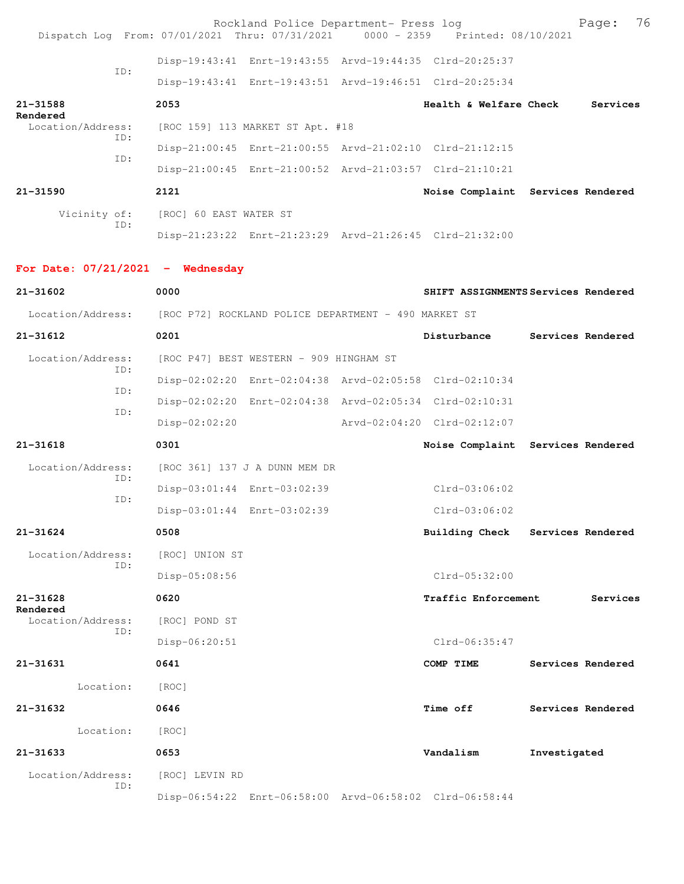| Dispatch Log From: 07/01/2021 Thru: 07/31/2021 0000 - 2359 Printed: 08/10/2021 |                        | Rockland Police Department- Press log                   |                                                         |              | 76<br>Page:       |
|--------------------------------------------------------------------------------|------------------------|---------------------------------------------------------|---------------------------------------------------------|--------------|-------------------|
|                                                                                |                        |                                                         | Disp-19:43:41 Enrt-19:43:55 Arvd-19:44:35 Clrd-20:25:37 |              |                   |
| TD:                                                                            |                        |                                                         | Disp-19:43:41 Enrt-19:43:51 Arvd-19:46:51 Clrd-20:25:34 |              |                   |
| 21-31588                                                                       | 2053                   |                                                         | <b>Health &amp; Welfare Check</b>                       |              | Services          |
| Rendered<br>Location/Address:                                                  |                        | [ROC 159] 113 MARKET ST Apt. #18                        |                                                         |              |                   |
| ID:                                                                            |                        |                                                         | Disp-21:00:45 Enrt-21:00:55 Arvd-21:02:10 Clrd-21:12:15 |              |                   |
| ID:                                                                            |                        |                                                         | Disp-21:00:45 Enrt-21:00:52 Arvd-21:03:57 Clrd-21:10:21 |              |                   |
| 21-31590                                                                       | 2121                   |                                                         | Noise Complaint Services Rendered                       |              |                   |
| Vicinity of:                                                                   | [ROC] 60 EAST WATER ST |                                                         |                                                         |              |                   |
| ID:                                                                            |                        |                                                         | Disp-21:23:22 Enrt-21:23:29 Arvd-21:26:45 Clrd-21:32:00 |              |                   |
| For Date: $07/21/2021$ - Wednesday                                             |                        |                                                         |                                                         |              |                   |
| 21-31602                                                                       | 0000                   |                                                         | SHIFT ASSIGNMENTS Services Rendered                     |              |                   |
| Location/Address: [ROC P72] ROCKLAND POLICE DEPARTMENT - 490 MARKET ST         |                        |                                                         |                                                         |              |                   |
| $21 - 31612$                                                                   | 0201                   |                                                         | Disturbance                                             |              | Services Rendered |
| Location/Address:                                                              |                        | [ROC P47] BEST WESTERN - 909 HINGHAM ST                 |                                                         |              |                   |
| ID:<br>ID:                                                                     |                        | Disp-02:02:20 Enrt-02:04:38 Arvd-02:05:58 Clrd-02:10:34 |                                                         |              |                   |
| ID:                                                                            |                        |                                                         | Disp-02:02:20 Enrt-02:04:38 Arvd-02:05:34 Clrd-02:10:31 |              |                   |
|                                                                                | $Disp-02:02:20$        |                                                         | Arvd-02:04:20 Clrd-02:12:07                             |              |                   |
| 21-31618                                                                       | 0301                   |                                                         | Noise Complaint Services Rendered                       |              |                   |
| Location/Address:<br>ID:                                                       |                        | [ROC 361] 137 J A DUNN MEM DR                           |                                                         |              |                   |
| ID:                                                                            |                        | Disp-03:01:44 Enrt-03:02:39                             | $Clrd-03:06:02$                                         |              |                   |
|                                                                                |                        | Disp-03:01:44 Enrt-03:02:39                             | $Clrd-03:06:02$                                         |              |                   |
| $21 - 31624$                                                                   | 0508                   |                                                         | Building Check Services Rendered                        |              |                   |
| Location/Address:<br>ID:                                                       | [ROC] UNION ST         |                                                         |                                                         |              |                   |
|                                                                                | Disp-05:08:56          |                                                         | $Clrd-05:32:00$                                         |              |                   |
| $21 - 31628$<br>Rendered                                                       | 0620                   |                                                         | <b>Traffic Enforcement</b>                              |              | Services          |
| Location/Address:<br>ID:                                                       | [ROC] POND ST          |                                                         |                                                         |              |                   |
|                                                                                | Disp-06:20:51          |                                                         | $Clrd-06:35:47$                                         |              |                   |
| 21-31631                                                                       | 0641                   |                                                         | COMP TIME                                               |              | Services Rendered |
| Location:                                                                      | [ROC]                  |                                                         |                                                         |              |                   |
| 21-31632                                                                       | 0646                   |                                                         | <b>Time off</b>                                         |              | Services Rendered |
| Location:                                                                      | [ROC]                  |                                                         |                                                         |              |                   |
| 21-31633                                                                       | 0653                   |                                                         | Vandalism                                               | Investigated |                   |
| Location/Address:<br>ID:                                                       | [ROC] LEVIN RD         |                                                         |                                                         |              |                   |
|                                                                                |                        |                                                         | Disp-06:54:22 Enrt-06:58:00 Arvd-06:58:02 Clrd-06:58:44 |              |                   |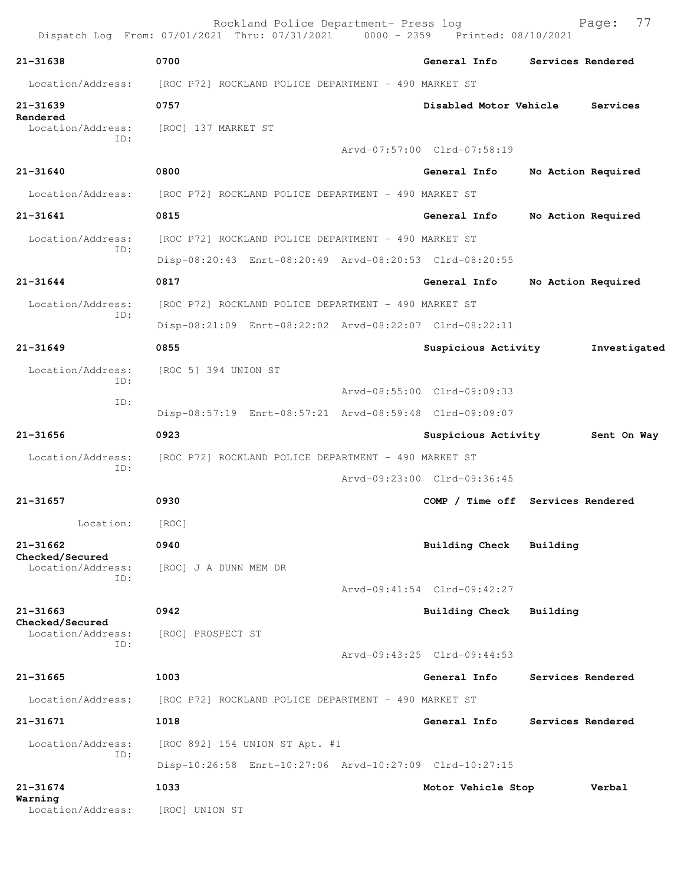|                                 | Rockland Police Department- Press log<br>Dispatch Log From: 07/01/2021 Thru: 07/31/2021 0000 - 2359 Printed: 08/10/2021 |                                   |          | 77<br>Page:        |
|---------------------------------|-------------------------------------------------------------------------------------------------------------------------|-----------------------------------|----------|--------------------|
| $21 - 31638$                    | 0700                                                                                                                    | General Info                      |          | Services Rendered  |
| Location/Address:               | [ROC P72] ROCKLAND POLICE DEPARTMENT - 490 MARKET ST                                                                    |                                   |          |                    |
| 21-31639                        | 0757                                                                                                                    | Disabled Motor Vehicle            |          | Services           |
| Rendered<br>Location/Address:   | [ROC] 137 MARKET ST                                                                                                     |                                   |          |                    |
| ID:                             |                                                                                                                         | Arvd-07:57:00 Clrd-07:58:19       |          |                    |
| $21 - 31640$                    | 0800                                                                                                                    | General Info                      |          | No Action Required |
| Location/Address:               | [ROC P72] ROCKLAND POLICE DEPARTMENT - 490 MARKET ST                                                                    |                                   |          |                    |
| 21-31641                        | 0815                                                                                                                    | General Info                      |          | No Action Required |
| Location/Address:               | [ROC P72] ROCKLAND POLICE DEPARTMENT - 490 MARKET ST                                                                    |                                   |          |                    |
| ID:                             | Disp-08:20:43 Enrt-08:20:49 Arvd-08:20:53 Clrd-08:20:55                                                                 |                                   |          |                    |
| $21 - 31644$                    | 0817                                                                                                                    | General Info                      |          | No Action Required |
| Location/Address:               | [ROC P72] ROCKLAND POLICE DEPARTMENT - 490 MARKET ST                                                                    |                                   |          |                    |
| ID:                             | Disp-08:21:09 Enrt-08:22:02 Arvd-08:22:07 Clrd-08:22:11                                                                 |                                   |          |                    |
| $21 - 31649$                    | 0855                                                                                                                    | Suspicious Activity               |          | Investigated       |
| Location/Address:<br>ID:        | [ROC 5] 394 UNION ST                                                                                                    |                                   |          |                    |
| ID:                             |                                                                                                                         | Arvd-08:55:00 Clrd-09:09:33       |          |                    |
|                                 | Disp-08:57:19 Enrt-08:57:21 Arvd-08:59:48 Clrd-09:09:07                                                                 |                                   |          |                    |
| 21-31656                        | 0923                                                                                                                    | Suspicious Activity               |          | Sent On Way        |
| Location/Address:<br>ID:        | [ROC P72] ROCKLAND POLICE DEPARTMENT - 490 MARKET ST                                                                    |                                   |          |                    |
|                                 |                                                                                                                         | Arvd-09:23:00 Clrd-09:36:45       |          |                    |
| 21-31657                        | 0930                                                                                                                    | COMP / Time off Services Rendered |          |                    |
| Location:                       | [ROC]                                                                                                                   |                                   |          |                    |
| 21-31662<br>Checked/Secured     | 0940                                                                                                                    | <b>Building Check</b>             | Building |                    |
| Location/Address:<br>ID:        | [ROC] J A DUNN MEM DR                                                                                                   |                                   |          |                    |
|                                 |                                                                                                                         | Arvd-09:41:54 Clrd-09:42:27       |          |                    |
| $21 - 31663$<br>Checked/Secured | 0942                                                                                                                    | Building Check                    | Building |                    |
| Location/Address:<br>ID:        | [ROC] PROSPECT ST                                                                                                       |                                   |          |                    |
|                                 |                                                                                                                         | Arvd-09:43:25 Clrd-09:44:53       |          |                    |
| 21-31665                        | 1003                                                                                                                    | General Info                      |          | Services Rendered  |
|                                 | [ROC P72] ROCKLAND POLICE DEPARTMENT - 490 MARKET ST                                                                    |                                   |          |                    |
| Location/Address:               |                                                                                                                         |                                   |          |                    |
| 21-31671                        | 1018                                                                                                                    | General Info                      |          | Services Rendered  |
| Location/Address:               | [ROC 892] 154 UNION ST Apt. #1                                                                                          |                                   |          |                    |
| ID:                             | Disp-10:26:58 Enrt-10:27:06 Arvd-10:27:09 Clrd-10:27:15                                                                 |                                   |          |                    |
| 21-31674<br>Warning             | 1033                                                                                                                    | Motor Vehicle Stop                |          | Verbal             |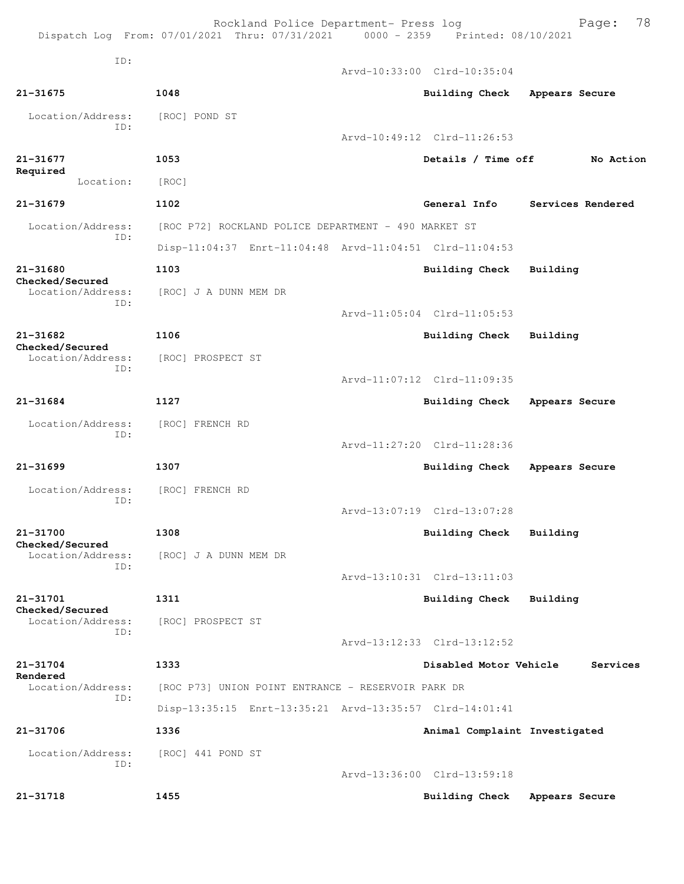Rockland Police Department- Press log Fage: 78

Dispatch Log From: 07/01/2021 Thru: 07/31/2021 0000 - 2359 Printed: 08/10/2021

ID:

 Arvd-10:33:00 Clrd-10:35:04 **21-31675 1048 Building Check Appears Secure** Location/Address: [ROC] POND ST ID: Arvd-10:49:12 Clrd-11:26:53 **21-31677 1053 Details / Time off No Action Required**  Location: [ROC] **21-31679 1102 General Info Services Rendered** Location/Address: [ROC P72] ROCKLAND POLICE DEPARTMENT - 490 MARKET ST ID: Disp-11:04:37 Enrt-11:04:48 Arvd-11:04:51 Clrd-11:04:53 **21-31680 1103 Building Check Building Checked/Secured**  Location/Address: [ROC] J A DUNN MEM DR ID: Arvd-11:05:04 Clrd-11:05:53 **21-31682 1106 Building Check Building Checked/Secured**  Location/Address: [ROC] PROSPECT ST ID: Arvd-11:07:12 Clrd-11:09:35 **21-31684 1127 Building Check Appears Secure** Location/Address: [ROC] FRENCH RD ID: Arvd-11:27:20 Clrd-11:28:36 **21-31699 1307 Building Check Appears Secure** Location/Address: [ROC] FRENCH RD ID: Arvd-13:07:19 Clrd-13:07:28 **21-31700 1308 Building Check Building Checked/Secured**  Location/Address: [ROC] J A DUNN MEM DR ID: Arvd-13:10:31 Clrd-13:11:03 **21-31701 1311 Building Check Building Checked/Secured**  Location/Address: [ROC] PROSPECT ST ID: Arvd-13:12:33 Clrd-13:12:52 **21-31704 1333 Disabled Motor Vehicle Services Rendered**  Location/Address: [ROC P73] UNION POINT ENTRANCE - RESERVOIR PARK DR ID: Disp-13:35:15 Enrt-13:35:21 Arvd-13:35:57 Clrd-14:01:41 **21-31706 1336 Animal Complaint Investigated** Location/Address: [ROC] 441 POND ST ID: Arvd-13:36:00 Clrd-13:59:18 **21-31718 1455 Building Check Appears Secure**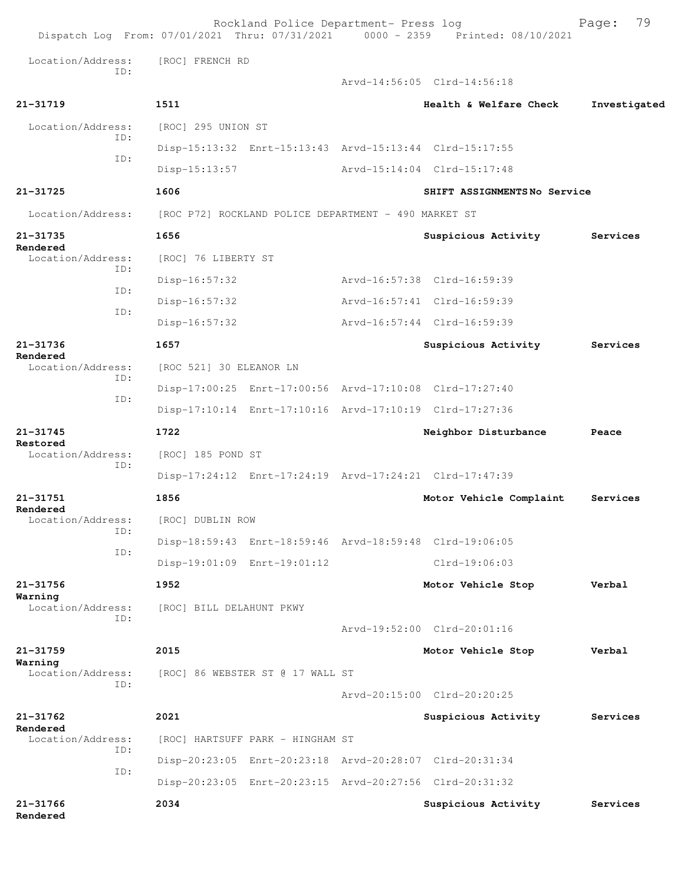|                               |                          | Rockland Police Department- Press log                | Dispatch Log From: 07/01/2021 Thru: 07/31/2021 0000 - 2359 Printed: 08/10/2021 | 79<br>Page:  |
|-------------------------------|--------------------------|------------------------------------------------------|--------------------------------------------------------------------------------|--------------|
| Location/Address:             | [ROC] FRENCH RD          |                                                      |                                                                                |              |
| TD:                           |                          |                                                      | Arvd-14:56:05 Clrd-14:56:18                                                    |              |
| 21-31719                      | 1511                     |                                                      | Health & Welfare Check                                                         | Investigated |
| Location/Address:             | [ROC] 295 UNION ST       |                                                      |                                                                                |              |
| ID:                           |                          |                                                      | Disp-15:13:32 Enrt-15:13:43 Arvd-15:13:44 Clrd-15:17:55                        |              |
| ID:                           | $Disp-15:13:57$          |                                                      | Arvd-15:14:04 Clrd-15:17:48                                                    |              |
| 21-31725                      | 1606                     |                                                      | SHIFT ASSIGNMENTSNo Service                                                    |              |
| Location/Address:             |                          | [ROC P72] ROCKLAND POLICE DEPARTMENT - 490 MARKET ST |                                                                                |              |
| 21-31735                      | 1656                     |                                                      | Suspicious Activity                                                            | Services     |
| Rendered<br>Location/Address: | [ROC] 76 LIBERTY ST      |                                                      |                                                                                |              |
| ID:                           | Disp-16:57:32            |                                                      | Arvd-16:57:38 Clrd-16:59:39                                                    |              |
| ID:                           | Disp-16:57:32            |                                                      | Arvd-16:57:41 Clrd-16:59:39                                                    |              |
| TD:                           | Disp-16:57:32            |                                                      | Arvd-16:57:44 Clrd-16:59:39                                                    |              |
| 21-31736                      | 1657                     |                                                      | Suspicious Activity                                                            | Services     |
| Rendered<br>Location/Address: | [ROC 521] 30 ELEANOR LN  |                                                      |                                                                                |              |
| ID:                           |                          |                                                      | Disp-17:00:25 Enrt-17:00:56 Arvd-17:10:08 Clrd-17:27:40                        |              |
| ID:                           |                          |                                                      | Disp-17:10:14 Enrt-17:10:16 Arvd-17:10:19 Clrd-17:27:36                        |              |
| 21-31745                      | 1722                     |                                                      | Neighbor Disturbance                                                           | Peace        |
| Restored<br>Location/Address: | [ROC] 185 POND ST        |                                                      |                                                                                |              |
| ID:                           |                          |                                                      | Disp-17:24:12 Enrt-17:24:19 Arvd-17:24:21 Clrd-17:47:39                        |              |
| 21-31751                      | 1856                     |                                                      | Motor Vehicle Complaint                                                        | Services     |
| Rendered<br>Location/Address: | [ROC] DUBLIN ROW         |                                                      |                                                                                |              |
| ID:                           |                          |                                                      | Disp-18:59:43 Enrt-18:59:46 Arvd-18:59:48 Clrd-19:06:05                        |              |
| ID:                           |                          | Disp-19:01:09 Enrt-19:01:12                          | $Clrd-19:06:03$                                                                |              |
| 21-31756                      | 1952                     |                                                      | Motor Vehicle Stop                                                             | Verbal       |
| Warning<br>Location/Address:  | [ROC] BILL DELAHUNT PKWY |                                                      |                                                                                |              |
| TD:                           |                          |                                                      | Arvd-19:52:00 Clrd-20:01:16                                                    |              |
| 21-31759                      | 2015                     |                                                      | Motor Vehicle Stop                                                             | Verbal       |
| Warning<br>Location/Address:  |                          | [ROC] 86 WEBSTER ST @ 17 WALL ST                     |                                                                                |              |
| TD:                           |                          |                                                      | Arvd-20:15:00 Clrd-20:20:25                                                    |              |
| 21-31762                      | 2021                     |                                                      | Suspicious Activity                                                            | Services     |
| Rendered<br>Location/Address: |                          | [ROC] HARTSUFF PARK - HINGHAM ST                     |                                                                                |              |
| ID:                           |                          |                                                      | Disp-20:23:05 Enrt-20:23:18 Arvd-20:28:07 Clrd-20:31:34                        |              |
| ID:                           |                          |                                                      | Disp-20:23:05 Enrt-20:23:15 Arvd-20:27:56 Clrd-20:31:32                        |              |
| 21-31766<br>Rendered          | 2034                     |                                                      | Suspicious Activity                                                            | Services     |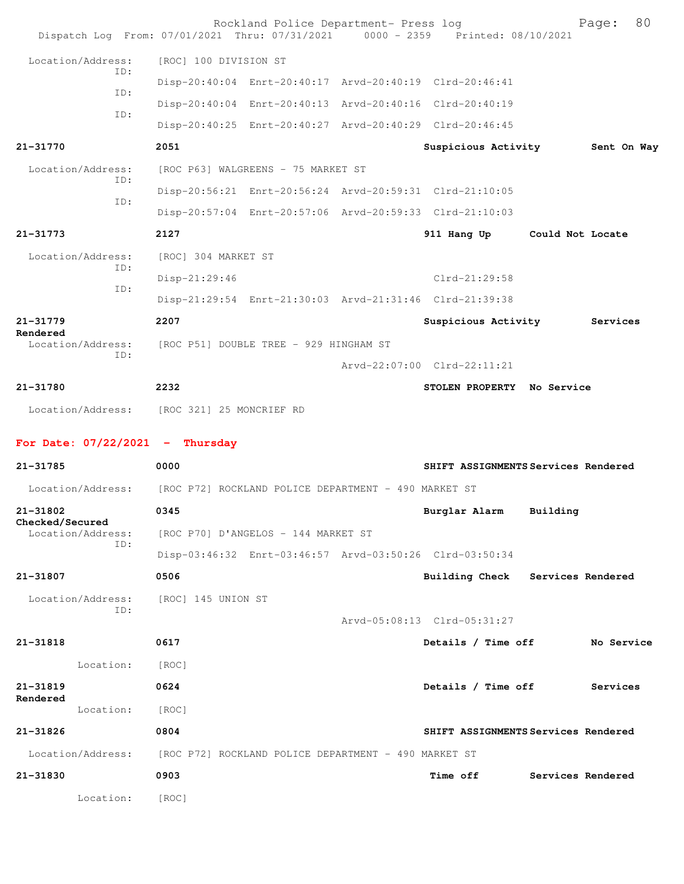| Dispatch Log From: 07/01/2021 Thru: 07/31/2021 0000 - 2359 Printed: 08/10/2021 |                                        | Rockland Police Department- Press log                |                                                         |                   | 80<br>Page: |  |
|--------------------------------------------------------------------------------|----------------------------------------|------------------------------------------------------|---------------------------------------------------------|-------------------|-------------|--|
| Location/Address:                                                              | [ROC] 100 DIVISION ST                  |                                                      |                                                         |                   |             |  |
| ID:                                                                            |                                        |                                                      | Disp-20:40:04 Enrt-20:40:17 Arvd-20:40:19 Clrd-20:46:41 |                   |             |  |
| ID:                                                                            |                                        |                                                      | Disp-20:40:04 Enrt-20:40:13 Arvd-20:40:16 Clrd-20:40:19 |                   |             |  |
| ID:                                                                            |                                        |                                                      | Disp-20:40:25 Enrt-20:40:27 Arvd-20:40:29 Clrd-20:46:45 |                   |             |  |
| 21-31770                                                                       | 2051                                   |                                                      | Suspicious Activity                                     |                   | Sent On Way |  |
| Location/Address:                                                              |                                        | [ROC P63] WALGREENS - 75 MARKET ST                   |                                                         |                   |             |  |
| ID:                                                                            |                                        |                                                      | Disp-20:56:21 Enrt-20:56:24 Arvd-20:59:31 Clrd-21:10:05 |                   |             |  |
| ID:                                                                            |                                        |                                                      | Disp-20:57:04 Enrt-20:57:06 Arvd-20:59:33 Clrd-21:10:03 |                   |             |  |
| 21-31773                                                                       | 2127                                   |                                                      | 911 Hang Up                                             | Could Not Locate  |             |  |
| Location/Address:                                                              | [ROC] 304 MARKET ST                    |                                                      |                                                         |                   |             |  |
| ID:                                                                            | $Disp-21:29:46$                        |                                                      | Clrd-21:29:58                                           |                   |             |  |
| ID:                                                                            |                                        |                                                      | Disp-21:29:54 Enrt-21:30:03 Arvd-21:31:46 Clrd-21:39:38 |                   |             |  |
| 21-31779                                                                       | 2207                                   |                                                      | Suspicious Activity                                     |                   | Services    |  |
| Rendered<br>Location/Address:                                                  | [ROC P51] DOUBLE TREE - 929 HINGHAM ST |                                                      |                                                         |                   |             |  |
| ID:                                                                            |                                        |                                                      | Arvd-22:07:00 Clrd-22:11:21                             |                   |             |  |
| 21-31780                                                                       | 2232                                   |                                                      | STOLEN PROPERTY No Service                              |                   |             |  |
| Location/Address: [ROC 321] 25 MONCRIEF RD                                     |                                        |                                                      |                                                         |                   |             |  |
| For Date: $07/22/2021$ - Thursday                                              |                                        |                                                      |                                                         |                   |             |  |
| 21-31785                                                                       | 0000                                   |                                                      | SHIFT ASSIGNMENTS Services Rendered                     |                   |             |  |
| Location/Address: [ROC P72] ROCKLAND POLICE DEPARTMENT - 490 MARKET ST         |                                        |                                                      |                                                         |                   |             |  |
| 21-31802                                                                       | 0345                                   |                                                      | Burglar Alarm                                           | Building          |             |  |
| Checked/Secured<br>Location/Address:                                           |                                        | [ROC P70] D'ANGELOS - 144 MARKET ST                  |                                                         |                   |             |  |
| ID:                                                                            |                                        |                                                      | Disp-03:46:32 Enrt-03:46:57 Arvd-03:50:26 Clrd-03:50:34 |                   |             |  |
| 21-31807                                                                       | 0506                                   |                                                      | <b>Building Check</b>                                   | Services Rendered |             |  |
| Location/Address:                                                              | [ROC] 145 UNION ST                     |                                                      |                                                         |                   |             |  |
| ID:                                                                            |                                        |                                                      | Arvd-05:08:13 Clrd-05:31:27                             |                   |             |  |
| 21-31818                                                                       | 0617                                   |                                                      | Details / Time off                                      |                   | No Service  |  |
| Location:                                                                      | [ROC]                                  |                                                      |                                                         |                   |             |  |
| 21-31819                                                                       | 0624                                   |                                                      | Details / Time off                                      |                   | Services    |  |
| Rendered<br>Location:                                                          | [ROC]                                  |                                                      |                                                         |                   |             |  |
| 21-31826                                                                       | 0804                                   |                                                      | SHIFT ASSIGNMENTS Services Rendered                     |                   |             |  |
| Location/Address:                                                              |                                        | [ROC P72] ROCKLAND POLICE DEPARTMENT - 490 MARKET ST |                                                         |                   |             |  |
| 21-31830                                                                       | 0903                                   |                                                      | Time off                                                | Services Rendered |             |  |
| Location:                                                                      | [ROC]                                  |                                                      |                                                         |                   |             |  |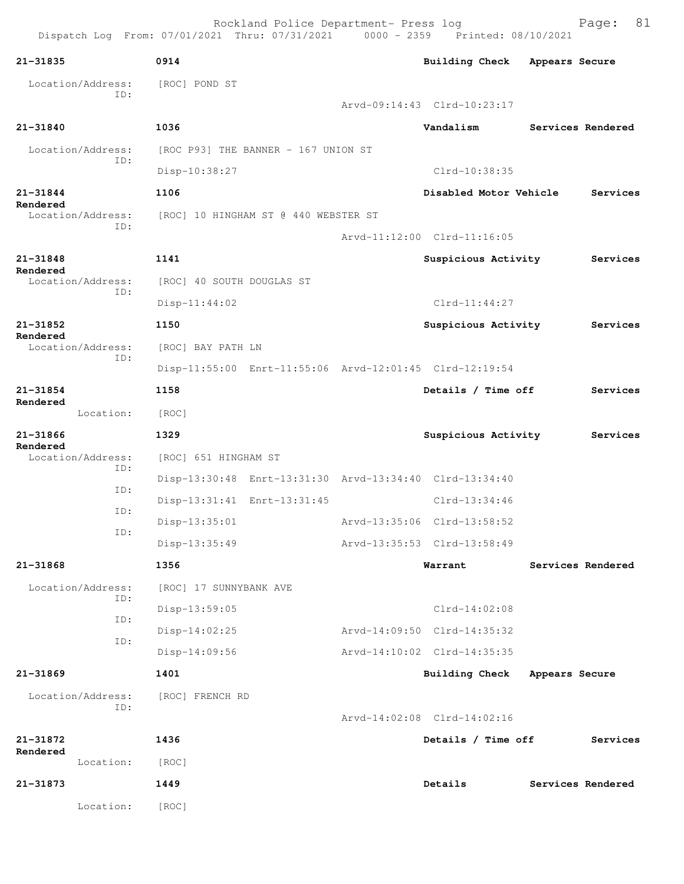Rockland Police Department- Press log Page: 81 Dispatch Log From: 07/01/2021 Thru: 07/31/2021 0000 - 2359 Printed: 08/10/2021 **21-31835 0914 Building Check Appears Secure** Location/Address: [ROC] POND ST ID: Arvd-09:14:43 Clrd-10:23:17 **21-31840 1036 Vandalism Services Rendered** Location/Address: [ROC P93] THE BANNER - 167 UNION ST ID: Disp-10:38:27 Clrd-10:38:35 **21-31844 1106 Disabled Motor Vehicle Services Rendered**  Location/Address: [ROC] 10 HINGHAM ST @ 440 WEBSTER ST ID: Arvd-11:12:00 Clrd-11:16:05 **21-31848 1141 Suspicious Activity Services Rendered**  Location/Address: [ROC] 40 SOUTH DOUGLAS ST ID: Disp-11:44:02 Clrd-11:44:27 **21-31852 1150 Suspicious Activity Services Rendered**  [ROC] BAY PATH LN ID: Disp-11:55:00 Enrt-11:55:06 Arvd-12:01:45 Clrd-12:19:54 **21-31854 1158 Details / Time off Services Rendered**  Location: [ROC] **21-31866 1329 Suspicious Activity Services Rendered**  Location/Address: [ROC] 651 HINGHAM ST ID: Disp-13:30:48 Enrt-13:31:30 Arvd-13:34:40 Clrd-13:34:40 ID: Disp-13:31:41 Enrt-13:31:45 Clrd-13:34:46 ID: Disp-13:35:01 Arvd-13:35:06 Clrd-13:58:52 ID: Disp-13:35:49 Arvd-13:35:53 Clrd-13:58:49 **21-31868 1356 Warrant Services Rendered** Location/Address: [ROC] 17 SUNNYBANK AVE ID: Disp-13:59:05 Clrd-14:02:08 ID: Disp-14:02:25 Arvd-14:09:50 Clrd-14:35:32 ID: Disp-14:09:56 Arvd-14:10:02 Clrd-14:35:35 **21-31869 1401 Building Check Appears Secure** Location/Address: [ROC] FRENCH RD ID: Arvd-14:02:08 Clrd-14:02:16 **21-31872 1436 Details / Time off Services Rendered**  Location: [ROC] **21-31873 1449 Details Services Rendered** Location: [ROC]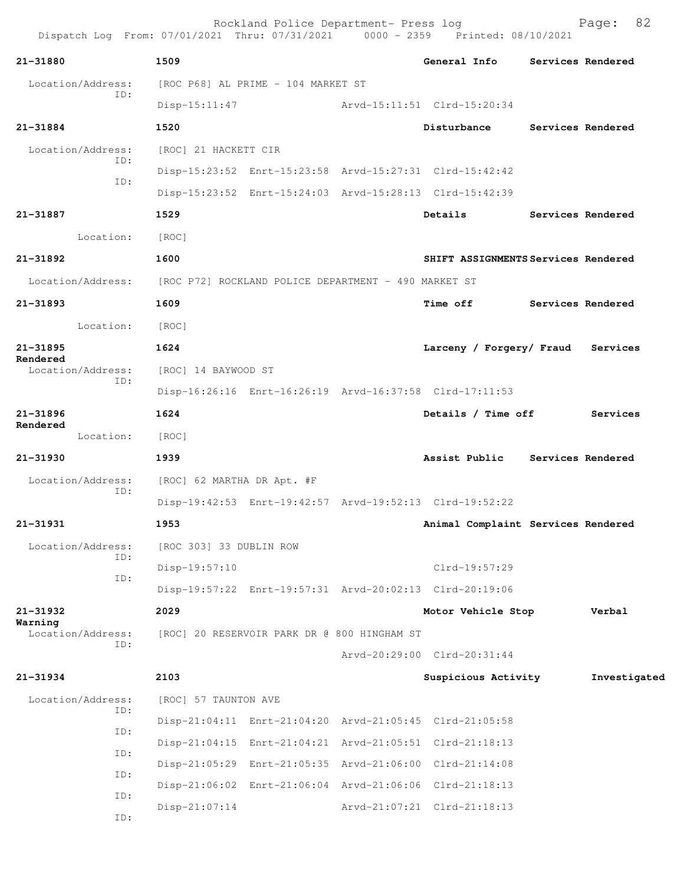Rockland Police Department- Press log Fage: 82<br>21 Thru: 07/31/2021 0000 - 2359 Printed: 08/10/2021 Dispatch Log From: 07/01/2021 Thru: 07/31/2021 **21-31880 1509 General Info Services Rendered** Location/Address: [ROC P68] AL PRIME - 104 MARKET ST ID: Disp-15:11:47 Arvd-15:11:51 Clrd-15:20:34 **21-31884 1520 Disturbance Services Rendered** Location/Address: [ROC] 21 HACKETT CIR ID: Disp-15:23:52 Enrt-15:23:58 Arvd-15:27:31 Clrd-15:42:42 ID: Disp-15:23:52 Enrt-15:24:03 Arvd-15:28:13 Clrd-15:42:39 **21-31887 1529 Details Services Rendered** Location: [ROC] **21-31892 1600 SHIFT ASSIGNMENTS Services Rendered** Location/Address: [ROC P72] ROCKLAND POLICE DEPARTMENT - 490 MARKET ST **21-31893 1609 Time off Services Rendered** Location: [ROC] **21-31895 1624 Larceny / Forgery/ Fraud Services Rendered**  Location/Address: [ROC] 14 BAYWOOD ST ID: Disp-16:26:16 Enrt-16:26:19 Arvd-16:37:58 Clrd-17:11:53 **21-31896 1624 Details / Time off Services Rendered**  Location: [ROC] **21-31930 1939 Assist Public Services Rendered** Location/Address: [ROC] 62 MARTHA DR Apt. #F ID: Disp-19:42:53 Enrt-19:42:57 Arvd-19:52:13 Clrd-19:52:22 **21-31931 1953 Animal Complaint Services Rendered** Location/Address: [ROC 303] 33 DUBLIN ROW ID: Disp-19:57:10 Clrd-19:57:29 ID: Disp-19:57:22 Enrt-19:57:31 Arvd-20:02:13 Clrd-20:19:06 **21-31932 2029 Motor Vehicle Stop Verbal Warning**  Location/Address: [ROC] 20 RESERVOIR PARK DR @ 800 HINGHAM ST ID: Arvd-20:29:00 Clrd-20:31:44 **21-31934 2103 Suspicious Activity Investigated** Location/Address: [ROC] 57 TAUNTON AVE ID: Disp-21:04:11 Enrt-21:04:20 Arvd-21:05:45 Clrd-21:05:58 ID: Disp-21:04:15 Enrt-21:04:21 Arvd-21:05:51 Clrd-21:18:13 ID: Disp-21:05:29 Enrt-21:05:35 Arvd-21:06:00 Clrd-21:14:08 ID: Disp-21:06:02 Enrt-21:06:04 Arvd-21:06:06 Clrd-21:18:13 ID: Disp-21:07:14 Arvd-21:07:21 Clrd-21:18:13

ID: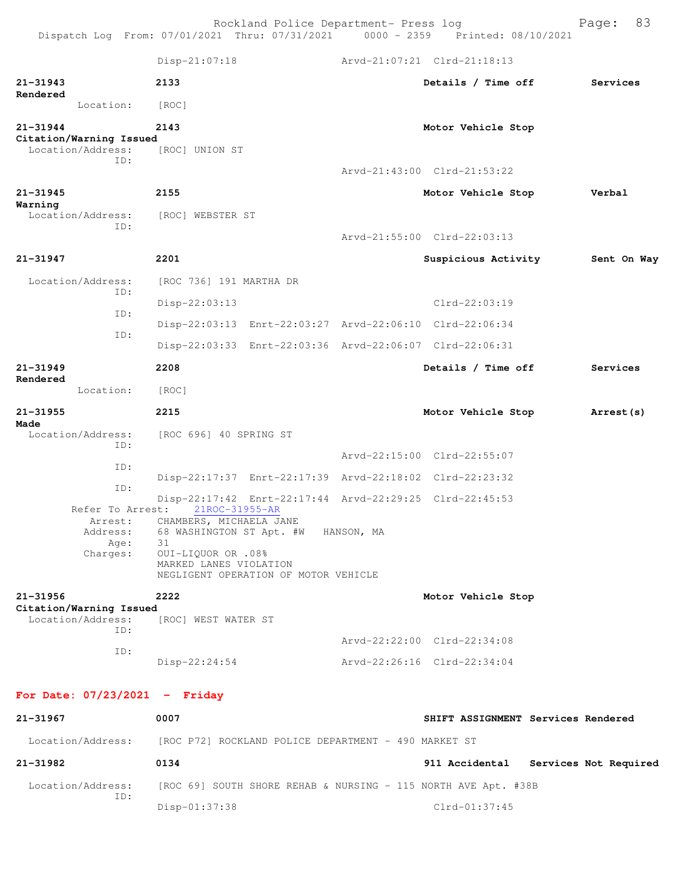Dispatch Log From: 07/01/2021 Thru: 07/31/2021 0000 - 2359 Printed: 08/10/2021 Disp-21:07:18 Arvd-21:07:21 Clrd-21:18:13 **21-31943 2133 Details / Time off Services Rendered**  Location: [ROC] **21-31944 2143 Motor Vehicle Stop Citation/Warning Issued**  Location/Address: [ROC] UNION ST ID: Arvd-21:43:00 Clrd-21:53:22 **21-31945 2155 Motor Vehicle Stop Verbal Warning**  Location/Address: [ROC] WEBSTER ST ID: Arvd-21:55:00 Clrd-22:03:13 **21-31947 2201 Suspicious Activity Sent On Way** Location/Address: [ROC 736] 191 MARTHA DR ID: Disp-22:03:13 Clrd-22:03:19 ID: Disp-22:03:13 Enrt-22:03:27 Arvd-22:06:10 Clrd-22:06:34 ID: Disp-22:03:33 Enrt-22:03:36 Arvd-22:06:07 Clrd-22:06:31 **21-31949 2208 Details / Time off Services Rendered**  Location: [ROC] **21-31955 2215 Motor Vehicle Stop Arrest(s) Made**  Location/Address: [ROC 696] 40 SPRING ST ID: Arvd-22:15:00 Clrd-22:55:07 ID: Disp-22:17:37 Enrt-22:17:39 Arvd-22:18:02 Clrd-22:23:32 ID: Disp-22:17:42 Enrt-22:17:44 Arvd-22:29:25 Clrd-22:45:53<br>st: 21ROC-31955-AR Refer To Arrest: Arrest: CHAMBERS, MICHAELA JANE<br>Address: 68 WASHINGTON ST Apt. # 68 WASHINGTON ST Apt. #W HANSON, MA Age: 31 Charges: OUI-LIQUOR OR .08% MARKED LANES VIOLATION NEGLIGENT OPERATION OF MOTOR VEHICLE **21-31956 2222 Motor Vehicle Stop Citation/Warning Issued**  [ROC] WEST WATER ST ID: Arvd-22:22:00 Clrd-22:34:08 ID: Disp-22:24:54 Arvd-22:26:16 Clrd-22:34:04

Rockland Police Department- Press log Frank Page: 83

## **For Date: 07/23/2021 - Friday**

| 21-31967                 | 0007                                                           | SHIFT ASSIGNMENT Services Rendered      |
|--------------------------|----------------------------------------------------------------|-----------------------------------------|
| Location/Address:        | [ROC P72] ROCKLAND POLICE DEPARTMENT - 490 MARKET ST           |                                         |
| 21-31982                 | 0134                                                           | Services Not Required<br>911 Accidental |
| Location/Address:<br>ID: | [ROC 69] SOUTH SHORE REHAB & NURSING - 115 NORTH AVE Apt. #38B |                                         |
|                          | $Disp-01:37:38$                                                | Clrd-01:37:45                           |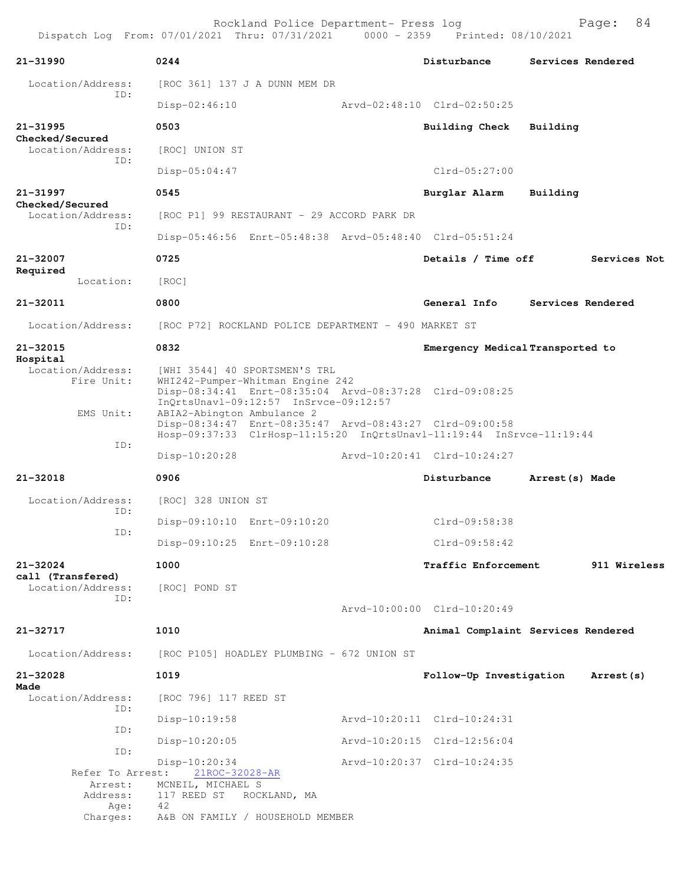| 21-31990                                      | 0244                                                                                                                                                                  | Disturbance                        |                 | Services Rendered |
|-----------------------------------------------|-----------------------------------------------------------------------------------------------------------------------------------------------------------------------|------------------------------------|-----------------|-------------------|
| Location/Address:                             | [ROC 361] 137 J A DUNN MEM DR                                                                                                                                         |                                    |                 |                   |
| ID:                                           | $Disp-02:46:10$                                                                                                                                                       | Arvd-02:48:10 Clrd-02:50:25        |                 |                   |
| 21-31995                                      | 0503                                                                                                                                                                  | Building Check Building            |                 |                   |
| Checked/Secured<br>Location/Address:          | [ROC] UNION ST                                                                                                                                                        |                                    |                 |                   |
| ID:                                           | $Disp-05:04:47$                                                                                                                                                       | $Clrd-05:27:00$                    |                 |                   |
| 21-31997                                      | 0545                                                                                                                                                                  | Burglar Alarm                      | Building        |                   |
| Checked/Secured<br>Location/Address:          | [ROC P1] 99 RESTAURANT - 29 ACCORD PARK DR                                                                                                                            |                                    |                 |                   |
| ID:                                           | Disp-05:46:56 Enrt-05:48:38 Arvd-05:48:40 Clrd-05:51:24                                                                                                               |                                    |                 |                   |
| 21-32007                                      | 0725                                                                                                                                                                  | Details / Time off                 |                 | Services Not      |
| Required<br>Location:                         | [ROC]                                                                                                                                                                 |                                    |                 |                   |
| 21-32011                                      | 0800                                                                                                                                                                  | General Info                       |                 | Services Rendered |
| Location/Address:                             | [ROC P72] ROCKLAND POLICE DEPARTMENT - 490 MARKET ST                                                                                                                  |                                    |                 |                   |
| 21-32015                                      | 0832                                                                                                                                                                  | Emergency Medical Transported to   |                 |                   |
| Hospital<br>Location/Address:<br>Fire Unit:   | [WHI 3544] 40 SPORTSMEN'S TRL<br>WHI242-Pumper-Whitman Engine 242<br>Disp-08:34:41 Enrt-08:35:04 Arvd-08:37:28 Clrd-09:08:25<br>InQrtsUnavl-09:12:57 InSrvce-09:12:57 |                                    |                 |                   |
| EMS Unit:                                     | ABIA2-Abington Ambulance 2<br>Disp-08:34:47 Enrt-08:35:47 Arvd-08:43:27 Clrd-09:00:58<br>Hosp-09:37:33 ClrHosp-11:15:20 InQrtsUnavl-11:19:44 InSrvce-11:19:44         |                                    |                 |                   |
| ID:                                           | Disp-10:20:28                                                                                                                                                         | Arvd-10:20:41 Clrd-10:24:27        |                 |                   |
| 21-32018                                      | 0906                                                                                                                                                                  | Disturbance                        | Arrest (s) Made |                   |
| Location/Address:                             | [ROC] 328 UNION ST                                                                                                                                                    |                                    |                 |                   |
| ID:                                           | Disp-09:10:10 Enrt-09:10:20                                                                                                                                           | Clrd-09:58:38                      |                 |                   |
| ID:                                           | Disp-09:10:25 Enrt-09:10:28                                                                                                                                           | Clrd-09:58:42                      |                 |                   |
| 21-32024                                      | 1000                                                                                                                                                                  | Traffic Enforcement                |                 | 911 Wireless      |
| call (Transfered)<br>Location/Address:<br>ID: | [ROC] POND ST                                                                                                                                                         |                                    |                 |                   |
|                                               |                                                                                                                                                                       | Arvd-10:00:00 Clrd-10:20:49        |                 |                   |
| 21-32717                                      | 1010                                                                                                                                                                  | Animal Complaint Services Rendered |                 |                   |
| Location/Address:                             | [ROC P105] HOADLEY PLUMBING - 672 UNION ST                                                                                                                            |                                    |                 |                   |
| 21-32028                                      | 1019                                                                                                                                                                  | Follow-Up Investigation            |                 | Arrest (s)        |
| Made<br>Location/Address:<br>ID:              | [ROC 796] 117 REED ST                                                                                                                                                 |                                    |                 |                   |
| ID:                                           | $Disp-10:19:58$                                                                                                                                                       | Arvd-10:20:11 Clrd-10:24:31        |                 |                   |
| ID:                                           | $Disp-10:20:05$                                                                                                                                                       | Arvd-10:20:15 Clrd-12:56:04        |                 |                   |
| Refer To Arrest:                              | Disp-10:20:34<br>21ROC-32028-AR                                                                                                                                       | Arvd-10:20:37 Clrd-10:24:35        |                 |                   |
| Arrest:<br>Address:                           | MCNEIL, MICHAEL S<br>117 REED ST ROCKLAND, MA                                                                                                                         |                                    |                 |                   |
| Age:<br>Charges:                              | 42<br>A&B ON FAMILY / HOUSEHOLD MEMBER                                                                                                                                |                                    |                 |                   |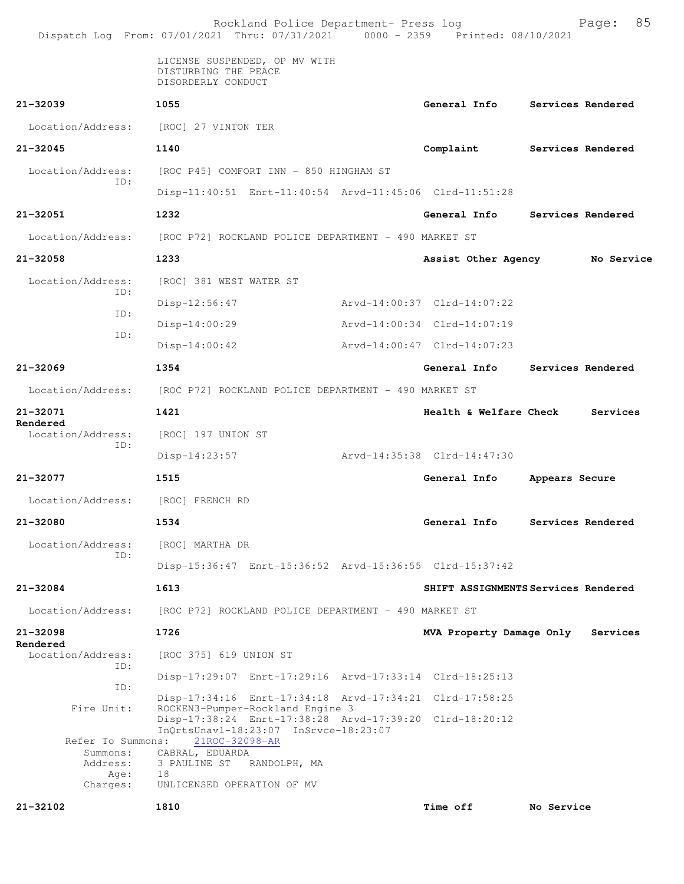|                                                   | Rockland Police Department- Press log<br>Dispatch Log From: 07/01/2021 Thru: 07/31/2021 0000 - 2359 Printed: 08/10/2021 |                                     |                   | Page:      | 85 |
|---------------------------------------------------|-------------------------------------------------------------------------------------------------------------------------|-------------------------------------|-------------------|------------|----|
|                                                   | LICENSE SUSPENDED, OP MV WITH<br>DISTURBING THE PEACE<br>DISORDERLY CONDUCT                                             |                                     |                   |            |    |
| 21-32039                                          | 1055                                                                                                                    | General Info                        | Services Rendered |            |    |
|                                                   | Location/Address: [ROC] 27 VINTON TER                                                                                   |                                     |                   |            |    |
| $21 - 32045$                                      | 1140                                                                                                                    | Complaint                           | Services Rendered |            |    |
| Location/Address:                                 | [ROC P45] COMFORT INN - 850 HINGHAM ST                                                                                  |                                     |                   |            |    |
| ID:                                               | Disp-11:40:51 Enrt-11:40:54 Arvd-11:45:06 Clrd-11:51:28                                                                 |                                     |                   |            |    |
| 21-32051                                          | 1232                                                                                                                    | General Info                        | Services Rendered |            |    |
| Location/Address:                                 | [ROC P72] ROCKLAND POLICE DEPARTMENT - 490 MARKET ST                                                                    |                                     |                   |            |    |
| 21-32058                                          | 1233                                                                                                                    | Assist Other Agency                 |                   | No Service |    |
| Location/Address:                                 | [ROC] 381 WEST WATER ST                                                                                                 |                                     |                   |            |    |
| ID:                                               | Disp-12:56:47                                                                                                           | Arvd-14:00:37 Clrd-14:07:22         |                   |            |    |
| ID:                                               | $Disp-14:00:29$                                                                                                         | Arvd-14:00:34 Clrd-14:07:19         |                   |            |    |
| ID:                                               | $Disp-14:00:42$                                                                                                         | Arvd-14:00:47 Clrd-14:07:23         |                   |            |    |
| $21 - 32069$                                      | 1354                                                                                                                    | General Info                        | Services Rendered |            |    |
|                                                   | Location/Address: [ROC P72] ROCKLAND POLICE DEPARTMENT - 490 MARKET ST                                                  |                                     |                   |            |    |
| 21-32071                                          | 1421                                                                                                                    | <b>Health &amp; Welfare Check</b>   |                   | Services   |    |
| Rendered<br>Location/Address:                     | [ROC] 197 UNION ST                                                                                                      |                                     |                   |            |    |
| ID:                                               | $Disp-14:23:57$                                                                                                         | Arvd-14:35:38 Clrd-14:47:30         |                   |            |    |
| $21 - 32077$                                      | 1515                                                                                                                    | General Info                        | Appears Secure    |            |    |
| Location/Address:                                 | [ROC] FRENCH RD                                                                                                         |                                     |                   |            |    |
| 21-32080                                          | 1534                                                                                                                    | General Info                        | Services Rendered |            |    |
| Location/Address:                                 | [ROC] MARTHA DR                                                                                                         |                                     |                   |            |    |
| ID:                                               | Disp-15:36:47 Enrt-15:36:52 Arvd-15:36:55 Clrd-15:37:42                                                                 |                                     |                   |            |    |
| 21-32084                                          | 1613                                                                                                                    | SHIFT ASSIGNMENTS Services Rendered |                   |            |    |
| Location/Address:                                 | [ROC P72] ROCKLAND POLICE DEPARTMENT - 490 MARKET ST                                                                    |                                     |                   |            |    |
| 21-32098<br>Rendered                              | 1726                                                                                                                    | MVA Property Damage Only            |                   | Services   |    |
| Location/Address:<br>ID:                          | [ROC 375] 619 UNION ST                                                                                                  |                                     |                   |            |    |
| ID:                                               | Disp-17:29:07 Enrt-17:29:16 Arvd-17:33:14 Clrd-18:25:13                                                                 |                                     |                   |            |    |
| Fire Unit:                                        | Disp-17:34:16 Enrt-17:34:18 Arvd-17:34:21 Clrd-17:58:25<br>ROCKEN3-Pumper-Rockland Engine 3                             |                                     |                   |            |    |
|                                                   | Disp-17:38:24 Enrt-17:38:28 Arvd-17:39:20 Clrd-18:20:12<br>InQrtsUnavl-18:23:07 InSrvce-18:23:07                        |                                     |                   |            |    |
| Refer To Summons:<br>Summons:<br>Address:<br>Age: | 21ROC-32098-AR<br>CABRAL, EDUARDA<br>3 PAULINE ST RANDOLPH, MA<br>18                                                    |                                     |                   |            |    |
| Charges:<br>21-32102                              | UNLICENSED OPERATION OF MV<br>1810                                                                                      |                                     |                   |            |    |
|                                                   |                                                                                                                         | <b>Time off</b>                     | No Service        |            |    |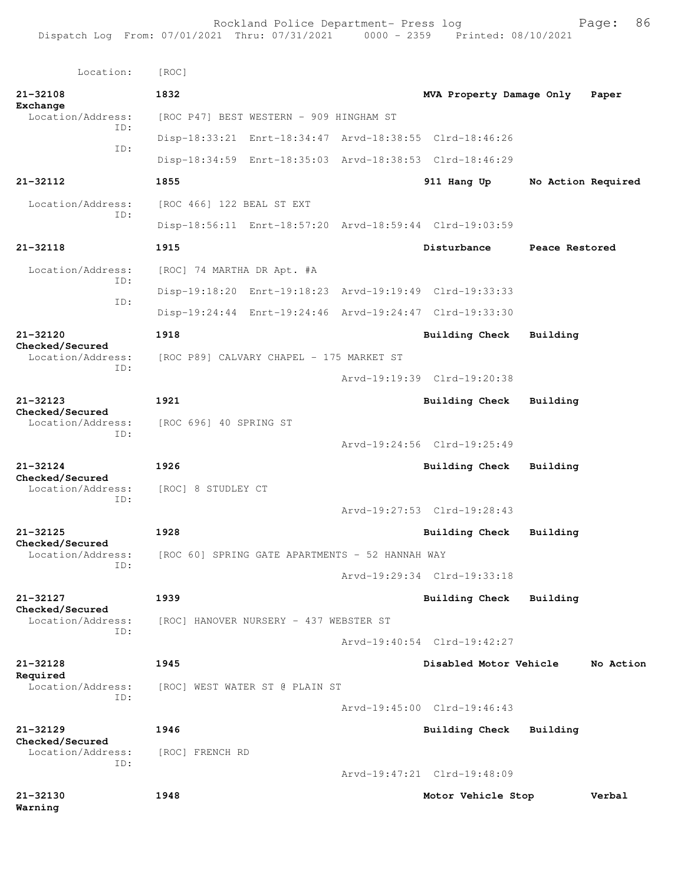Rockland Police Department- Press log Fage: 86 Dispatch Log From: 07/01/2021 Thru: 07/31/2021 0000 - 2359 Printed: 08/10/2021

```
 Location: [ROC] 
21-32108 1832 MVA Property Damage Only Paper
Exchange 
  Location/Address: [ROC P47] BEST WESTERN - 909 HINGHAM ST
            ID: 
                 Disp-18:33:21 Enrt-18:34:47 Arvd-18:38:55 Clrd-18:46:26
            ID: 
                 Disp-18:34:59 Enrt-18:35:03 Arvd-18:38:53 Clrd-18:46:29
21-32112 1855 911 Hang Up No Action Required
 Location/Address: [ROC 466] 122 BEAL ST EXT
            ID: 
                 Disp-18:56:11 Enrt-18:57:20 Arvd-18:59:44 Clrd-19:03:59
21-32118 1915 Disturbance Peace Restored
  Location/Address: [ROC] 74 MARTHA DR Apt. #A
            ID: 
                 Disp-19:18:20 Enrt-19:18:23 Arvd-19:19:49 Clrd-19:33:33
            ID: 
                 Disp-19:24:44 Enrt-19:24:46 Arvd-19:24:47 Clrd-19:33:30
21-32120 1918 Building Check Building
Checked/Secured 
                [ROC P89] CALVARY CHAPEL - 175 MARKET ST
            ID: 
                                       Arvd-19:19:39 Clrd-19:20:38
21-32123 1921 Building Check Building
Checked/Secured 
  Location/Address: [ROC 696] 40 SPRING ST
            ID: 
                                       Arvd-19:24:56 Clrd-19:25:49
21-32124 1926 Building Check Building
Checked/Secured 
  Location/Address: [ROC] 8 STUDLEY CT
            ID: 
                                       Arvd-19:27:53 Clrd-19:28:43
21-32125 1928 Building Check Building
Checked/Secured 
                [ROC 60] SPRING GATE APARTMENTS - 52 HANNAH WAY
            ID: 
                                       Arvd-19:29:34 Clrd-19:33:18
21-32127 1939 Building Check Building
Checked/Secured 
  Location/Address: [ROC] HANOVER NURSERY - 437 WEBSTER ST
            ID: 
                                       Arvd-19:40:54 Clrd-19:42:27
21-32128 1945 Disabled Motor Vehicle No Action
Required 
  Location/Address: [ROC] WEST WATER ST @ PLAIN ST
            ID: 
                                       Arvd-19:45:00 Clrd-19:46:43
21-32129 1946 Building Check Building
Checked/Secured 
 Location/Address: [ROC] FRENCH RD
            ID: 
                                       Arvd-19:47:21 Clrd-19:48:09
21-32130 1948 Motor Vehicle Stop Verbal
Warning
```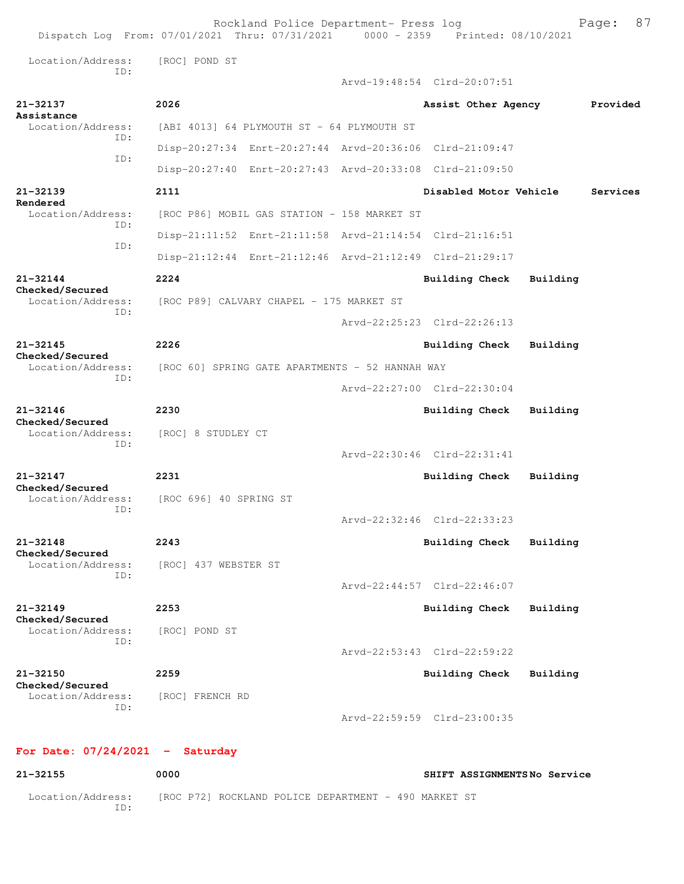|                                                             | Rockland Police Department- Press log<br>Dispatch Log From: 07/01/2021 Thru: 07/31/2021 0000 - 2359 Printed: 08/10/2021 |                             |          | 87<br>Page: |
|-------------------------------------------------------------|-------------------------------------------------------------------------------------------------------------------------|-----------------------------|----------|-------------|
| Location/Address:                                           | [ROC] POND ST                                                                                                           |                             |          |             |
| TD:                                                         |                                                                                                                         | Arvd-19:48:54 Clrd-20:07:51 |          |             |
| $21 - 32137$                                                | 2026                                                                                                                    | Assist Other Agency         |          | Provided    |
| Assistance<br>Location/Address:                             | [ABI 4013] 64 PLYMOUTH ST - 64 PLYMOUTH ST                                                                              |                             |          |             |
| TD:                                                         | Disp-20:27:34 Enrt-20:27:44 Arvd-20:36:06 Clrd-21:09:47                                                                 |                             |          |             |
| ID:                                                         | Disp-20:27:40 Enrt-20:27:43 Arvd-20:33:08 Clrd-21:09:50                                                                 |                             |          |             |
|                                                             |                                                                                                                         |                             |          |             |
| 21-32139<br>Rendered                                        | 2111                                                                                                                    | Disabled Motor Vehicle      |          | Services    |
| Location/Address:<br>TD:                                    | [ROC P86] MOBIL GAS STATION - 158 MARKET ST                                                                             |                             |          |             |
| ID:                                                         | Disp-21:11:52 Enrt-21:11:58 Arvd-21:14:54 Clrd-21:16:51                                                                 |                             |          |             |
|                                                             | Disp-21:12:44 Enrt-21:12:46 Arvd-21:12:49 Clrd-21:29:17                                                                 |                             |          |             |
| 21-32144<br>Checked/Secured                                 | 2224                                                                                                                    | <b>Building Check</b>       | Building |             |
| Location/Address:<br>ID:                                    | [ROC P89] CALVARY CHAPEL - 175 MARKET ST                                                                                |                             |          |             |
|                                                             |                                                                                                                         | Arvd-22:25:23 Clrd-22:26:13 |          |             |
| $21 - 32145$<br>Checked/Secured<br>Location/Address:<br>ID: | 2226                                                                                                                    | Building Check              | Building |             |
|                                                             | [ROC 60] SPRING GATE APARTMENTS - 52 HANNAH WAY                                                                         |                             |          |             |
|                                                             |                                                                                                                         | Arvd-22:27:00 Clrd-22:30:04 |          |             |
| $21 - 32146$                                                | 2230                                                                                                                    | Building Check              | Building |             |
| Checked/Secured<br>Location/Address:                        | [ROC] 8 STUDLEY CT                                                                                                      |                             |          |             |
| ID:                                                         |                                                                                                                         | Arvd-22:30:46 Clrd-22:31:41 |          |             |
| $21 - 32147$                                                | 2231                                                                                                                    | <b>Building Check</b>       | Building |             |
| Checked/Secured<br>Location/Address:                        | [ROC 696] 40 SPRING ST                                                                                                  |                             |          |             |
| ID:                                                         |                                                                                                                         | Arvd-22:32:46 Clrd-22:33:23 |          |             |
| $21 - 32148$                                                | 2243                                                                                                                    | Building Check              | Building |             |
| Checked/Secured<br>Location/Address:                        | [ROC] 437 WEBSTER ST                                                                                                    |                             |          |             |
| TD:                                                         |                                                                                                                         | Arvd-22:44:57 Clrd-22:46:07 |          |             |
| $21 - 32149$                                                | 2253                                                                                                                    | Building Check              | Building |             |
| Checked/Secured<br>Location/Address:                        | [ROC] POND ST                                                                                                           |                             |          |             |
| TD:                                                         |                                                                                                                         | Arvd-22:53:43 Clrd-22:59:22 |          |             |
|                                                             |                                                                                                                         |                             |          |             |
| 21-32150<br>Checked/Secured                                 | 2259                                                                                                                    | <b>Building Check</b>       | Building |             |
| Location/Address:<br>ID:                                    | [ROC] FRENCH RD                                                                                                         |                             |          |             |
|                                                             |                                                                                                                         | Arvd-22:59:59 Clrd-23:00:35 |          |             |
| $07/24/2021 = 335$                                          |                                                                                                                         |                             |          |             |

**For Date: 07/24/2021 - Saturday**

**21-32155 0000 SHIFT ASSIGNMENTS No Service** Location/Address: [ROC P72] ROCKLAND POLICE DEPARTMENT - 490 MARKET ST ID: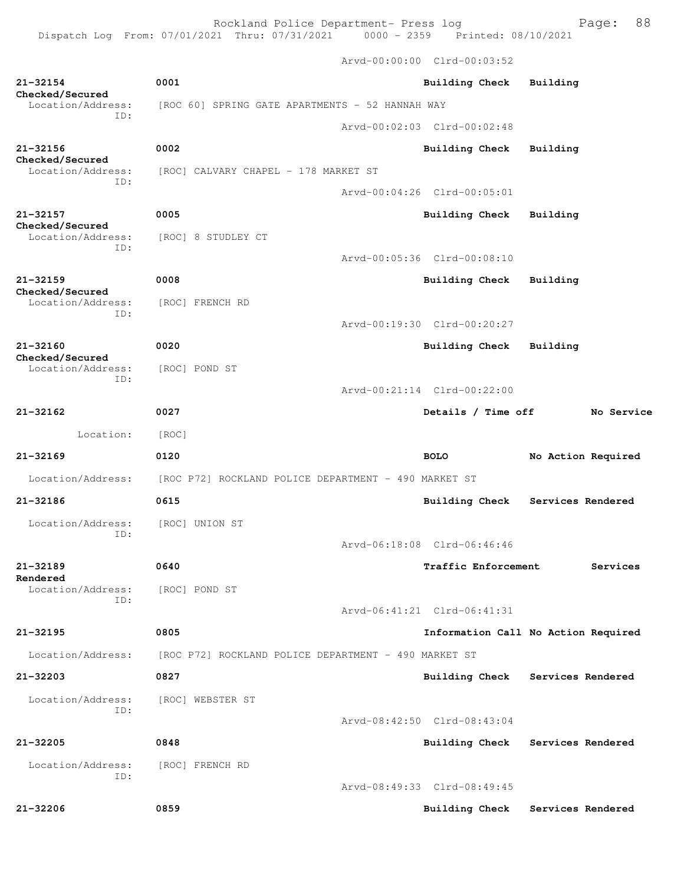Rockland Police Department- Press log Fage: 88 Dispatch Log From: 07/01/2021 Thru: 07/31/2021 0000 - 2359 Printed: 08/10/2021

 Arvd-00:00:00 Clrd-00:03:52 **21-32154 0001 Building Check Building Checked/Secured**  Location/Address: [ROC 60] SPRING GATE APARTMENTS - 52 HANNAH WAY ID: Arvd-00:02:03 Clrd-00:02:48 **21-32156 0002 Building Check Building Checked/Secured**  Location/Address: [ROC] CALVARY CHAPEL - 178 MARKET ST ID: Arvd-00:04:26 Clrd-00:05:01 **21-32157 0005 Building Check Building Checked/Secured**  Location/Address: [ROC] 8 STUDLEY CT ID: Arvd-00:05:36 Clrd-00:08:10 **21-32159 0008 Building Check Building Checked/Secured**  Location/Address: [ROC] FRENCH RD ID: Arvd-00:19:30 Clrd-00:20:27 **21-32160 0020 Building Check Building Checked/Secured**  Location/Address: [ROC] POND ST ID: Arvd-00:21:14 Clrd-00:22:00 **21-32162 0027 Details / Time off No Service** Location: [ROC] **21-32169 0120 BOLO No Action Required** Location/Address: [ROC P72] ROCKLAND POLICE DEPARTMENT - 490 MARKET ST **21-32186 0615 Building Check Services Rendered** Location/Address: [ROC] UNION ST ID: Arvd-06:18:08 Clrd-06:46:46 **21-32189 0640 Traffic Enforcement Services Rendered**  Location/Address: [ROC] POND ST ID: Arvd-06:41:21 Clrd-06:41:31 **21-32195 0805 Information Call No Action Required** Location/Address: [ROC P72] ROCKLAND POLICE DEPARTMENT - 490 MARKET ST **21-32203 0827 Building Check Services Rendered** Location/Address: [ROC] WEBSTER ST ID: Arvd-08:42:50 Clrd-08:43:04 **21-32205 0848 Building Check Services Rendered** Location/Address: [ROC] FRENCH RD ID: Arvd-08:49:33 Clrd-08:49:45

**21-32206 0859 Building Check Services Rendered**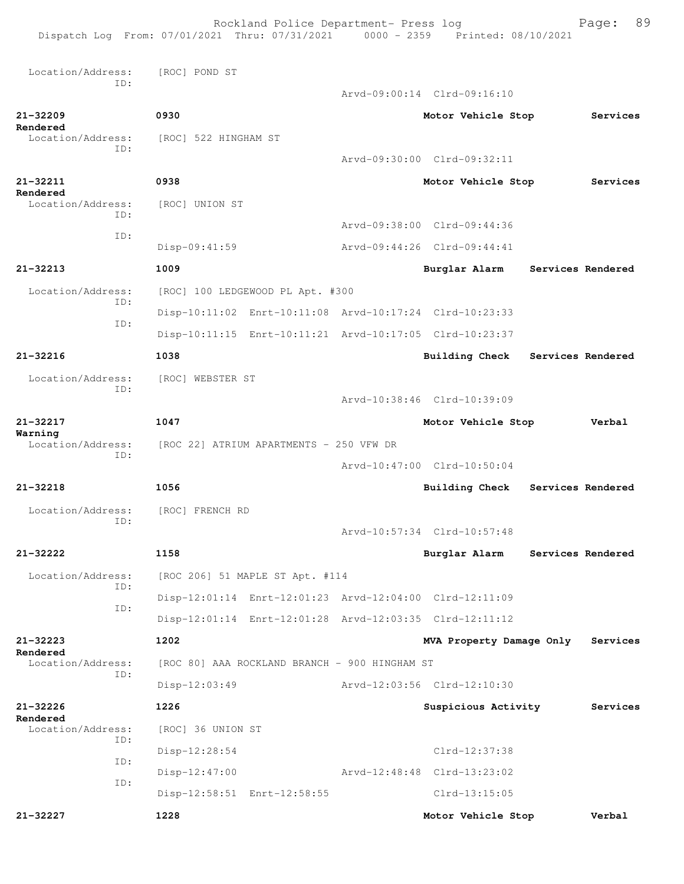Rockland Police Department- Press log Fage: 89 Dispatch Log From: 07/01/2021 Thru: 07/31/2021 0000 - 2359 Printed: 08/10/2021 Location/Address: [ROC] POND ST ID: Arvd-09:00:14 Clrd-09:16:10 **21-32209 0930 Motor Vehicle Stop Services Rendered**  Location/Address: [ROC] 522 HINGHAM ST ID: Arvd-09:30:00 Clrd-09:32:11 **21-32211 0938 Motor Vehicle Stop Services Rendered**  Location/Address: [ROC] UNION ST ID: Arvd-09:38:00 Clrd-09:44:36 ID: Disp-09:41:59 Arvd-09:44:26 Clrd-09:44:41 **21-32213 1009 Burglar Alarm Services Rendered** Location/Address: [ROC] 100 LEDGEWOOD PL Apt. #300 ID: Disp-10:11:02 Enrt-10:11:08 Arvd-10:17:24 Clrd-10:23:33 ID: Disp-10:11:15 Enrt-10:11:21 Arvd-10:17:05 Clrd-10:23:37 **21-32216 1038 Building Check Services Rendered** Location/Address: [ROC] WEBSTER ST ID: Arvd-10:38:46 Clrd-10:39:09 **21-32217 1047 Motor Vehicle Stop Verbal Warning**  Location/Address: [ROC 22] ATRIUM APARTMENTS - 250 VFW DR ID: Arvd-10:47:00 Clrd-10:50:04 **21-32218 1056 Building Check Services Rendered** Location/Address: [ROC] FRENCH RD ID: Arvd-10:57:34 Clrd-10:57:48 **21-32222 1158 Burglar Alarm Services Rendered** Location/Address: [ROC 206] 51 MAPLE ST Apt. #114 ID: Disp-12:01:14 Enrt-12:01:23 Arvd-12:04:00 Clrd-12:11:09 ID: Disp-12:01:14 Enrt-12:01:28 Arvd-12:03:35 Clrd-12:11:12 **21-32223 1202 MVA Property Damage Only Services Rendered**  Location/Address: [ROC 80] AAA ROCKLAND BRANCH - 900 HINGHAM ST ID: Disp-12:03:49 Arvd-12:03:56 Clrd-12:10:30 **21-32226 1226 Suspicious Activity Services Rendered**  Location/Address: [ROC] 36 UNION ST ID: Disp-12:28:54 Clrd-12:37:38 ID: Disp-12:47:00 Arvd-12:48:48 Clrd-13:23:02 ID: Disp-12:58:51 Enrt-12:58:55 Clrd-13:15:05 **21-32227 1228 Motor Vehicle Stop Verbal**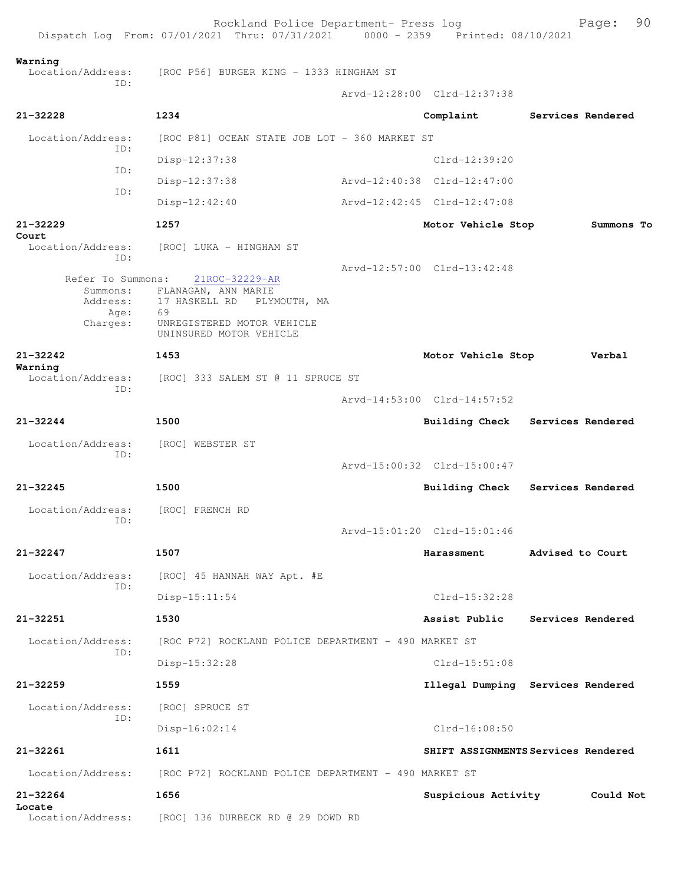Rockland Police Department- Press log Fage: 90 Dispatch Log From: 07/01/2021 Thru: 07/31/2021 0000 - 2359 Printed: 08/10/2021 **Warning**  Location/Address: [ROC P56] BURGER KING - 1333 HINGHAM ST ID: Arvd-12:28:00 Clrd-12:37:38 **21-32228 1234 Complaint Services Rendered** Location/Address: [ROC P81] OCEAN STATE JOB LOT - 360 MARKET ST ID: Disp-12:37:38 Clrd-12:39:20 ID: Disp-12:37:38 Arvd-12:40:38 Clrd-12:47:00 ID: Disp-12:42:40 Arvd-12:42:45 Clrd-12:47:08 **21-32229 1257 Motor Vehicle Stop Summons To Court**  Location/Address: [ROC] LUKA - HINGHAM ST ID: Arvd-12:57:00 Clrd-13:42:48 Refer To Summons: 21ROC-32229-AR Summons: FLANAGAN, ANN MARIE Address: 17 HASKELL RD PLYMOUTH, MA Age: 69<br>Charges: UN UNREGISTERED MOTOR VEHICLE UNINSURED MOTOR VEHICLE **21-32242 1453 Motor Vehicle Stop Verbal Warning**  Location/Address: [ROC] 333 SALEM ST @ 11 SPRUCE ST ID: Arvd-14:53:00 Clrd-14:57:52 **21-32244 1500 Building Check Services Rendered** Location/Address: [ROC] WEBSTER ST ID: Arvd-15:00:32 Clrd-15:00:47 **21-32245 1500 Building Check Services Rendered** Location/Address: [ROC] FRENCH RD ID: Arvd-15:01:20 Clrd-15:01:46 **21-32247 1507 Harassment Advised to Court** Location/Address: [ROC] 45 HANNAH WAY Apt. #E ID: Disp-15:11:54 Clrd-15:32:28 **21-32251 1530 Assist Public Services Rendered** Location/Address: [ROC P72] ROCKLAND POLICE DEPARTMENT - 490 MARKET ST ID: Disp-15:32:28 Clrd-15:51:08 **21-32259 1559 Illegal Dumping Services Rendered** Location/Address: [ROC] SPRUCE ST ID: Disp-16:02:14 Clrd-16:08:50 **21-32261 1611 SHIFT ASSIGNMENTS Services Rendered** Location/Address: [ROC P72] ROCKLAND POLICE DEPARTMENT - 490 MARKET ST **21-32264 1656 Suspicious Activity Could Not Locate**  [ROC] 136 DURBECK RD @ 29 DOWD RD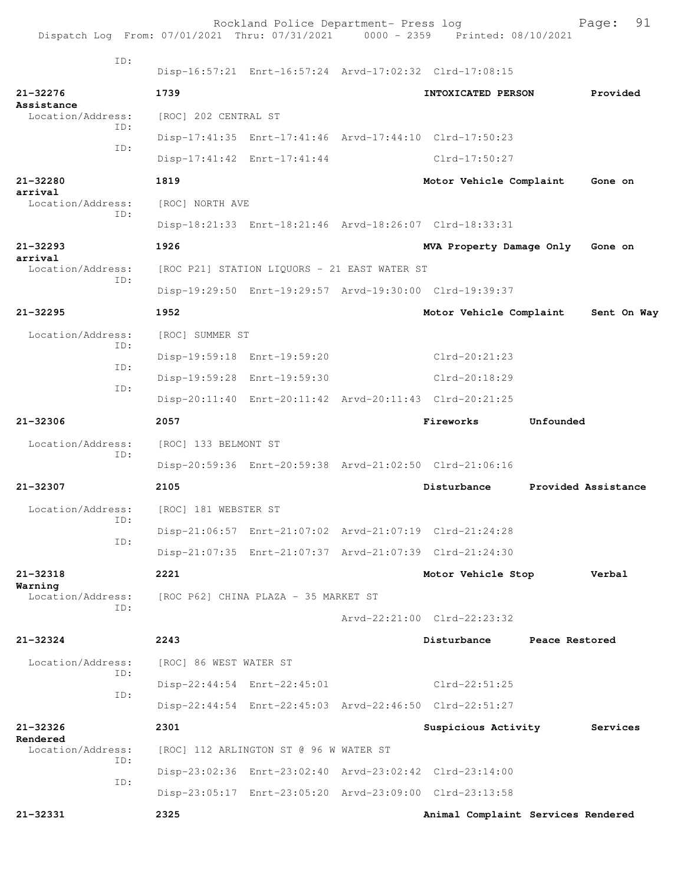| Dispatch Log From: 07/01/2021 Thru: 07/31/2021 0000 - 2359 Printed: 08/10/2021 |                        | Rockland Police Department- Press log        |                                                         |                     | Page:       | 91 |
|--------------------------------------------------------------------------------|------------------------|----------------------------------------------|---------------------------------------------------------|---------------------|-------------|----|
| ID:                                                                            |                        |                                              | Disp-16:57:21 Enrt-16:57:24 Arvd-17:02:32 Clrd-17:08:15 |                     |             |    |
| $21 - 32276$                                                                   | 1739                   |                                              | INTOXICATED PERSON                                      |                     | Provided    |    |
| Assistance<br>Location/Address:                                                | [ROC] 202 CENTRAL ST   |                                              |                                                         |                     |             |    |
| ID:                                                                            |                        |                                              | Disp-17:41:35 Enrt-17:41:46 Arvd-17:44:10 Clrd-17:50:23 |                     |             |    |
| ID:                                                                            |                        | Disp-17:41:42 Enrt-17:41:44                  | Clrd-17:50:27                                           |                     |             |    |
| 21-32280<br>arrival                                                            | 1819                   |                                              | Motor Vehicle Complaint                                 |                     | Gone on     |    |
| Location/Address:                                                              | [ROC] NORTH AVE        |                                              |                                                         |                     |             |    |
| ID:                                                                            |                        |                                              | Disp-18:21:33 Enrt-18:21:46 Arvd-18:26:07 Clrd-18:33:31 |                     |             |    |
| $21 - 32293$<br>arrival                                                        | 1926                   |                                              | MVA Property Damage Only                                |                     | Gone on     |    |
| Location/Address:<br>ID:                                                       |                        | [ROC P21] STATION LIQUORS - 21 EAST WATER ST |                                                         |                     |             |    |
|                                                                                |                        |                                              | Disp-19:29:50 Enrt-19:29:57 Arvd-19:30:00 Clrd-19:39:37 |                     |             |    |
| $21 - 32295$                                                                   | 1952                   |                                              | Motor Vehicle Complaint                                 |                     | Sent On Way |    |
| Location/Address:<br>TD:                                                       | [ROC] SUMMER ST        |                                              |                                                         |                     |             |    |
| ID:                                                                            |                        | Disp-19:59:18 Enrt-19:59:20                  | Clrd-20:21:23                                           |                     |             |    |
| ID:                                                                            |                        | Disp-19:59:28 Enrt-19:59:30                  | Clrd-20:18:29                                           |                     |             |    |
|                                                                                |                        |                                              | Disp-20:11:40 Enrt-20:11:42 Arvd-20:11:43 Clrd-20:21:25 |                     |             |    |
| $21 - 32306$                                                                   | 2057                   |                                              | Fireworks                                               | Unfounded           |             |    |
| Location/Address:                                                              | [ROC] 133 BELMONT ST   |                                              |                                                         |                     |             |    |
| ID:                                                                            |                        |                                              | Disp-20:59:36 Enrt-20:59:38 Arvd-21:02:50 Clrd-21:06:16 |                     |             |    |
| 21-32307                                                                       | 2105                   |                                              | Disturbance                                             | Provided Assistance |             |    |
| Location/Address:                                                              | [ROC] 181 WEBSTER ST   |                                              |                                                         |                     |             |    |
| ID:<br>ID:                                                                     |                        |                                              | Disp-21:06:57 Enrt-21:07:02 Arvd-21:07:19 Clrd-21:24:28 |                     |             |    |
|                                                                                |                        |                                              | Disp-21:07:35 Enrt-21:07:37 Arvd-21:07:39 Clrd-21:24:30 |                     |             |    |
| $21 - 32318$                                                                   | 2221                   |                                              | Motor Vehicle Stop                                      |                     | Verbal      |    |
| Warning<br>Location/Address:                                                   |                        | [ROC P62] CHINA PLAZA - 35 MARKET ST         |                                                         |                     |             |    |
| ID:                                                                            |                        |                                              | $Arvd - 22:21:00$ $Clrd - 22:23:32$                     |                     |             |    |
| $21 - 32324$                                                                   | 2243                   |                                              | Disturbance                                             | Peace Restored      |             |    |
| Location/Address:<br>TD:                                                       | [ROC] 86 WEST WATER ST |                                              |                                                         |                     |             |    |
| ID:                                                                            |                        | Disp-22:44:54 Enrt-22:45:01                  | Clrd-22:51:25                                           |                     |             |    |
|                                                                                |                        |                                              | Disp-22:44:54 Enrt-22:45:03 Arvd-22:46:50 Clrd-22:51:27 |                     |             |    |
| $21 - 32326$                                                                   | 2301                   |                                              | Suspicious Activity                                     |                     | Services    |    |
| Rendered<br>Location/Address:                                                  |                        | [ROC] 112 ARLINGTON ST @ 96 W WATER ST       |                                                         |                     |             |    |
| TD:                                                                            |                        |                                              | Disp-23:02:36 Enrt-23:02:40 Arvd-23:02:42 Clrd-23:14:00 |                     |             |    |
| ID:                                                                            |                        |                                              | Disp-23:05:17 Enrt-23:05:20 Arvd-23:09:00 Clrd-23:13:58 |                     |             |    |
| 21-32331                                                                       | 2325                   |                                              | Animal Complaint Services Rendered                      |                     |             |    |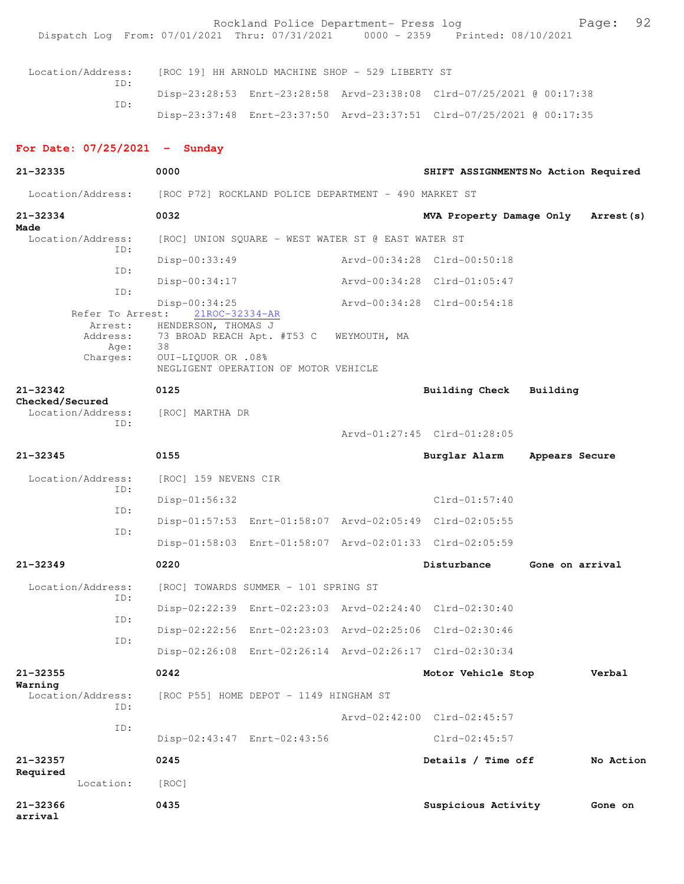Rockland Police Department- Press log Page: 92<br>21 Thru: 07/31/2021 0000 - 2359 Printed: 08/10/2021 Dispatch Log From: 07/01/2021 Thru: 07/31/2021 Location/Address: [ROC 19] HH ARNOLD MACHINE SHOP - 529 LIBERTY ST ID: Disp-23:28:53 Enrt-23:28:58 Arvd-23:38:08 Clrd-07/25/2021 @ 00:17:38 ID: Disp-23:37:48 Enrt-23:37:50 Arvd-23:37:51 Clrd-07/25/2021 @ 00:17:35 **For Date: 07/25/2021 - Sunday 21-32335 0000 SHIFT ASSIGNMENTS No Action Required** Location/Address: [ROC P72] ROCKLAND POLICE DEPARTMENT - 490 MARKET ST **21-32334 0032 MVA Property Damage Only Arrest(s) Made**  Location/Address: [ROC] UNION SQUARE - WEST WATER ST @ EAST WATER ST ID: Disp-00:33:49 Arvd-00:34:28 Clrd-00:50:18 ID: Disp-00:34:17 Arvd-00:34:28 Clrd-01:05:47 ID: Disp-00:34:25 Arvd-00:34:28 Clrd-00:54:18 Refer To Arrest: Arrest: HENDERSON, THOMAS J Address: 73 BROAD REACH Apt. #T53 C WEYMOUTH, MA Age: 38 Charges: OUI-LIQUOR OR .08% NEGLIGENT OPERATION OF MOTOR VEHICLE **21-32342 0125 Building Check Building Checked/Secured**  Location/Address: [ROC] MARTHA DR ID: Arvd-01:27:45 Clrd-01:28:05 **21-32345 0155 Burglar Alarm Appears Secure** Location/Address: [ROC] 159 NEVENS CIR ID: Disp-01:56:32 Clrd-01:57:40 ID: Disp-01:57:53 Enrt-01:58:07 Arvd-02:05:49 Clrd-02:05:55 ID: Disp-01:58:03 Enrt-01:58:07 Arvd-02:01:33 Clrd-02:05:59 **21-32349 0220 Disturbance Gone on arrival** Location/Address: [ROC] TOWARDS SUMMER - 101 SPRING ST ID: Disp-02:22:39 Enrt-02:23:03 Arvd-02:24:40 Clrd-02:30:40 ID: Disp-02:22:56 Enrt-02:23:03 Arvd-02:25:06 Clrd-02:30:46 ID: Disp-02:26:08 Enrt-02:26:14 Arvd-02:26:17 Clrd-02:30:34 **21-32355 0242 Motor Vehicle Stop Verbal Warning**  Location/Address: [ROC P55] HOME DEPOT - 1149 HINGHAM ST ID: Arvd-02:42:00 Clrd-02:45:57 ID: Disp-02:43:47 Enrt-02:43:56 Clrd-02:45:57 **21-32357 0245 Details / Time off No Action Required**  Location: [ROC] **21-32366 0435 Suspicious Activity Gone on arrival**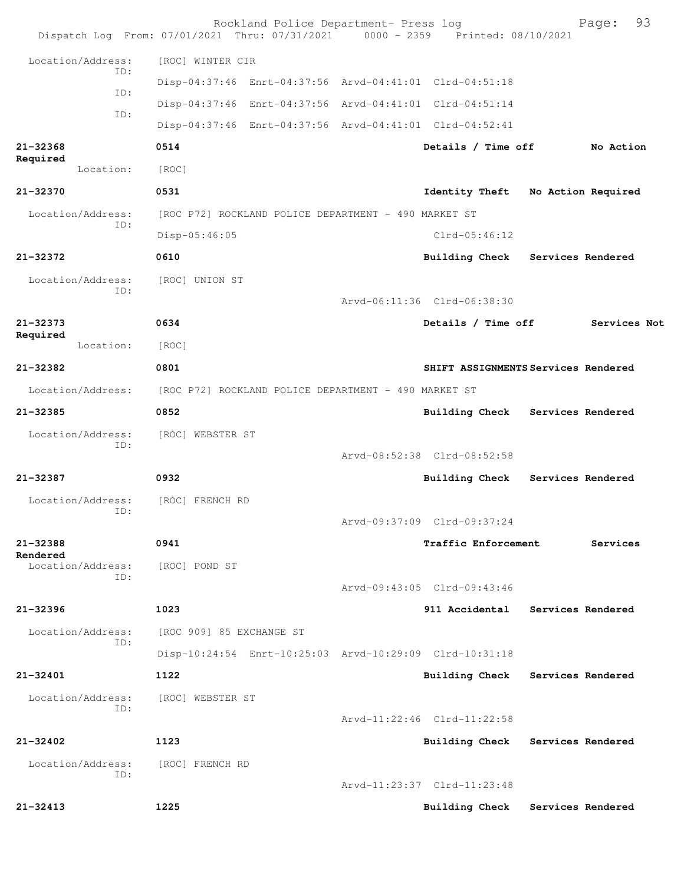|                               | Rockland Police Department- Press log<br>Dispatch Log From: 07/01/2021 Thru: 07/31/2021 0000 - 2359 Printed: 08/10/2021 |                             | 93<br>Page:                         |
|-------------------------------|-------------------------------------------------------------------------------------------------------------------------|-----------------------------|-------------------------------------|
| Location/Address:             | [ROC] WINTER CIR                                                                                                        |                             |                                     |
| ID:                           | Disp-04:37:46 Enrt-04:37:56 Arvd-04:41:01 Clrd-04:51:18                                                                 |                             |                                     |
| ID:                           | Disp-04:37:46 Enrt-04:37:56 Arvd-04:41:01 Clrd-04:51:14                                                                 |                             |                                     |
| ID:                           | Disp-04:37:46 Enrt-04:37:56 Arvd-04:41:01 Clrd-04:52:41                                                                 |                             |                                     |
| 21-32368<br>Required          | 0514                                                                                                                    | Details / Time off          | No Action                           |
| Location:                     | [ROC]                                                                                                                   |                             |                                     |
| 21-32370                      | 0531                                                                                                                    |                             | Identity Theft No Action Required   |
| Location/Address:             | [ROC P72] ROCKLAND POLICE DEPARTMENT - 490 MARKET ST                                                                    |                             |                                     |
| ID:                           | $Disp-05:46:05$                                                                                                         | $Clrd-05:46:12$             |                                     |
| 21-32372                      | 0610                                                                                                                    |                             | Building Check Services Rendered    |
| Location/Address:             | [ROC] UNION ST                                                                                                          |                             |                                     |
| ID:                           |                                                                                                                         | Arvd-06:11:36 Clrd-06:38:30 |                                     |
| 21-32373                      | 0634                                                                                                                    | Details / Time off          | Services Not                        |
| Required<br>Location:         | [ROC]                                                                                                                   |                             |                                     |
| 21-32382                      | 0801                                                                                                                    |                             | SHIFT ASSIGNMENTS Services Rendered |
| Location/Address:             | [ROC P72] ROCKLAND POLICE DEPARTMENT - 490 MARKET ST                                                                    |                             |                                     |
| 21-32385                      | 0852                                                                                                                    |                             | Building Check Services Rendered    |
| Location/Address:             | [ROC] WEBSTER ST                                                                                                        |                             |                                     |
| ID:                           |                                                                                                                         | Arvd-08:52:38 Clrd-08:52:58 |                                     |
| 21-32387                      | 0932                                                                                                                    | <b>Building Check</b>       | Services Rendered                   |
| Location/Address:             | [ROC] FRENCH RD                                                                                                         |                             |                                     |
| ID:                           |                                                                                                                         | Arvd-09:37:09 Clrd-09:37:24 |                                     |
| 21-32388                      | 0941                                                                                                                    | Traffic Enforcement         | Services                            |
| Rendered<br>Location/Address: | [ROC] POND ST                                                                                                           |                             |                                     |
| ID:                           |                                                                                                                         | Arvd-09:43:05 Clrd-09:43:46 |                                     |
| 21-32396                      | 1023                                                                                                                    | 911 Accidental              | Services Rendered                   |
| Location/Address:             | [ROC 909] 85 EXCHANGE ST                                                                                                |                             |                                     |
| ID:                           | Disp-10:24:54 Enrt-10:25:03 Arvd-10:29:09 Clrd-10:31:18                                                                 |                             |                                     |
| 21-32401                      | 1122                                                                                                                    | <b>Building Check</b>       | Services Rendered                   |
| Location/Address:             | [ROC] WEBSTER ST                                                                                                        |                             |                                     |
| ID:                           |                                                                                                                         | Arvd-11:22:46 Clrd-11:22:58 |                                     |
| 21-32402                      | 1123                                                                                                                    | <b>Building Check</b>       | Services Rendered                   |
| Location/Address:             | [ROC] FRENCH RD                                                                                                         |                             |                                     |
| ID:                           |                                                                                                                         | Arvd-11:23:37 Clrd-11:23:48 |                                     |
| 21-32413                      | 1225                                                                                                                    | <b>Building Check</b>       | Services Rendered                   |
|                               |                                                                                                                         |                             |                                     |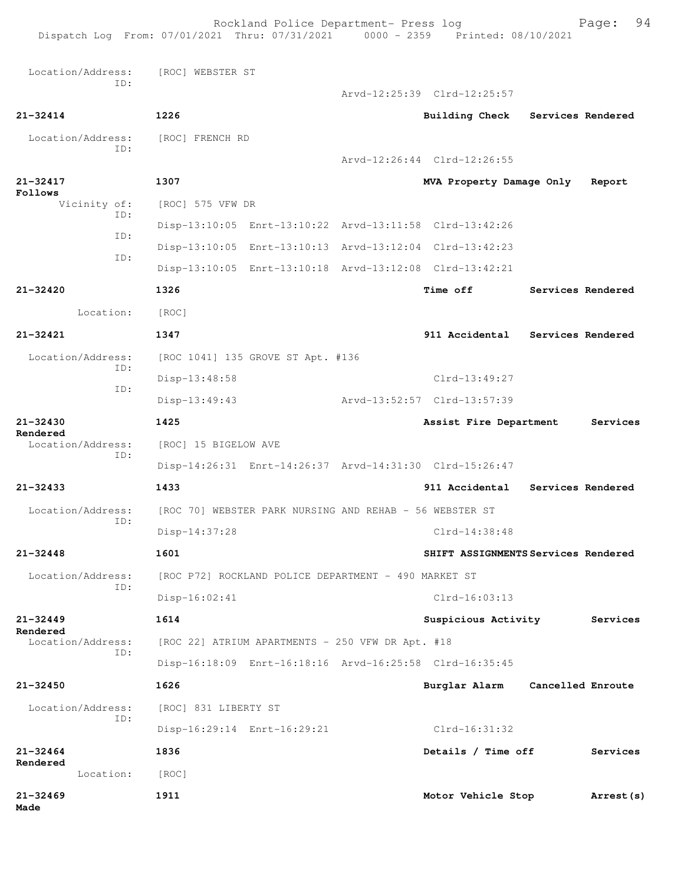Location/Address: [ROC] WEBSTER ST ID: Arvd-12:25:39 Clrd-12:25:57 **21-32414 1226 Building Check Services Rendered** Location/Address: [ROC] FRENCH RD ID: Arvd-12:26:44 Clrd-12:26:55 **21-32417 1307 MVA Property Damage Only Report Follows**<br>Vicinity of: [ROC] 575 VFW DR ID: Disp-13:10:05 Enrt-13:10:22 Arvd-13:11:58 Clrd-13:42:26 ID: Disp-13:10:05 Enrt-13:10:13 Arvd-13:12:04 Clrd-13:42:23 ID: Disp-13:10:05 Enrt-13:10:18 Arvd-13:12:08 Clrd-13:42:21 **21-32420 1326 Time off Services Rendered** Location: [ROC] **21-32421 1347 911 Accidental Services Rendered** Location/Address: [ROC 1041] 135 GROVE ST Apt. #136 ID: Disp-13:48:58 Clrd-13:49:27 ID: Disp-13:49:43 Arvd-13:52:57 Clrd-13:57:39 **21-32430 1425 Assist Fire Department Services Rendered**  Location/Address: [ROC] 15 BIGELOW AVE ID: Disp-14:26:31 Enrt-14:26:37 Arvd-14:31:30 Clrd-15:26:47 **21-32433 1433 911 Accidental Services Rendered** Location/Address: [ROC 70] WEBSTER PARK NURSING AND REHAB - 56 WEBSTER ST ID: Disp-14:37:28 Clrd-14:38:48 **21-32448 1601 SHIFT ASSIGNMENTS Services Rendered** Location/Address: [ROC P72] ROCKLAND POLICE DEPARTMENT - 490 MARKET ST ID: Disp-16:02:41 Clrd-16:03:13 **21-32449 1614 Suspicious Activity Services Rendered**  Location/Address: [ROC 22] ATRIUM APARTMENTS - 250 VFW DR Apt. #18 ID: Disp-16:18:09 Enrt-16:18:16 Arvd-16:25:58 Clrd-16:35:45 **21-32450 1626 Burglar Alarm Cancelled Enroute** Location/Address: [ROC] 831 LIBERTY ST ID: Disp-16:29:14 Enrt-16:29:21 Clrd-16:31:32 **21-32464 1836 Details / Time off Services Rendered**  Location: [ROC] **21-32469 1911 Motor Vehicle Stop Arrest(s) Made**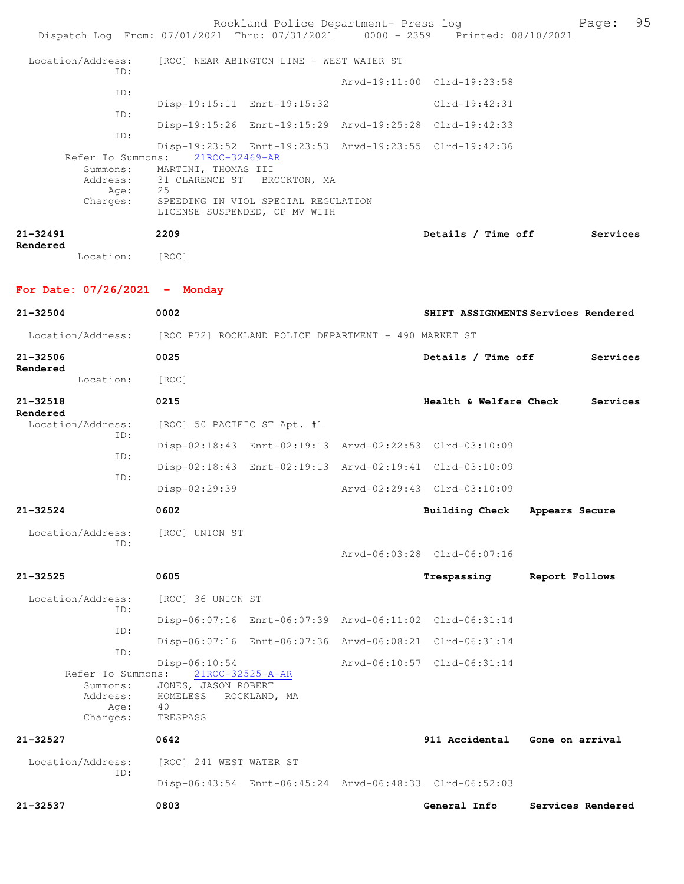| Dispatch Log From: 07/01/2021 Thru: 07/31/2021 0000 - 2359 Printed: 08/10/2021 |                                                                      | Rockland Police Department- Press log    |                                                         |                 | Page:             | 95 |
|--------------------------------------------------------------------------------|----------------------------------------------------------------------|------------------------------------------|---------------------------------------------------------|-----------------|-------------------|----|
| Location/Address:                                                              |                                                                      | [ROC] NEAR ABINGTON LINE - WEST WATER ST |                                                         |                 |                   |    |
| ID:                                                                            |                                                                      |                                          | Arvd-19:11:00 Clrd-19:23:58                             |                 |                   |    |
| ID:                                                                            | Disp-19:15:11 Enrt-19:15:32                                          |                                          | $Clrd-19:42:31$                                         |                 |                   |    |
| ID:                                                                            |                                                                      |                                          | Disp-19:15:26 Enrt-19:15:29 Arvd-19:25:28 Clrd-19:42:33 |                 |                   |    |
| ID:<br>Refer To Summons:                                                       | 21ROC-32469-AR                                                       |                                          | Disp-19:23:52 Enrt-19:23:53 Arvd-19:23:55 Clrd-19:42:36 |                 |                   |    |
| Summons:<br>Address:<br>Age:                                                   | MARTINI, THOMAS III<br>31 CLARENCE ST<br>25                          | BROCKTON, MA                             |                                                         |                 |                   |    |
| Charges:                                                                       | SPEEDING IN VIOL SPECIAL REGULATION<br>LICENSE SUSPENDED, OP MV WITH |                                          |                                                         |                 |                   |    |
| 21-32491                                                                       | 2209                                                                 |                                          | Details / Time off                                      |                 | Services          |    |
| Rendered<br>Location:                                                          | [ROC]                                                                |                                          |                                                         |                 |                   |    |
| For Date: $07/26/2021$ - Monday                                                |                                                                      |                                          |                                                         |                 |                   |    |
| 21-32504                                                                       | 0002                                                                 |                                          | SHIFT ASSIGNMENTS Services Rendered                     |                 |                   |    |
| Location/Address: [ROC P72] ROCKLAND POLICE DEPARTMENT - 490 MARKET ST         |                                                                      |                                          |                                                         |                 |                   |    |
| 21-32506                                                                       | 0025                                                                 |                                          | Details / Time off                                      |                 | Services          |    |
| Rendered<br>Location:                                                          | [ROC]                                                                |                                          |                                                         |                 |                   |    |
| 21-32518                                                                       | 0215                                                                 |                                          | Health & Welfare Check                                  |                 | Services          |    |
| Rendered<br>Location/Address:                                                  | [ROC] 50 PACIFIC ST Apt. #1                                          |                                          |                                                         |                 |                   |    |
| ID:                                                                            |                                                                      |                                          | Disp-02:18:43 Enrt-02:19:13 Arvd-02:22:53 Clrd-03:10:09 |                 |                   |    |
| ID:<br>ID:                                                                     |                                                                      |                                          | Disp-02:18:43 Enrt-02:19:13 Arvd-02:19:41 Clrd-03:10:09 |                 |                   |    |
|                                                                                | Disp-02:29:39                                                        |                                          | Arvd-02:29:43 Clrd-03:10:09                             |                 |                   |    |
| 21-32524                                                                       | 0602                                                                 |                                          | Building Check                                          | Appears Secure  |                   |    |
| Location/Address:<br>ID:                                                       | [ROC] UNION ST                                                       |                                          |                                                         |                 |                   |    |
|                                                                                |                                                                      |                                          | Arvd-06:03:28 Clrd-06:07:16                             |                 |                   |    |
| 21-32525                                                                       | 0605                                                                 |                                          | Trespassing                                             | Report Follows  |                   |    |
| Location/Address:                                                              | [ROC] 36 UNION ST                                                    |                                          |                                                         |                 |                   |    |
| ID:<br>ID:                                                                     |                                                                      |                                          | Disp-06:07:16 Enrt-06:07:39 Arvd-06:11:02 Clrd-06:31:14 |                 |                   |    |
| ID:                                                                            |                                                                      |                                          | Disp-06:07:16 Enrt-06:07:36 Arvd-06:08:21 Clrd-06:31:14 |                 |                   |    |
| Refer To Summons:                                                              | Disp-06:10:54<br>21ROC-32525-A-AR                                    |                                          | Arvd-06:10:57 Clrd-06:31:14                             |                 |                   |    |
| Summons:<br>Address:<br>Age:<br>Charges:                                       | JONES, JASON ROBERT<br>HOMELESS<br>40<br>TRESPASS                    | ROCKLAND, MA                             |                                                         |                 |                   |    |
| 21-32527                                                                       | 0642                                                                 |                                          | 911 Accidental                                          | Gone on arrival |                   |    |
| Location/Address:                                                              | [ROC] 241 WEST WATER ST                                              |                                          |                                                         |                 |                   |    |
| ID:                                                                            |                                                                      |                                          | Disp-06:43:54 Enrt-06:45:24 Arvd-06:48:33 Clrd-06:52:03 |                 |                   |    |
| 21-32537                                                                       | 0803                                                                 |                                          | General Info                                            |                 | Services Rendered |    |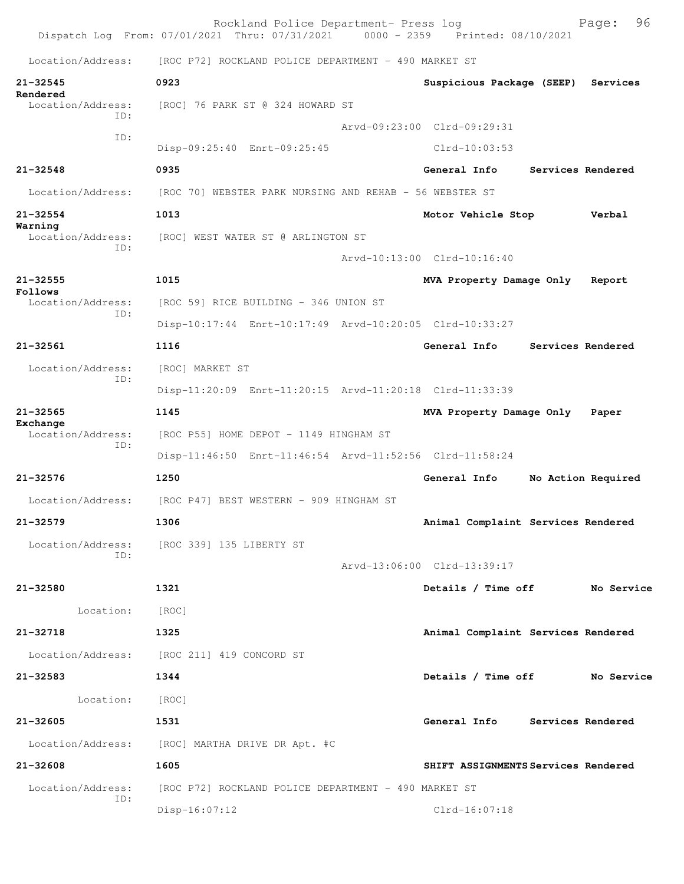|                               | Rockland Police Department- Press log<br>Dispatch Log From: 07/01/2021 Thru: 07/31/2021 0000 - 2359 Printed: 08/10/2021 |                                     |                   | 96<br>Page:        |
|-------------------------------|-------------------------------------------------------------------------------------------------------------------------|-------------------------------------|-------------------|--------------------|
| Location/Address:             | [ROC P72] ROCKLAND POLICE DEPARTMENT - 490 MARKET ST                                                                    |                                     |                   |                    |
| $21 - 32545$                  | 0923                                                                                                                    | Suspicious Package (SEEP)           |                   | Services           |
| Rendered<br>Location/Address: | [ROC] 76 PARK ST @ 324 HOWARD ST                                                                                        |                                     |                   |                    |
| TD:                           |                                                                                                                         | Arvd-09:23:00 Clrd-09:29:31         |                   |                    |
| ID:                           | Disp-09:25:40 Enrt-09:25:45                                                                                             | $Clrd-10:03:53$                     |                   |                    |
| $21 - 32548$                  | 0935                                                                                                                    | General Info                        | Services Rendered |                    |
| Location/Address:             | [ROC 70] WEBSTER PARK NURSING AND REHAB - 56 WEBSTER ST                                                                 |                                     |                   |                    |
| $21 - 32554$                  | 1013                                                                                                                    | Motor Vehicle Stop                  |                   | Verbal             |
| Warning<br>Location/Address:  | [ROC] WEST WATER ST @ ARLINGTON ST                                                                                      |                                     |                   |                    |
| ID:                           |                                                                                                                         | Arvd-10:13:00 Clrd-10:16:40         |                   |                    |
| $21 - 32555$                  | 1015                                                                                                                    | MVA Property Damage Only            |                   | Report             |
| Follows<br>Location/Address:  | [ROC 59] RICE BUILDING - 346 UNION ST                                                                                   |                                     |                   |                    |
| ID:                           | Disp-10:17:44 Enrt-10:17:49 Arvd-10:20:05 Clrd-10:33:27                                                                 |                                     |                   |                    |
| $21 - 32561$                  | 1116                                                                                                                    | General Info                        | Services Rendered |                    |
| Location/Address:             | [ROC] MARKET ST                                                                                                         |                                     |                   |                    |
| ID:                           | Disp-11:20:09 Enrt-11:20:15 Arvd-11:20:18 Clrd-11:33:39                                                                 |                                     |                   |                    |
| $21 - 32565$                  | 1145                                                                                                                    | MVA Property Damage Only            |                   | Paper              |
| Exchange<br>Location/Address: | [ROC P55] HOME DEPOT - 1149 HINGHAM ST                                                                                  |                                     |                   |                    |
| ID:                           | Disp-11:46:50 Enrt-11:46:54 Arvd-11:52:56 Clrd-11:58:24                                                                 |                                     |                   |                    |
| $21 - 32576$                  | 1250                                                                                                                    | General Info                        |                   | No Action Required |
| Location/Address:             | [ROC P47] BEST WESTERN - 909 HINGHAM ST                                                                                 |                                     |                   |                    |
| 21-32579                      | 1306                                                                                                                    | Animal Complaint Services Rendered  |                   |                    |
|                               | Location/Address: [ROC 339] 135 LIBERTY ST                                                                              |                                     |                   |                    |
| ID:                           |                                                                                                                         | Arvd-13:06:00 Clrd-13:39:17         |                   |                    |
| 21-32580                      | 1321                                                                                                                    | Details / Time off                  |                   | No Service         |
| Location:                     | [ROC]                                                                                                                   |                                     |                   |                    |
| 21-32718                      | 1325                                                                                                                    | Animal Complaint Services Rendered  |                   |                    |
|                               | Location/Address: [ROC 211] 419 CONCORD ST                                                                              |                                     |                   |                    |
| 21-32583                      | 1344                                                                                                                    | Details / Time off                  |                   | No Service         |
| Location:                     | [ROC]                                                                                                                   |                                     |                   |                    |
| 21-32605                      | 1531                                                                                                                    | General Info Services Rendered      |                   |                    |
|                               | Location/Address: [ROC] MARTHA DRIVE DR Apt. #C                                                                         |                                     |                   |                    |
| 21-32608                      | 1605                                                                                                                    | SHIFT ASSIGNMENTS Services Rendered |                   |                    |
| Location/Address:             | [ROC P72] ROCKLAND POLICE DEPARTMENT - 490 MARKET ST                                                                    |                                     |                   |                    |
| ID:                           | $Disp-16:07:12$                                                                                                         | $Clrd-16:07:18$                     |                   |                    |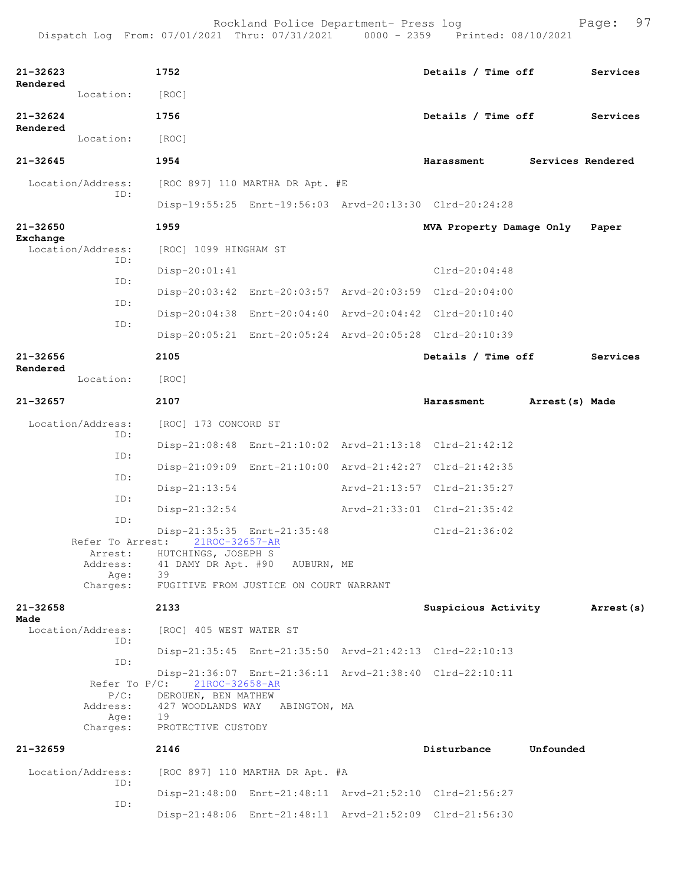| $21 - 32623$ |                             | 1752                                       |                                        | Details / Time off                                      |                   | Services   |
|--------------|-----------------------------|--------------------------------------------|----------------------------------------|---------------------------------------------------------|-------------------|------------|
| Rendered     | Location:                   | [ROC]                                      |                                        |                                                         |                   |            |
| $21 - 32624$ |                             | 1756                                       |                                        | Details / Time off                                      |                   | Services   |
| Rendered     | Location:                   | [ROC]                                      |                                        |                                                         |                   |            |
| $21 - 32645$ |                             | 1954                                       |                                        | Harassment                                              | Services Rendered |            |
|              | Location/Address:           |                                            | [ROC 897] 110 MARTHA DR Apt. #E        |                                                         |                   |            |
|              | ID:                         |                                            |                                        | Disp-19:55:25 Enrt-19:56:03 Arvd-20:13:30 Clrd-20:24:28 |                   |            |
| $21 - 32650$ |                             | 1959                                       |                                        | MVA Property Damage Only                                |                   | Paper      |
| Exchange     | Location/Address:           | [ROC] 1099 HINGHAM ST                      |                                        |                                                         |                   |            |
|              | ID:                         | $Disp-20:01:41$                            |                                        | Clrd-20:04:48                                           |                   |            |
|              | ID:                         |                                            |                                        | Disp-20:03:42 Enrt-20:03:57 Arvd-20:03:59 Clrd-20:04:00 |                   |            |
|              | ID:<br>ID:                  |                                            |                                        | Disp-20:04:38 Enrt-20:04:40 Arvd-20:04:42 Clrd-20:10:40 |                   |            |
|              |                             |                                            |                                        | Disp-20:05:21 Enrt-20:05:24 Arvd-20:05:28 Clrd-20:10:39 |                   |            |
| 21-32656     |                             | 2105                                       |                                        | Details / Time off                                      |                   | Services   |
| Rendered     | Location:                   | [ROC]                                      |                                        |                                                         |                   |            |
| $21 - 32657$ |                             | 2107                                       |                                        | Harassment                                              | Arrest(s) Made    |            |
|              | Location/Address:<br>ID:    | [ROC] 173 CONCORD ST                       |                                        |                                                         |                   |            |
|              | ID:                         |                                            |                                        | Disp-21:08:48 Enrt-21:10:02 Arvd-21:13:18 Clrd-21:42:12 |                   |            |
|              | ID:                         |                                            |                                        | Disp-21:09:09 Enrt-21:10:00 Arvd-21:42:27 Clrd-21:42:35 |                   |            |
|              | ID:                         | $Disp-21:13:54$                            |                                        | Arvd-21:13:57 Clrd-21:35:27                             |                   |            |
|              | ID:                         | $Disp-21:32:54$                            |                                        | Arvd-21:33:01 Clrd-21:35:42                             |                   |            |
|              | Refer To Arrest:            | 21ROC-32657-AR                             | Disp-21:35:35 Enrt-21:35:48            | $Clrd-21:36:02$                                         |                   |            |
|              | Arrest:<br>Address:         | HUTCHINGS, JOSEPH S<br>41 DAMY DR Apt. #90 | AUBURN, ME                             |                                                         |                   |            |
|              | Age:<br>Charges:            | 39                                         | FUGITIVE FROM JUSTICE ON COURT WARRANT |                                                         |                   |            |
| $21 - 32658$ |                             | 2133                                       |                                        | Suspicious Activity                                     |                   | Arrest (s) |
| Made         | Location/Address:           | [ROC] 405 WEST WATER ST                    |                                        |                                                         |                   |            |
|              | TD:                         |                                            |                                        | Disp-21:35:45 Enrt-21:35:50 Arvd-21:42:13 Clrd-22:10:13 |                   |            |
|              | ID:                         |                                            |                                        | Disp-21:36:07 Enrt-21:36:11 Arvd-21:38:40 Clrd-22:10:11 |                   |            |
|              | Refer To $P/C$ :<br>$P/C$ : | 21ROC-32658-AR<br>DEROUEN, BEN MATHEW      |                                        |                                                         |                   |            |
|              | Address:<br>Age:            | 19                                         | 427 WOODLANDS WAY ABINGTON, MA         |                                                         |                   |            |
|              | Charges:                    | PROTECTIVE CUSTODY                         |                                        |                                                         |                   |            |
| 21-32659     |                             | 2146                                       |                                        | Disturbance                                             | Unfounded         |            |
|              | Location/Address:<br>ID:    |                                            | [ROC 897] 110 MARTHA DR Apt. #A        |                                                         |                   |            |
|              | ID:                         |                                            |                                        | Disp-21:48:00 Enrt-21:48:11 Arvd-21:52:10 Clrd-21:56:27 |                   |            |
|              |                             |                                            |                                        | Disp-21:48:06 Enrt-21:48:11 Arvd-21:52:09 Clrd-21:56:30 |                   |            |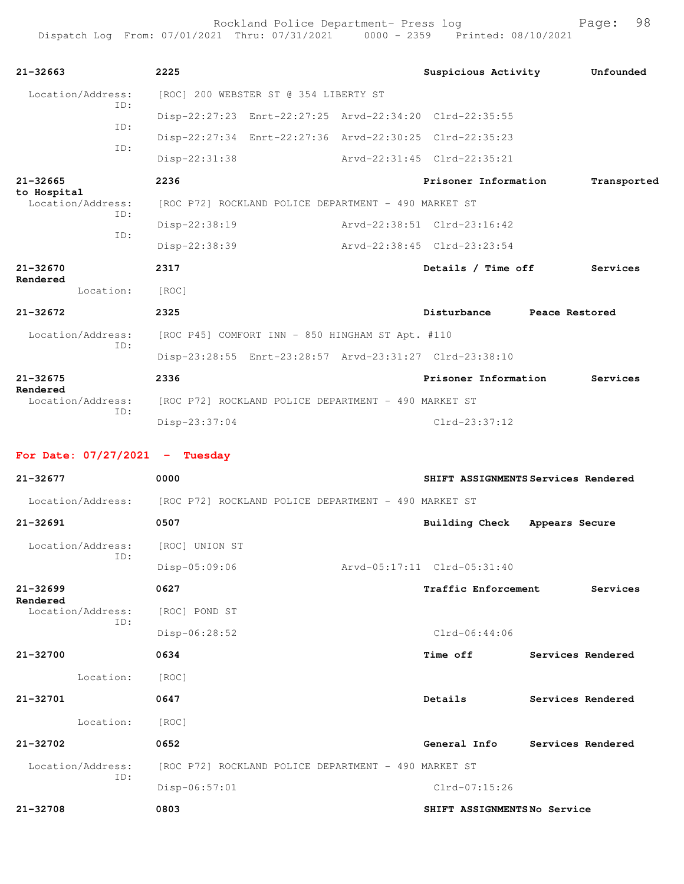| $21 - 32663$                     | 2225                                                    | Suspicious Activity         | Unfounded                           |
|----------------------------------|---------------------------------------------------------|-----------------------------|-------------------------------------|
| Location/Address:                | [ROC] 200 WEBSTER ST @ 354 LIBERTY ST                   |                             |                                     |
| ID:                              | Disp-22:27:23 Enrt-22:27:25 Arvd-22:34:20 Clrd-22:35:55 |                             |                                     |
| ID:                              | Disp-22:27:34 Enrt-22:27:36 Arvd-22:30:25 Clrd-22:35:23 |                             |                                     |
| ID:                              | $Disp-22:31:38$                                         | Arvd-22:31:45 Clrd-22:35:21 |                                     |
| $21 - 32665$                     | 2236                                                    | Prisoner Information        | Transported                         |
| to Hospital<br>Location/Address: | [ROC P72] ROCKLAND POLICE DEPARTMENT - 490 MARKET ST    |                             |                                     |
| ID:                              | Disp-22:38:19                                           | Arvd-22:38:51 Clrd-23:16:42 |                                     |
| ID:                              | Disp-22:38:39                                           | Arvd-22:38:45 Clrd-23:23:54 |                                     |
| 21-32670                         | 2317                                                    | Details / Time off          | Services                            |
| Rendered<br>Location:            | [ROC]                                                   |                             |                                     |
| $21 - 32672$                     | 2325                                                    | Disturbance Peace Restored  |                                     |
| Location/Address:<br>ID:         | [ROC P45] COMFORT INN - 850 HINGHAM ST Apt. #110        |                             |                                     |
|                                  | Disp-23:28:55 Enrt-23:28:57 Arvd-23:31:27 Clrd-23:38:10 |                             |                                     |
| $21 - 32675$                     | 2336                                                    | Prisoner Information        | Services                            |
| Rendered<br>Location/Address:    | [ROC P72] ROCKLAND POLICE DEPARTMENT - 490 MARKET ST    |                             |                                     |
| ID:                              | Disp-23:37:04                                           | $Clrd-23:37:12$             |                                     |
| For Date: $07/27/2021$ - Tuesday |                                                         |                             |                                     |
| 21-32677                         | 0000                                                    |                             | SHIFT ASSIGNMENTS Services Rendered |
| Location/Address:                | [ROC P72] ROCKLAND POLICE DEPARTMENT - 490 MARKET ST    |                             |                                     |
| $21 - 32691$                     | 0507                                                    | <b>Building Check</b>       | Appears Secure                      |
|                                  |                                                         |                             |                                     |
| Location/Address:<br>ID:         | [ROC] UNION ST                                          |                             |                                     |
|                                  |                                                         |                             |                                     |
|                                  | Disp-05:09:06                                           | Arvd-05:17:11 Clrd-05:31:40 |                                     |
| $21 - 32699$<br>Rendered         | 0627                                                    | Traffic Enforcement         | Services                            |
| Location/Address:<br>ID:         | [ROC] POND ST                                           |                             |                                     |
|                                  | Disp-06:28:52                                           | $Clrd-06:44:06$             |                                     |
| 21-32700                         | 0634                                                    | <b>Time off</b>             | Services Rendered                   |
| Location:                        | [ROC]                                                   |                             |                                     |
| $21 - 32701$                     | 0647                                                    | Details                     | Services Rendered                   |
| Location:                        | [ROC]                                                   |                             |                                     |
| 21-32702                         | 0652                                                    | General Info                | Services Rendered                   |
| Location/Address:<br>ID:         | [ROC P72] ROCKLAND POLICE DEPARTMENT - 490 MARKET ST    |                             |                                     |
|                                  | Disp-06:57:01                                           | Clrd-07:15:26               |                                     |
| 21-32708                         | 0803                                                    | SHIFT ASSIGNMENTSNo Service |                                     |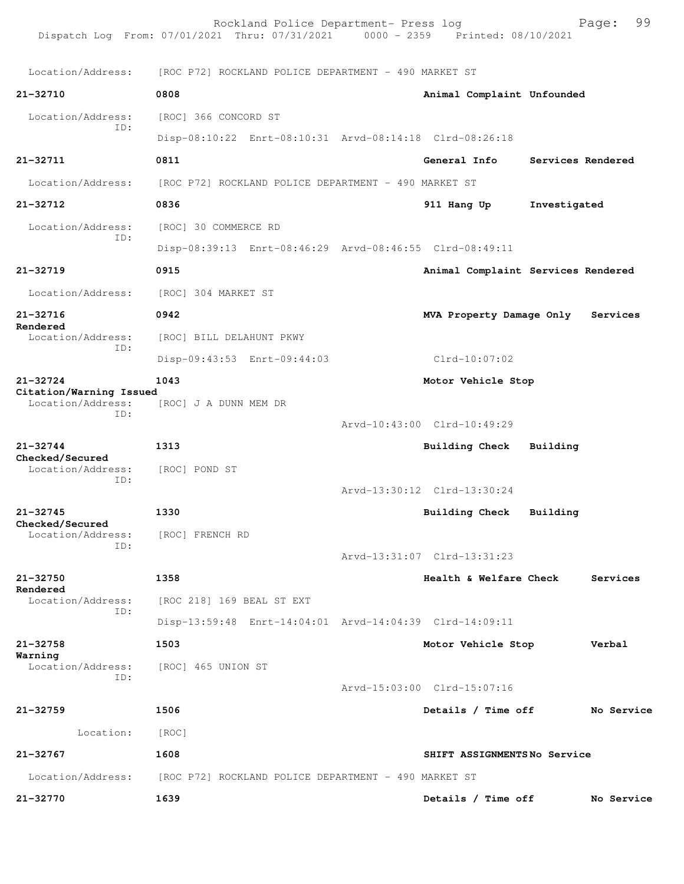|                                              | Rockland Police Department- Press log<br>Dispatch Log From: 07/01/2021 Thru: 07/31/2021 0000 - 2359 Printed: 08/10/2021 |                                    |                   | 99<br>Page: |
|----------------------------------------------|-------------------------------------------------------------------------------------------------------------------------|------------------------------------|-------------------|-------------|
| Location/Address:                            | [ROC P72] ROCKLAND POLICE DEPARTMENT - 490 MARKET ST                                                                    |                                    |                   |             |
| $21 - 32710$                                 | 0808                                                                                                                    | Animal Complaint Unfounded         |                   |             |
| Location/Address:                            | [ROC] 366 CONCORD ST                                                                                                    |                                    |                   |             |
| ID:                                          | Disp-08:10:22 Enrt-08:10:31 Arvd-08:14:18 Clrd-08:26:18                                                                 |                                    |                   |             |
| $21 - 32711$                                 | 0811                                                                                                                    | General Info                       | Services Rendered |             |
| Location/Address:                            | [ROC P72] ROCKLAND POLICE DEPARTMENT - 490 MARKET ST                                                                    |                                    |                   |             |
| 21-32712                                     | 0836                                                                                                                    | 911 Hang Up                        | Investigated      |             |
| Location/Address:                            | [ROC] 30 COMMERCE RD                                                                                                    |                                    |                   |             |
| ID:                                          | Disp-08:39:13 Enrt-08:46:29 Arvd-08:46:55 Clrd-08:49:11                                                                 |                                    |                   |             |
| $21 - 32719$                                 | 0915                                                                                                                    | Animal Complaint Services Rendered |                   |             |
| Location/Address:                            | [ROC] 304 MARKET ST                                                                                                     |                                    |                   |             |
| 21-32716                                     | 0942                                                                                                                    | MVA Property Damage Only           |                   | Services    |
| Rendered<br>Location/Address:                | [ROC] BILL DELAHUNT PKWY                                                                                                |                                    |                   |             |
| ID:                                          | Disp-09:43:53 Enrt-09:44:03                                                                                             | $Clrd-10:07:02$                    |                   |             |
| $21 - 32724$                                 | 1043                                                                                                                    | Motor Vehicle Stop                 |                   |             |
| Citation/Warning Issued<br>Location/Address: | [ROC] J A DUNN MEM DR                                                                                                   |                                    |                   |             |
| ID:                                          |                                                                                                                         | Arvd-10:43:00 Clrd-10:49:29        |                   |             |
| $21 - 32744$                                 | 1313                                                                                                                    | <b>Building Check</b>              | Building          |             |
| Checked/Secured<br>Location/Address:         | [ROC] POND ST                                                                                                           |                                    |                   |             |
| ID:                                          |                                                                                                                         | Arvd-13:30:12 Clrd-13:30:24        |                   |             |
| $21 - 32745$<br>Checked/Secured              | 1330                                                                                                                    | Building Check                     | Building          |             |
| Location/Address:<br>ID:                     | [ROC] FRENCH RD                                                                                                         |                                    |                   |             |
|                                              |                                                                                                                         | Arvd-13:31:07 Clrd-13:31:23        |                   |             |
| 21-32750<br>Rendered                         | 1358                                                                                                                    | Health & Welfare Check             |                   | Services    |
| Location/Address:<br>ID:                     | [ROC 218] 169 BEAL ST EXT                                                                                               |                                    |                   |             |
|                                              | Disp-13:59:48 Enrt-14:04:01 Arvd-14:04:39 Clrd-14:09:11                                                                 |                                    |                   |             |
| 21-32758<br>Warning                          | 1503                                                                                                                    | Motor Vehicle Stop                 |                   | Verbal      |
| Location/Address:<br>ID:                     | [ROC] 465 UNION ST                                                                                                      |                                    |                   |             |
|                                              |                                                                                                                         | Arvd-15:03:00 Clrd-15:07:16        |                   |             |
| $21 - 32759$                                 | 1506                                                                                                                    | Details / Time off                 |                   | No Service  |
| Location:                                    | [ROC]                                                                                                                   |                                    |                   |             |
| 21-32767                                     | 1608                                                                                                                    | SHIFT ASSIGNMENTSNo Service        |                   |             |
| Location/Address:                            | [ROC P72] ROCKLAND POLICE DEPARTMENT - 490 MARKET ST                                                                    |                                    |                   |             |
| 21-32770                                     | 1639                                                                                                                    | Details / Time off                 |                   | No Service  |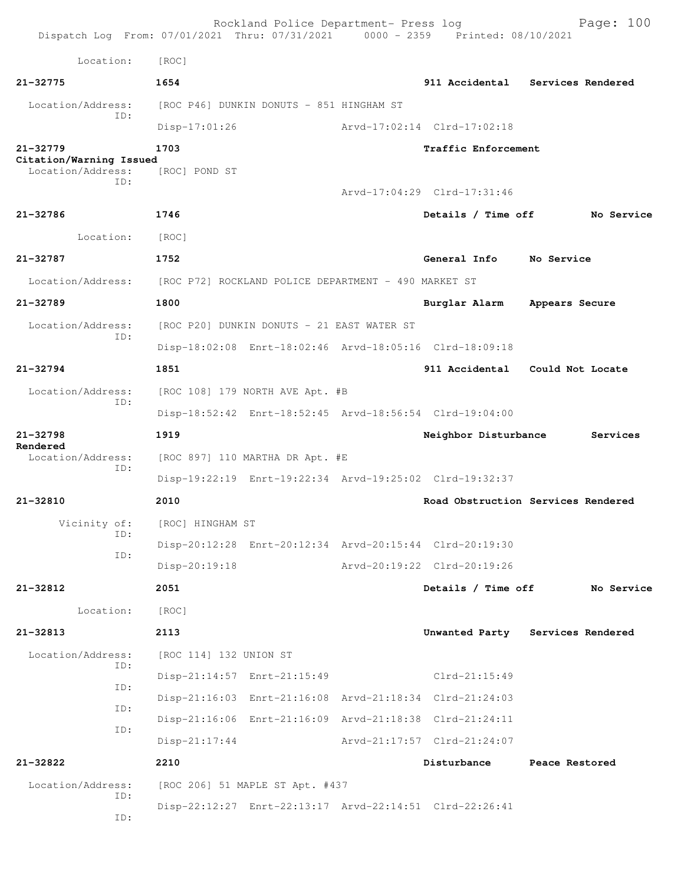| Dispatch Log From: 07/01/2021 Thru: 07/31/2021 0000 - 2359 Printed: 08/10/2021 |                                                      | Rockland Police Department- Press log      |                                                         | Page: $100$                        |
|--------------------------------------------------------------------------------|------------------------------------------------------|--------------------------------------------|---------------------------------------------------------|------------------------------------|
| Location:                                                                      | [ROC]                                                |                                            |                                                         |                                    |
| 21-32775                                                                       | 1654                                                 |                                            |                                                         | 911 Accidental Services Rendered   |
| Location/Address:                                                              |                                                      | [ROC P46] DUNKIN DONUTS - 851 HINGHAM ST   |                                                         |                                    |
| ID:                                                                            | $Disp-17:01:26$                                      |                                            | Arvd-17:02:14 Clrd-17:02:18                             |                                    |
| 21-32779                                                                       | 1703                                                 |                                            | Traffic Enforcement                                     |                                    |
| Citation/Warning Issued<br>Location/Address:                                   | [ROC] POND ST                                        |                                            |                                                         |                                    |
| TD:                                                                            |                                                      |                                            | Arvd-17:04:29 Clrd-17:31:46                             |                                    |
| 21-32786                                                                       | 1746                                                 |                                            | Details / Time off                                      | No Service                         |
| Location:                                                                      | [ROC]                                                |                                            |                                                         |                                    |
| 21-32787                                                                       | 1752                                                 |                                            | General Info                                            | No Service                         |
| Location/Address:                                                              | [ROC P72] ROCKLAND POLICE DEPARTMENT - 490 MARKET ST |                                            |                                                         |                                    |
| 21-32789                                                                       | 1800                                                 |                                            | Burglar Alarm                                           | Appears Secure                     |
| Location/Address:                                                              |                                                      | [ROC P20] DUNKIN DONUTS - 21 EAST WATER ST |                                                         |                                    |
| TD:                                                                            |                                                      |                                            | Disp-18:02:08 Enrt-18:02:46 Arvd-18:05:16 Clrd-18:09:18 |                                    |
| 21-32794                                                                       | 1851                                                 |                                            |                                                         | 911 Accidental Could Not Locate    |
| Location/Address:                                                              |                                                      | [ROC 108] 179 NORTH AVE Apt. #B            |                                                         |                                    |
| ID:                                                                            |                                                      |                                            | Disp-18:52:42 Enrt-18:52:45 Arvd-18:56:54 Clrd-19:04:00 |                                    |
| $21 - 32798$                                                                   | 1919                                                 |                                            | Neighbor Disturbance                                    | Services                           |
| Rendered<br>Location/Address:                                                  |                                                      | [ROC 897] 110 MARTHA DR Apt. #E            |                                                         |                                    |
| ID:                                                                            |                                                      |                                            | Disp-19:22:19 Enrt-19:22:34 Arvd-19:25:02 Clrd-19:32:37 |                                    |
| 21-32810                                                                       | 2010                                                 |                                            |                                                         | Road Obstruction Services Rendered |
| Vicinity of:                                                                   | [ROC] HINGHAM ST                                     |                                            |                                                         |                                    |
| ID:                                                                            |                                                      |                                            | Disp-20:12:28 Enrt-20:12:34 Arvd-20:15:44 Clrd-20:19:30 |                                    |
| ID:                                                                            | $Disp-20:19:18$                                      |                                            | Arvd-20:19:22 Clrd-20:19:26                             |                                    |
| 21-32812                                                                       | 2051                                                 |                                            | Details / Time off                                      | No Service                         |
| Location:                                                                      | [ROC]                                                |                                            |                                                         |                                    |
| $21 - 32813$                                                                   | 2113                                                 |                                            |                                                         | Unwanted Party Services Rendered   |
| Location/Address:                                                              | [ROC 114] 132 UNION ST                               |                                            |                                                         |                                    |
| ID:                                                                            |                                                      | Disp-21:14:57 Enrt-21:15:49                | Clrd-21:15:49                                           |                                    |
| ID:                                                                            |                                                      |                                            | Disp-21:16:03 Enrt-21:16:08 Arvd-21:18:34 Clrd-21:24:03 |                                    |
| ID:                                                                            |                                                      |                                            | Disp-21:16:06 Enrt-21:16:09 Arvd-21:18:38 Clrd-21:24:11 |                                    |
| ID:                                                                            | $Disp-21:17:44$                                      |                                            | Arvd-21:17:57 Clrd-21:24:07                             |                                    |
| 21-32822                                                                       | 2210                                                 |                                            | Disturbance                                             | Peace Restored                     |
| Location/Address:                                                              |                                                      | [ROC 206] 51 MAPLE ST Apt. #437            |                                                         |                                    |
| ID:<br>ID:                                                                     |                                                      |                                            | Disp-22:12:27 Enrt-22:13:17 Arvd-22:14:51 Clrd-22:26:41 |                                    |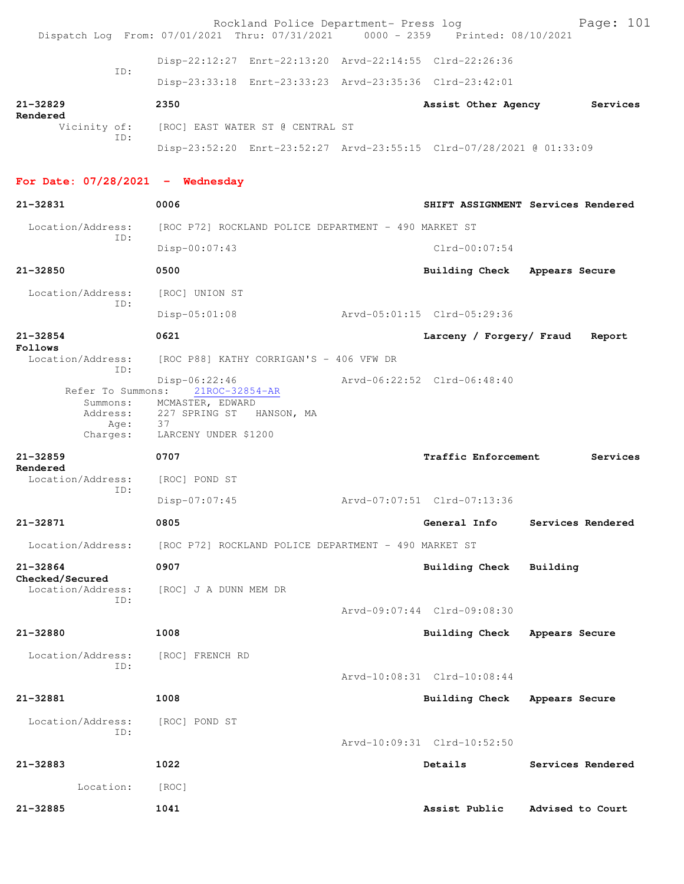|                                      | Rockland Police Department- Press log<br>Dispatch Log From: 07/01/2021 Thru: 07/31/2021 0000 - 2359 Printed: 08/10/2021 | Page: 101                               |
|--------------------------------------|-------------------------------------------------------------------------------------------------------------------------|-----------------------------------------|
| TD:                                  | Disp-22:12:27 Enrt-22:13:20 Arvd-22:14:55 Clrd-22:26:36                                                                 |                                         |
|                                      | Disp-23:33:18 Enrt-23:33:23 Arvd-23:35:36 Clrd-23:42:01                                                                 |                                         |
| $21 - 32829$                         | 2350                                                                                                                    | Services<br>Assist Other Agency         |
| Rendered<br>Vicinity of:             | [ROC] EAST WATER ST @ CENTRAL ST                                                                                        |                                         |
| ID:                                  | Disp-23:52:20 Enrt-23:52:27 Arvd-23:55:15 Clrd-07/28/2021 @ 01:33:09                                                    |                                         |
| For Date: $07/28/2021$ - Wednesday   |                                                                                                                         |                                         |
| 21-32831                             | 0006                                                                                                                    | SHIFT ASSIGNMENT Services Rendered      |
| Location/Address:<br>ID:             | [ROC P72] ROCKLAND POLICE DEPARTMENT - 490 MARKET ST                                                                    |                                         |
|                                      | Disp-00:07:43                                                                                                           | $Clrd-00:07:54$                         |
| $21 - 32850$                         | 0500                                                                                                                    | Building Check Appears Secure           |
| Location/Address:<br>TD:             | [ROC] UNION ST                                                                                                          |                                         |
|                                      | Disp-05:01:08                                                                                                           | Arvd-05:01:15 Clrd-05:29:36             |
| $21 - 32854$<br>Follows              | 0621                                                                                                                    | Larceny / Forgery/ Fraud<br>Report      |
| Location/Address:<br>TD:             | [ROC P88] KATHY CORRIGAN'S - 406 VFW DR                                                                                 |                                         |
|                                      | $Disp-06:22:46$<br>Refer To Summons: 21ROC-32854-AR<br>Summons: MCMASTER, EDWARD                                        | Arvd-06:22:52 Clrd-06:48:40             |
| Address:<br>Age:<br>Charges:         | 227 SPRING ST HANSON, MA<br>37<br>LARCENY UNDER \$1200                                                                  |                                         |
|                                      |                                                                                                                         |                                         |
| $21 - 32859$                         | 0707                                                                                                                    | <b>Traffic Enforcement</b><br>Services  |
| Rendered<br>Location/Address:        | [ROC] POND ST                                                                                                           |                                         |
| TD:                                  | Disp-07:07:45                                                                                                           | Aryd-07:07:51 Clrd-07:13:36             |
| 21-32871                             | 0805                                                                                                                    | General Info<br>Services Rendered       |
| Location/Address:                    | [ROC P72] ROCKLAND POLICE DEPARTMENT - 490 MARKET ST                                                                    |                                         |
| $21 - 32864$                         | 0907                                                                                                                    | Building Check<br>Building              |
| Checked/Secured<br>Location/Address: | [ROC] J A DUNN MEM DR                                                                                                   |                                         |
| TD:                                  |                                                                                                                         | Arvd-09:07:44 Clrd-09:08:30             |
| 21-32880                             | 1008                                                                                                                    | <b>Building Check</b><br>Appears Secure |
| Location/Address:                    | [ROC] FRENCH RD                                                                                                         |                                         |
| ID:                                  |                                                                                                                         | Arvd-10:08:31 Clrd-10:08:44             |
| 21-32881                             | 1008                                                                                                                    | <b>Building Check</b><br>Appears Secure |
| Location/Address:<br>ID:             | [ROC] POND ST                                                                                                           | Arvd-10:09:31 Clrd-10:52:50             |
| 21-32883                             | 1022                                                                                                                    | Details<br>Services Rendered            |
| Location:                            | [ROC]                                                                                                                   |                                         |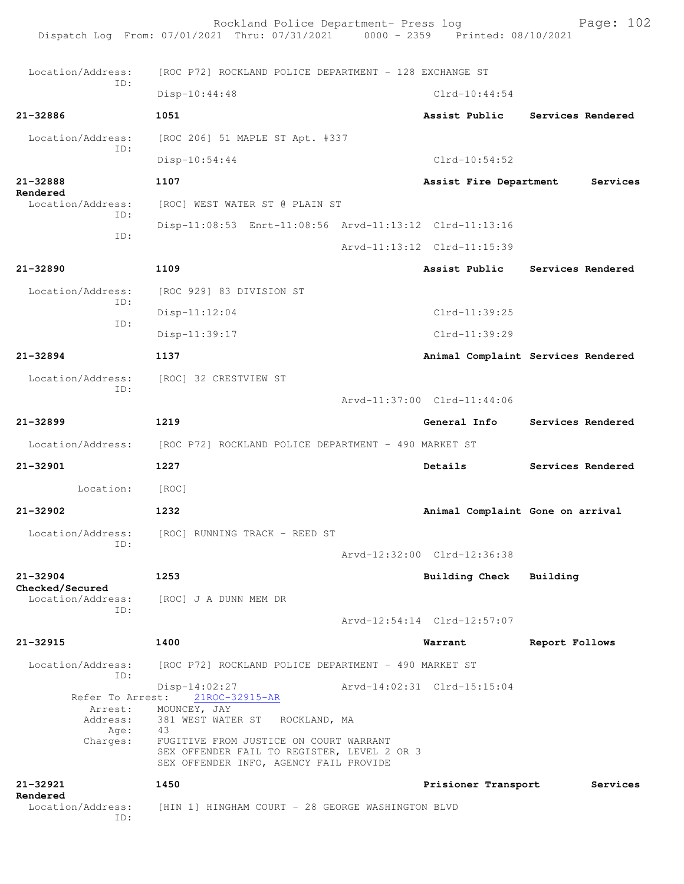Rockland Police Department- Press log Page: 102 Dispatch Log From: 07/01/2021 Thru: 07/31/2021 0000 - 2359 Printed: 08/10/2021 Location/Address: [ROC P72] ROCKLAND POLICE DEPARTMENT - 128 EXCHANGE ST ID: Disp-10:44:48 Clrd-10:44:54 **21-32886 1051 Assist Public Services Rendered** Location/Address: [ROC 206] 51 MAPLE ST Apt. #337 ID: Disp-10:54:44 Clrd-10:54:52 **21-32888 1107 Assist Fire Department Services Rendered**<br>Location/Address: [ROC] WEST WATER ST @ PLAIN ST ID: Disp-11:08:53 Enrt-11:08:56 Arvd-11:13:12 Clrd-11:13:16 ID: Arvd-11:13:12 Clrd-11:15:39 **21-32890 1109 Assist Public Services Rendered** Location/Address: [ROC 929] 83 DIVISION ST ID: Disp-11:12:04 Clrd-11:39:25 ID: Disp-11:39:17 Clrd-11:39:29 **21-32894 1137 Animal Complaint Services Rendered** Location/Address: [ROC] 32 CRESTVIEW ST ID: Arvd-11:37:00 Clrd-11:44:06 **21-32899 1219 General Info Services Rendered** Location/Address: [ROC P72] ROCKLAND POLICE DEPARTMENT - 490 MARKET ST **21-32901 1227 Details Services Rendered** Location: [ROC] **21-32902 1232 Animal Complaint Gone on arrival** Location/Address: [ROC] RUNNING TRACK - REED ST ID: Arvd-12:32:00 Clrd-12:36:38 **21-32904 1253 Building Check Building Checked/Secured**  Location/Address: [ROC] J A DUNN MEM DR ID: Arvd-12:54:14 Clrd-12:57:07 **21-32915 1400 Warrant Report Follows** Location/Address: [ROC P72] ROCKLAND POLICE DEPARTMENT - 490 MARKET ST ID: Disp-14:02:27 <br>Refer To Arrest: 21ROC-32915-AR <br>Refer To Arrest: 21ROC-32915-AR 21ROC-32915-AR Arrest: MOUNCEY, JAY<br>Address: 381 WEST WATE 381 WEST WATER ST ROCKLAND, MA Age: 43 Charges: FUGITIVE FROM JUSTICE ON COURT WARRANT SEX OFFENDER FAIL TO REGISTER, LEVEL 2 OR 3 SEX OFFENDER INFO, AGENCY FAIL PROVIDE **21-32921 1450 Prisioner Transport Services Rendered**  Location/Address: [HIN 1] HINGHAM COURT - 28 GEORGE WASHINGTON BLVD ID: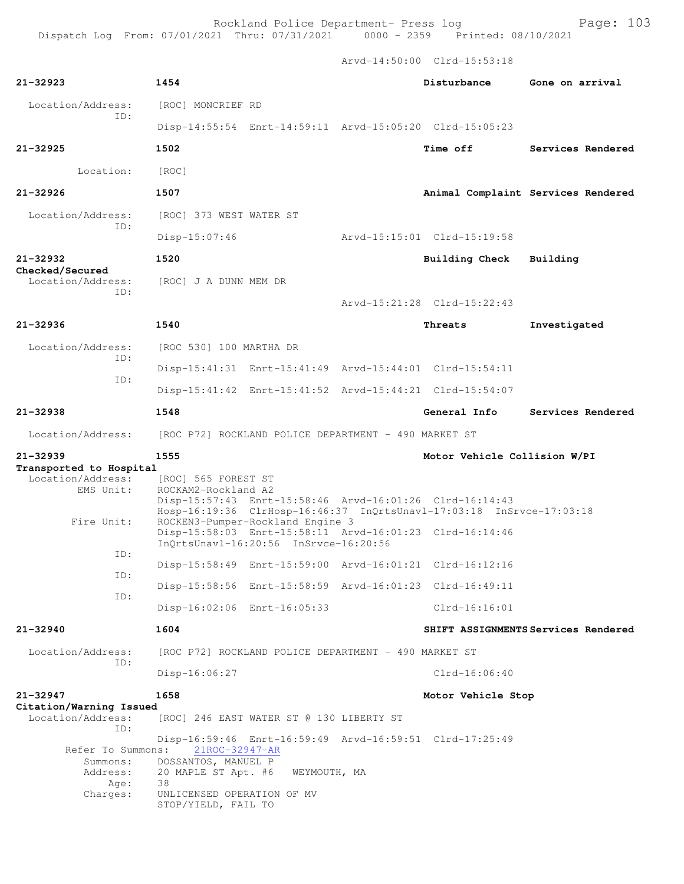|                                                     |                                                   |                                                      | Arvd-14:50:00 Clrd-15:53:18                                          |                                     |
|-----------------------------------------------------|---------------------------------------------------|------------------------------------------------------|----------------------------------------------------------------------|-------------------------------------|
| 21-32923                                            | 1454                                              |                                                      | Disturbance                                                          | Gone on arrival                     |
| Location/Address:                                   | [ROC] MONCRIEF RD                                 |                                                      |                                                                      |                                     |
| ID:                                                 |                                                   |                                                      | Disp-14:55:54 Enrt-14:59:11 Arvd-15:05:20 Clrd-15:05:23              |                                     |
| 21-32925                                            | 1502                                              |                                                      | <b>Time off</b>                                                      | Services Rendered                   |
| Location:                                           | [ROC]                                             |                                                      |                                                                      |                                     |
| 21-32926                                            | 1507                                              |                                                      |                                                                      | Animal Complaint Services Rendered  |
| Location/Address:                                   | [ROC] 373 WEST WATER ST                           |                                                      |                                                                      |                                     |
| TD:                                                 | $Disp-15:07:46$                                   |                                                      | Arvd-15:15:01 Clrd-15:19:58                                          |                                     |
| 21-32932                                            | 1520                                              |                                                      | Building Check                                                       | Building                            |
| Checked/Secured<br>Location/Address:                | [ROC] J A DUNN MEM DR                             |                                                      |                                                                      |                                     |
| ID:                                                 |                                                   |                                                      | Arvd-15:21:28 Clrd-15:22:43                                          |                                     |
| 21-32936                                            | 1540                                              |                                                      | Threats                                                              | Investigated                        |
| Location/Address:                                   | [ROC 530] 100 MARTHA DR                           |                                                      |                                                                      |                                     |
| ID:                                                 |                                                   |                                                      | Disp-15:41:31 Enrt-15:41:49 Arvd-15:44:01 Clrd-15:54:11              |                                     |
| ID:                                                 |                                                   |                                                      | Disp-15:41:42 Enrt-15:41:52 Arvd-15:44:21 Clrd-15:54:07              |                                     |
| 21-32938                                            | 1548                                              |                                                      | General Info                                                         | Services Rendered                   |
| Location/Address:                                   |                                                   | [ROC P72] ROCKLAND POLICE DEPARTMENT - 490 MARKET ST |                                                                      |                                     |
| 21-32939                                            | 1555                                              |                                                      | Motor Vehicle Collision W/PI                                         |                                     |
| Transported to Hospital<br>Location/Address:        | [ROC] 565 FOREST ST                               |                                                      |                                                                      |                                     |
| EMS Unit:                                           | ROCKAM2-Rockland A2                               |                                                      | Disp-15:57:43 Enrt-15:58:46 Arvd-16:01:26 Clrd-16:14:43              |                                     |
| Fire Unit:                                          |                                                   | ROCKEN3-Pumper-Rockland Engine 3                     | Hosp-16:19:36 ClrHosp-16:46:37 InQrtsUnavl-17:03:18 InSrvce-17:03:18 |                                     |
|                                                     |                                                   | InOrtsUnavl-16:20:56 InSrvce-16:20:56                | Disp-15:58:03 Enrt-15:58:11 Arvd-16:01:23 Clrd-16:14:46              |                                     |
| ID:                                                 |                                                   |                                                      | Disp-15:58:49 Enrt-15:59:00 Arvd-16:01:21 Clrd-16:12:16              |                                     |
| ID:                                                 |                                                   |                                                      | Disp-15:58:56 Enrt-15:58:59 Arvd-16:01:23 Clrd-16:49:11              |                                     |
| ID:                                                 |                                                   | Disp-16:02:06 Enrt-16:05:33                          | $Clrd-16:16:01$                                                      |                                     |
| 21-32940                                            | 1604                                              |                                                      |                                                                      | SHIFT ASSIGNMENTS Services Rendered |
| Location/Address:                                   |                                                   | [ROC P72] ROCKLAND POLICE DEPARTMENT - 490 MARKET ST |                                                                      |                                     |
| ID:                                                 | $Disp-16:06:27$                                   |                                                      | $Clrd-16:06:40$                                                      |                                     |
| 21-32947                                            | 1658                                              |                                                      | Motor Vehicle Stop                                                   |                                     |
| Citation/Warning Issued<br>Location/Address:<br>ID: |                                                   | [ROC] 246 EAST WATER ST @ 130 LIBERTY ST             |                                                                      |                                     |
| Refer To Summons:                                   | 21ROC-32947-AR                                    |                                                      | Disp-16:59:46 Enrt-16:59:49 Arvd-16:59:51 Clrd-17:25:49              |                                     |
| Summons:<br>Address:<br>Age:                        | DOSSANTOS, MANUEL P<br>20 MAPLE ST Apt. #6<br>38  | WEYMOUTH, MA                                         |                                                                      |                                     |
| Charges:                                            | UNLICENSED OPERATION OF MV<br>STOP/YIELD, FAIL TO |                                                      |                                                                      |                                     |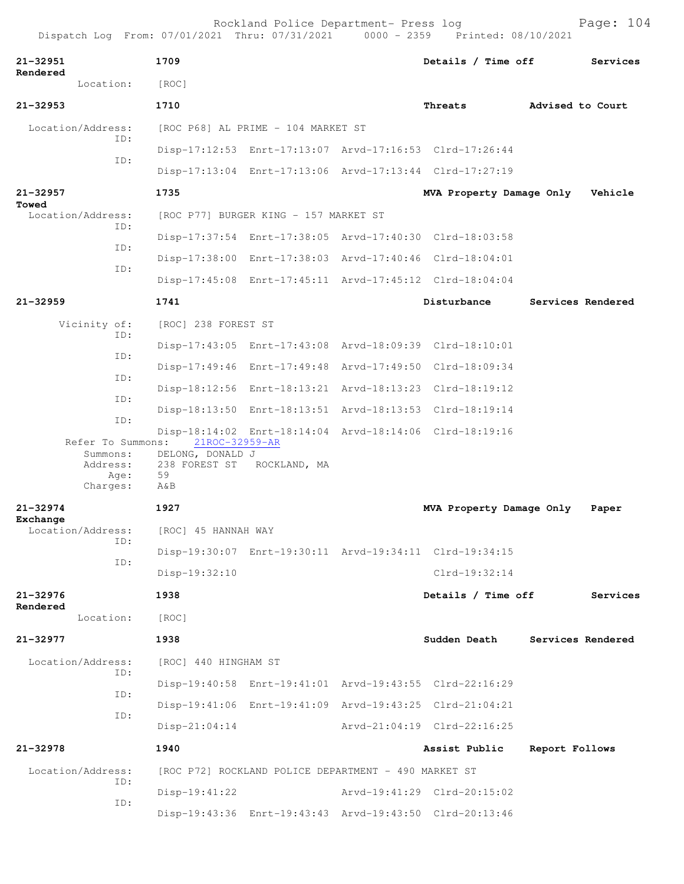| 21-32951<br>Rendered          | 1709                               |                                                         | Details / Time off                                      |                  | Services          |
|-------------------------------|------------------------------------|---------------------------------------------------------|---------------------------------------------------------|------------------|-------------------|
| Location:                     | [ROC]                              |                                                         |                                                         |                  |                   |
| 21-32953                      | 1710                               |                                                         | Threats                                                 | Advised to Court |                   |
| Location/Address:             |                                    | [ROC P68] AL PRIME - 104 MARKET ST                      |                                                         |                  |                   |
| ID:                           |                                    | Disp-17:12:53 Enrt-17:13:07 Arvd-17:16:53 Clrd-17:26:44 |                                                         |                  |                   |
| ID:                           |                                    | Disp-17:13:04 Enrt-17:13:06 Arvd-17:13:44 Clrd-17:27:19 |                                                         |                  |                   |
| 21-32957                      | 1735                               |                                                         | MVA Property Damage Only                                |                  | Vehicle           |
| Towed<br>Location/Address:    |                                    | [ROC P77] BURGER KING - 157 MARKET ST                   |                                                         |                  |                   |
| ID:                           |                                    | Disp-17:37:54 Enrt-17:38:05 Arvd-17:40:30 Clrd-18:03:58 |                                                         |                  |                   |
| ID:                           |                                    | Disp-17:38:00 Enrt-17:38:03 Arvd-17:40:46 Clrd-18:04:01 |                                                         |                  |                   |
| ID:                           |                                    |                                                         | Disp-17:45:08 Enrt-17:45:11 Arvd-17:45:12 Clrd-18:04:04 |                  |                   |
| 21-32959                      | 1741                               |                                                         | Disturbance                                             |                  | Services Rendered |
| Vicinity of:                  | [ROC] 238 FOREST ST                |                                                         |                                                         |                  |                   |
| ID:                           |                                    | Disp-17:43:05 Enrt-17:43:08 Arvd-18:09:39 Clrd-18:10:01 |                                                         |                  |                   |
| ID:                           |                                    | Disp-17:49:46 Enrt-17:49:48 Arvd-17:49:50 Clrd-18:09:34 |                                                         |                  |                   |
| ID:                           |                                    | Disp-18:12:56 Enrt-18:13:21 Arvd-18:13:23 Clrd-18:19:12 |                                                         |                  |                   |
| ID:                           |                                    | Disp-18:13:50 Enrt-18:13:51 Arvd-18:13:53 Clrd-18:19:14 |                                                         |                  |                   |
| ID:                           |                                    | Disp-18:14:02 Enrt-18:14:04 Arvd-18:14:06 Clrd-18:19:16 |                                                         |                  |                   |
| Refer To Summons:<br>Summons: | 21ROC-32959-AR<br>DELONG, DONALD J |                                                         |                                                         |                  |                   |
| Address:<br>Age:              | 238 FOREST ST<br>59                | ROCKLAND, MA                                            |                                                         |                  |                   |
| Charges:                      | A&B                                |                                                         |                                                         |                  |                   |
| 21-32974<br>Exchange          | 1927                               |                                                         | MVA Property Damage Only                                |                  | Paper             |
| Location/Address:<br>ID:      | [ROC] 45 HANNAH WAY                |                                                         |                                                         |                  |                   |
| ID:                           |                                    | Disp-19:30:07 Enrt-19:30:11 Arvd-19:34:11 Clrd-19:34:15 |                                                         |                  |                   |
|                               | Disp-19:32:10                      |                                                         | $Clrd-19:32:14$                                         |                  |                   |
| 21-32976<br>Rendered          | 1938                               |                                                         | Details / Time off                                      |                  | Services          |
| Location:                     | [ROC]                              |                                                         |                                                         |                  |                   |
| 21-32977                      | 1938                               |                                                         | Sudden Death                                            |                  | Services Rendered |
| Location/Address:<br>ID:      | [ROC] 440 HINGHAM ST               |                                                         |                                                         |                  |                   |
|                               |                                    | Disp-19:40:58 Enrt-19:41:01 Arvd-19:43:55 Clrd-22:16:29 |                                                         |                  |                   |
| ID:                           |                                    | Disp-19:41:06 Enrt-19:41:09 Arvd-19:43:25 Clrd-21:04:21 |                                                         |                  |                   |
| ID:                           | $Disp-21:04:14$                    |                                                         | Arvd-21:04:19 Clrd-22:16:25                             |                  |                   |
| 21-32978                      | 1940                               |                                                         | Assist Public                                           | Report Follows   |                   |
| Location/Address:             |                                    | [ROC P72] ROCKLAND POLICE DEPARTMENT - 490 MARKET ST    |                                                         |                  |                   |
| ID:                           | $Disp-19:41:22$                    |                                                         | Arvd-19:41:29 Clrd-20:15:02                             |                  |                   |
| ID:                           |                                    | Disp-19:43:36 Enrt-19:43:43 Arvd-19:43:50 Clrd-20:13:46 |                                                         |                  |                   |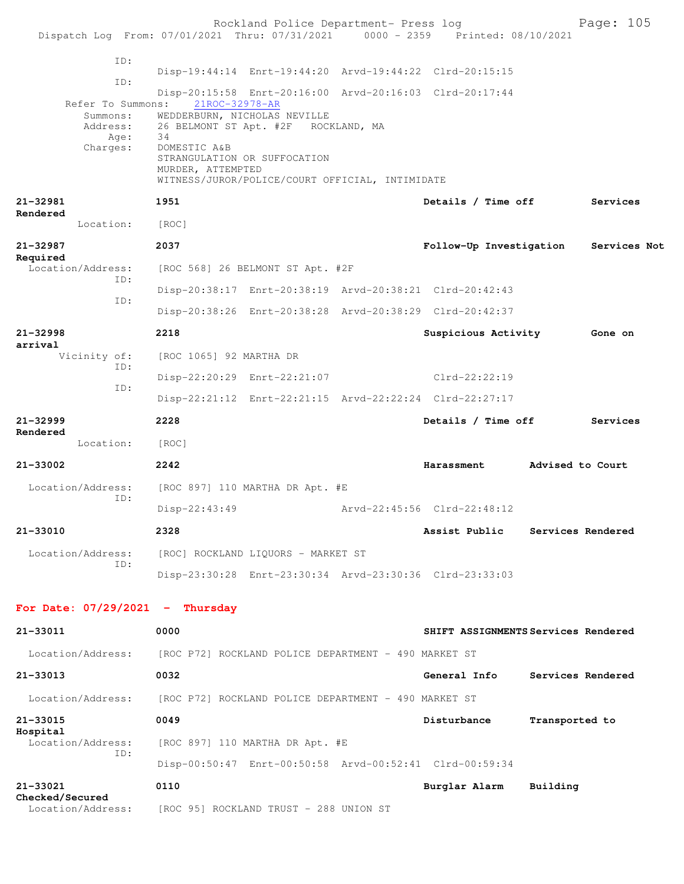|                                                                                |                                                           | Rockland Police Department- Press log                                                               |                                                         |                | Page: 105         |
|--------------------------------------------------------------------------------|-----------------------------------------------------------|-----------------------------------------------------------------------------------------------------|---------------------------------------------------------|----------------|-------------------|
| Dispatch Log From: 07/01/2021 Thru: 07/31/2021 0000 - 2359 Printed: 08/10/2021 |                                                           |                                                                                                     |                                                         |                |                   |
| ID:                                                                            |                                                           |                                                                                                     | Disp-19:44:14 Enrt-19:44:20 Arvd-19:44:22 Clrd-20:15:15 |                |                   |
| ID:                                                                            |                                                           |                                                                                                     | Disp-20:15:58 Enrt-20:16:00 Arvd-20:16:03 Clrd-20:17:44 |                |                   |
| Refer To Summons:<br>Summons:<br>Address:<br>Age:<br>Charges:                  | 21ROC-32978-AR<br>34<br>DOMESTIC A&B<br>MURDER, ATTEMPTED | WEDDERBURN, NICHOLAS NEVILLE<br>26 BELMONT ST Apt. #2F ROCKLAND, MA<br>STRANGULATION OR SUFFOCATION |                                                         |                |                   |
|                                                                                |                                                           | WITNESS/JUROR/POLICE/COURT OFFICIAL, INTIMIDATE                                                     |                                                         |                |                   |
| 21-32981<br>Rendered                                                           | 1951                                                      |                                                                                                     | Details / Time off                                      |                | Services          |
| Location:                                                                      | [ROC]                                                     |                                                                                                     |                                                         |                |                   |
| 21-32987<br>Required                                                           | 2037                                                      |                                                                                                     | Follow-Up Investigation                                 |                | Services Not      |
| Location/Address:<br>ID:                                                       |                                                           | [ROC 568] 26 BELMONT ST Apt. #2F                                                                    |                                                         |                |                   |
| ID:                                                                            |                                                           |                                                                                                     | Disp-20:38:17 Enrt-20:38:19 Arvd-20:38:21 Clrd-20:42:43 |                |                   |
|                                                                                |                                                           |                                                                                                     | Disp-20:38:26 Enrt-20:38:28 Arvd-20:38:29 Clrd-20:42:37 |                |                   |
| 21-32998<br>arrival                                                            | 2218                                                      |                                                                                                     | Suspicious Activity                                     |                | Gone on           |
| Vicinity of:<br>ID:                                                            | [ROC 1065] 92 MARTHA DR                                   |                                                                                                     |                                                         |                |                   |
| ID:                                                                            |                                                           | Disp-22:20:29 Enrt-22:21:07                                                                         | Clrd-22:22:19                                           |                |                   |
|                                                                                |                                                           |                                                                                                     | Disp-22:21:12 Enrt-22:21:15 Arvd-22:22:24 Clrd-22:27:17 |                |                   |
| 21-32999<br>Rendered                                                           | 2228                                                      |                                                                                                     | Details / Time off                                      |                | Services          |
| Location:                                                                      | [ROC]                                                     |                                                                                                     |                                                         |                |                   |
| 21-33002                                                                       | 2242                                                      |                                                                                                     | Harassment Advised to Court                             |                |                   |
| Location/Address:<br>ID:                                                       |                                                           | [ROC 897] 110 MARTHA DR Apt. #E                                                                     |                                                         |                |                   |
|                                                                                | $Disp-22:43:49$                                           |                                                                                                     | Arvd-22:45:56 Clrd-22:48:12                             |                |                   |
| 21-33010                                                                       | 2328                                                      |                                                                                                     | Assist Public                                           |                | Services Rendered |
| Location/Address:<br>ID:                                                       |                                                           | [ROC] ROCKLAND LIQUORS - MARKET ST                                                                  |                                                         |                |                   |
|                                                                                |                                                           |                                                                                                     | Disp-23:30:28 Enrt-23:30:34 Arvd-23:30:36 Clrd-23:33:03 |                |                   |
| For Date: $07/29/2021 -$ Thursday                                              |                                                           |                                                                                                     |                                                         |                |                   |
| 21-33011                                                                       | 0000                                                      |                                                                                                     | SHIFT ASSIGNMENTS Services Rendered                     |                |                   |
| Location/Address:                                                              |                                                           | [ROC P72] ROCKLAND POLICE DEPARTMENT - 490 MARKET ST                                                |                                                         |                |                   |
| 21-33013                                                                       | 0032                                                      |                                                                                                     | General Info                                            |                | Services Rendered |
| Location/Address:                                                              |                                                           | [ROC P72] ROCKLAND POLICE DEPARTMENT - 490 MARKET ST                                                |                                                         |                |                   |
| 21-33015                                                                       | 0049                                                      |                                                                                                     | Disturbance                                             | Transported to |                   |
| Hospital<br>Location/Address:<br>ID:                                           |                                                           | [ROC 897] 110 MARTHA DR Apt. #E                                                                     |                                                         |                |                   |
|                                                                                |                                                           |                                                                                                     | Disp-00:50:47 Enrt-00:50:58 Arvd-00:52:41 Clrd-00:59:34 |                |                   |
| 21-33021<br>Checked/Secured                                                    | 0110                                                      |                                                                                                     | Burglar Alarm                                           | Building       |                   |
| Location/Address:                                                              |                                                           | [ROC 95] ROCKLAND TRUST - 288 UNION ST                                                              |                                                         |                |                   |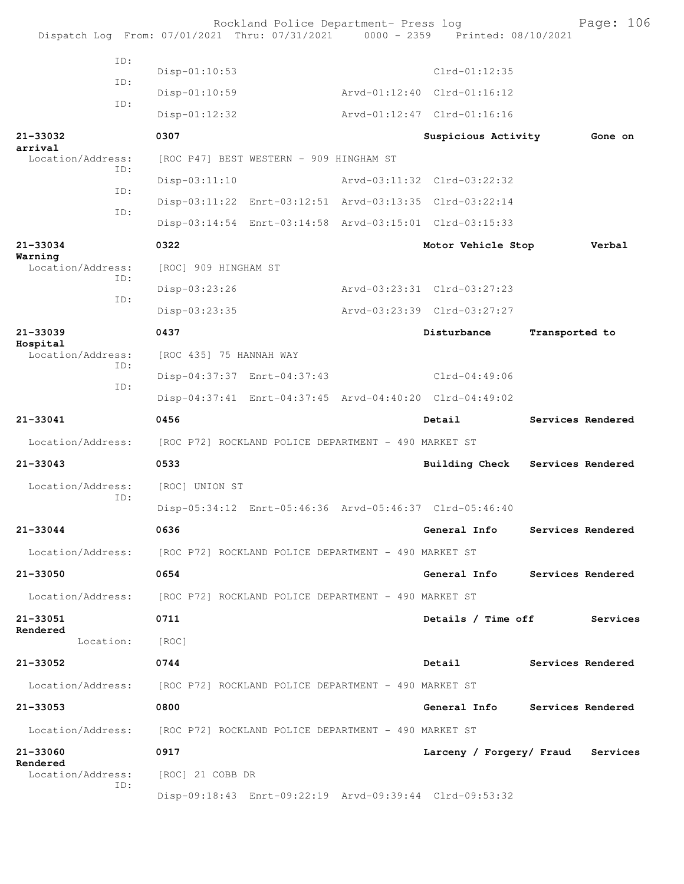|                               |     |                                                                        | Rockland Police Department- Press log                | Dispatch Log From: 07/01/2021 Thru: 07/31/2021 0000 - 2359 Printed: 08/10/2021 | Page: 106                        |
|-------------------------------|-----|------------------------------------------------------------------------|------------------------------------------------------|--------------------------------------------------------------------------------|----------------------------------|
|                               | TD: | $Disp-01:10:53$                                                        |                                                      | $Clrd-01:12:35$                                                                |                                  |
|                               | ID: | $Disp-01:10:59$                                                        |                                                      | Arvd-01:12:40 Clrd-01:16:12                                                    |                                  |
|                               | ID: | $Disp-01:12:32$                                                        |                                                      | Arvd-01:12:47 Clrd-01:16:16                                                    |                                  |
| 21-33032                      |     | 0307                                                                   |                                                      | Suspicious Activity                                                            | Gone on                          |
| arrival<br>Location/Address:  |     |                                                                        | [ROC P47] BEST WESTERN - 909 HINGHAM ST              |                                                                                |                                  |
|                               | ID: | $Disp-03:11:10$                                                        |                                                      | Arvd-03:11:32 Clrd-03:22:32                                                    |                                  |
|                               | ID: |                                                                        |                                                      | Disp-03:11:22 Enrt-03:12:51 Arvd-03:13:35 Clrd-03:22:14                        |                                  |
|                               | ID: |                                                                        |                                                      | Disp-03:14:54 Enrt-03:14:58 Arvd-03:15:01 Clrd-03:15:33                        |                                  |
| 21-33034                      |     | 0322                                                                   |                                                      | Motor Vehicle Stop                                                             | Verbal                           |
| Warning<br>Location/Address:  |     | [ROC] 909 HINGHAM ST                                                   |                                                      |                                                                                |                                  |
|                               | ID: | Disp-03:23:26                                                          |                                                      | Arvd-03:23:31 Clrd-03:27:23                                                    |                                  |
|                               | ID: | Disp-03:23:35                                                          |                                                      | Arvd-03:23:39 Clrd-03:27:27                                                    |                                  |
| 21-33039                      |     | 0437                                                                   |                                                      | Disturbance                                                                    | Transported to                   |
| Hospital<br>Location/Address: |     | [ROC 435] 75 HANNAH WAY                                                |                                                      |                                                                                |                                  |
|                               | TD: |                                                                        | Disp-04:37:37 Enrt-04:37:43                          | Clrd-04:49:06                                                                  |                                  |
|                               | ID: |                                                                        |                                                      | Disp-04:37:41 Enrt-04:37:45 Arvd-04:40:20 Clrd-04:49:02                        |                                  |
| 21-33041                      |     | 0456                                                                   |                                                      | Detail                                                                         | Services Rendered                |
| Location/Address:             |     |                                                                        | [ROC P72] ROCKLAND POLICE DEPARTMENT - 490 MARKET ST |                                                                                |                                  |
| $21 - 33043$                  |     | 0533                                                                   |                                                      |                                                                                | Building Check Services Rendered |
| Location/Address:             |     | [ROC] UNION ST                                                         |                                                      |                                                                                |                                  |
|                               |     |                                                                        |                                                      |                                                                                |                                  |
|                               | ID: |                                                                        |                                                      | Disp-05:34:12 Enrt-05:46:36 Arvd-05:46:37 Clrd-05:46:40                        |                                  |
| 21-33044                      |     | 0636                                                                   |                                                      | General Info                                                                   | Services Rendered                |
|                               |     | Location/Address: [ROC P72] ROCKLAND POLICE DEPARTMENT - 490 MARKET ST |                                                      |                                                                                |                                  |
| 21-33050                      |     | 0654                                                                   |                                                      | General Info                                                                   | Services Rendered                |
|                               |     | Location/Address: [ROC P72] ROCKLAND POLICE DEPARTMENT - 490 MARKET ST |                                                      |                                                                                |                                  |
| 21-33051                      |     | 0711                                                                   |                                                      | Details / Time off                                                             | Services                         |
| Rendered<br>Location:         |     | [ROC]                                                                  |                                                      |                                                                                |                                  |
| 21-33052                      |     | 0744                                                                   |                                                      | Detail                                                                         | Services Rendered                |
| Location/Address:             |     | [ROC P72] ROCKLAND POLICE DEPARTMENT - 490 MARKET ST                   |                                                      |                                                                                |                                  |
| 21-33053                      |     | 0800                                                                   |                                                      | General Info                                                                   | Services Rendered                |
| Location/Address:             |     | [ROC P72] ROCKLAND POLICE DEPARTMENT - 490 MARKET ST                   |                                                      |                                                                                |                                  |
| 21-33060                      |     | 0917                                                                   |                                                      | Larceny / Forgery/ Fraud                                                       | Services                         |
| Rendered<br>Location/Address: |     | [ROC] 21 COBB DR                                                       |                                                      |                                                                                |                                  |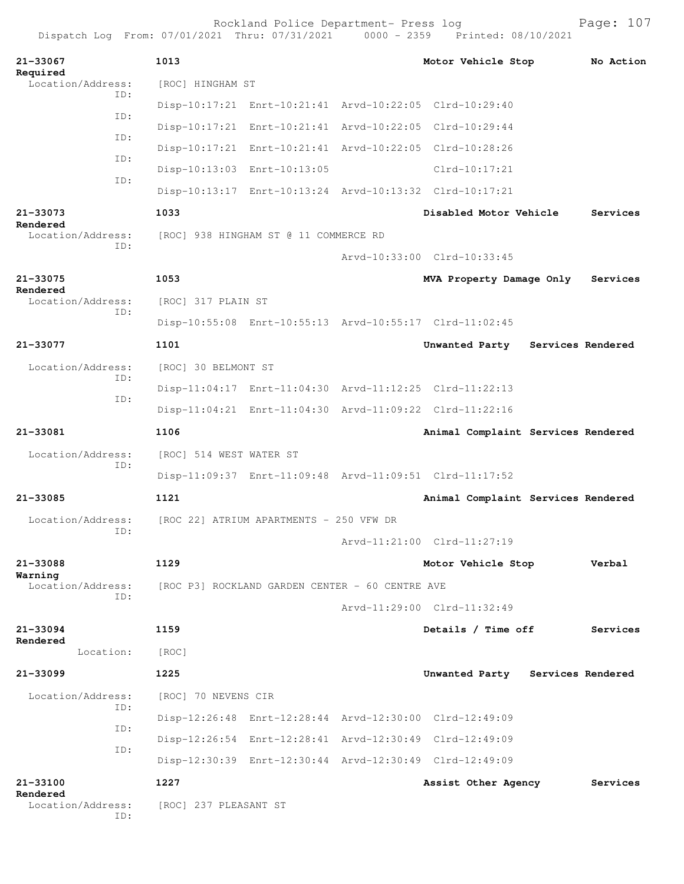| 21-33067<br>Required                                 | 1013                                            |                                                         |  | Motor Vehicle Stop                                      |  | No Action |
|------------------------------------------------------|-------------------------------------------------|---------------------------------------------------------|--|---------------------------------------------------------|--|-----------|
| Location/Address:<br>TD:<br>ID:<br>ID:<br>ID:<br>ID: | [ROC] HINGHAM ST                                |                                                         |  |                                                         |  |           |
|                                                      |                                                 | Disp-10:17:21 Enrt-10:21:41 Arvd-10:22:05 Clrd-10:29:40 |  |                                                         |  |           |
|                                                      |                                                 | Disp-10:17:21 Enrt-10:21:41 Arvd-10:22:05 Clrd-10:29:44 |  |                                                         |  |           |
|                                                      |                                                 | Disp-10:17:21 Enrt-10:21:41 Arvd-10:22:05 Clrd-10:28:26 |  |                                                         |  |           |
|                                                      |                                                 | Disp-10:13:03 Enrt-10:13:05                             |  | $Clrd-10:17:21$                                         |  |           |
|                                                      |                                                 |                                                         |  | Disp-10:13:17 Enrt-10:13:24 Arvd-10:13:32 Clrd-10:17:21 |  |           |
| 21-33073<br>Rendered<br>Location/Address:<br>ID:     | 1033                                            |                                                         |  | Disabled Motor Vehicle                                  |  | Services  |
|                                                      |                                                 | [ROC] 938 HINGHAM ST @ 11 COMMERCE RD                   |  | Arvd-10:33:00 Clrd-10:33:45                             |  |           |
| 21-33075<br>Rendered<br>Location/Address:<br>TD:     |                                                 |                                                         |  |                                                         |  |           |
|                                                      | 1053<br>[ROC] 317 PLAIN ST                      |                                                         |  | MVA Property Damage Only                                |  | Services  |
|                                                      |                                                 |                                                         |  | Disp-10:55:08 Enrt-10:55:13 Arvd-10:55:17 Clrd-11:02:45 |  |           |
| 21-33077                                             | 1101                                            |                                                         |  | Unwanted Party Services Rendered                        |  |           |
| Location/Address:<br>ID:<br>ID:                      | [ROC] 30 BELMONT ST                             |                                                         |  |                                                         |  |           |
|                                                      |                                                 |                                                         |  | Disp-11:04:17 Enrt-11:04:30 Arvd-11:12:25 Clrd-11:22:13 |  |           |
|                                                      |                                                 |                                                         |  | Disp-11:04:21 Enrt-11:04:30 Arvd-11:09:22 Clrd-11:22:16 |  |           |
| 21-33081                                             | 1106                                            |                                                         |  | Animal Complaint Services Rendered                      |  |           |
| Location/Address:<br>ID:                             | [ROC] 514 WEST WATER ST                         |                                                         |  |                                                         |  |           |
|                                                      |                                                 |                                                         |  | Disp-11:09:37 Enrt-11:09:48 Arvd-11:09:51 Clrd-11:17:52 |  |           |
| 21-33085                                             | 1121                                            |                                                         |  | Animal Complaint Services Rendered                      |  |           |
| Location/Address:<br>ID:                             | [ROC 22] ATRIUM APARTMENTS - 250 VFW DR         |                                                         |  |                                                         |  |           |
|                                                      |                                                 |                                                         |  | Arvd-11:21:00 Clrd-11:27:19                             |  |           |
| 21-33088                                             | 1129                                            |                                                         |  | Motor Vehicle Stop                                      |  | Verbal    |
| Warning<br>Location/Address:<br>TD:                  | [ROC P3] ROCKLAND GARDEN CENTER - 60 CENTRE AVE |                                                         |  |                                                         |  |           |
|                                                      |                                                 |                                                         |  | Arvd-11:29:00 Clrd-11:32:49                             |  |           |
| 21-33094<br>Rendered<br>Location:                    | 1159                                            |                                                         |  | Details / Time off                                      |  | Services  |
|                                                      | [ROC]                                           |                                                         |  |                                                         |  |           |
| $21 - 33099$                                         | 1225                                            |                                                         |  | Unwanted Party Services Rendered                        |  |           |
| Location/Address:                                    | [ROC] 70 NEVENS CIR                             |                                                         |  |                                                         |  |           |
| ID:                                                  |                                                 |                                                         |  | Disp-12:26:48 Enrt-12:28:44 Arvd-12:30:00 Clrd-12:49:09 |  |           |
| ID:<br>ID:                                           |                                                 |                                                         |  | Disp-12:26:54 Enrt-12:28:41 Arvd-12:30:49 Clrd-12:49:09 |  |           |
|                                                      |                                                 |                                                         |  | Disp-12:30:39 Enrt-12:30:44 Arvd-12:30:49 Clrd-12:49:09 |  |           |
| 21-33100                                             | 1227                                            |                                                         |  | Assist Other Agency                                     |  | Services  |
| Rendered<br>Location/Address:<br>ID:                 | [ROC] 237 PLEASANT ST                           |                                                         |  |                                                         |  |           |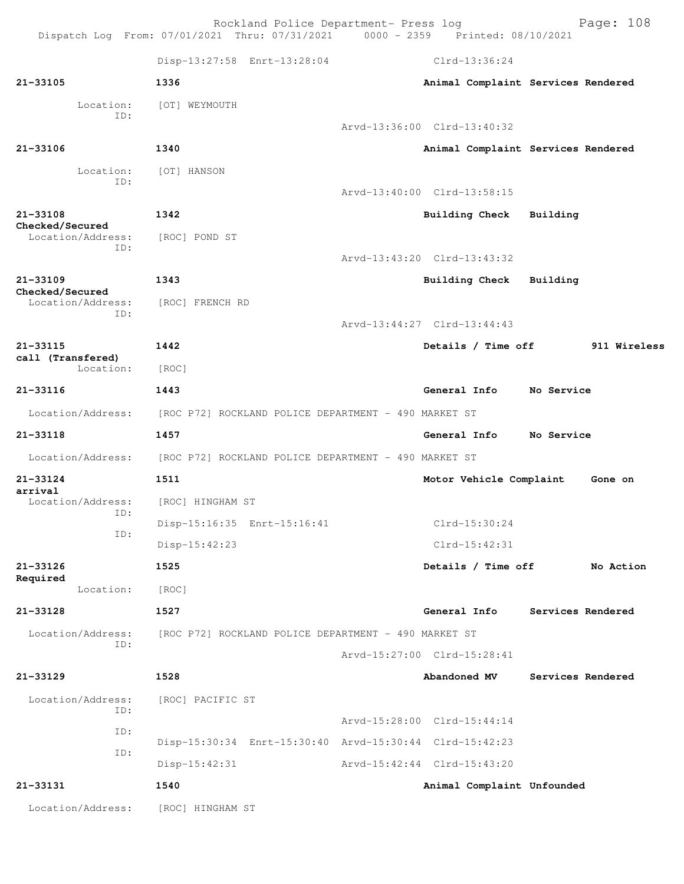Rockland Police Department- Press log Page: 108 Dispatch Log From: 07/01/2021 Thru: 07/31/2021 0000 - 2359 Printed: 08/10/2021 Disp-13:27:58 Enrt-13:28:04 Clrd-13:36:24 **21-33105 1336 Animal Complaint Services Rendered** Location: [OT] WEYMOUTH ID: Arvd-13:36:00 Clrd-13:40:32 **21-33106 1340 Animal Complaint Services Rendered** Location: [OT] HANSON ID: Arvd-13:40:00 Clrd-13:58:15 **21-33108 1342 Building Check Building Checked/Secured**  Location/Address: [ROC] POND ST ID: Arvd-13:43:20 Clrd-13:43:32 **21-33109 1343 Building Check Building Checked/Secured**  Location/Address: [ROC] FRENCH RD ID: Arvd-13:44:27 Clrd-13:44:43 **21-33115 1442 Details / Time off 911 Wireless call (Transfered)**  Location: [ROC] **21-33116 1443 General Info No Service** Location/Address: [ROC P72] ROCKLAND POLICE DEPARTMENT - 490 MARKET ST **21-33118 1457 General Info No Service** Location/Address: [ROC P72] ROCKLAND POLICE DEPARTMENT - 490 MARKET ST **21-33124 1511 Motor Vehicle Complaint Gone on arrival**  Location/Address: [ROC] HINGHAM ST ID: Disp-15:16:35 Enrt-15:16:41 Clrd-15:30:24 ID: Disp-15:42:23 Clrd-15:42:31 **21-33126 1525 Details / Time off No Action Required**  Location: [ROC] **21-33128 1527 General Info Services Rendered** Location/Address: [ROC P72] ROCKLAND POLICE DEPARTMENT - 490 MARKET ST ID: Arvd-15:27:00 Clrd-15:28:41 **21-33129 1528 Abandoned MV Services Rendered** Location/Address: [ROC] PACIFIC ST ID: Arvd-15:28:00 Clrd-15:44:14 ID: Disp-15:30:34 Enrt-15:30:40 Arvd-15:30:44 Clrd-15:42:23 ID: Disp-15:42:31 Arvd-15:42:44 Clrd-15:43:20 **21-33131 1540 Animal Complaint Unfounded**  Location/Address: [ROC] HINGHAM ST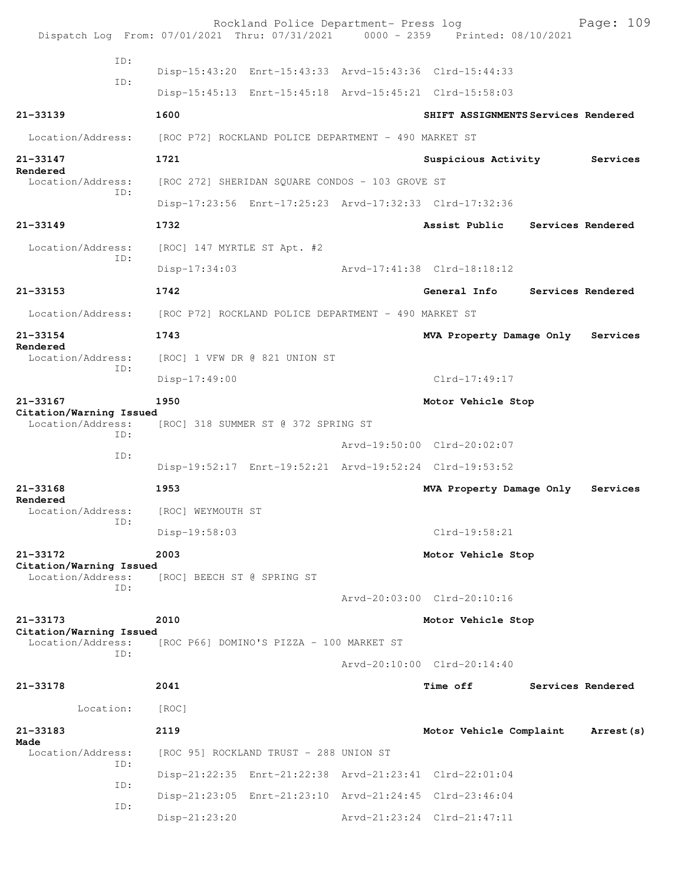|                                                     | Rockland Police Department- Press log<br>Dispatch Log From: 07/01/2021 Thru: 07/31/2021 0000 - 2359 Printed: 08/10/2021 |                                     | Page: 109         |
|-----------------------------------------------------|-------------------------------------------------------------------------------------------------------------------------|-------------------------------------|-------------------|
| ID:                                                 | Disp-15:43:20 Enrt-15:43:33 Arvd-15:43:36 Clrd-15:44:33                                                                 |                                     |                   |
| ID:                                                 | Disp-15:45:13 Enrt-15:45:18 Arvd-15:45:21 Clrd-15:58:03                                                                 |                                     |                   |
| $21 - 33139$                                        | 1600                                                                                                                    | SHIFT ASSIGNMENTS Services Rendered |                   |
| Location/Address:                                   | [ROC P72] ROCKLAND POLICE DEPARTMENT - 490 MARKET ST                                                                    |                                     |                   |
| 21-33147                                            | 1721                                                                                                                    | Suspicious Activity                 | Services          |
| Rendered<br>Location/Address:                       | [ROC 272] SHERIDAN SQUARE CONDOS - 103 GROVE ST                                                                         |                                     |                   |
| ID:                                                 | Disp-17:23:56 Enrt-17:25:23 Arvd-17:32:33 Clrd-17:32:36                                                                 |                                     |                   |
| $21 - 33149$                                        | 1732                                                                                                                    | Assist Public Services Rendered     |                   |
| Location/Address:                                   | [ROC] 147 MYRTLE ST Apt. #2                                                                                             |                                     |                   |
| ID:                                                 | $Disp-17:34:03$                                                                                                         | Arvd-17:41:38 Clrd-18:18:12         |                   |
| 21-33153                                            | 1742                                                                                                                    | General Info                        | Services Rendered |
| Location/Address:                                   | [ROC P72] ROCKLAND POLICE DEPARTMENT - 490 MARKET ST                                                                    |                                     |                   |
| $21 - 33154$                                        | 1743                                                                                                                    | MVA Property Damage Only            | Services          |
| Rendered<br>Location/Address:                       | [ROC] 1 VFW DR @ 821 UNION ST                                                                                           |                                     |                   |
| ID:                                                 | $Disp-17:49:00$                                                                                                         | $Clrd-17:49:17$                     |                   |
| 21-33167                                            | 1950                                                                                                                    | Motor Vehicle Stop                  |                   |
| Citation/Warning Issued<br>Location/Address:<br>TD: | [ROC] 318 SUMMER ST @ 372 SPRING ST                                                                                     |                                     |                   |
| ID:                                                 |                                                                                                                         | Arvd-19:50:00 Clrd-20:02:07         |                   |
|                                                     | Disp-19:52:17 Enrt-19:52:21 Arvd-19:52:24 Clrd-19:53:52                                                                 |                                     |                   |
| 21-33168<br>Rendered                                | 1953                                                                                                                    | MVA Property Damage Only            | Services          |
| Location/Address:<br>ID:                            | [ROC] WEYMOUTH ST                                                                                                       |                                     |                   |
|                                                     | Disp-19:58:03                                                                                                           | $Clrd-19:58:21$                     |                   |
| 21-33172<br>Citation/Warning Issued                 | 2003                                                                                                                    | Motor Vehicle Stop                  |                   |
| Location/Address:<br>ID:                            | [ROC] BEECH ST @ SPRING ST                                                                                              |                                     |                   |
|                                                     |                                                                                                                         | Arvd-20:03:00 Clrd-20:10:16         |                   |
| 21-33173<br>Citation/Warning Issued                 | 2010                                                                                                                    | Motor Vehicle Stop                  |                   |
| Location/Address:<br>TD:                            | [ROC P66] DOMINO'S PIZZA - 100 MARKET ST                                                                                |                                     |                   |
|                                                     |                                                                                                                         | Arvd-20:10:00 Clrd-20:14:40         |                   |
| 21-33178                                            | 2041                                                                                                                    | <b>Time off</b>                     | Services Rendered |
| Location:                                           | [ROC]                                                                                                                   |                                     |                   |
| 21-33183                                            | 2119                                                                                                                    | Motor Vehicle Complaint             | Arrest (s)        |
| Made<br>Location/Address:                           | [ROC 95] ROCKLAND TRUST - 288 UNION ST                                                                                  |                                     |                   |
| ID:                                                 | Disp-21:22:35 Enrt-21:22:38 Arvd-21:23:41 Clrd-22:01:04                                                                 |                                     |                   |
| ID:<br>ID:                                          | Disp-21:23:05 Enrt-21:23:10 Arvd-21:24:45 Clrd-23:46:04                                                                 |                                     |                   |
|                                                     | Disp-21:23:20                                                                                                           | Arvd-21:23:24 Clrd-21:47:11         |                   |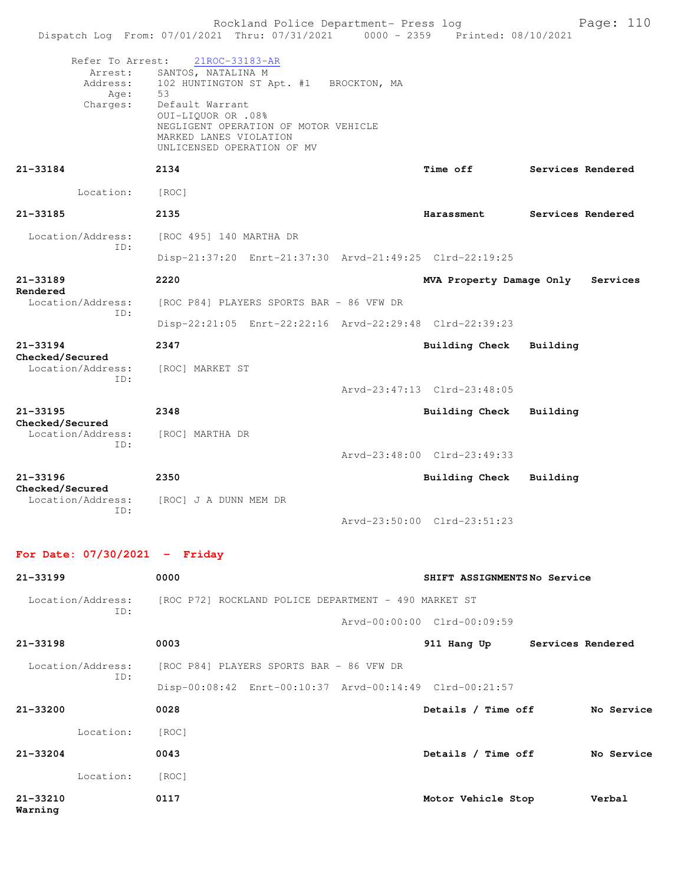|                                      | Rockland Police Department- Press log<br>Dispatch Log From: 07/01/2021 Thru: 07/31/2021 0000 - 2359 Printed: 08/10/2021                                                                                                                        |  |                               |                   | Page: 110  |  |
|--------------------------------------|------------------------------------------------------------------------------------------------------------------------------------------------------------------------------------------------------------------------------------------------|--|-------------------------------|-------------------|------------|--|
| Refer To Arrest:<br>Age:<br>Charges: | 21ROC-33183-AR<br>Arrest: SANTOS, NATALINA M<br>Address: 102 HUNTINGTON ST Apt. #1 BROCKTON, MA<br>53<br>Default Warrant<br>0UI-LIQUOR OR .08%<br>NEGLIGENT OPERATION OF MOTOR VEHICLE<br>MARKED LANES VIOLATION<br>UNLICENSED OPERATION OF MV |  |                               |                   |            |  |
| 21-33184                             | 2134                                                                                                                                                                                                                                           |  | <b>Time off</b>               | Services Rendered |            |  |
| Location:                            | [ROC]                                                                                                                                                                                                                                          |  |                               |                   |            |  |
| 21-33185                             | 2135                                                                                                                                                                                                                                           |  | Harassment                    | Services Rendered |            |  |
| Location/Address:<br>ID:             | [ROC 495] 140 MARTHA DR                                                                                                                                                                                                                        |  |                               |                   |            |  |
|                                      | Disp-21:37:20 Enrt-21:37:30 Arvd-21:49:25 Clrd-22:19:25                                                                                                                                                                                        |  |                               |                   |            |  |
| 21-33189<br>Rendered                 | 2220                                                                                                                                                                                                                                           |  | MVA Property Damage Only      |                   | Services   |  |
| Location/Address:<br>ID:             | [ROC P84] PLAYERS SPORTS BAR - 86 VFW DR                                                                                                                                                                                                       |  |                               |                   |            |  |
|                                      | Disp-22:21:05 Enrt-22:22:16 Arvd-22:29:48 Clrd-22:39:23                                                                                                                                                                                        |  |                               |                   |            |  |
| 21-33194<br>Checked/Secured          | 2347                                                                                                                                                                                                                                           |  | Building Check                | Building          |            |  |
| Location/Address:<br>ID:             | [ROC] MARKET ST                                                                                                                                                                                                                                |  |                               |                   |            |  |
|                                      |                                                                                                                                                                                                                                                |  | Arvd-23:47:13 Clrd-23:48:05   |                   |            |  |
| 21-33195                             | 2348                                                                                                                                                                                                                                           |  | <b>Building Check</b>         | Building          |            |  |
| Checked/Secured<br>Location/Address: | [ROC] MARTHA DR                                                                                                                                                                                                                                |  |                               |                   |            |  |
| ID:                                  |                                                                                                                                                                                                                                                |  | Arvd-23:48:00 Clrd-23:49:33   |                   |            |  |
| 21-33196                             | 2350                                                                                                                                                                                                                                           |  | <b>Building Check</b>         | Building          |            |  |
| Checked/Secured<br>Location/Address: | [ROC] J A DUNN MEM DR                                                                                                                                                                                                                          |  |                               |                   |            |  |
| ID:                                  |                                                                                                                                                                                                                                                |  | Arvd-23:50:00 Clrd-23:51:23   |                   |            |  |
| For Date: $07/30/2021$ - Friday      |                                                                                                                                                                                                                                                |  |                               |                   |            |  |
| 21-33199                             | 0000                                                                                                                                                                                                                                           |  | SHIFT ASSIGNMENTSNo Service   |                   |            |  |
| Location/Address:                    | [ROC P72] ROCKLAND POLICE DEPARTMENT - 490 MARKET ST                                                                                                                                                                                           |  |                               |                   |            |  |
| ID:                                  |                                                                                                                                                                                                                                                |  | Arvd-00:00:00 Clrd-00:09:59   |                   |            |  |
| 21-33198                             | 0003                                                                                                                                                                                                                                           |  | 911 Hang Up Services Rendered |                   |            |  |
| Location/Address:                    | [ROC P84] PLAYERS SPORTS BAR - 86 VFW DR                                                                                                                                                                                                       |  |                               |                   |            |  |
| ID:                                  | Disp-00:08:42 Enrt-00:10:37 Arvd-00:14:49 Clrd-00:21:57                                                                                                                                                                                        |  |                               |                   |            |  |
| 21-33200                             | 0028                                                                                                                                                                                                                                           |  | Details / Time off            |                   | No Service |  |
| Location:                            | [ROC]                                                                                                                                                                                                                                          |  |                               |                   |            |  |
| 21-33204                             | 0043                                                                                                                                                                                                                                           |  | Details / Time off No Service |                   |            |  |
| Location: [ROC]                      |                                                                                                                                                                                                                                                |  |                               |                   |            |  |
| 21-33210<br>Warning                  | 0117                                                                                                                                                                                                                                           |  | Motor Vehicle Stop            |                   | Verbal     |  |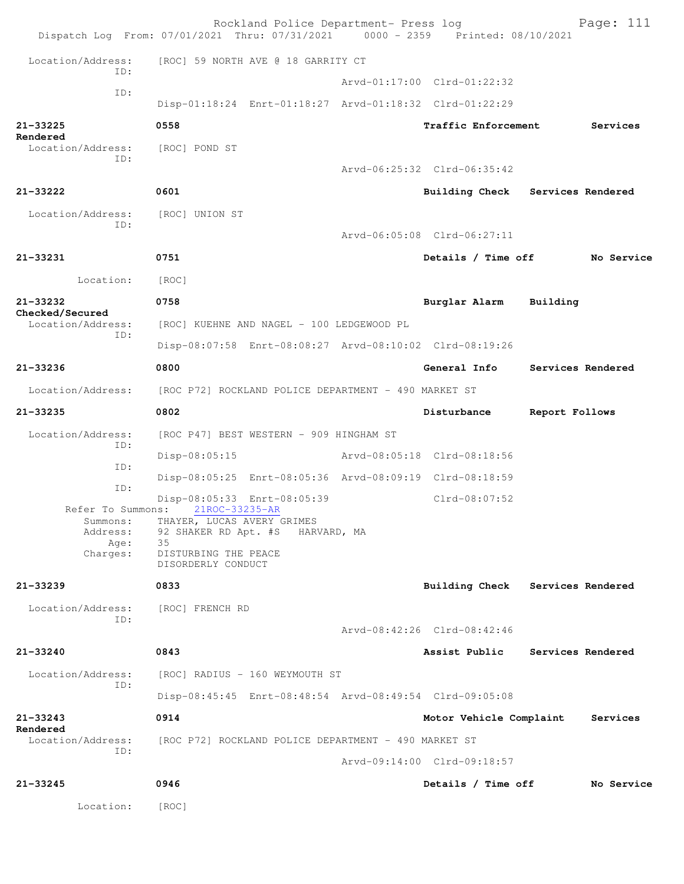|                                      | Rockland Police Department- Press log<br>Dispatch Log From: 07/01/2021 Thru: 07/31/2021 0000 - 2359 Printed: 08/10/2021 |                                  |                | Page: 111         |
|--------------------------------------|-------------------------------------------------------------------------------------------------------------------------|----------------------------------|----------------|-------------------|
| Location/Address:                    | [ROC] 59 NORTH AVE @ 18 GARRITY CT                                                                                      |                                  |                |                   |
| ID:                                  |                                                                                                                         | Arvd-01:17:00 Clrd-01:22:32      |                |                   |
| ID:                                  | Disp-01:18:24 Enrt-01:18:27 Arvd-01:18:32 Clrd-01:22:29                                                                 |                                  |                |                   |
| 21-33225<br>Rendered                 | 0558                                                                                                                    | Traffic Enforcement              |                | Services          |
| Location/Address:<br>ID:             | [ROC] POND ST                                                                                                           | Arvd-06:25:32 Clrd-06:35:42      |                |                   |
| 21-33222                             | 0601                                                                                                                    | Building Check Services Rendered |                |                   |
| Location/Address:<br>ID:             | [ROC] UNION ST                                                                                                          | Arvd-06:05:08 Clrd-06:27:11      |                |                   |
| 21-33231                             | 0751                                                                                                                    | Details / Time off               |                | No Service        |
| Location:                            | [ROC]                                                                                                                   |                                  |                |                   |
| $21 - 33232$                         | 0758                                                                                                                    | Burglar Alarm                    | Building       |                   |
| Checked/Secured<br>Location/Address: | [ROC] KUEHNE AND NAGEL - 100 LEDGEWOOD PL                                                                               |                                  |                |                   |
| ID:                                  | Disp-08:07:58 Enrt-08:08:27 Arvd-08:10:02 Clrd-08:19:26                                                                 |                                  |                |                   |
| 21-33236                             | 0800                                                                                                                    | General Info                     |                | Services Rendered |
| Location/Address:                    | [ROC P72] ROCKLAND POLICE DEPARTMENT - 490 MARKET ST                                                                    |                                  |                |                   |
| 21-33235                             | 0802                                                                                                                    | Disturbance                      | Report Follows |                   |
| Location/Address:                    | [ROC P47] BEST WESTERN - 909 HINGHAM ST                                                                                 |                                  |                |                   |
| ID:<br>ID:                           | Disp-08:05:15                                                                                                           | Arvd-08:05:18 Clrd-08:18:56      |                |                   |
| ID:                                  | Disp-08:05:25 Enrt-08:05:36 Arvd-08:09:19 Clrd-08:18:59                                                                 |                                  |                |                   |
| Refer To Summons:                    | Disp-08:05:33 Enrt-08:05:39<br>21ROC-33235-AR                                                                           | $Clrd-08:07:52$                  |                |                   |
| Summons:<br>Address:<br>Age:         | THAYER, LUCAS AVERY GRIMES<br>92 SHAKER RD Apt. #S HARVARD, MA<br>35                                                    |                                  |                |                   |
| Charges:                             | DISTURBING THE PEACE<br>DISORDERLY CONDUCT                                                                              |                                  |                |                   |
| $21 - 33239$                         | 0833                                                                                                                    | Building Check Services Rendered |                |                   |
| Location/Address:<br>ID:             | [ROC] FRENCH RD                                                                                                         |                                  |                |                   |
|                                      |                                                                                                                         | Arvd-08:42:26 Clrd-08:42:46      |                |                   |
| 21-33240                             | 0843                                                                                                                    | Assist Public                    |                | Services Rendered |
| Location/Address:<br>ID:             | [ROC] RADIUS - 160 WEYMOUTH ST                                                                                          |                                  |                |                   |
|                                      | Disp-08:45:45 Enrt-08:48:54 Arvd-08:49:54 Clrd-09:05:08                                                                 |                                  |                |                   |
| $21 - 33243$<br>Rendered             | 0914                                                                                                                    | Motor Vehicle Complaint          |                | Services          |
| Location/Address:<br>ID:             | [ROC P72] ROCKLAND POLICE DEPARTMENT - 490 MARKET ST                                                                    |                                  |                |                   |
|                                      |                                                                                                                         | Arvd-09:14:00 Clrd-09:18:57      |                |                   |
| 21-33245                             | 0946                                                                                                                    | Details / Time off               |                | No Service        |
| Location:                            | [ROC]                                                                                                                   |                                  |                |                   |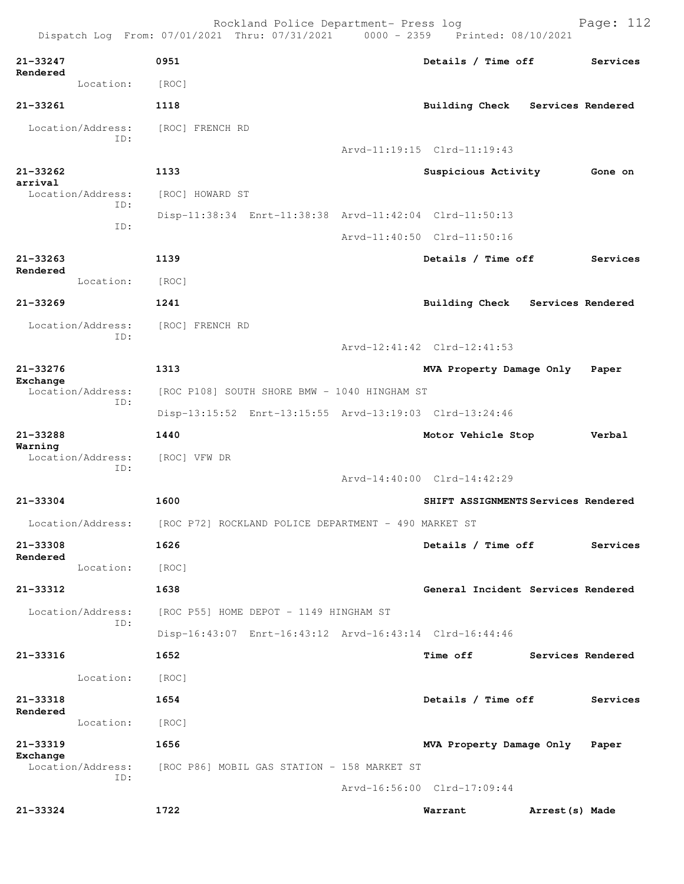|                               | Rockland Police Department- Press log<br>Dispatch Log From: 07/01/2021 Thru: 07/31/2021 0000 - 2359 Printed: 08/10/2021 |                                     |                   | Page: 112 |
|-------------------------------|-------------------------------------------------------------------------------------------------------------------------|-------------------------------------|-------------------|-----------|
| 21-33247<br>Rendered          | 0951                                                                                                                    | Details / Time off                  |                   | Services  |
| Location:                     | [ROC]                                                                                                                   |                                     |                   |           |
| 21-33261                      | 1118                                                                                                                    | Building Check Services Rendered    |                   |           |
| Location/Address:             | [ROC] FRENCH RD                                                                                                         |                                     |                   |           |
| ID:                           |                                                                                                                         | Arvd-11:19:15 Clrd-11:19:43         |                   |           |
| 21-33262                      | 1133                                                                                                                    | Suspicious Activity                 |                   | Gone on   |
| arrival<br>Location/Address:  | [ROC] HOWARD ST                                                                                                         |                                     |                   |           |
| TD:                           | Disp-11:38:34 Enrt-11:38:38 Arvd-11:42:04 Clrd-11:50:13                                                                 |                                     |                   |           |
| ID:                           |                                                                                                                         | Arvd-11:40:50 Clrd-11:50:16         |                   |           |
| $21 - 33263$                  | 1139                                                                                                                    | Details / Time off                  |                   | Services  |
| Rendered<br>Location:         | [ROC]                                                                                                                   |                                     |                   |           |
| $21 - 33269$                  | 1241                                                                                                                    | Building Check Services Rendered    |                   |           |
| Location/Address:             | [ROC] FRENCH RD                                                                                                         |                                     |                   |           |
| ID:                           |                                                                                                                         | Arvd-12:41:42 Clrd-12:41:53         |                   |           |
| $21 - 33276$                  | 1313                                                                                                                    | MVA Property Damage Only Paper      |                   |           |
| Exchange<br>Location/Address: | [ROC P108] SOUTH SHORE BMW - 1040 HINGHAM ST                                                                            |                                     |                   |           |
| ID:                           | Disp-13:15:52 Enrt-13:15:55 Arvd-13:19:03 Clrd-13:24:46                                                                 |                                     |                   |           |
| 21-33288                      | 1440                                                                                                                    | Motor Vehicle Stop                  |                   | Verbal    |
| Warning<br>Location/Address:  | [ROC] VFW DR                                                                                                            |                                     |                   |           |
| ID:                           |                                                                                                                         | Arvd-14:40:00 Clrd-14:42:29         |                   |           |
| 21-33304                      | 1600                                                                                                                    | SHIFT ASSIGNMENTS Services Rendered |                   |           |
|                               | Location/Address: [ROC P72] ROCKLAND POLICE DEPARTMENT - 490 MARKET ST                                                  |                                     |                   |           |
| 21-33308                      | 1626                                                                                                                    | Details / Time off                  |                   | Services  |
| Rendered<br>Location:         | [ROC]                                                                                                                   |                                     |                   |           |
| 21-33312                      | 1638                                                                                                                    | General Incident Services Rendered  |                   |           |
| Location/Address:             | [ROC P55] HOME DEPOT - 1149 HINGHAM ST                                                                                  |                                     |                   |           |
| ID:                           | Disp-16:43:07 Enrt-16:43:12 Arvd-16:43:14 Clrd-16:44:46                                                                 |                                     |                   |           |
| 21-33316                      | 1652                                                                                                                    | <b>Time off</b>                     | Services Rendered |           |
| Location:                     | [ROC]                                                                                                                   |                                     |                   |           |
| 21-33318                      | 1654                                                                                                                    | Details / Time off                  |                   | Services  |
| Rendered<br>Location:         | [ROC]                                                                                                                   |                                     |                   |           |
| 21-33319                      | 1656                                                                                                                    | MVA Property Damage Only            |                   | Paper     |
| Exchange<br>Location/Address: | [ROC P86] MOBIL GAS STATION - 158 MARKET ST                                                                             |                                     |                   |           |
| ID:                           |                                                                                                                         | Arvd-16:56:00 Clrd-17:09:44         |                   |           |
| 21-33324                      | 1722                                                                                                                    | Warrant                             | Arrest(s) Made    |           |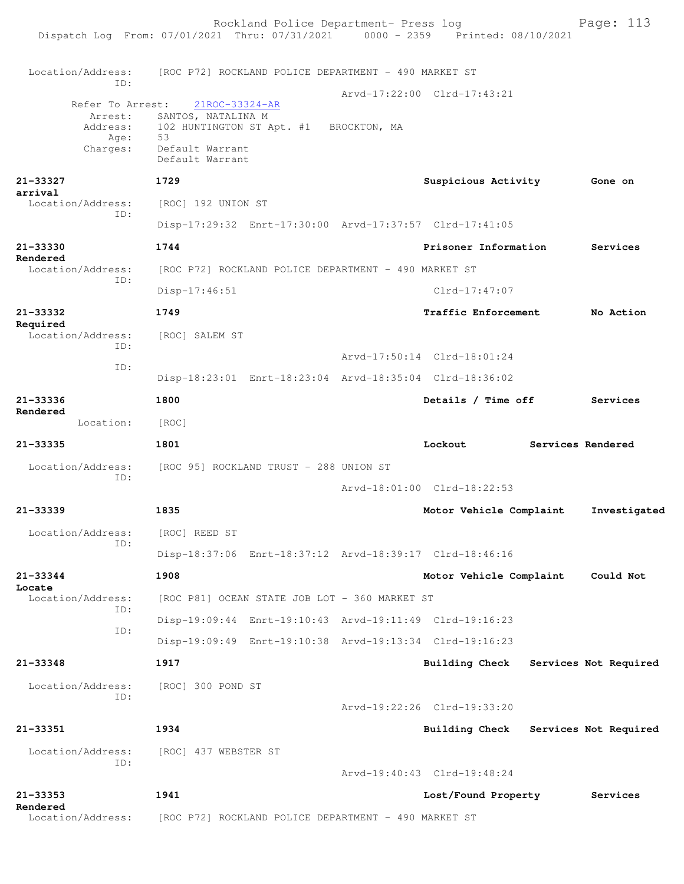Rockland Police Department- Press log Fage: 113 Dispatch Log From: 07/01/2021 Thru: 07/31/2021 0000 - 2359 Printed: 08/10/2021 Location/Address: [ROC P72] ROCKLAND POLICE DEPARTMENT - 490 MARKET ST ID: Arvd-17:22:00 Clrd-17:43:21<br>21ROC-33324-AR Refer To Arrest: Arrest: SANTOS, NATALINA M<br>Address: 102 HUNTINGTON ST A 102 HUNTINGTON ST Apt. #1 BROCKTON, MA Age: 53 Charges: Default Warrant Default Warrant **21-33327 1729 Suspicious Activity Gone on arrival**  Location/Address: [ROC] 192 UNION ST ID: Disp-17:29:32 Enrt-17:30:00 Arvd-17:37:57 Clrd-17:41:05 **21-33330 1744 Prisoner Information Services Rendered**<br>Location/Address: [ROC P72] ROCKLAND POLICE DEPARTMENT - 490 MARKET ST ID: Disp-17:46:51 Clrd-17:47:07 **21-33332 1749 Traffic Enforcement No Action Required**  Location/Address: [ROC] SALEM ST ID: Arvd-17:50:14 Clrd-18:01:24 ID: Disp-18:23:01 Enrt-18:23:04 Arvd-18:35:04 Clrd-18:36:02 **21-33336 1800 Details / Time off Services Rendered**  Location: [ROC] **21-33335 1801 Lockout Services Rendered** Location/Address: [ROC 95] ROCKLAND TRUST - 288 UNION ST ID: Arvd-18:01:00 Clrd-18:22:53 **21-33339 1835 Motor Vehicle Complaint Investigated** Location/Address: [ROC] REED ST ID: Disp-18:37:06 Enrt-18:37:12 Arvd-18:39:17 Clrd-18:46:16 **21-33344 1908 Motor Vehicle Complaint Could Not Locate**  Location/Address: [ROC P81] OCEAN STATE JOB LOT - 360 MARKET ST ID: Disp-19:09:44 Enrt-19:10:43 Arvd-19:11:49 Clrd-19:16:23 ID: Disp-19:09:49 Enrt-19:10:38 Arvd-19:13:34 Clrd-19:16:23 **21-33348 1917 Building Check Services Not Required** Location/Address: [ROC] 300 POND ST ID: Arvd-19:22:26 Clrd-19:33:20 **21-33351 1934 Building Check Services Not Required** Location/Address: [ROC] 437 WEBSTER ST ID: Arvd-19:40:43 Clrd-19:48:24 **21-33353 1941 Lost/Found Property Services Rendered**  [ROC P72] ROCKLAND POLICE DEPARTMENT - 490 MARKET ST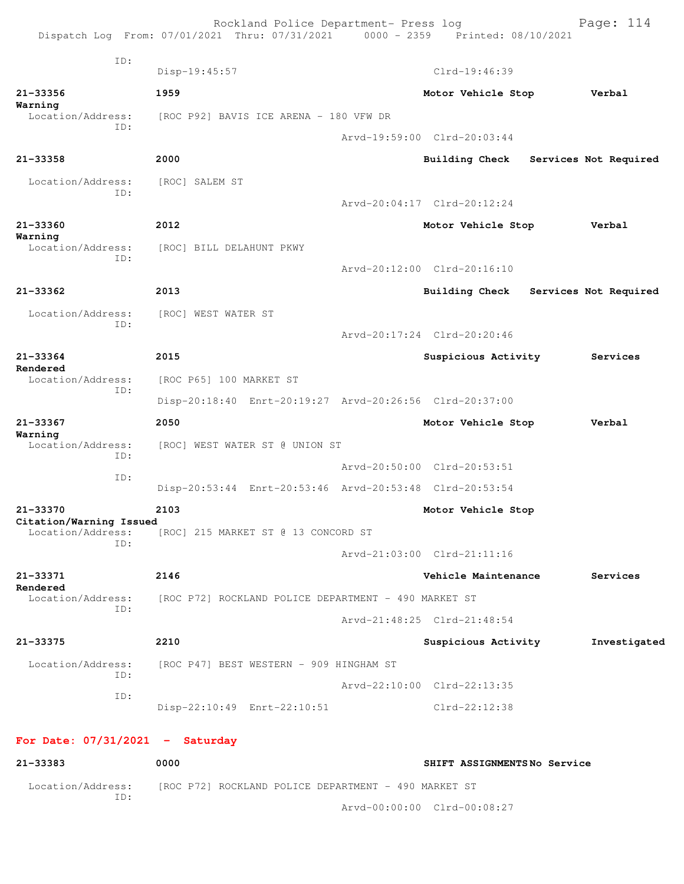|                                      | Rockland Police Department- Press log<br>Dispatch Log From: 07/01/2021 Thru: 07/31/2021 0000 - 2359 Printed: 08/10/2021 |                             | Page: 114             |
|--------------------------------------|-------------------------------------------------------------------------------------------------------------------------|-----------------------------|-----------------------|
| TD:                                  | Disp-19:45:57                                                                                                           | Clrd-19:46:39               |                       |
| $21 - 33356$                         | 1959                                                                                                                    | Motor Vehicle Stop          | Verbal                |
| Warning<br>Location/Address:         | [ROC P92] BAVIS ICE ARENA - 180 VFW DR                                                                                  |                             |                       |
| ID:                                  |                                                                                                                         | Arvd-19:59:00 Clrd-20:03:44 |                       |
| 21-33358                             | 2000                                                                                                                    | <b>Building Check</b>       | Services Not Required |
| Location/Address:                    | [ROC] SALEM ST                                                                                                          |                             |                       |
| ID:                                  |                                                                                                                         | Arvd-20:04:17 Clrd-20:12:24 |                       |
| 21-33360                             | 2012                                                                                                                    | Motor Vehicle Stop          | Verbal                |
| Warning<br>Location/Address:         | [ROC] BILL DELAHUNT PKWY                                                                                                |                             |                       |
| ID:                                  |                                                                                                                         | Arvd-20:12:00 Clrd-20:16:10 |                       |
| 21-33362                             | 2013                                                                                                                    | <b>Building Check</b>       | Services Not Required |
| Location/Address:                    | [ROC] WEST WATER ST                                                                                                     |                             |                       |
| ID:                                  |                                                                                                                         | Arvd-20:17:24 Clrd-20:20:46 |                       |
| $21 - 33364$                         | 2015                                                                                                                    | Suspicious Activity         | Services              |
| Rendered<br>Location/Address:        | [ROC P65] 100 MARKET ST                                                                                                 |                             |                       |
| ID:                                  |                                                                                                                         |                             |                       |
| 21-33367                             | Disp-20:18:40 Enrt-20:19:27 Arvd-20:26:56 Clrd-20:37:00                                                                 |                             |                       |
| Warning                              | 2050                                                                                                                    | Motor Vehicle Stop          | Verbal                |
| Location/Address:<br>ID:             | [ROC] WEST WATER ST @ UNION ST                                                                                          |                             |                       |
| ID:                                  |                                                                                                                         | Arvd-20:50:00 Clrd-20:53:51 |                       |
|                                      | Disp-20:53:44 Enrt-20:53:46 Arvd-20:53:48 Clrd-20:53:54                                                                 |                             |                       |
| 21-33370<br>Citation/Warning Issued  | 2103                                                                                                                    | Motor Vehicle Stop          |                       |
| Location/Address:<br>ID:             | [ROC] 215 MARKET ST @ 13 CONCORD ST                                                                                     |                             |                       |
|                                      |                                                                                                                         | Arvd-21:03:00 Clrd-21:11:16 |                       |
| 21-33371<br>Rendered                 | 2146                                                                                                                    | Vehicle Maintenance         | Services              |
| Location/Address:<br>ID:             | [ROC P72] ROCKLAND POLICE DEPARTMENT - 490 MARKET ST                                                                    |                             |                       |
|                                      |                                                                                                                         | Arvd-21:48:25 Clrd-21:48:54 |                       |
| 21-33375                             | 2210                                                                                                                    | Suspicious Activity         | Investigated          |
| Location/Address:<br>ID:             | [ROC P47] BEST WESTERN - 909 HINGHAM ST                                                                                 |                             |                       |
| ID:                                  |                                                                                                                         | Arvd-22:10:00 Clrd-22:13:35 |                       |
|                                      | Disp-22:10:49 Enrt-22:10:51                                                                                             | Clrd-22:12:38               |                       |
| $For$ $D = 0.773172021$ = $Solution$ |                                                                                                                         |                             |                       |

## **For Date: 07/31/2021 - Saturday**

| 21-33383                 | 0000                                                 | SHIFT ASSIGNMENTSNo Service |  |
|--------------------------|------------------------------------------------------|-----------------------------|--|
| Location/Address:<br>TD: | [ROC P72] ROCKLAND POLICE DEPARTMENT - 490 MARKET ST |                             |  |
|                          | Arvd-00:00:00 Clrd-00:08:27                          |                             |  |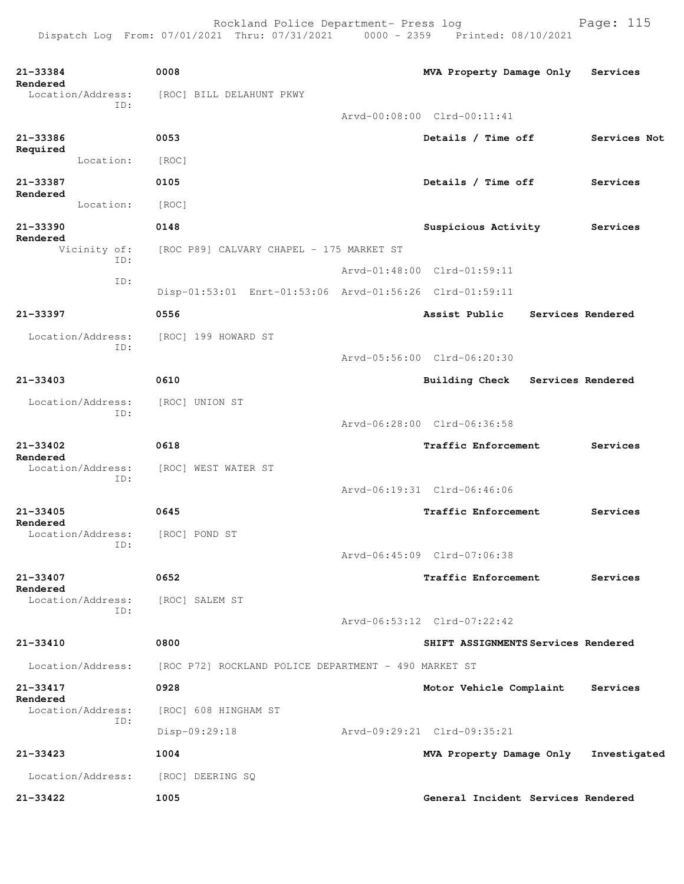Rockland Police Department- Press log entitled and Page: 115

| 21-33384<br>Rendered<br>Location/Address: | 0008<br>[ROC] BILL DELAHUNT PKWY                        | MVA Property Damage Only            | Services          |
|-------------------------------------------|---------------------------------------------------------|-------------------------------------|-------------------|
| ID:                                       |                                                         | Arvd-00:08:00 Clrd-00:11:41         |                   |
| 21-33386                                  | 0053                                                    | Details / Time off                  | Services Not      |
| Required<br>Location:                     | [ROC]                                                   |                                     |                   |
| 21-33387                                  | 0105                                                    | Details / Time off                  | Services          |
| Rendered<br>Location:                     | [ROC]                                                   |                                     |                   |
| 21-33390                                  | 0148                                                    | Suspicious Activity                 | Services          |
| Rendered<br>Vicinity of:                  | [ROC P89] CALVARY CHAPEL - 175 MARKET ST                |                                     |                   |
| ID:                                       |                                                         | Arvd-01:48:00 Clrd-01:59:11         |                   |
| ID:                                       | Disp-01:53:01 Enrt-01:53:06 Arvd-01:56:26 Clrd-01:59:11 |                                     |                   |
| 21-33397                                  | 0556                                                    | Assist Public                       | Services Rendered |
| Location/Address:<br>ID:                  | [ROC] 199 HOWARD ST                                     | Arvd-05:56:00 Clrd-06:20:30         |                   |
| 21-33403                                  | 0610                                                    | <b>Building Check</b>               | Services Rendered |
| Location/Address:<br>ID:                  | [ROC] UNION ST                                          |                                     |                   |
|                                           |                                                         | Arvd-06:28:00 Clrd-06:36:58         |                   |
| $21 - 33402$<br>Rendered                  | 0618                                                    | Traffic Enforcement                 | Services          |
| Location/Address:<br>ID:                  | [ROC] WEST WATER ST                                     |                                     |                   |
|                                           |                                                         | Arvd-06:19:31 Clrd-06:46:06         |                   |
| 21-33405<br>Rendered                      | 0645                                                    | Traffic Enforcement                 | Services          |
| Location/Address:<br>ID:                  | [ROC] POND ST                                           | Arvd-06:45:09 Clrd-07:06:38         |                   |
| $21 - 33407$                              | 0652                                                    | <b>Traffic Enforcement</b>          | Services          |
| Rendered<br>Location/Address:<br>ID:      | [ROC] SALEM ST                                          | Arvd-06:53:12 Clrd-07:22:42         |                   |
| 21-33410                                  | 0800                                                    | SHIFT ASSIGNMENTS Services Rendered |                   |
|                                           |                                                         |                                     |                   |
| Location/Address:                         | [ROC P72] ROCKLAND POLICE DEPARTMENT - 490 MARKET ST    |                                     |                   |
| 21-33417<br>Rendered<br>Location/Address: | 0928<br>[ROC] 608 HINGHAM ST                            | Motor Vehicle Complaint             | Services          |
| ID:                                       | Disp-09:29:18                                           | Arvd-09:29:21 Clrd-09:35:21         |                   |
| $21 - 33423$                              | 1004                                                    | MVA Property Damage Only            | Investigated      |
| Location/Address:                         | [ROC] DEERING SQ                                        |                                     |                   |
| 21-33422                                  | 1005                                                    | General Incident Services Rendered  |                   |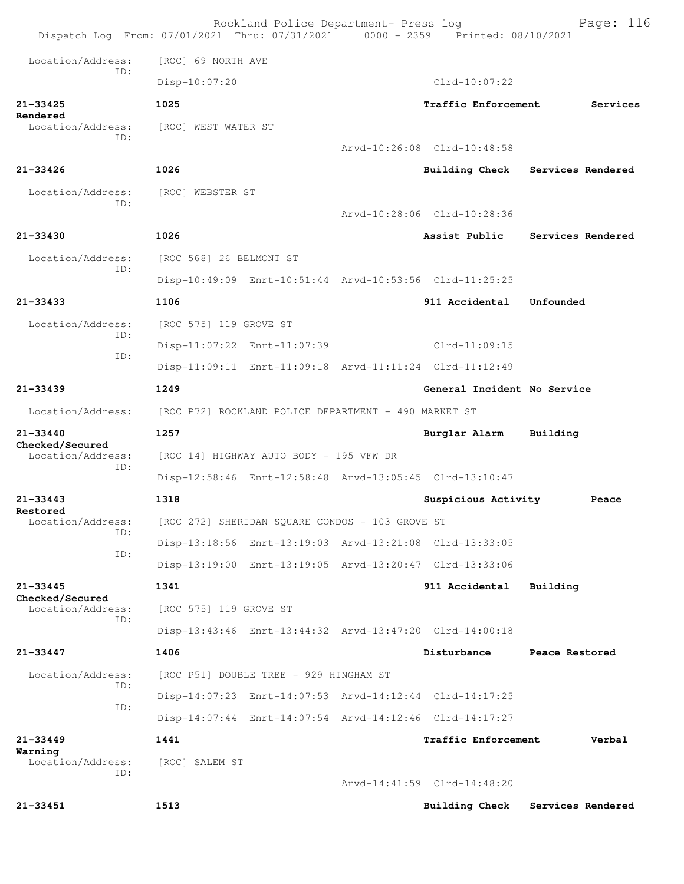|                                      | Rockland Police Department- Press log<br>Dispatch Log From: 07/01/2021 Thru: 07/31/2021 0000 - 2359 Printed: 08/10/2021 |  |                             | Page: 116                        |  |  |
|--------------------------------------|-------------------------------------------------------------------------------------------------------------------------|--|-----------------------------|----------------------------------|--|--|
| Location/Address:                    | [ROC] 69 NORTH AVE                                                                                                      |  |                             |                                  |  |  |
| TD:                                  | Disp-10:07:20                                                                                                           |  | $Clrd-10:07:22$             |                                  |  |  |
| $21 - 33425$                         | 1025                                                                                                                    |  | Traffic Enforcement         | Services                         |  |  |
| Rendered<br>Location/Address:        | [ROC] WEST WATER ST                                                                                                     |  |                             |                                  |  |  |
| TD:                                  |                                                                                                                         |  | Arvd-10:26:08 Clrd-10:48:58 |                                  |  |  |
| $21 - 33426$                         | 1026                                                                                                                    |  |                             | Building Check Services Rendered |  |  |
| Location/Address:                    | [ROC] WEBSTER ST                                                                                                        |  |                             |                                  |  |  |
| ID:                                  |                                                                                                                         |  | Arvd-10:28:06 Clrd-10:28:36 |                                  |  |  |
| $21 - 33430$                         | 1026                                                                                                                    |  | Assist Public               | Services Rendered                |  |  |
| Location/Address:                    | [ROC 568] 26 BELMONT ST                                                                                                 |  |                             |                                  |  |  |
| TD:                                  | Disp-10:49:09 Enrt-10:51:44 Arvd-10:53:56 Clrd-11:25:25                                                                 |  |                             |                                  |  |  |
| $21 - 33433$                         | 1106                                                                                                                    |  | 911 Accidental              | Unfounded                        |  |  |
| Location/Address:                    | [ROC 575] 119 GROVE ST                                                                                                  |  |                             |                                  |  |  |
| TD:                                  | Disp-11:07:22 Enrt-11:07:39                                                                                             |  | $Clrd-11:09:15$             |                                  |  |  |
| ID:                                  | Disp-11:09:11 Enrt-11:09:18 Arvd-11:11:24 Clrd-11:12:49                                                                 |  |                             |                                  |  |  |
| $21 - 33439$                         | 1249                                                                                                                    |  | General Incident No Service |                                  |  |  |
| Location/Address:                    | [ROC P72] ROCKLAND POLICE DEPARTMENT - 490 MARKET ST                                                                    |  |                             |                                  |  |  |
| $21 - 33440$                         | 1257                                                                                                                    |  | Burglar Alarm               | Building                         |  |  |
| Checked/Secured<br>Location/Address: | [ROC 14] HIGHWAY AUTO BODY - 195 VFW DR                                                                                 |  |                             |                                  |  |  |
| ID:                                  | Disp-12:58:46 Enrt-12:58:48 Arvd-13:05:45 Clrd-13:10:47                                                                 |  |                             |                                  |  |  |
| 21-33443                             | 1318                                                                                                                    |  | Suspicious Activity         | Peace                            |  |  |
| Restored<br>Location/Address:        | [ROC 272] SHERIDAN SQUARE CONDOS - 103 GROVE ST                                                                         |  |                             |                                  |  |  |
| TD:                                  | Disp-13:18:56 Enrt-13:19:03 Arvd-13:21:08 Clrd-13:33:05                                                                 |  |                             |                                  |  |  |
| ID:                                  | Disp-13:19:00 Enrt-13:19:05 Arvd-13:20:47 Clrd-13:33:06                                                                 |  |                             |                                  |  |  |
| $21 - 33445$                         | 1341                                                                                                                    |  | 911 Accidental              | Building                         |  |  |
| Checked/Secured<br>Location/Address: | [ROC 575] 119 GROVE ST                                                                                                  |  |                             |                                  |  |  |
| ID:                                  | Disp-13:43:46 Enrt-13:44:32 Arvd-13:47:20 Clrd-14:00:18                                                                 |  |                             |                                  |  |  |
| 21-33447                             | 1406                                                                                                                    |  | Disturbance                 | Peace Restored                   |  |  |
| Location/Address:                    | [ROC P51] DOUBLE TREE - 929 HINGHAM ST                                                                                  |  |                             |                                  |  |  |
| ID:                                  | Disp-14:07:23 Enrt-14:07:53 Arvd-14:12:44 Clrd-14:17:25                                                                 |  |                             |                                  |  |  |
| ID:                                  | Disp-14:07:44 Enrt-14:07:54 Arvd-14:12:46 Clrd-14:17:27                                                                 |  |                             |                                  |  |  |
| $21 - 33449$                         | 1441                                                                                                                    |  | Traffic Enforcement         | Verbal                           |  |  |
| Warning<br>Location/Address:         | [ROC] SALEM ST                                                                                                          |  |                             |                                  |  |  |
| ID:                                  |                                                                                                                         |  | Arvd-14:41:59 Clrd-14:48:20 |                                  |  |  |
| 21-33451                             | 1513                                                                                                                    |  | <b>Building Check</b>       | Services Rendered                |  |  |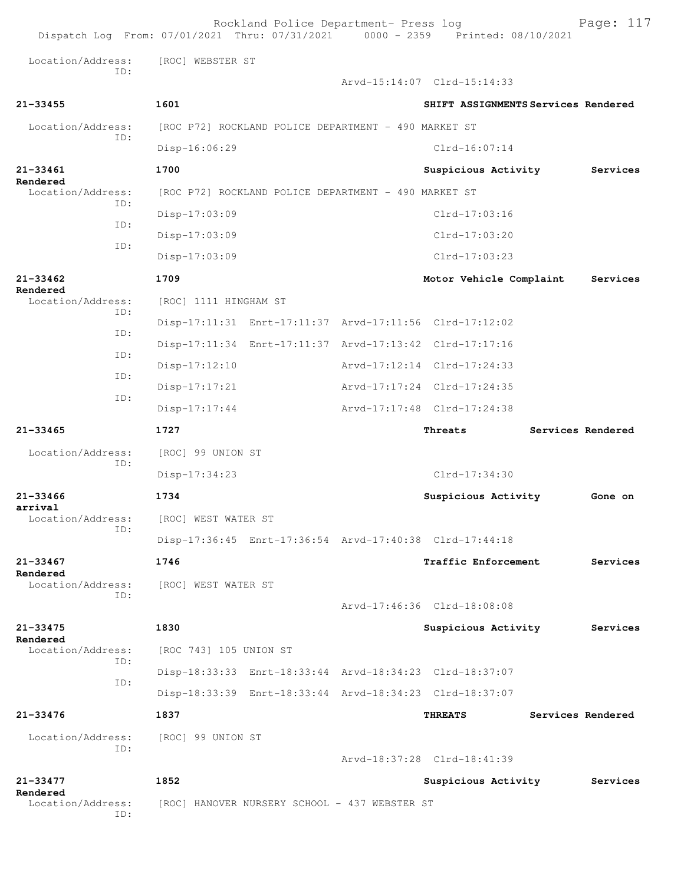|                               | Dispatch Log From: 07/01/2021 Thru: 07/31/2021 0000 - 2359 Printed: 08/10/2021 | Rockland Police Department- Press log |                                     | Page: 117         |
|-------------------------------|--------------------------------------------------------------------------------|---------------------------------------|-------------------------------------|-------------------|
| Location/Address:<br>TD:      | [ROC] WEBSTER ST                                                               |                                       |                                     |                   |
|                               |                                                                                |                                       | Arvd-15:14:07 Clrd-15:14:33         |                   |
| $21 - 33455$                  | 1601                                                                           |                                       | SHIFT ASSIGNMENTS Services Rendered |                   |
| Location/Address:             | [ROC P72] ROCKLAND POLICE DEPARTMENT - 490 MARKET ST                           |                                       |                                     |                   |
| ID:                           | Disp-16:06:29                                                                  |                                       | $Clrd-16:07:14$                     |                   |
| $21 - 33461$                  | 1700                                                                           |                                       | Suspicious Activity                 | Services          |
| Rendered<br>Location/Address: | [ROC P72] ROCKLAND POLICE DEPARTMENT - 490 MARKET ST                           |                                       |                                     |                   |
| TD:                           | $Disp-17:03:09$                                                                |                                       | Clrd-17:03:16                       |                   |
| ID:                           | $Disp-17:03:09$                                                                |                                       | Clrd-17:03:20                       |                   |
| ID:                           | $Disp-17:03:09$                                                                |                                       | $Clrd-17:03:23$                     |                   |
| $21 - 33462$                  | 1709                                                                           |                                       | Motor Vehicle Complaint             | Services          |
| Rendered<br>Location/Address: | [ROC] 1111 HINGHAM ST                                                          |                                       |                                     |                   |
| ID:                           | Disp-17:11:31 Enrt-17:11:37 Arvd-17:11:56 Clrd-17:12:02                        |                                       |                                     |                   |
| ID:                           | Disp-17:11:34 Enrt-17:11:37 Arvd-17:13:42 Clrd-17:17:16                        |                                       |                                     |                   |
| ID:                           | Disp-17:12:10                                                                  |                                       | Arvd-17:12:14 Clrd-17:24:33         |                   |
| ID:                           | Disp-17:17:21                                                                  |                                       | Arvd-17:17:24 Clrd-17:24:35         |                   |
| ID:                           | $Disp-17:17:44$                                                                |                                       | Arvd-17:17:48 Clrd-17:24:38         |                   |
|                               |                                                                                |                                       |                                     |                   |
| $21 - 33465$                  | 1727                                                                           |                                       | Threats                             | Services Rendered |
| Location/Address:             | [ROC] 99 UNION ST                                                              |                                       |                                     |                   |
| ID:                           | Disp-17:34:23                                                                  |                                       | Clrd-17:34:30                       |                   |
| $21 - 33466$                  | 1734                                                                           |                                       | Suspicious Activity                 | Gone on           |
| arrival                       | Location/Address: [ROC] WEST WATER ST                                          |                                       |                                     |                   |
| ID:                           | Disp-17:36:45 Enrt-17:36:54 Arvd-17:40:38 Clrd-17:44:18                        |                                       |                                     |                   |
| 21-33467                      | 1746                                                                           |                                       | Traffic Enforcement                 | Services          |
| Rendered<br>Location/Address: | [ROC] WEST WATER ST                                                            |                                       |                                     |                   |
| TD:                           |                                                                                |                                       | Arvd-17:46:36 Clrd-18:08:08         |                   |
| 21-33475                      | 1830                                                                           |                                       | Suspicious Activity                 | Services          |
| Rendered<br>Location/Address: | [ROC 743] 105 UNION ST                                                         |                                       |                                     |                   |
| TD:                           | Disp-18:33:33 Enrt-18:33:44 Arvd-18:34:23 Clrd-18:37:07                        |                                       |                                     |                   |
| ID:                           | Disp-18:33:39 Enrt-18:33:44 Arvd-18:34:23 Clrd-18:37:07                        |                                       |                                     |                   |
| 21-33476                      | 1837                                                                           |                                       | <b>THREATS</b>                      | Services Rendered |
| Location/Address:             | [ROC] 99 UNION ST                                                              |                                       |                                     |                   |
| ID:                           |                                                                                |                                       | Arvd-18:37:28 Clrd-18:41:39         |                   |
| 21-33477<br>Rendered          | 1852                                                                           |                                       | Suspicious Activity                 | Services          |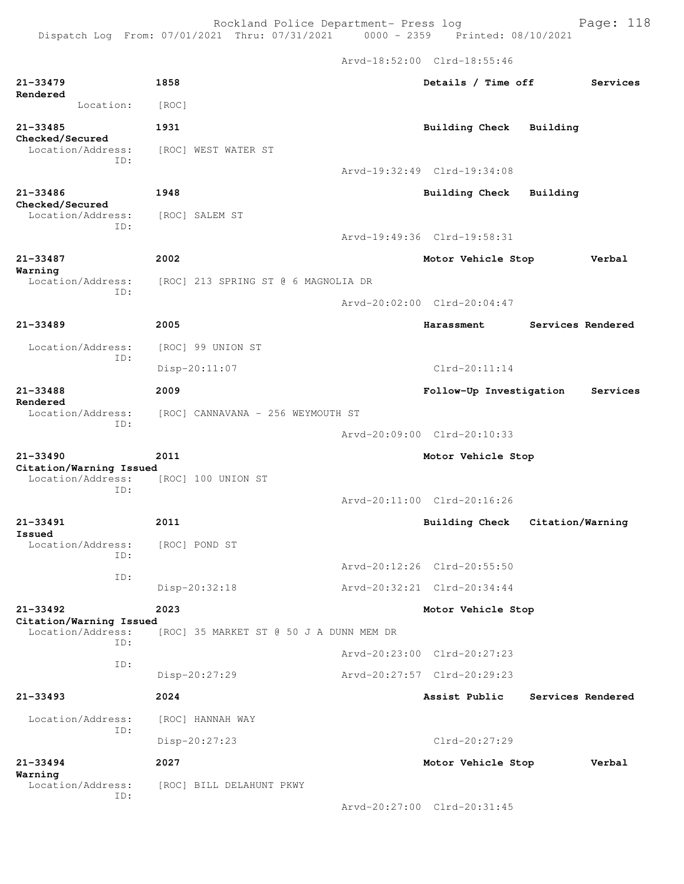Rockland Police Department- Press log entitled and Page: 118

|                                                     |                                         | Arvd-18:52:00 Clrd-18:55:46       |                   |
|-----------------------------------------------------|-----------------------------------------|-----------------------------------|-------------------|
| $21 - 33479$<br>Rendered                            | 1858                                    | Details / Time off                | Services          |
| Location:                                           | [ROC]                                   |                                   |                   |
| 21-33485<br>Checked/Secured                         | 1931                                    | <b>Building Check</b><br>Building |                   |
| Location/Address:                                   | [ROC] WEST WATER ST                     |                                   |                   |
| ID:                                                 |                                         | Arvd-19:32:49 Clrd-19:34:08       |                   |
| 21-33486                                            | 1948                                    | Building Check<br>Building        |                   |
| Checked/Secured<br>Location/Address:                | [ROC] SALEM ST                          |                                   |                   |
| ID:                                                 |                                         | Arvd-19:49:36 Clrd-19:58:31       |                   |
| 21-33487                                            | 2002                                    | Motor Vehicle Stop                | Verbal            |
| Warning<br>Location/Address:                        | [ROC] 213 SPRING ST @ 6 MAGNOLIA DR     |                                   |                   |
| ID:                                                 |                                         | Arvd-20:02:00 Clrd-20:04:47       |                   |
| $21 - 33489$                                        | 2005                                    | Harassment                        | Services Rendered |
| Location/Address:                                   | [ROC] 99 UNION ST                       |                                   |                   |
| ID:                                                 | $Disp-20:11:07$                         | Clrd-20:11:14                     |                   |
| 21-33488                                            | 2009                                    | Follow-Up Investigation           | Services          |
| Rendered<br>Location/Address:                       | [ROC] CANNAVANA - 256 WEYMOUTH ST       |                                   |                   |
| ID:                                                 |                                         | Arvd-20:09:00 Clrd-20:10:33       |                   |
| $21 - 33490$                                        | 2011                                    | Motor Vehicle Stop                |                   |
| Citation/Warning Issued<br>Location/Address:<br>ID: | [ROC] 100 UNION ST                      |                                   |                   |
|                                                     |                                         | Arvd-20:11:00 Clrd-20:16:26       |                   |
| $21 - 33491$<br>Issued                              | 2011                                    | Building Check                    | Citation/Warning  |
| Location/Address:<br>ID:                            | [ROC] POND ST                           |                                   |                   |
| ID:                                                 |                                         | Arvd-20:12:26 Clrd-20:55:50       |                   |
|                                                     | Disp-20:32:18                           | Arvd-20:32:21 Clrd-20:34:44       |                   |
| $21 - 33492$<br>Citation/Warning Issued             | 2023                                    | Motor Vehicle Stop                |                   |
| Location/Address:<br>TD:                            | [ROC] 35 MARKET ST @ 50 J A DUNN MEM DR |                                   |                   |
| ID:                                                 |                                         | Arvd-20:23:00 Clrd-20:27:23       |                   |
|                                                     | Disp-20:27:29                           | Arvd-20:27:57 Clrd-20:29:23       |                   |
| $21 - 33493$                                        | 2024                                    | Assist Public                     | Services Rendered |
| Location/Address:<br>ID:                            | [ROC] HANNAH WAY                        |                                   |                   |
|                                                     | Disp-20:27:23                           | Clrd-20:27:29                     |                   |
| $21 - 33494$<br>Warning                             | 2027                                    | Motor Vehicle Stop                | Verbal            |
| Location/Address:<br>ID:                            | [ROC] BILL DELAHUNT PKWY                |                                   |                   |
|                                                     |                                         | Arvd-20:27:00 Clrd-20:31:45       |                   |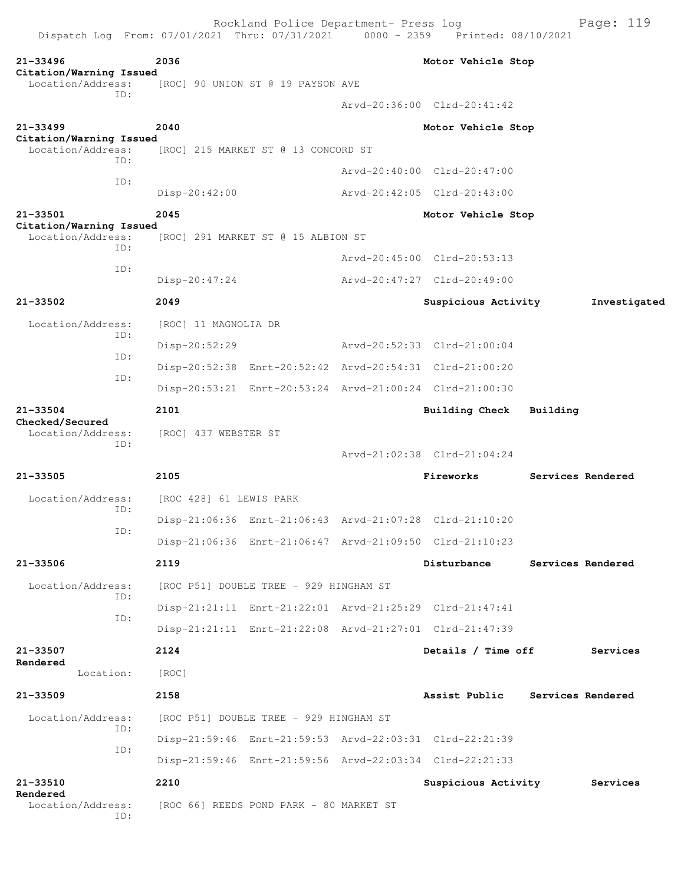| Dispatch Log From: 07/01/2021 Thru: 07/31/2021 |                         | Rockland Police Department- Press log   | 0000 - 2359 Printed: 08/10/2021                         |          | Page: 119         |
|------------------------------------------------|-------------------------|-----------------------------------------|---------------------------------------------------------|----------|-------------------|
| 21-33496                                       | 2036                    |                                         | Motor Vehicle Stop                                      |          |                   |
| Citation/Warning Issued<br>Location/Address:   |                         | [ROC] 90 UNION ST @ 19 PAYSON AVE       |                                                         |          |                   |
| ID:                                            |                         |                                         | Arvd-20:36:00 Clrd-20:41:42                             |          |                   |
| $21 - 33499$<br>Citation/Warning Issued        | 2040                    |                                         | Motor Vehicle Stop                                      |          |                   |
| Location/Address:<br>TD:                       |                         | [ROC] 215 MARKET ST @ 13 CONCORD ST     |                                                         |          |                   |
| ID:                                            |                         |                                         | Arvd-20:40:00 Clrd-20:47:00                             |          |                   |
|                                                | $Disp-20:42:00$         |                                         | Arvd-20:42:05 Clrd-20:43:00                             |          |                   |
| 21-33501<br>Citation/Warning Issued            | 2045                    |                                         | Motor Vehicle Stop                                      |          |                   |
| Location/Address:<br>TD:                       |                         | [ROC] 291 MARKET ST @ 15 ALBION ST      |                                                         |          |                   |
| ID:                                            |                         |                                         | Arvd-20:45:00 Clrd-20:53:13                             |          |                   |
|                                                | $Disp-20:47:24$         |                                         | Arvd-20:47:27 Clrd-20:49:00                             |          |                   |
| $21 - 33502$                                   | 2049                    |                                         | Suspicious Activity                                     |          | Investigated      |
| Location/Address:<br>ID:                       | [ROC] 11 MAGNOLIA DR    |                                         |                                                         |          |                   |
| ID:                                            | Disp-20:52:29           |                                         | Arvd-20:52:33 Clrd-21:00:04                             |          |                   |
| ID:                                            |                         |                                         | Disp-20:52:38 Enrt-20:52:42 Arvd-20:54:31 Clrd-21:00:20 |          |                   |
|                                                |                         |                                         | Disp-20:53:21 Enrt-20:53:24 Arvd-21:00:24 Clrd-21:00:30 |          |                   |
| $21 - 33504$<br>Checked/Secured                | 2101                    |                                         | Building Check                                          | Building |                   |
| Location/Address:<br>ID:                       | [ROC] 437 WEBSTER ST    |                                         | Arvd-21:02:38 Clrd-21:04:24                             |          |                   |
| $21 - 33505$                                   | 2105                    |                                         | Fireworks                                               |          | Services Rendered |
| Location/Address:                              | [ROC 428] 61 LEWIS PARK |                                         |                                                         |          |                   |
| ID:                                            |                         |                                         | Disp-21:06:36 Enrt-21:06:43 Arvd-21:07:28 Clrd-21:10:20 |          |                   |
| ID:                                            |                         |                                         | Disp-21:06:36 Enrt-21:06:47 Arvd-21:09:50 Clrd-21:10:23 |          |                   |
| 21-33506                                       | 2119                    |                                         | Disturbance                                             |          | Services Rendered |
| Location/Address:                              |                         | [ROC P51] DOUBLE TREE - 929 HINGHAM ST  |                                                         |          |                   |
| ID:                                            |                         |                                         | Disp-21:21:11 Enrt-21:22:01 Arvd-21:25:29 Clrd-21:47:41 |          |                   |
| ID:                                            |                         |                                         | Disp-21:21:11 Enrt-21:22:08 Arvd-21:27:01 Clrd-21:47:39 |          |                   |
| 21-33507                                       | 2124                    |                                         | Details / Time off                                      |          |                   |
| Rendered                                       |                         |                                         |                                                         |          | Services          |
| Location:                                      | [ROC]                   |                                         |                                                         |          |                   |
| $21 - 33509$                                   | 2158                    |                                         | Assist Public                                           |          | Services Rendered |
| Location/Address:<br>ID:                       |                         | [ROC P51] DOUBLE TREE - 929 HINGHAM ST  |                                                         |          |                   |
| ID:                                            |                         |                                         | Disp-21:59:46 Enrt-21:59:53 Arvd-22:03:31 Clrd-22:21:39 |          |                   |
|                                                |                         |                                         | Disp-21:59:46 Enrt-21:59:56 Arvd-22:03:34 Clrd-22:21:33 |          |                   |
| 21-33510<br>Rendered                           | 2210                    |                                         | Suspicious Activity                                     |          | Services          |
| Location/Address:<br>ID:                       |                         | [ROC 66] REEDS POND PARK - 80 MARKET ST |                                                         |          |                   |